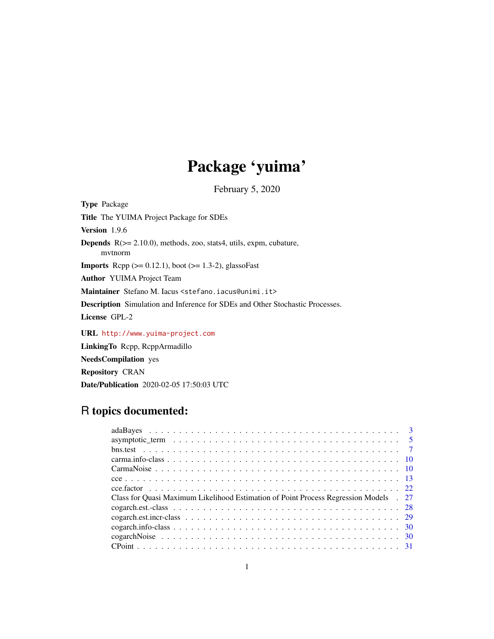# Package 'yuima'

February 5, 2020

<span id="page-0-0"></span>Type Package Title The YUIMA Project Package for SDEs Version 1.9.6 Depends R(>= 2.10.0), methods, zoo, stats4, utils, expm, cubature, mvtnorm **Imports** Rcpp  $(>= 0.12.1)$ , boot  $(>= 1.3-2)$ , glassoFast Author YUIMA Project Team Maintainer Stefano M. Iacus <stefano.iacus@unimi.it> Description Simulation and Inference for SDEs and Other Stochastic Processes. License GPL-2 URL <http://www.yuima-project.com>

LinkingTo Rcpp, RcppArmadillo

NeedsCompilation yes

Repository CRAN

Date/Publication 2020-02-05 17:50:03 UTC

## R topics documented:

| Class for Quasi Maximum Likelihood Estimation of Point Process Regression Models . 27 |  |
|---------------------------------------------------------------------------------------|--|
|                                                                                       |  |
|                                                                                       |  |
|                                                                                       |  |
|                                                                                       |  |
|                                                                                       |  |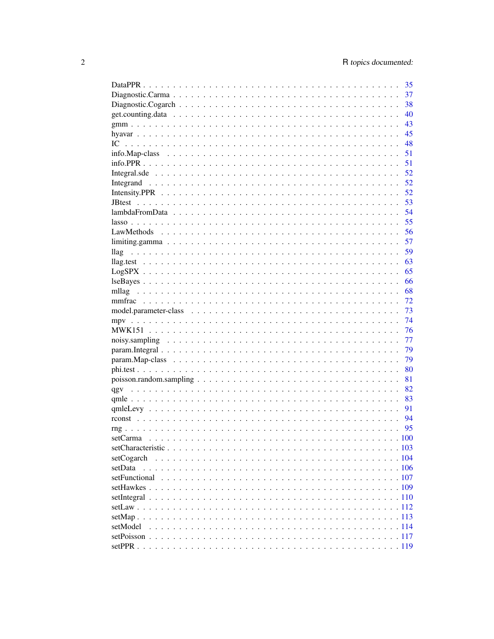|                                                                                                              | 35  |
|--------------------------------------------------------------------------------------------------------------|-----|
|                                                                                                              | 37  |
|                                                                                                              | 38  |
|                                                                                                              | 40  |
|                                                                                                              | 43  |
|                                                                                                              | 45  |
|                                                                                                              | 48  |
| info. Map-class $\ldots \ldots \ldots \ldots \ldots \ldots \ldots \ldots \ldots \ldots \ldots \ldots \ldots$ | 51  |
|                                                                                                              | 51  |
|                                                                                                              | 52  |
|                                                                                                              | 52  |
|                                                                                                              | 52  |
|                                                                                                              | 53  |
|                                                                                                              | 54  |
|                                                                                                              | 55  |
|                                                                                                              | 56  |
|                                                                                                              | 57  |
| llag                                                                                                         | 59  |
|                                                                                                              | 63  |
|                                                                                                              | 65  |
|                                                                                                              | 66  |
| mllag                                                                                                        | 68  |
|                                                                                                              | -72 |
|                                                                                                              | 73  |
|                                                                                                              | 74  |
|                                                                                                              | 76  |
|                                                                                                              | 77  |
|                                                                                                              | 79  |
|                                                                                                              | 79  |
|                                                                                                              | 80  |
|                                                                                                              | 81  |
|                                                                                                              |     |
|                                                                                                              |     |
|                                                                                                              | 91  |
|                                                                                                              | 94  |
|                                                                                                              | 95  |
|                                                                                                              |     |
|                                                                                                              |     |
| setCogarch                                                                                                   |     |
| setData                                                                                                      |     |
|                                                                                                              |     |
|                                                                                                              |     |
|                                                                                                              |     |
|                                                                                                              |     |
|                                                                                                              |     |
| setModel                                                                                                     |     |
|                                                                                                              |     |
|                                                                                                              |     |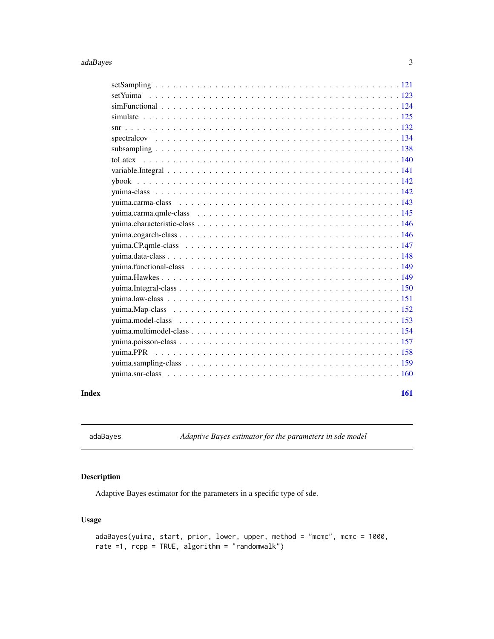<span id="page-2-0"></span>

## **Index** [161](#page-160-0)

adaBayes *Adaptive Bayes estimator for the parameters in sde model*

## Description

Adaptive Bayes estimator for the parameters in a specific type of sde.

## Usage

```
adaBayes(yuima, start, prior, lower, upper, method = "mcmc", mcmc = 1000,
rate =1, rcpp = TRUE, algorithm = "randomwalk")
```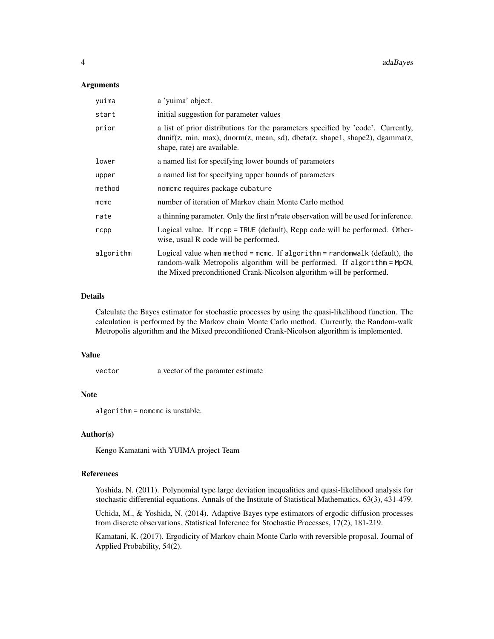#### **Arguments**

| yuima     | a 'yuima' object.                                                                                                                                                                                                              |  |
|-----------|--------------------------------------------------------------------------------------------------------------------------------------------------------------------------------------------------------------------------------|--|
| start     | initial suggestion for parameter values                                                                                                                                                                                        |  |
| prior     | a list of prior distributions for the parameters specified by 'code'. Currently,<br>dunif(z, min, max), dnorm(z, mean, sd), dbeta(z, shape1, shape2), dgamma(z,<br>shape, rate) are available.                                 |  |
| lower     | a named list for specifying lower bounds of parameters                                                                                                                                                                         |  |
| upper     | a named list for specifying upper bounds of parameters                                                                                                                                                                         |  |
| method    | nomeme requires package cubature                                                                                                                                                                                               |  |
| mcmc      | number of iteration of Markov chain Monte Carlo method                                                                                                                                                                         |  |
| rate      | a thinning parameter. Only the first n^rate observation will be used for inference.                                                                                                                                            |  |
| rcpp      | Logical value. If rcpp = TRUE (default), Rcpp code will be performed. Other-<br>wise, usual R code will be performed.                                                                                                          |  |
| algorithm | Logical value when method = mcmc. If algorithm = randomwalk (default), the<br>random-walk Metropolis algorithm will be performed. If algorithm = MpCN,<br>the Mixed preconditioned Crank-Nicolson algorithm will be performed. |  |

## Details

Calculate the Bayes estimator for stochastic processes by using the quasi-likelihood function. The calculation is performed by the Markov chain Monte Carlo method. Currently, the Random-walk Metropolis algorithm and the Mixed preconditioned Crank-Nicolson algorithm is implemented.

## Value

vector a vector of the paramter estimate

## Note

algorithm = nomcmc is unstable.

## Author(s)

Kengo Kamatani with YUIMA project Team

## References

Yoshida, N. (2011). Polynomial type large deviation inequalities and quasi-likelihood analysis for stochastic differential equations. Annals of the Institute of Statistical Mathematics, 63(3), 431-479.

Uchida, M., & Yoshida, N. (2014). Adaptive Bayes type estimators of ergodic diffusion processes from discrete observations. Statistical Inference for Stochastic Processes, 17(2), 181-219.

Kamatani, K. (2017). Ergodicity of Markov chain Monte Carlo with reversible proposal. Journal of Applied Probability, 54(2).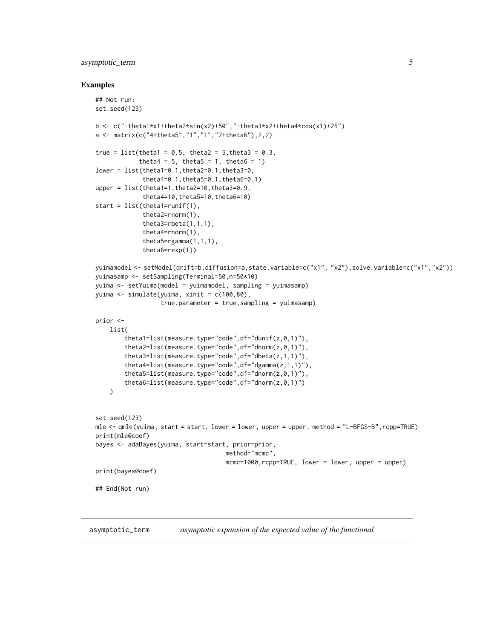## <span id="page-4-0"></span>asymptotic\_term 5

#### Examples

```
## Not run:
set.seed(123)
b \leq c("-theta1*x1+theta2*sin(x2)+50","-theta3*x2+theta4*cos(x1)+25")
a <- matrix(c("4+theta5","1","1","2+theta6"),2,2)
true = list(theta1 = 0.5, theta2 = 5, theta3 = 0.3,
            theta4 = 5, theta5 = 1, theta6 = 1)
lower = list(theta1=0.1,theta2=0.1,theta3=0,
             theta4=0.1,theta5=0.1,theta6=0.1)
upper = list(theta1=1,theta2=10,theta3=0.9,
             theta4=10, theta5=10, theta6=10)
start = list(thetal=runif(1),theta2=rnorm(1),
             theta3=rbeta(1,1,1),
             theta4=rnorm(1),
             theta5=rgamma(1,1,1),
             theta6=rexp(1))
yuimamodel <- setModel(drift=b,diffusion=a,state.variable=c("x1", "x2"),solve.variable=c("x1","x2"))
yuimasamp <- setSampling(Terminal=50,n=50*10)
yuima <- setYuima(model = yuimamodel, sampling = yuimasamp)
yuima <- simulate(yuima, xinit = c(100,80),
                  true.parameter = true,sampling = yuimasamp)
prior <-
   list(
        theta1=list(measure.type="code",df="dunif(z,0,1)"),
        theta2=list(measure.type="code",df="dnorm(z,0,1)"),
        theta3=list(measure.type="code",df="dbeta(z,1,1)"),
        theta4=list(measure.type="code",df="dgamma(z,1,1)"),
        theta5=list(measure.type="code",df="dnorm(z,0,1)"),
        theta6=list(measure.type="code",df="dnorm(z,0,1)")
    )
set.seed(123)
mle <- qmle(yuima, start = start, lower = lower, upper = upper, method = "L-BFGS-B",rcpp=TRUE)
print(mle@coef)
bayes <- adaBayes(yuima, start=start, prior=prior,
                                    method="mcmc",
                                    mcmc=1000,rcpp=TRUE, lower = lower, upper = upper)
print(bayes@coef)
## End(Not run)
```
asymptotic\_term *asymptotic expansion of the expected value of the functional*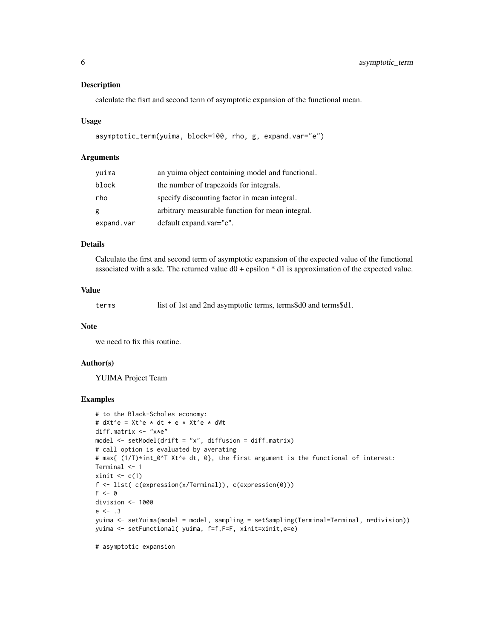## Description

calculate the fisrt and second term of asymptotic expansion of the functional mean.

#### Usage

```
asymptotic_term(yuima, block=100, rho, g, expand.var="e")
```
## Arguments

| yuima      | an yuima object containing model and functional. |
|------------|--------------------------------------------------|
| block      | the number of trapezoids for integrals.          |
| rho        | specify discounting factor in mean integral.     |
| g          | arbitrary measurable function for mean integral. |
| expand.var | default expand.var="e".                          |

## Details

Calculate the first and second term of asymptotic expansion of the expected value of the functional associated with a sde. The returned value  $d0 + \epsilon$  epsilon  $* d1$  is approximation of the expected value.

## Value

terms list of 1st and 2nd asymptotic terms, terms\$d0 and terms\$d1.

#### Note

we need to fix this routine.

## Author(s)

YUIMA Project Team

## Examples

```
# to the Black-Scholes economy:
# dXt^e = Xt^e * dt + e * Xt^e * dWtdiff.matrix <- "x*e"
model \leq setModel(drift = "x", diffusion = diff.matrix)
# call option is evaluated by averating
# max{ (1/T)*int_0^T Xt^e dt, 0}, the first argument is the functional of interest:
Terminal <- 1
xinit \leq c(1)f <- list( c(expression(x/Terminal)), c(expression(0)))
F \leftarrow 0division <- 1000
e \le -13yuima <- setYuima(model = model, sampling = setSampling(Terminal=Terminal, n=division))
yuima <- setFunctional( yuima, f=f,F=F, xinit=xinit,e=e)
```
# asymptotic expansion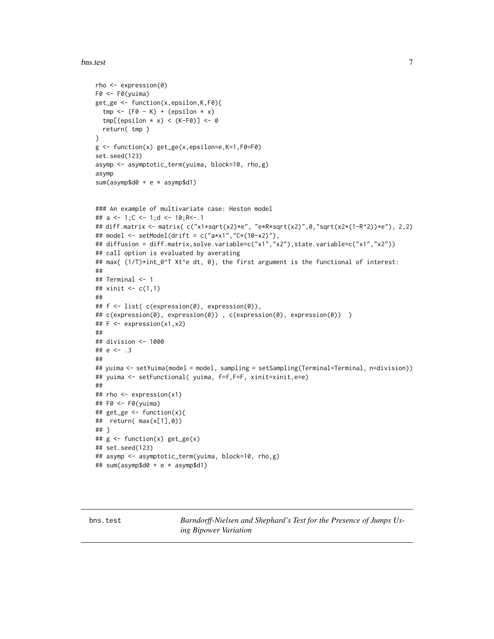#### <span id="page-6-0"></span>bns.test 7

```
rho <- expression(0)
F0 <- F0(yuima)
get_ge <- function(x,epsilon,K,F0){
  tmp \leftarrow (FØ - K) + (epsilon \times x)tmp[(epsilon x \times x) < (K-F0)] <- 0
  return( tmp )
}
g <- function(x) get_ge(x,epsilon=e,K=1,F0=F0)
set.seed(123)
asymp <- asymptotic_term(yuima, block=10, rho,g)
asymp
sum(asymp$d0 + e * asymp$d1)
### An example of multivariate case: Heston model
## a <- 1;C <- 1;d <- 10;R<-.1
## diff.matrix <- matrix( c("x1*sqrt(x2)*e", "e*R*sqrt(x2)",0,"sqrt(x2*(1-R^2))*e"), 2,2)
## model <- setModel(drift = c("a*x1","C*(10-x2)"),
## diffusion = diff.matrix,solve.variable=c("x1","x2"),state.variable=c("x1","x2"))
## call option is evaluated by averating
## max{ (1/T)*int_0^T Xt^e dt, 0}, the first argument is the functional of interest:
##
## Terminal <- 1
## xinit <- c(1,1)
##
## f <- list( c(expression(0), expression(0)),
## c(expression(0), expression(0)) , c(expression(0), expression(0)) )
## F <- expression(x1,x2)
##
## division <- 1000
## e <- .3
##
## yuima <- setYuima(model = model, sampling = setSampling(Terminal=Terminal, n=division))
## yuima <- setFunctional( yuima, f=f,F=F, xinit=xinit,e=e)
##
## rho <- expression(x1)
## F0 <- F0(yuima)
## get_ge <- function(x){
## return( max(x[1],0))
## }
## g <- function(x) get_ge(x)
## set.seed(123)
## asymp <- asymptotic_term(yuima, block=10, rho,g)
## sum(asymp$d0 + e * asymp$d1)
```
bns.test *Barndorff-Nielsen and Shephard's Test for the Presence of Jumps Using Bipower Variation*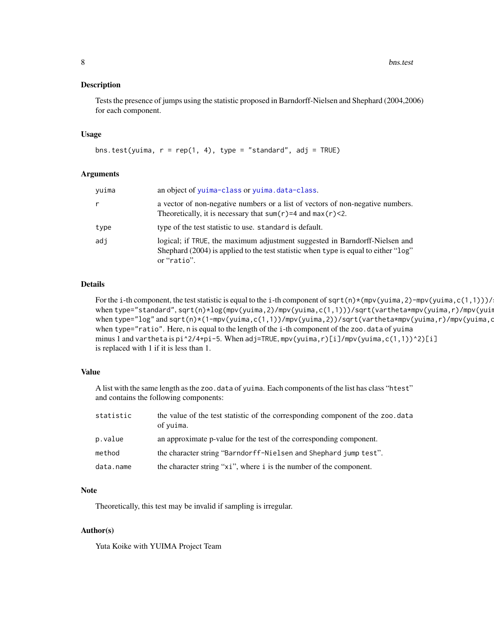8 bns.test bns.test bns.test bns.test bns.test bns.test bns.test bns.test bns.test bns.test bns.test bns.test bns.test bns.test bns.test bns.test bns.test bns.test bns.test bns.test bns.test bns.test bns.test bns.test bns.

#### Description

Tests the presence of jumps using the statistic proposed in Barndorff-Nielsen and Shephard (2004,2006) for each component.

## Usage

```
bns.test(yuima, r = rep(1, 4), type = "standard", adj = TRUE)
```
## Arguments

| yuima | an object of yuima-class or yuima.data-class.                                                                                                                                     |  |
|-------|-----------------------------------------------------------------------------------------------------------------------------------------------------------------------------------|--|
| r     | a vector of non-negative numbers or a list of vectors of non-negative numbers.<br>Theoretically, it is necessary that sum( $r$ )=4 and max( $r$ )<2.                              |  |
| type  | type of the test statistic to use. standard is default.                                                                                                                           |  |
| adi   | logical; if TRUE, the maximum adjustment suggested in Barndorff-Nielsen and<br>Shephard (2004) is applied to the test statistic when type is equal to either "log"<br>or "ratio". |  |

## Details

For the i-th component, the test statistic is equal to the i-th component of sqrt(n)\*(mpv(yuima,2)-mpv(yuima,c(1,1)))/ when type="standard", sqrt(n)\*log(mpv(yuima,2)/mpv(yuima,c(1,1)))/sqrt(vartheta\*mpv(yuima,r)/mpv(yuin when type="log" and sqrt(n)\*(1-mpv(yuima,c(1,1))/mpv(yuima,2))/sqrt(vartheta\*mpv(yuima,r)/mpv(yuima,c when type="ratio". Here, n is equal to the length of the i-th component of the zoo.data of yuima minus 1 and vartheta is  $pi^2/4+pi-5$ . When adj=TRUE, mpv(yuima,r)[i]/mpv(yuima,c(1,1))^2)[i] is replaced with 1 if it is less than 1.

## Value

A list with the same length as the zoo.data of yuima. Each components of the list has class "htest" and contains the following components:

| statistic | the value of the test statistic of the corresponding component of the zoo. data<br>of yuima. |
|-----------|----------------------------------------------------------------------------------------------|
| p.value   | an approximate p-value for the test of the corresponding component.                          |
| method    | the character string "Barndorff-Nielsen and Shephard jump test".                             |
| data.name | the character string "xi", where i is the number of the component.                           |

#### Note

Theoretically, this test may be invalid if sampling is irregular.

## Author(s)

Yuta Koike with YUIMA Project Team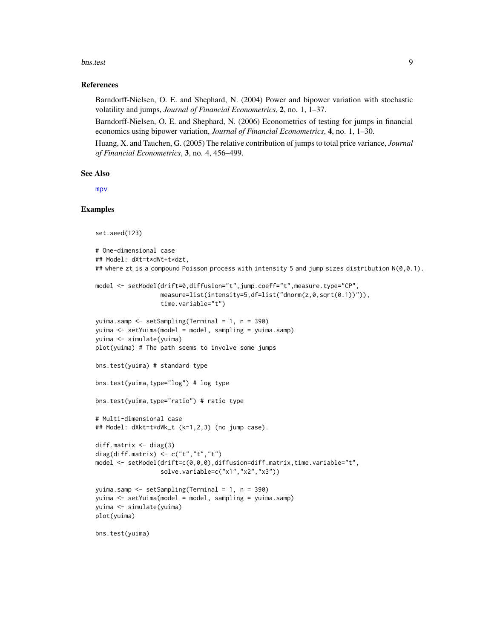#### bns.test 9

## References

Barndorff-Nielsen, O. E. and Shephard, N. (2004) Power and bipower variation with stochastic volatility and jumps, *Journal of Financial Econometrics*, 2, no. 1, 1–37.

Barndorff-Nielsen, O. E. and Shephard, N. (2006) Econometrics of testing for jumps in financial economics using bipower variation, *Journal of Financial Econometrics*, 4, no. 1, 1–30.

Huang, X. and Tauchen, G. (2005) The relative contribution of jumps to total price variance, *Journal of Financial Econometrics*, 3, no. 4, 456–499.

#### See Also

[mpv](#page-73-1)

```
set.seed(123)
# One-dimensional case
## Model: dXt=t*dWt+t*dzt,
## where zt is a compound Poisson process with intensity 5 and jump sizes distribution N(\emptyset, \emptyset.1).
model <- setModel(drift=0,diffusion="t",jump.coeff="t",measure.type="CP",
                  measure=list(intensity=5,df=list("dnorm(z,0,sqrt(0.1))")),
                  time.variable="t")
yuima.samp <- setSampling(Terminal = 1, n = 390)
yuima <- setYuima(model = model, sampling = yuima.samp)
yuima <- simulate(yuima)
plot(yuima) # The path seems to involve some jumps
bns.test(yuima) # standard type
bns.test(yuima,type="log") # log type
bns.test(yuima,type="ratio") # ratio type
# Multi-dimensional case
## Model: dXkt=t*dWk_t (k=1,2,3) (no jump case).
diff.matrix \leq diag(3)
diag(diff.matrix) \leq c("t","t","t")
model <- setModel(drift=c(0,0,0),diffusion=diff.matrix,time.variable="t",
                  solve.variable=c("x1","x2","x3"))
yuima.samp <- setSampling(Terminal = 1, n = 390)
yuima <- setYuima(model = model, sampling = yuima.samp)
yuima <- simulate(yuima)
plot(yuima)
bns.test(yuima)
```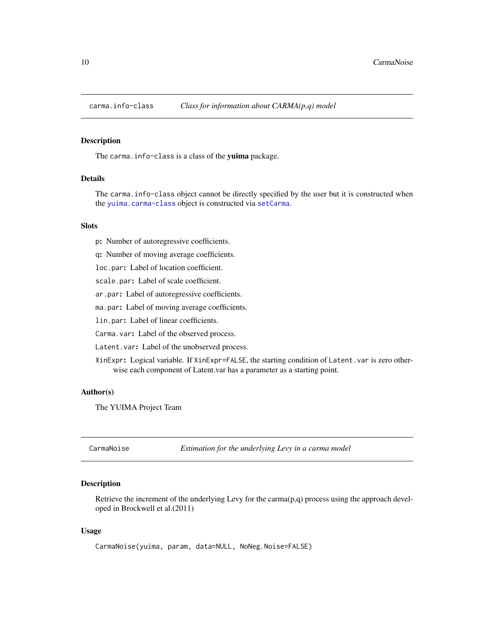<span id="page-9-0"></span>

#### Description

The carma. info-class is a class of the yuima package.

## Details

The carma.info-class object cannot be directly specified by the user but it is constructed when the [yuima.carma-class](#page-142-1) object is constructed via [setCarma](#page-99-1).

## **Slots**

p: Number of autoregressive coefficients.

q: Number of moving average coefficients.

loc.par: Label of location coefficient.

scale.par: Label of scale coefficient.

ar.par: Label of autoregressive coefficients.

ma.par: Label of moving average coefficients.

lin.par: Label of linear coefficients.

Carma.var: Label of the observed process.

Latent.var: Label of the unobserved process.

XinExpr: Logical variable. If XinExpr=FALSE, the starting condition of Latent.var is zero otherwise each component of Latent.var has a parameter as a starting point.

#### Author(s)

The YUIMA Project Team

CarmaNoise *Estimation for the underlying Levy in a carma model*

## Description

Retrieve the increment of the underlying Levy for the carma $(p,q)$  process using the approach developed in Brockwell et al.(2011)

## Usage

CarmaNoise(yuima, param, data=NULL, NoNeg.Noise=FALSE)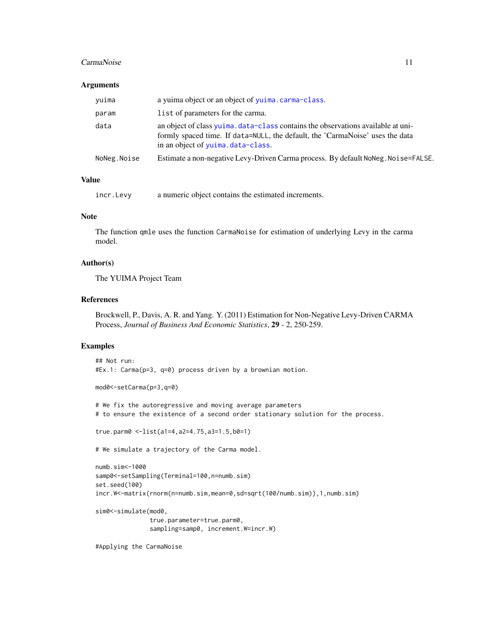#### CarmaNoise 11

#### **Arguments**

| yuima       | a yuima object or an object of yuima.carma-class.                                                                                                                                                      |  |
|-------------|--------------------------------------------------------------------------------------------------------------------------------------------------------------------------------------------------------|--|
| param       | list of parameters for the carma.                                                                                                                                                                      |  |
| data        | an object of class yuima. data-class contains the observations available at uni-<br>formly spaced time. If data=NULL, the default, the 'CarmaNoise' uses the data<br>in an object of yuima.data-class. |  |
| NoNeg.Noise | Estimate a non-negative Levy-Driven Carma process. By default NoNeg. Noise=FALSE.                                                                                                                      |  |
|             |                                                                                                                                                                                                        |  |

## Value

incr.Levy a numeric object contains the estimated increments.

## Note

The function qmle uses the function CarmaNoise for estimation of underlying Levy in the carma model.

## Author(s)

The YUIMA Project Team

#### References

Brockwell, P., Davis, A. R. and Yang. Y. (2011) Estimation for Non-Negative Levy-Driven CARMA Process, *Journal of Business And Economic Statistics*, 29 - 2, 250-259.

```
## Not run:
#Ex.1: Carma(p=3, q=0) process driven by a brownian motion.
mod0<-setCarma(p=3,q=0)
# We fix the autoregressive and moving average parameters
# to ensure the existence of a second order stationary solution for the process.
true.parm0 <-list(a1=4,a2=4.75,a3=1.5,b0=1)
# We simulate a trajectory of the Carma model.
numb.sim<-1000
samp0<-setSampling(Terminal=100,n=numb.sim)
set.seed(100)
incr.W<-matrix(rnorm(n=numb.sim,mean=0,sd=sqrt(100/numb.sim)),1,numb.sim)
sim0<-simulate(mod0,
               true.parameter=true.parm0,
               sampling=samp0, increment.W=incr.W)
#Applying the CarmaNoise
```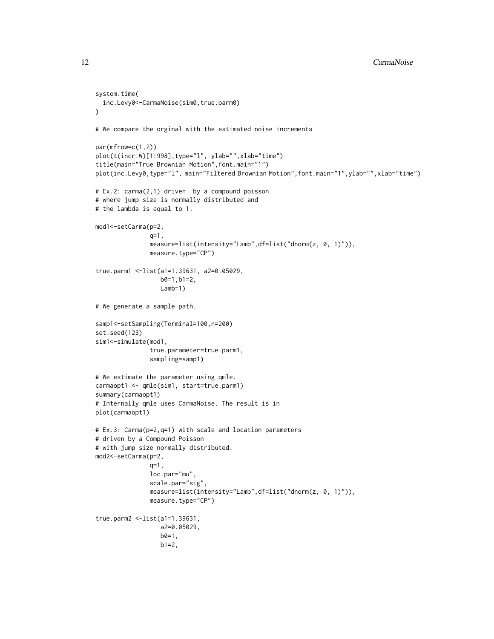```
system.time(
  inc.Levy0<-CarmaNoise(sim0,true.parm0)
)
# We compare the orginal with the estimated noise increments
par(mfrow=c(1,2))
plot(t(incr.W)[1:998],type="l", ylab="",xlab="time")
title(main="True Brownian Motion",font.main="1")
plot(inc.Levy0,type="l", main="Filtered Brownian Motion", font.main="1", ylab="", xlab="time")
# Ex.2: carma(2,1) driven by a compound poisson
# where jump size is normally distributed and
# the lambda is equal to 1.
mod1<-setCarma(p=2,
               q=1,
               measure=list(intensity="Lamb",df=list("dnorm(z, 0, 1)")),
               measure.type="CP")
true.parm1 <-list(a1=1.39631, a2=0.05029,
                  b0=1,b1=2,
                  Lamb=1)
# We generate a sample path.
samp1<-setSampling(Terminal=100,n=200)
set.seed(123)
sim1<-simulate(mod1,
               true.parameter=true.parm1,
               sampling=samp1)
# We estimate the parameter using qmle.
carmaopt1 <- qmle(sim1, start=true.parm1)
summary(carmaopt1)
# Internally qmle uses CarmaNoise. The result is in
plot(carmaopt1)
# Ex.3: Carma(p=2,q=1) with scale and location parameters
# driven by a Compound Poisson
# with jump size normally distributed.
mod2<-setCarma(p=2,
               q=1,
               loc.par="mu",
               scale.par="sig",
               measure=list(intensity="Lamb",df=list("dnorm(z, 0, 1)")),
               measure.type="CP")
true.parm2 <-list(a1=1.39631,
                  a2=0.05029,
                  b0=1,
                  b1=2,
```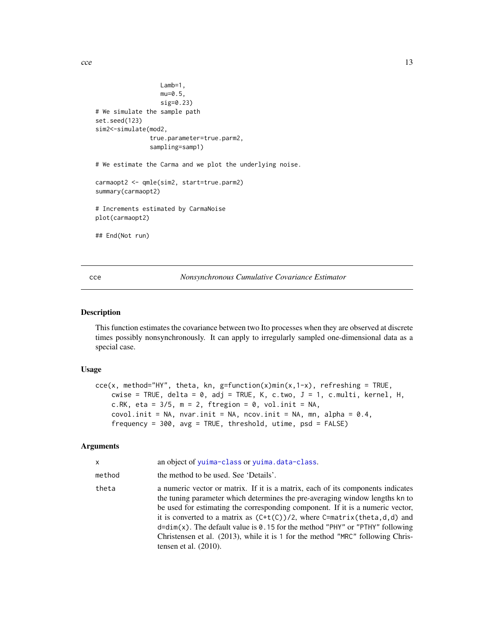<span id="page-12-0"></span> $\text{cce}$  and  $\text{cce}$  13

```
Lamb=1,
                  mu=0.5,
                  sig=0.23)
# We simulate the sample path
set.seed(123)
sim2<-simulate(mod2,
               true.parameter=true.parm2,
               sampling=samp1)
# We estimate the Carma and we plot the underlying noise.
carmaopt2 <- qmle(sim2, start=true.parm2)
summary(carmaopt2)
# Increments estimated by CarmaNoise
plot(carmaopt2)
## End(Not run)
```
<span id="page-12-1"></span>cce *Nonsynchronous Cumulative Covariance Estimator*

## Description

This function estimates the covariance between two Ito processes when they are observed at discrete times possibly nonsynchronously. It can apply to irregularly sampled one-dimensional data as a special case.

## Usage

```
ccc(x, method='HY", theta, kn, g=function(x)min(x, 1-x), referring = TRUE,cwise = TRUE, delta = 0, adj = TRUE, K, c.two, J = 1, c.multi, kernel, H,
   c.RK, eta = 3/5, m = 2, ftregion = 0, vol.init = NA,
   covol.init = NA, nvar.init = NA, ncov.init = NA, mn, alpha = 0.4,
    frequency = 300, avg = TRUE, threshold, utime, psd = FALSE)
```
## Arguments

| x      | an object of yuima-class or yuima.data-class.                                                                                                                                                                                                                                                                                                                                                                                                                                                                                     |
|--------|-----------------------------------------------------------------------------------------------------------------------------------------------------------------------------------------------------------------------------------------------------------------------------------------------------------------------------------------------------------------------------------------------------------------------------------------------------------------------------------------------------------------------------------|
| method | the method to be used. See 'Details'.                                                                                                                                                                                                                                                                                                                                                                                                                                                                                             |
| theta  | a numeric vector or matrix. If it is a matrix, each of its components indicates<br>the tuning parameter which determines the pre-averaging window lengths kn to<br>be used for estimating the corresponding component. If it is a numeric vector,<br>it is converted to a matrix as $(C+t(C))/2$ , where C=matrix(theta,d,d) and<br>$d=dim(x)$ . The default value is 0.15 for the method "PHY" or "PTHY" following<br>Christensen et al. (2013), while it is 1 for the method "MRC" following Chris-<br>tensen et al. $(2010)$ . |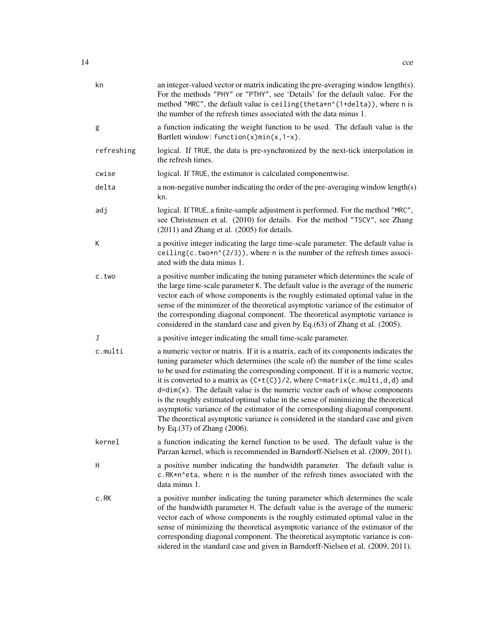| kn         | an integer-valued vector or matrix indicating the pre-averaging window length(s).<br>For the methods "PHY" or "PTHY", see 'Details' for the default value. For the<br>method "MRC", the default value is ceiling (theta*n^(1+delta)), where n is<br>the number of the refresh times associated with the data minus 1.                                                                                                                                                                                                                                                                                                                                                                                                   |  |
|------------|-------------------------------------------------------------------------------------------------------------------------------------------------------------------------------------------------------------------------------------------------------------------------------------------------------------------------------------------------------------------------------------------------------------------------------------------------------------------------------------------------------------------------------------------------------------------------------------------------------------------------------------------------------------------------------------------------------------------------|--|
| g          | a function indicating the weight function to be used. The default value is the<br>Bartlett window: function(x)min(x, $1-x$ ).                                                                                                                                                                                                                                                                                                                                                                                                                                                                                                                                                                                           |  |
| refreshing | logical. If TRUE, the data is pre-synchronized by the next-tick interpolation in<br>the refresh times.                                                                                                                                                                                                                                                                                                                                                                                                                                                                                                                                                                                                                  |  |
| cwise      | logical. If TRUE, the estimator is calculated componentwise.                                                                                                                                                                                                                                                                                                                                                                                                                                                                                                                                                                                                                                                            |  |
| delta      | a non-negative number indicating the order of the pre-averaging window length(s)<br>kn.                                                                                                                                                                                                                                                                                                                                                                                                                                                                                                                                                                                                                                 |  |
| adj        | logical. If TRUE, a finite-sample adjustment is performed. For the method "MRC",<br>see Christensen et al. (2010) for details. For the method "TSCV", see Zhang<br>$(2011)$ and Zhang et al. $(2005)$ for details.                                                                                                                                                                                                                                                                                                                                                                                                                                                                                                      |  |
| К          | a positive integer indicating the large time-scale parameter. The default value is<br>ceiling(c.two*n^(2/3)), where n is the number of the refresh times associ-<br>ated with the data minus 1.                                                                                                                                                                                                                                                                                                                                                                                                                                                                                                                         |  |
| c.two      | a positive number indicating the tuning parameter which determines the scale of<br>the large time-scale parameter K. The default value is the average of the numeric<br>vector each of whose components is the roughly estimated optimal value in the<br>sense of the minimizer of the theoretical asymptotic variance of the estimator of<br>the corresponding diagonal component. The theoretical asymptotic variance is<br>considered in the standard case and given by Eq.(63) of Zhang et al. (2005).                                                                                                                                                                                                              |  |
| J          | a positive integer indicating the small time-scale parameter.                                                                                                                                                                                                                                                                                                                                                                                                                                                                                                                                                                                                                                                           |  |
| c.multi    | a numeric vector or matrix. If it is a matrix, each of its components indicates the<br>tuning parameter which determines (the scale of) the number of the time scales<br>to be used for estimating the corresponding component. If it is a numeric vector,<br>it is converted to a matrix as $(C+t(C))/2$ , where C=matrix(c.multi,d,d) and<br>$d = dim(x)$ . The default value is the numeric vector each of whose components<br>is the roughly estimated optimal value in the sense of minimizing the theoretical<br>asymptotic variance of the estimator of the corresponding diagonal component.<br>The theoretical asymptotic variance is considered in the standard case and given<br>by Eq.(37) of Zhang (2006). |  |
| kernel     | a function indicating the kernel function to be used. The default value is the<br>Parzan kernel, which is recommended in Barndorff-Nielsen et al. (2009, 2011).                                                                                                                                                                                                                                                                                                                                                                                                                                                                                                                                                         |  |
| H          | a positive number indicating the bandwidth parameter. The default value is<br>c.RK*n^eta, where n is the number of the refresh times associated with the<br>data minus 1.                                                                                                                                                                                                                                                                                                                                                                                                                                                                                                                                               |  |
| c.RK       | a positive number indicating the tuning parameter which determines the scale<br>of the bandwidth parameter H. The default value is the average of the numeric<br>vector each of whose components is the roughly estimated optimal value in the<br>sense of minimizing the theoretical asymptotic variance of the estimator of the<br>corresponding diagonal component. The theoretical asymptotic variance is con-<br>sidered in the standard case and given in Barndorff-Nielsen et al. (2009, 2011).                                                                                                                                                                                                                  |  |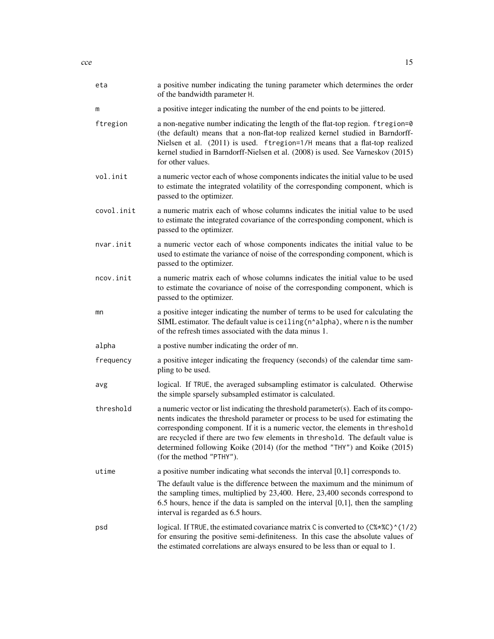| eta        | a positive number indicating the tuning parameter which determines the order<br>of the bandwidth parameter H.                                                                                                                                                                                                                                                                                                                                     |  |
|------------|---------------------------------------------------------------------------------------------------------------------------------------------------------------------------------------------------------------------------------------------------------------------------------------------------------------------------------------------------------------------------------------------------------------------------------------------------|--|
| m          | a positive integer indicating the number of the end points to be jittered.                                                                                                                                                                                                                                                                                                                                                                        |  |
| ftregion   | a non-negative number indicating the length of the flat-top region. ftregion=0<br>(the default) means that a non-flat-top realized kernel studied in Barndorff-<br>Nielsen et al. (2011) is used. ftregion=1/H means that a flat-top realized<br>kernel studied in Barndorff-Nielsen et al. (2008) is used. See Varneskov (2015)<br>for other values.                                                                                             |  |
| vol.init   | a numeric vector each of whose components indicates the initial value to be used<br>to estimate the integrated volatility of the corresponding component, which is<br>passed to the optimizer.                                                                                                                                                                                                                                                    |  |
| covol.init | a numeric matrix each of whose columns indicates the initial value to be used<br>to estimate the integrated covariance of the corresponding component, which is<br>passed to the optimizer.                                                                                                                                                                                                                                                       |  |
| nvar.init  | a numeric vector each of whose components indicates the initial value to be<br>used to estimate the variance of noise of the corresponding component, which is<br>passed to the optimizer.                                                                                                                                                                                                                                                        |  |
| ncov.init  | a numeric matrix each of whose columns indicates the initial value to be used<br>to estimate the covariance of noise of the corresponding component, which is<br>passed to the optimizer.                                                                                                                                                                                                                                                         |  |
| mn         | a positive integer indicating the number of terms to be used for calculating the<br>SIML estimator. The default value is ceiling (n^alpha), where n is the number<br>of the refresh times associated with the data minus 1.                                                                                                                                                                                                                       |  |
| alpha      | a postive number indicating the order of mn.                                                                                                                                                                                                                                                                                                                                                                                                      |  |
| frequency  | a positive integer indicating the frequency (seconds) of the calendar time sam-<br>pling to be used.                                                                                                                                                                                                                                                                                                                                              |  |
| avg        | logical. If TRUE, the averaged subsampling estimator is calculated. Otherwise<br>the simple sparsely subsampled estimator is calculated.                                                                                                                                                                                                                                                                                                          |  |
| threshold  | a numeric vector or list indicating the threshold parameter(s). Each of its compo-<br>nents indicates the threshold parameter or process to be used for estimating the<br>corresponding component. If it is a numeric vector, the elements in threshold<br>are recycled if there are two few elements in threshold. The default value is<br>determined following Koike (2014) (for the method "THY") and Koike (2015)<br>(for the method "PTHY"). |  |
| utime      | a positive number indicating what seconds the interval $[0,1]$ corresponds to.                                                                                                                                                                                                                                                                                                                                                                    |  |
|            | The default value is the difference between the maximum and the minimum of<br>the sampling times, multiplied by 23,400. Here, 23,400 seconds correspond to<br>$6.5$ hours, hence if the data is sampled on the interval $[0,1]$ , then the sampling<br>interval is regarded as 6.5 hours.                                                                                                                                                         |  |
| psd        | logical. If TRUE, the estimated covariance matrix C is converted to (C%*%C)^(1/2)<br>for ensuring the positive semi-definiteness. In this case the absolute values of<br>the estimated correlations are always ensured to be less than or equal to 1.                                                                                                                                                                                             |  |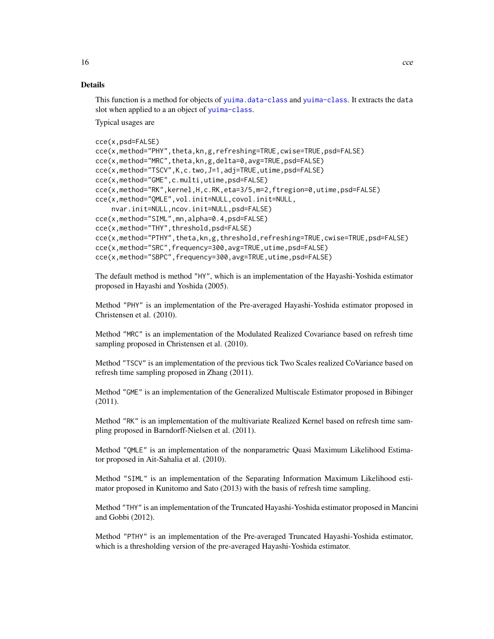This function is a method for objects of [yuima.data-class](#page-147-1) and [yuima-class](#page-141-1). It extracts the data slot when applied to a an object of [yuima-class](#page-141-1).

Typical usages are

```
cce(x,psd=FALSE)
cce(x,method="PHY",theta,kn,g,refreshing=TRUE,cwise=TRUE,psd=FALSE)
cce(x,method="MRC",theta,kn,g,delta=0,avg=TRUE,psd=FALSE)
cce(x,method="TSCV",K,c.two,J=1,adj=TRUE,utime,psd=FALSE)
cce(x,method="GME",c.multi,utime,psd=FALSE)
cce(x,method="RK",kernel,H,c.RK,eta=3/5,m=2,ftregion=0,utime,psd=FALSE)
cce(x,method="QMLE",vol.init=NULL,covol.init=NULL,
    nvar.init=NULL,ncov.init=NULL,psd=FALSE)
cce(x,method="SIML",mn,alpha=0.4,psd=FALSE)
cce(x,method="THY",threshold,psd=FALSE)
cce(x,method="PTHY",theta,kn,g,threshold,refreshing=TRUE,cwise=TRUE,psd=FALSE)
cce(x,method="SRC",frequency=300,avg=TRUE,utime,psd=FALSE)
cce(x,method="SBPC",frequency=300,avg=TRUE,utime,psd=FALSE)
```
The default method is method "HY", which is an implementation of the Hayashi-Yoshida estimator proposed in Hayashi and Yoshida (2005).

Method "PHY" is an implementation of the Pre-averaged Hayashi-Yoshida estimator proposed in Christensen et al. (2010).

Method "MRC" is an implementation of the Modulated Realized Covariance based on refresh time sampling proposed in Christensen et al. (2010).

Method "TSCV" is an implementation of the previous tick Two Scales realized CoVariance based on refresh time sampling proposed in Zhang (2011).

Method "GME" is an implementation of the Generalized Multiscale Estimator proposed in Bibinger (2011).

Method "RK" is an implementation of the multivariate Realized Kernel based on refresh time sampling proposed in Barndorff-Nielsen et al. (2011).

Method "QMLE" is an implementation of the nonparametric Quasi Maximum Likelihood Estimator proposed in Ait-Sahalia et al. (2010).

Method "SIML" is an implementation of the Separating Information Maximum Likelihood estimator proposed in Kunitomo and Sato (2013) with the basis of refresh time sampling.

Method "THY" is an implementation of the Truncated Hayashi-Yoshida estimator proposed in Mancini and Gobbi (2012).

Method "PTHY" is an implementation of the Pre-averaged Truncated Hayashi-Yoshida estimator, which is a thresholding version of the pre-averaged Hayashi-Yoshida estimator.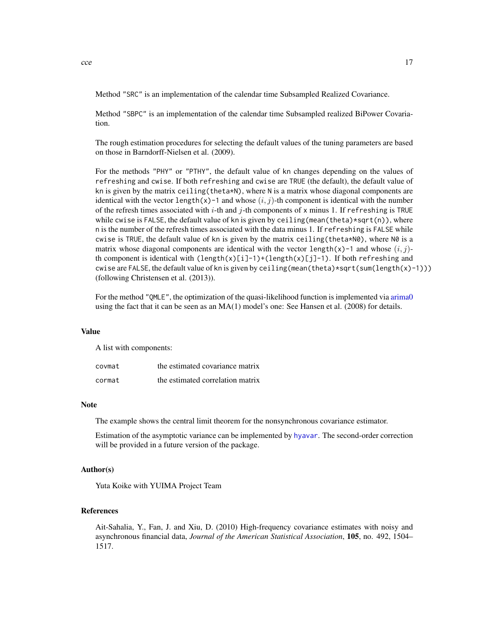#### Method "SRC" is an implementation of the calendar time Subsampled Realized Covariance.

Method "SBPC" is an implementation of the calendar time Subsampled realized BiPower Covariation.

The rough estimation procedures for selecting the default values of the tuning parameters are based on those in Barndorff-Nielsen et al. (2009).

For the methods "PHY" or "PTHY", the default value of kn changes depending on the values of refreshing and cwise. If both refreshing and cwise are TRUE (the default), the default value of kn is given by the matrix ceiling(theta\*N), where N is a matrix whose diagonal components are identical with the vector length(x)-1 and whose  $(i, j)$ -th component is identical with the number of the refresh times associated with i-th and j-th components of x minus 1. If refreshing is TRUE while cwise is FALSE, the default value of kn is given by ceiling (mean(theta)\*sqrt(n)), where n is the number of the refresh times associated with the data minus 1. If refreshing is FALSE while cwise is TRUE, the default value of kn is given by the matrix ceiling(theta\*N0), where N0 is a matrix whose diagonal components are identical with the vector length(x)-1 and whose  $(i, j)$ th component is identical with  $\text{length}(x)[i]-1)+\text{length}(x)[j]-1$ . If both refreshing and cwise are FALSE, the default value of kn is given by ceiling (mean(theta)\*sqrt(sum(length(x)-1))) (following Christensen et al. (2013)).

For the method "QMLE", the optimization of the quasi-likelihood function is implemented via [arima0](#page-0-0) using the fact that it can be seen as an MA(1) model's one: See Hansen et al. (2008) for details.

#### Value

A list with components:

| covmat | the estimated covariance matrix  |
|--------|----------------------------------|
| cormat | the estimated correlation matrix |

#### Note

The example shows the central limit theorem for the nonsynchronous covariance estimator.

Estimation of the asymptotic variance can be implemented by [hyavar](#page-44-1). The second-order correction will be provided in a future version of the package.

#### Author(s)

Yuta Koike with YUIMA Project Team

## References

Ait-Sahalia, Y., Fan, J. and Xiu, D. (2010) High-frequency covariance estimates with noisy and asynchronous financial data, *Journal of the American Statistical Association*, 105, no. 492, 1504– 1517.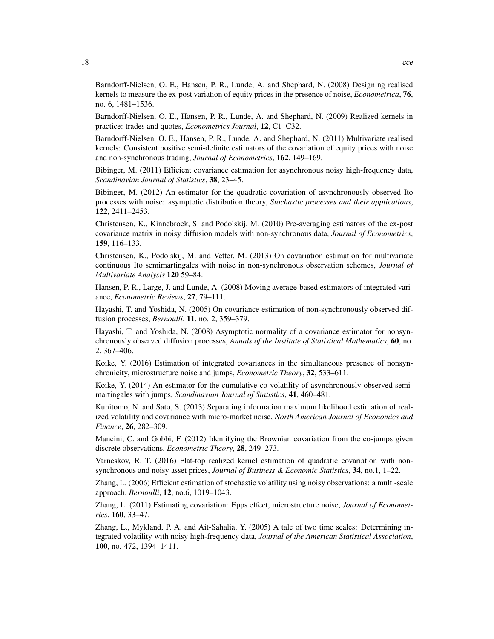Barndorff-Nielsen, O. E., Hansen, P. R., Lunde, A. and Shephard, N. (2008) Designing realised kernels to measure the ex-post variation of equity prices in the presence of noise, *Econometrica*, 76, no. 6, 1481–1536.

Barndorff-Nielsen, O. E., Hansen, P. R., Lunde, A. and Shephard, N. (2009) Realized kernels in practice: trades and quotes, *Econometrics Journal*, 12, C1–C32.

Barndorff-Nielsen, O. E., Hansen, P. R., Lunde, A. and Shephard, N. (2011) Multivariate realised kernels: Consistent positive semi-definite estimators of the covariation of equity prices with noise and non-synchronous trading, *Journal of Econometrics*, 162, 149–169.

Bibinger, M. (2011) Efficient covariance estimation for asynchronous noisy high-frequency data, *Scandinavian Journal of Statistics*, 38, 23–45.

Bibinger, M. (2012) An estimator for the quadratic covariation of asynchronously observed Ito processes with noise: asymptotic distribution theory, *Stochastic processes and their applications*, 122, 2411–2453.

Christensen, K., Kinnebrock, S. and Podolskij, M. (2010) Pre-averaging estimators of the ex-post covariance matrix in noisy diffusion models with non-synchronous data, *Journal of Econometrics*, 159, 116–133.

Christensen, K., Podolskij, M. and Vetter, M. (2013) On covariation estimation for multivariate continuous Ito semimartingales with noise in non-synchronous observation schemes, *Journal of Multivariate Analysis* 120 59–84.

Hansen, P. R., Large, J. and Lunde, A. (2008) Moving average-based estimators of integrated variance, *Econometric Reviews*, 27, 79–111.

Hayashi, T. and Yoshida, N. (2005) On covariance estimation of non-synchronously observed diffusion processes, *Bernoulli*, 11, no. 2, 359–379.

Hayashi, T. and Yoshida, N. (2008) Asymptotic normality of a covariance estimator for nonsynchronously observed diffusion processes, *Annals of the Institute of Statistical Mathematics*, 60, no. 2, 367–406.

Koike, Y. (2016) Estimation of integrated covariances in the simultaneous presence of nonsynchronicity, microstructure noise and jumps, *Econometric Theory*, 32, 533–611.

Koike, Y. (2014) An estimator for the cumulative co-volatility of asynchronously observed semimartingales with jumps, *Scandinavian Journal of Statistics*, 41, 460–481.

Kunitomo, N. and Sato, S. (2013) Separating information maximum likelihood estimation of realized volatility and covariance with micro-market noise, *North American Journal of Economics and Finance*, 26, 282–309.

Mancini, C. and Gobbi, F. (2012) Identifying the Brownian covariation from the co-jumps given discrete observations, *Econometric Theory*, 28, 249–273.

Varneskov, R. T. (2016) Flat-top realized kernel estimation of quadratic covariation with nonsynchronous and noisy asset prices, *Journal of Business & Economic Statistics*, 34, no.1, 1–22.

Zhang, L. (2006) Efficient estimation of stochastic volatility using noisy observations: a multi-scale approach, *Bernoulli*, 12, no.6, 1019–1043.

Zhang, L. (2011) Estimating covariation: Epps effect, microstructure noise, *Journal of Econometrics*, 160, 33–47.

Zhang, L., Mykland, P. A. and Ait-Sahalia, Y. (2005) A tale of two time scales: Determining integrated volatility with noisy high-frequency data, *Journal of the American Statistical Association*, 100, no. 472, 1394–1411.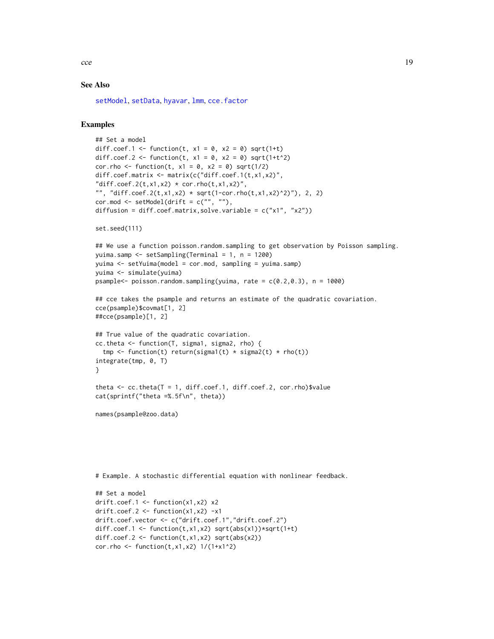$\text{cce}$  19

## See Also

[setModel](#page-113-1), [setData](#page-105-1), [hyavar](#page-44-1), [lmm](#page-133-1), [cce.factor](#page-21-1)

```
## Set a model
diff.coef.1 <- function(t, x1 = 0, x2 = 0) sqrt(1+t)
diff.coef.2 <- function(t, x1 = 0, x2 = 0) sqrt(1+t^2)
cor.rho <- function(t, x1 = 0, x2 = 0) sqrt(1/2)
diff.coef.matrix <- matrix(c("diff.coef.1(t,x1,x2)",
"diff.coef.2(t,x1,x2) * cor.rho(t,x1,x2)",
"", "diff.coef.2(t,x1,x2) * sqrt(1-cor.rho(t,x1,x2)^2)"), 2, 2)
cor.mod \leq setModel(drift = c("", ""),
diffusion = diff.coef.matrix,solve.variable = c("x1", "x2"))set.seed(111)
## We use a function poisson.random.sampling to get observation by Poisson sampling.
yuima.samp <- setSampling(Terminal = 1, n = 1200)
yuima <- setYuima(model = cor.mod, sampling = yuima.samp)
yuima <- simulate(yuima)
psample<- poisson.random.sampling(yuima, rate = c(0.2, 0.3), n = 1000)
## cce takes the psample and returns an estimate of the quadratic covariation.
cce(psample)$covmat[1, 2]
##cce(psample)[1, 2]
## True value of the quadratic covariation.
cc.theta <- function(T, sigma1, sigma2, rho) {
 tmp \leftarrow function(t) return(sigma1(t) * sigma2(t) * rho(t))integrate(tmp, 0, T)
}
theta \leq cc.theta(T = 1, diff.coef.1, diff.coef.2, cor.rho)$value
cat(sprintf("theta =%.5f\n", theta))
names(psample@zoo.data)
# Example. A stochastic differential equation with nonlinear feedback.
## Set a model
drift.coef.1 <- function(x1,x2) x2
```

```
drift.coef.2 \leftarrow function(x1,x2) -x1drift.coef.vector <- c("drift.coef.1","drift.coef.2")
diff.coef.1 <- function(t,x1,x2) sqrt(abs(x1))*sqrt(1+t)
diff.coef.2 <- function(t, x1, x2) sqrt(abs(x2))cor.rho <- function(t, x1, x2) 1/(1+x1^2)
```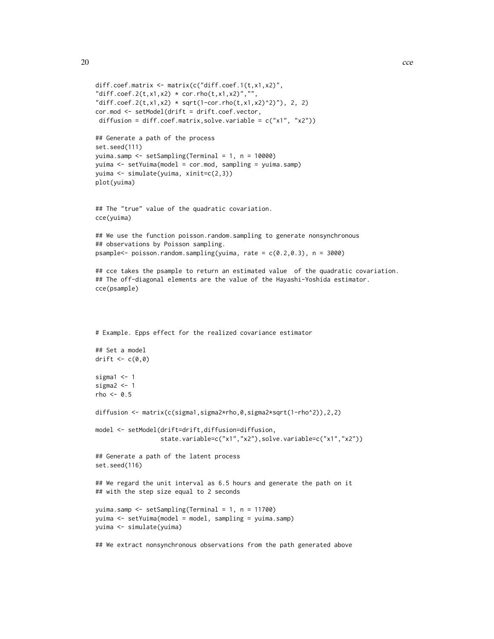```
diff.coef.matrix <- matrix(c("diff.coef.1(t,x1,x2)",
"diff.coef.2(t,x1,x2) * cor.rho(t,x1,x2)","",
"diff.coef.2(t,x1,x2) * sqrt(1-cor.rho(t,x1,x2)^2)"), 2, 2)
cor.mod <- setModel(drift = drift.coef.vector,
diffusion = diff.coef.matrix,solve.variable = c("x1", "x2"))## Generate a path of the process
set.seed(111)
yuima.samp <- setSampling(Terminal = 1, n = 10000)
yuima <- setYuima(model = cor.mod, sampling = yuima.samp)
yuima <- simulate(yuima, xinit=c(2,3))
plot(yuima)
## The "true" value of the quadratic covariation.
cce(yuima)
## We use the function poisson.random.sampling to generate nonsynchronous
## observations by Poisson sampling.
psample<- poisson.random.sampling(yuima, rate = c(0.2, 0.3), n = 3000)
## cce takes the psample to return an estimated value of the quadratic covariation.
## The off-diagonal elements are the value of the Hayashi-Yoshida estimator.
cce(psample)
# Example. Epps effect for the realized covariance estimator
## Set a model
drift \leq c(0,0)sigma1 < -1sigma2 < -1rho \leq -0.5diffusion <- matrix(c(sigma1,sigma2*rho,0,sigma2*sqrt(1-rho^2)),2,2)
model <- setModel(drift=drift,diffusion=diffusion,
                  state.variable=c("x1","x2"),solve.variable=c("x1","x2"))
## Generate a path of the latent process
set.seed(116)
## We regard the unit interval as 6.5 hours and generate the path on it
## with the step size equal to 2 seconds
yuima.samp <- setSampling(Terminal = 1, n = 11700)
yuima <- setYuima(model = model, sampling = yuima.samp)
yuima <- simulate(yuima)
```
## We extract nonsynchronous observations from the path generated above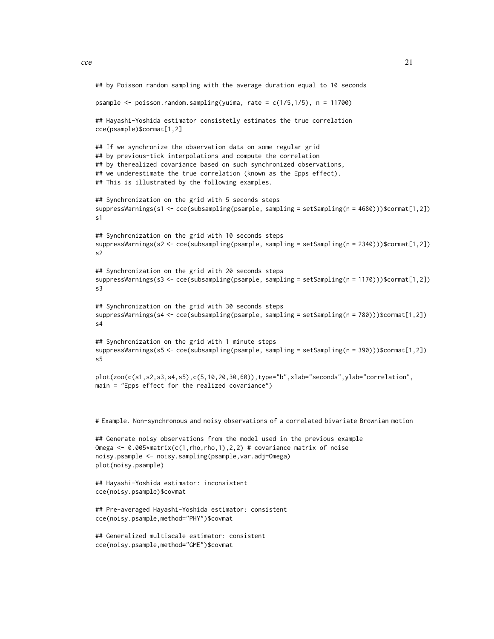```
## by Poisson random sampling with the average duration equal to 10 seconds
psample \leq- poisson.random.sampling(yuima, rate = c(1/5,1/5), n = 11700)
## Hayashi-Yoshida estimator consistetly estimates the true correlation
cce(psample)$cormat[1,2]
## If we synchronize the observation data on some regular grid
## by previous-tick interpolations and compute the correlation
## by therealized covariance based on such synchronized observations,
## we underestimate the true correlation (known as the Epps effect).
## This is illustrated by the following examples.
## Synchronization on the grid with 5 seconds steps
suppressWarnings(s1 <- cce(subsampling(psample, sampling = setSampling(n = 4680)))$cormat[1,2])
s1
## Synchronization on the grid with 10 seconds steps
suppressWarnings(s2 <- cce(subsampling(psample, sampling = setSampling(n = 2340)))$cormat[1,2])
s2
## Synchronization on the grid with 20 seconds steps
suppressWarnings(s3 <- cce(subsampling(psample, sampling = setSampling(n = 1170)))$cormat[1,2])
s3
## Synchronization on the grid with 30 seconds steps
suppressWarnings(s4 <- cce(subsampling(psample, sampling = setSampling(n = 780)))$cormat[1,2])
s4
## Synchronization on the grid with 1 minute steps
suppressWarnings(s5 <- cce(subsampling(psample, sampling = setSampling(n = 390)))$cormat[1,2])
s5
plot(zoo(c(s1,s2,s3,s4,s5),c(5,10,20,30,60)),type="b",xlab="seconds",ylab="correlation",
main = "Epps effect for the realized covariance")
# Example. Non-synchronous and noisy observations of a correlated bivariate Brownian motion
## Generate noisy observations from the model used in the previous example
Omega <- 0.005*matrix(c(1,rho,rho,1),2,2) # covariance matrix of noise
noisy.psample <- noisy.sampling(psample,var.adj=Omega)
plot(noisy.psample)
## Hayashi-Yoshida estimator: inconsistent
cce(noisy.psample)$covmat
## Pre-averaged Hayashi-Yoshida estimator: consistent
cce(noisy.psample,method="PHY")$covmat
## Generalized multiscale estimator: consistent
```

```
cce(noisy.psample,method="GME")$covmat
```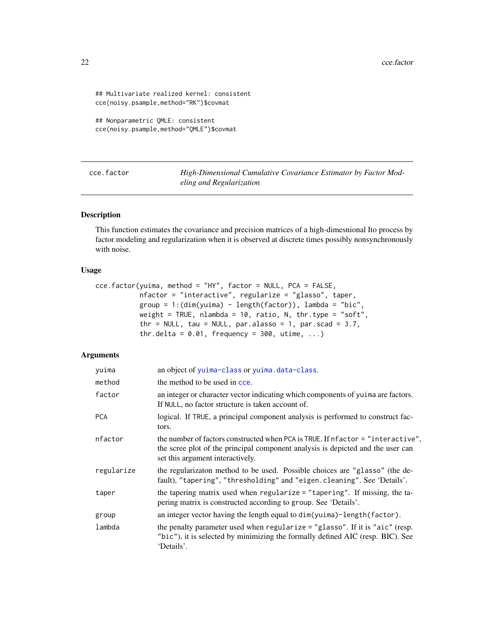```
## Multivariate realized kernel: consistent
cce(noisy.psample,method="RK")$covmat
```

```
## Nonparametric QMLE: consistent
cce(noisy.psample,method="QMLE")$covmat
```
<span id="page-21-1"></span>cce.factor *High-Dimensional Cumulative Covariance Estimator by Factor Modeling and Regularization*

#### Description

This function estimates the covariance and precision matrices of a high-dimesnional Ito process by factor modeling and regularization when it is observed at discrete times possibly nonsynchronously with noise.

## Usage

```
cce.factor(yuima, method = "HY", factor = NULL, PCA = FALSE,
           nfactor = "interactive", regularize = "glasso", taper,
           group = 1:(dim(yuima) - length(factor)), lambda = "bic",
           weight = TRUE, nlambda = 10, ratio, N, thr.type = "soft",
           thr = NULL, tau = NULL, par.alasso = 1, par.scad = 3.7,
           thr.delta = 0.01, frequency = 300, utime, ...)
```
## Arguments

| yuima      | an object of yuima-class or yuima.data-class.                                                                                                                                                          |
|------------|--------------------------------------------------------------------------------------------------------------------------------------------------------------------------------------------------------|
| method     | the method to be used in cce.                                                                                                                                                                          |
| factor     | an integer or character vector indicating which components of yuina are factors.<br>If NULL, no factor structure is taken account of.                                                                  |
| <b>PCA</b> | logical. If TRUE, a principal component analysis is performed to construct fac-<br>tors.                                                                                                               |
| nfactor    | the number of factors constructed when PCA is TRUE. If nfactor = "interactive",<br>the scree plot of the principal component analysis is depicted and the user can<br>set this argument interactively. |
| regularize | the regularizaton method to be used. Possible choices are "glasso" (the de-<br>fault), "tapering", "thresholding" and "eigen.cleaning". See 'Details'.                                                 |
| taper      | the tapering matrix used when regularize = "tapering". If missing, the ta-<br>pering matrix is constructed according to group. See 'Details'.                                                          |
| group      | an integer vector having the length equal to dim(yuima)-length(factor).                                                                                                                                |
| lambda     | the penalty parameter used when regularize = "glasso". If it is "aic" (resp.<br>"bic"), it is selected by minimizing the formally defined AIC (resp. BIC). See<br>'Details'.                           |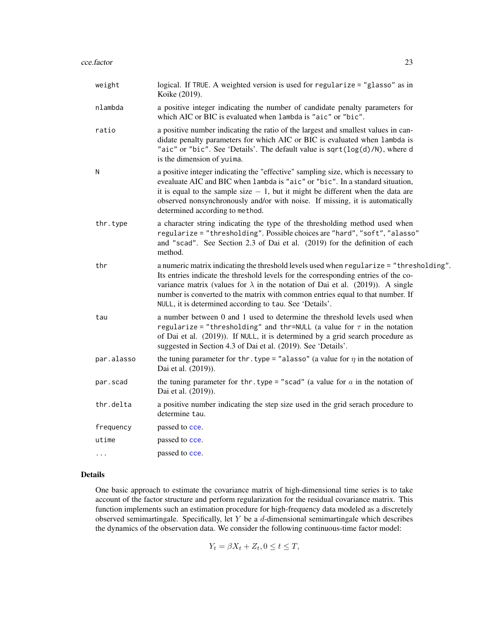| weight     | logical. If TRUE. A weighted version is used for regularize = "glasso" as in<br>Koike (2019).                                                                                                                                                                                                                                                                                                                       |
|------------|---------------------------------------------------------------------------------------------------------------------------------------------------------------------------------------------------------------------------------------------------------------------------------------------------------------------------------------------------------------------------------------------------------------------|
| nlambda    | a positive integer indicating the number of candidate penalty parameters for<br>which AIC or BIC is evaluated when lambda is "aic" or "bic".                                                                                                                                                                                                                                                                        |
| ratio      | a positive number indicating the ratio of the largest and smallest values in can-<br>didate penalty parameters for which AIC or BIC is evaluated when lambda is<br>"aic" or "bic". See 'Details'. The default value is sqrt(log(d)/N), where d<br>is the dimension of yuima.                                                                                                                                        |
| N          | a positive integer indicating the "effective" sampling size, which is necessary to<br>evealuate AIC and BIC when lambda is "aic" or "bic". In a standard situation,<br>it is equal to the sample size $-1$ , but it might be different when the data are<br>observed nonsynchronously and/or with noise. If missing, it is automatically<br>determined according to method.                                         |
| thr.type   | a character string indicating the type of the thresholding method used when<br>regularize = "thresholding". Possible choices are "hard", "soft", "alasso"<br>and "scad". See Section 2.3 of Dai et al. (2019) for the definition of each<br>method.                                                                                                                                                                 |
| thr        | a numeric matrix indicating the threshold levels used when regularize = "thresholding".<br>Its entries indicate the threshold levels for the corresponding entries of the co-<br>variance matrix (values for $\lambda$ in the notation of Dai et al. (2019)). A single<br>number is converted to the matrix with common entries equal to that number. If<br>NULL, it is determined according to tau. See 'Details'. |
| tau        | a number between 0 and 1 used to determine the threshold levels used when<br>regularize = "thresholding" and thr=NULL (a value for $\tau$ in the notation<br>of Dai et al. (2019)). If NULL, it is determined by a grid search procedure as<br>suggested in Section 4.3 of Dai et al. (2019). See 'Details'.                                                                                                        |
| par.alasso | the tuning parameter for thr. type = "alasso" (a value for $\eta$ in the notation of<br>Dai et al. (2019)).                                                                                                                                                                                                                                                                                                         |
| par.scad   | the tuning parameter for thr. type = "scad" (a value for $a$ in the notation of<br>Dai et al. (2019)).                                                                                                                                                                                                                                                                                                              |
| thr.delta  | a positive number indicating the step size used in the grid serach procedure to<br>determine tau.                                                                                                                                                                                                                                                                                                                   |
| frequency  | passed to cce.                                                                                                                                                                                                                                                                                                                                                                                                      |
| utime      | passed to cce.                                                                                                                                                                                                                                                                                                                                                                                                      |
| $\cdots$   | passed to cce.                                                                                                                                                                                                                                                                                                                                                                                                      |

## Details

One basic approach to estimate the covariance matrix of high-dimensional time series is to take account of the factor structure and perform regularization for the residual covariance matrix. This function implements such an estimation procedure for high-frequency data modeled as a discretely observed semimartingale. Specifically, let  $Y$  be a  $d$ -dimensional semimartingale which describes the dynamics of the observation data. We consider the following continuous-time factor model:

$$
Y_t = \beta X_t + Z_t, 0 \le t \le T,
$$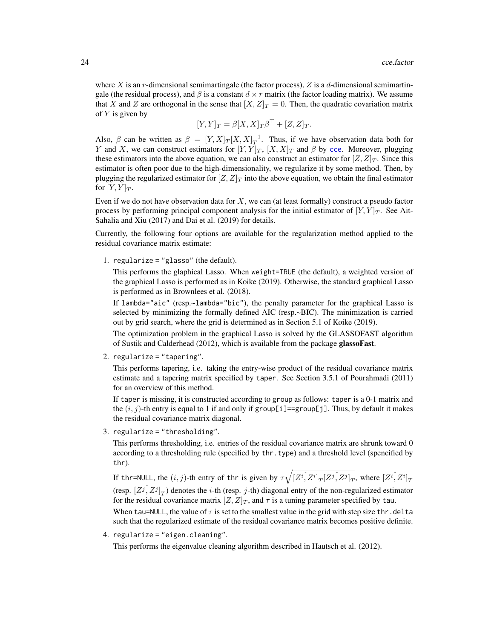where X is an r-dimensional semimartingale (the factor process),  $Z$  is a d-dimensional semimartingale (the residual process), and  $\beta$  is a constant  $d \times r$  matrix (the factor loading matrix). We assume that X and Z are orthogonal in the sense that  $[X, Z]_T = 0$ . Then, the quadratic covariation matrix of  $Y$  is given by

$$
[Y,Y]_T = \beta [X,X]_T \beta^{\top} + [Z,Z]_T.
$$

Also,  $\beta$  can be written as  $\beta = [Y, X]_T [X, X]_T^{-1}$ . Thus, if we have observation data both for Y and X, we can construct estimators for  $[Y, Y]_T$ ,  $[X, X]_T$  and  $\beta$  by [cce](#page-12-1). Moreover, plugging these estimators into the above equation, we can also construct an estimator for  $Z, Z|_T$ . Since this estimator is often poor due to the high-dimensionality, we regularize it by some method. Then, by plugging the regularized estimator for  $|Z, Z|_T$  into the above equation, we obtain the final estimator for  $[Y, Y]_T$ .

Even if we do not have observation data for  $X$ , we can (at least formally) construct a pseudo factor process by performing principal component analysis for the initial estimator of  $[Y, Y]_T$ . See Ait-Sahalia and Xiu (2017) and Dai et al. (2019) for details.

Currently, the following four options are available for the regularization method applied to the residual covariance matrix estimate:

1. regularize = "glasso" (the default).

This performs the glaphical Lasso. When weight=TRUE (the default), a weighted version of the graphical Lasso is performed as in Koike (2019). Otherwise, the standard graphical Lasso is performed as in Brownlees et al. (2018).

If lambda="aic" (resp.~lambda="bic"), the penalty parameter for the graphical Lasso is selected by minimizing the formally defined AIC (resp.~BIC). The minimization is carried out by grid search, where the grid is determined as in Section 5.1 of Koike (2019).

The optimization problem in the graphical Lasso is solved by the GLASSOFAST algorithm of Sustik and Calderhead (2012), which is available from the package glassoFast.

2. regularize = "tapering".

This performs tapering, i.e. taking the entry-wise product of the residual covariance matrix estimate and a tapering matrix specified by taper. See Section 3.5.1 of Pourahmadi (2011) for an overview of this method.

If taper is missing, it is constructed according to group as follows: taper is a 0-1 matrix and the  $(i, j)$ -th entry is equal to 1 if and only if group[i]==group[j]. Thus, by default it makes the residual covariance matrix diagonal.

3. regularize = "thresholding".

This performs thresholding, i.e. entries of the residual covariance matrix are shrunk toward 0 according to a thresholding rule (specified by thr.type) and a threshold level (spencified by thr).

If thr=NULL, the  $(i,j)$ -th entry of thr is given by  $\tau\sqrt{[Z^i,\overline{Z^i}]_T [Z^j,\overline{Z^j}]_T},$  where  $[Z^i,\overline{Z^i}]_T$ (resp.  $[Z^j, Z^j]_T$ ) denotes the *i*-th (resp. *j*-th) diagonal entry of the non-regularized estimator for the residual covariance matrix  $[Z, Z]_T$ , and  $\tau$  is a tuning parameter specified by tau. When tau=NULL, the value of  $\tau$  is set to the smallest value in the grid with step size thr.delta

such that the regularized estimate of the residual covariance matrix becomes positive definite.

4. regularize = "eigen.cleaning".

This performs the eigenvalue cleaning algorithm described in Hautsch et al. (2012).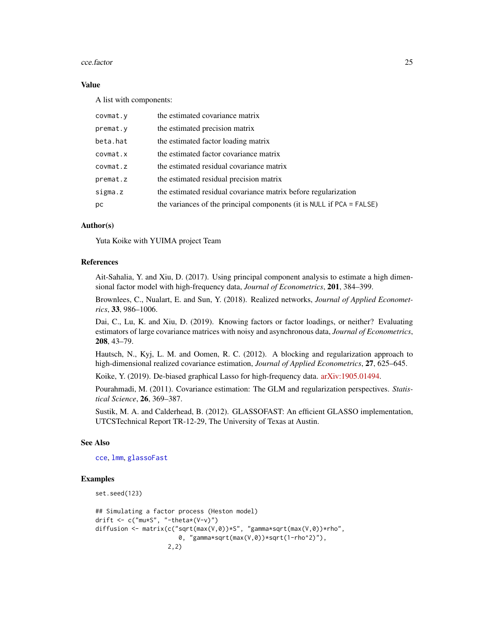#### cce.factor 25

## Value

A list with components:

| covmat.y | the estimated covariance matrix                                          |
|----------|--------------------------------------------------------------------------|
| premat.y | the estimated precision matrix                                           |
| beta.hat | the estimated factor loading matrix                                      |
| covmat.x | the estimated factor covariance matrix                                   |
| covmat.z | the estimated residual covariance matrix                                 |
| premat.z | the estimated residual precision matrix                                  |
| sigma.z  | the estimated residual covariance matrix before regularization           |
| рc       | the variances of the principal components (it is NULL if $PCA = FALSE$ ) |

## Author(s)

Yuta Koike with YUIMA project Team

## References

Ait-Sahalia, Y. and Xiu, D. (2017). Using principal component analysis to estimate a high dimensional factor model with high-frequency data, *Journal of Econometrics*, 201, 384–399.

Brownlees, C., Nualart, E. and Sun, Y. (2018). Realized networks, *Journal of Applied Econometrics*, 33, 986–1006.

Dai, C., Lu, K. and Xiu, D. (2019). Knowing factors or factor loadings, or neither? Evaluating estimators of large covariance matrices with noisy and asynchronous data, *Journal of Econometrics*, 208, 43–79.

Hautsch, N., Kyj, L. M. and Oomen, R. C. (2012). A blocking and regularization approach to high-dimensional realized covariance estimation, *Journal of Applied Econometrics*, 27, 625–645.

Koike, Y. (2019). De-biased graphical Lasso for high-frequency data. [arXiv:1905.01494.](https://arxiv.org/abs/1905.01494)

Pourahmadi, M. (2011). Covariance estimation: The GLM and regularization perspectives. *Statistical Science*, 26, 369–387.

Sustik, M. A. and Calderhead, B. (2012). GLASSOFAST: An efficient GLASSO implementation, UTCSTechnical Report TR-12-29, The University of Texas at Austin.

## See Also

[cce](#page-12-1), [lmm](#page-133-1), [glassoFast](#page-0-0)

```
set.seed(123)
```

```
## Simulating a factor process (Heston model)
drift \leq c("mu*S", "-theta*(V-v)")
diffusion <- matrix(c("sqrt(max(V,0))*S", "gamma*sqrt(max(V,0))*rho",
                       0, "gamma*sqrt(max(V,0))*sqrt(1-rho^2)"),
                    2,2)
```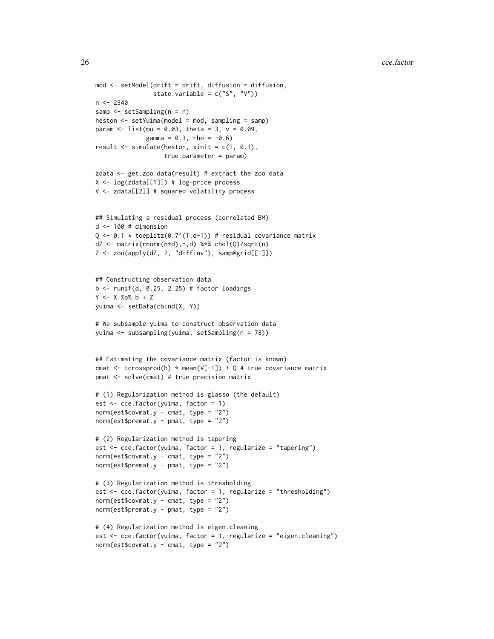```
mod <- setModel(drift = drift, diffusion = diffusion,
                state.variable = c("S", "V"))
n < -2340samp <- setSampling(n = n)
heston <- setYuima(model = mod, sampling = samp)
param \le list(mu = 0.03, theta = 3, v = 0.09,
              gamma = 0.3, rho = -0.6)
result \le simulate(heston, xinit = c(1, 0.1),
                   true.parameter = param)
zdata <- get.zoo.data(result) # extract the zoo data
X <- log(zdata[[1]]) # log-price process
V <- zdata[[2]] # squared volatility process
## Simulating a residual process (correlated BM)
d <- 100 # dimension
Q \leftarrow 0.1 * \text{toeplitz}(0.7^{(1:d-1)}) # residual covariance matrix
dZ <- matrix(rnorm(n*d),n,d) %*% chol(Q)/sqrt(n)
Z <- zoo(apply(dZ, 2, "diffinv"), samp@grid[[1]])
## Constructing observation data
b \le runif(d, 0.25, 2.25) # factor loadings
Y <- X %o% b + Z
yuima <- setData(cbind(X, Y))
# We subsample yuima to construct observation data
yuima <- subsampling(yuima, setSampling(n = 78))
## Estimating the covariance matrix (factor is known)
cmat \le tcrossprod(b) * mean(V[-1]) + Q # true covariance matrix
pmat <- solve(cmat) # true precision matrix
# (1) Regularization method is glasso (the default)
est <- cce.factor(yuima, factor = 1)
norm(est$covmat.y - cmat, type = "2")
norm(est$premat.y - pmat, type = "2")
# (2) Regularization method is tapering
est <- cce.factor(yuima, factor = 1, regularize = "tapering")
norm(est$covmat.y - cmat, type = "2")
norm(est$premat.y - pmat, type = "2")
# (3) Regularization method is thresholding
est \leq cce.factor(yuima, factor = 1, regularize = "thresholding")
norm(est$covmat.y - cmat, type = "2")
norm(est$premat.y - pmat, type = "2")
# (4) Regularization method is eigen.cleaning
est <- cce.factor(yuima, factor = 1, regularize = "eigen.cleaning")
norm(est$covmat.y - cmat, type = "2")
```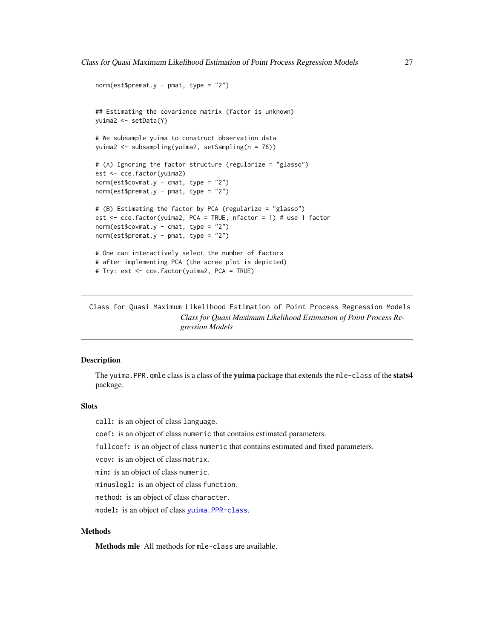```
norm(est$premat.y - pmat, type = "2")## Estimating the covariance matrix (factor is unknown)
yuima2 <- setData(Y)
# We subsample yuima to construct observation data
yuima2 <- subsampling(yuima2, setSampling(n = 78))
# (A) Ignoring the factor structure (regularize = "glasso")
est <- cce.factor(yuima2)
norm(est$covmat.y - cmat, type = "2")
norm(est$premat.y - pmat, type = "2")# (B) Estimating the factor by PCA (regularize = "glasso")
est <- cce.factor(yuima2, PCA = TRUE, nfactor = 1) # use 1 factor
norm(est$covmat.y - cmat, type = "2")
norm(est$premat.y - pmat, type = "2")
# One can interactively select the number of factors
# after implementing PCA (the scree plot is depicted)
# Try: est <- cce.factor(yuima2, PCA = TRUE)
```
Class for Quasi Maximum Likelihood Estimation of Point Process Regression Models *Class for Quasi Maximum Likelihood Estimation of Point Process Regression Models*

## Description

The yuima.PPR.qmle class is a class of the yuima package that extends the mle-class of the stats4 package.

#### **Slots**

call: is an object of class language.

coef: is an object of class numeric that contains estimated parameters.

fullcoef: is an object of class numeric that contains estimated and fixed parameters.

vcov: is an object of class matrix.

min: is an object of class numeric.

minuslogl: is an object of class function.

method: is an object of class character.

model: is an object of class [yuima.PPR-class](#page-157-1).

## **Methods**

Methods mle All methods for mle-class are available.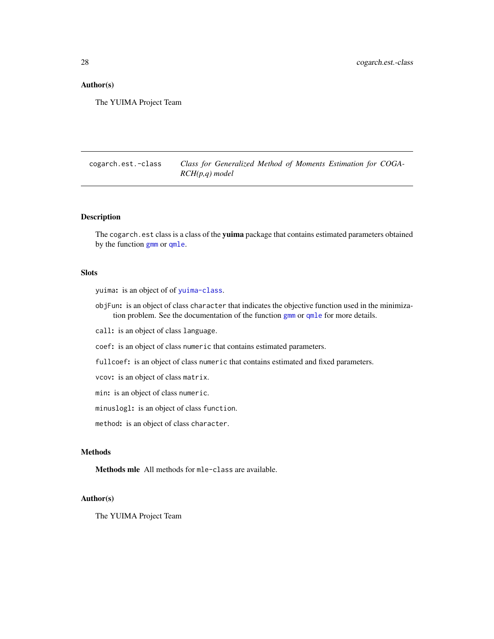## <span id="page-27-0"></span>Author(s)

The YUIMA Project Team

cogarch.est.-class *Class for Generalized Method of Moments Estimation for COGA-RCH(p,q) model*

## <span id="page-27-1"></span>**Description**

The cogarch.est class is a class of the yuima package that contains estimated parameters obtained by the function [gmm](#page-42-1) or [qmle](#page-82-1).

#### **Slots**

yuima: is an object of of [yuima-class](#page-141-1).

objFun: is an object of class character that indicates the objective function used in the minimization problem. See the documentation of the function [gmm](#page-42-1) or [qmle](#page-82-1) for more details.

call: is an object of class language.

coef: is an object of class numeric that contains estimated parameters.

fullcoef: is an object of class numeric that contains estimated and fixed parameters.

vcov: is an object of class matrix.

min: is an object of class numeric.

minuslogl: is an object of class function.

method: is an object of class character.

## Methods

Methods mle All methods for mle-class are available.

#### Author(s)

The YUIMA Project Team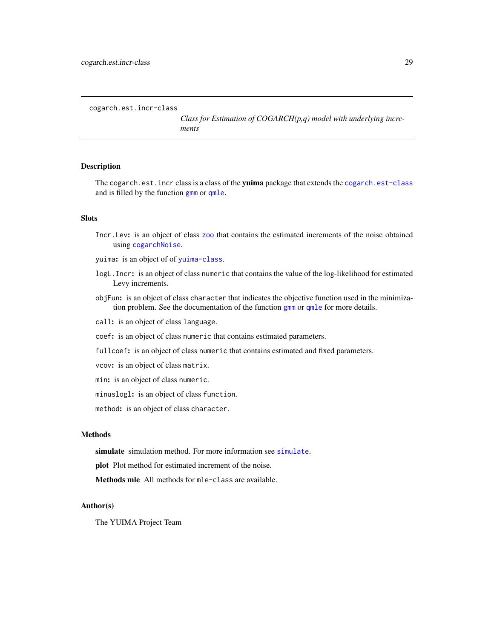<span id="page-28-0"></span>cogarch.est.incr-class

*Class for Estimation of COGARCH(p,q) model with underlying increments*

#### Description

The cogarch.est.incr class is a class of the yuima package that extends the [cogarch.est-class](#page-27-1) and is filled by the function [gmm](#page-42-1) or [qmle](#page-82-1).

## **Slots**

- Incr.Lev: is an object of class [zoo](#page-0-0) that contains the estimated increments of the noise obtained using [cogarchNoise](#page-29-1).
- yuima: is an object of of [yuima-class](#page-141-1).
- logL.Incr: is an object of class numeric that contains the value of the log-likelihood for estimated Levy increments.
- objFun: is an object of class character that indicates the objective function used in the minimization problem. See the documentation of the function [gmm](#page-42-1) or [qmle](#page-82-1) for more details.
- call: is an object of class language.
- coef: is an object of class numeric that contains estimated parameters.
- fullcoef: is an object of class numeric that contains estimated and fixed parameters.
- vcov: is an object of class matrix.
- min: is an object of class numeric.
- minuslogl: is an object of class function.
- method: is an object of class character.

#### Methods

[simulate](#page-124-1) simulation method. For more information see simulate.

plot Plot method for estimated increment of the noise.

Methods mle All methods for mle-class are available.

## Author(s)

The YUIMA Project Team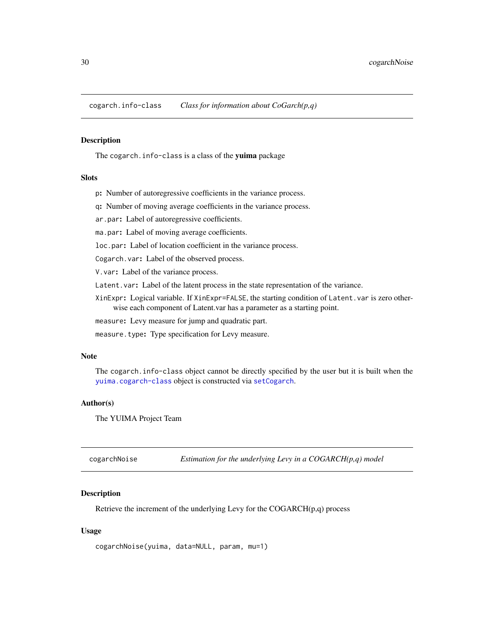<span id="page-29-0"></span>cogarch.info-class *Class for information about CoGarch(p,q)*

## Description

The cogarch. info-class is a class of the yuima package

## Slots

- p: Number of autoregressive coefficients in the variance process.
- q: Number of moving average coefficients in the variance process.
- ar.par: Label of autoregressive coefficients.
- ma.par: Label of moving average coefficients.
- loc.par: Label of location coefficient in the variance process.
- Cogarch.var: Label of the observed process.
- V.var: Label of the variance process.
- Latent. var: Label of the latent process in the state representation of the variance.
- XinExpr: Logical variable. If XinExpr=FALSE, the starting condition of Latent.var is zero otherwise each component of Latent.var has a parameter as a starting point.
- measure: Levy measure for jump and quadratic part.
- measure.type: Type specification for Levy measure.

## Note

The cogarch.info-class object cannot be directly specified by the user but it is built when the [yuima.cogarch-class](#page-145-1) object is constructed via [setCogarch](#page-103-1).

## Author(s)

The YUIMA Project Team

<span id="page-29-1"></span>

| cogarchNoise | Estimation for the underlying Levy in a $COGARCH(p,q)$ model |  |
|--------------|--------------------------------------------------------------|--|
|--------------|--------------------------------------------------------------|--|

## Description

Retrieve the increment of the underlying Levy for the COGARCH(p,q) process

## Usage

```
cogarchNoise(yuima, data=NULL, param, mu=1)
```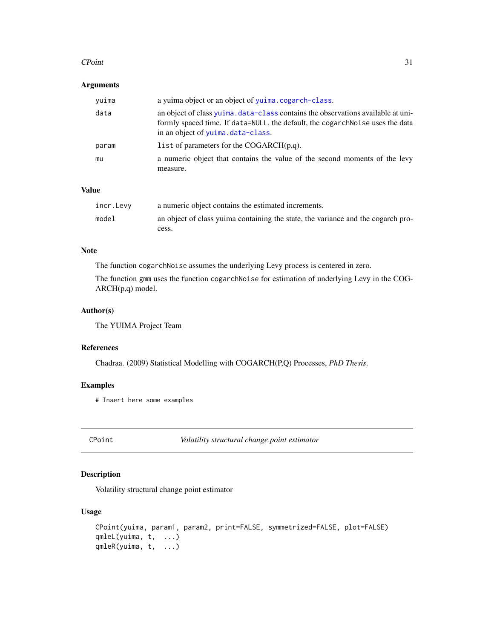#### <span id="page-30-0"></span> $C\text{Point}$  31

## Arguments

| yuima | a yuima object or an object of yuima.cogarch-class.                                                                                                                                                   |
|-------|-------------------------------------------------------------------------------------------------------------------------------------------------------------------------------------------------------|
| data  | an object of class yuima data-class contains the observations available at uni-<br>formly spaced time. If data=NULL, the default, the cogarchNoise uses the data<br>in an object of yuima.data-class. |
| param | list of parameters for the COGARCH $(p,q)$ .                                                                                                                                                          |
| mu    | a numeric object that contains the value of the second moments of the levy<br>measure.                                                                                                                |

## Value

| incr.Levy | a numeric object contains the estimated increments.                              |
|-----------|----------------------------------------------------------------------------------|
| model     | an object of class yuima containing the state, the variance and the cogarch pro- |
|           | cess.                                                                            |

## Note

The function cogarchNoise assumes the underlying Levy process is centered in zero.

The function gmm uses the function cogarchNoise for estimation of underlying Levy in the COG-ARCH(p,q) model.

## Author(s)

The YUIMA Project Team

## References

Chadraa. (2009) Statistical Modelling with COGARCH(P,Q) Processes, *PhD Thesis*.

## Examples

# Insert here some examples

CPoint *Volatility structural change point estimator*

## Description

Volatility structural change point estimator

## Usage

```
CPoint(yuima, param1, param2, print=FALSE, symmetrized=FALSE, plot=FALSE)
qmleL(yuima, t, ...)
qmleR(yuima, t, ...)
```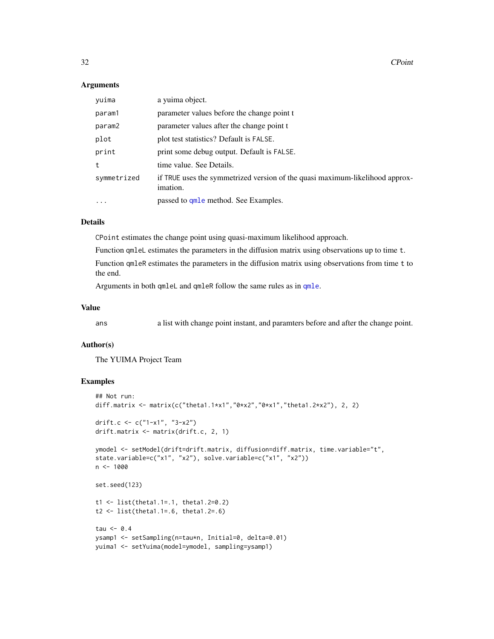## **Arguments**

| yuima       | a vuima object.                                                                          |
|-------------|------------------------------------------------------------------------------------------|
| param1      | parameter values before the change point t                                               |
| param2      | parameter values after the change point t                                                |
| plot        | plot test statistics? Default is FALSE.                                                  |
| print       | print some debug output. Default is FALSE.                                               |
| t           | time value. See Details.                                                                 |
| symmetrized | if TRUE uses the symmetrized version of the quasi maximum-likelihood approx-<br>imation. |
| $\ddotsc$   | passed to <b>qmle</b> method. See Examples.                                              |

## Details

CPoint estimates the change point using quasi-maximum likelihood approach.

Function qmleL estimates the parameters in the diffusion matrix using observations up to time t.

Function qmleR estimates the parameters in the diffusion matrix using observations from time t to the end.

Arguments in both qmleL and qmleR follow the same rules as in [qmle](#page-82-1).

## Value

ans a list with change point instant, and paramters before and after the change point.

#### Author(s)

The YUIMA Project Team

```
## Not run:
diff.matrix <- matrix(c("theta1.1*x1","0*x2","0*x1","theta1.2*x2"), 2, 2)
drift.c <- c("1-x1", "3-x2")
drift.matrix <- matrix(drift.c, 2, 1)
ymodel <- setModel(drift=drift.matrix, diffusion=diff.matrix, time.variable="t",
state.variable=c("x1", "x2"), solve.variable=c("x1", "x2"))
n < - 1000set.seed(123)
t1 <- list(theta1.1=.1, theta1.2=0.2)
t2 <- list(theta1.1=.6, theta1.2=.6)
tau <- 0.4
ysamp1 <- setSampling(n=tau*n, Initial=0, delta=0.01)
yuima1 <- setYuima(model=ymodel, sampling=ysamp1)
```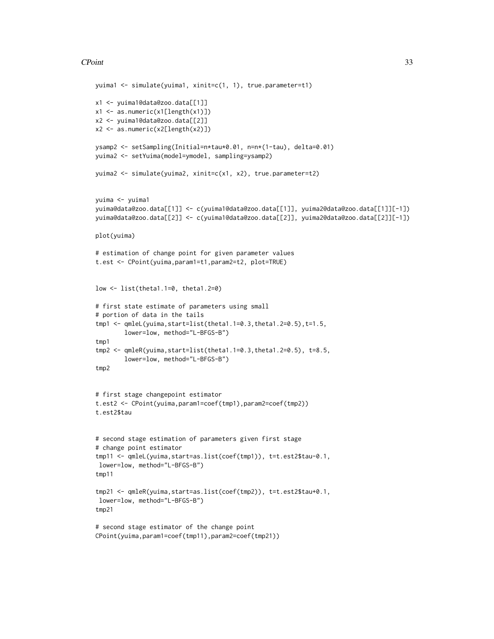## CPoint 33

```
yuima1 <- simulate(yuima1, xinit=c(1, 1), true.parameter=t1)
x1 <- yuima1@data@zoo.data[[1]]
x1 <- as.numeric(x1[length(x1)])
x2 <- yuima1@data@zoo.data[[2]]
x2 \leq -as.numeric(x2[length(x2)])ysamp2 <- setSampling(Initial=n*tau*0.01, n=n*(1-tau), delta=0.01)
yuima2 <- setYuima(model=ymodel, sampling=ysamp2)
yuima2 <- simulate(yuima2, xinit=c(x1, x2), true.parameter=t2)
yuima <- yuima1
yuima@data@zoo.data[[1]] <- c(yuima1@data@zoo.data[[1]], yuima2@data@zoo.data[[1]][-1])
yuima@data@zoo.data[[2]] <- c(yuima1@data@zoo.data[[2]], yuima2@data@zoo.data[[2]][-1])
plot(yuima)
# estimation of change point for given parameter values
t.est <- CPoint(yuima,param1=t1,param2=t2, plot=TRUE)
low <- list(theta1.1=0, theta1.2=0)
# first state estimate of parameters using small
# portion of data in the tails
tmp1 <- qmleL(yuima,start=list(theta1.1=0.3,theta1.2=0.5),t=1.5,
        lower=low, method="L-BFGS-B")
tmp1
tmp2 <- qmleR(yuima,start=list(theta1.1=0.3,theta1.2=0.5), t=8.5,
       lower=low, method="L-BFGS-B")
tmp2
# first stage changepoint estimator
t.est2 <- CPoint(yuima,param1=coef(tmp1),param2=coef(tmp2))
t.est2$tau
# second stage estimation of parameters given first stage
# change point estimator
tmp11 <- qmleL(yuima,start=as.list(coef(tmp1)), t=t.est2$tau-0.1,
lower=low, method="L-BFGS-B")
tmp11
tmp21 <- qmleR(yuima,start=as.list(coef(tmp2)), t=t.est2$tau+0.1,
lower=low, method="L-BFGS-B")
tmp21
# second stage estimator of the change point
CPoint(yuima,param1=coef(tmp11),param2=coef(tmp21))
```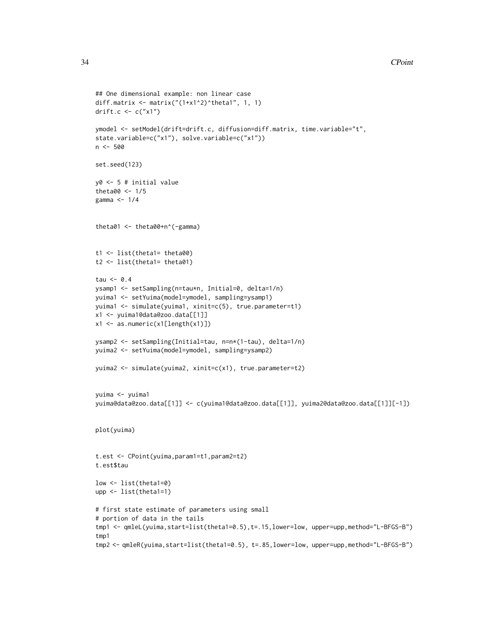```
## One dimensional example: non linear case
diff.matrix <- matrix("(1+x1^2)^theta1", 1, 1)
drift.c \leq \leq \lfloor "x1")
ymodel <- setModel(drift=drift.c, diffusion=diff.matrix, time.variable="t",
state.variable=c("x1"), solve.variable=c("x1"))
n <- 500
set.seed(123)
y0 <- 5 # initial value
theta00 <-1/5gamma <- 1/4
theta01 <- theta00+n^(-gamma)
t1 <- list(theta1= theta00)
t2 <- list(theta1= theta01)
tau \leq -0.4ysamp1 <- setSampling(n=tau*n, Initial=0, delta=1/n)
yuima1 <- setYuima(model=ymodel, sampling=ysamp1)
yuima1 <- simulate(yuima1, xinit=c(5), true.parameter=t1)
x1 <- yuima1@data@zoo.data[[1]]
x1 <- as.numeric(x1[length(x1)])
ysamp2 <- setSampling(Initial=tau, n=n*(1-tau), delta=1/n)
yuima2 <- setYuima(model=ymodel, sampling=ysamp2)
yuima2 <- simulate(yuima2, xinit=c(x1), true.parameter=t2)
yuima <- yuima1
yuima@data@zoo.data[[1]] <- c(yuima1@data@zoo.data[[1]], yuima2@data@zoo.data[[1]][-1])
plot(yuima)
t.est <- CPoint(yuima,param1=t1,param2=t2)
t.est$tau
low <- list(theta1=0)
upp <- list(theta1=1)
# first state estimate of parameters using small
# portion of data in the tails
tmp1 <- qmleL(yuima,start=list(theta1=0.5),t=.15,lower=low, upper=upp,method="L-BFGS-B")
tmp1
tmp2 <- qmleR(yuima,start=list(theta1=0.5), t=.85,lower=low, upper=upp,method="L-BFGS-B")
```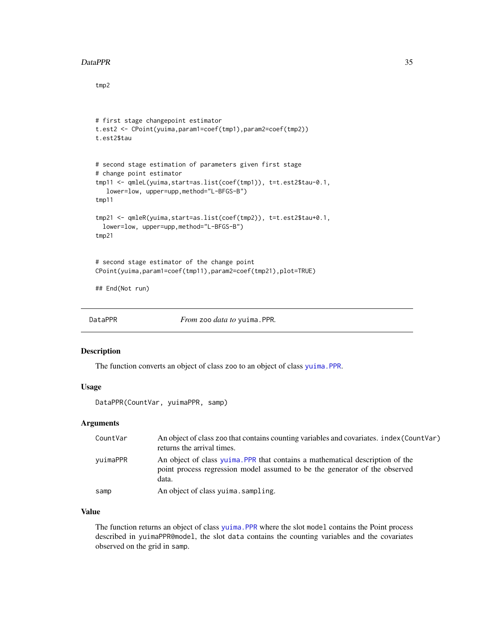#### <span id="page-34-0"></span>DataPPR 35

tmp2

```
# first stage changepoint estimator
t.est2 <- CPoint(yuima,param1=coef(tmp1),param2=coef(tmp2))
t.est2$tau
# second stage estimation of parameters given first stage
# change point estimator
tmp11 <- qmleL(yuima,start=as.list(coef(tmp1)), t=t.est2$tau-0.1,
  lower=low, upper=upp,method="L-BFGS-B")
tmp11
tmp21 <- qmleR(yuima,start=as.list(coef(tmp2)), t=t.est2$tau+0.1,
 lower=low, upper=upp,method="L-BFGS-B")
tmp21
# second stage estimator of the change point
CPoint(yuima,param1=coef(tmp11),param2=coef(tmp21),plot=TRUE)
## End(Not run)
```
DataPPR *From* zoo *data to* yuima.PPR*.*

#### Description

The function converts an object of class zoo to an object of class [yuima.PPR](#page-157-2).

## Usage

DataPPR(CountVar, yuimaPPR, samp)

#### **Arguments**

| CountVar | An object of class zoo that contains counting variables and covariates. index (CountVar)<br>returns the arrival times.                                               |
|----------|----------------------------------------------------------------------------------------------------------------------------------------------------------------------|
| vuimaPPR | An object of class yuima. PPR that contains a mathematical description of the<br>point process regression model assumed to be the generator of the observed<br>data. |
| samp     | An object of class yuima.sampling.                                                                                                                                   |

## Value

The function returns an object of class [yuima.PPR](#page-157-2) where the slot model contains the Point process described in yuimaPPR@model, the slot data contains the counting variables and the covariates observed on the grid in samp.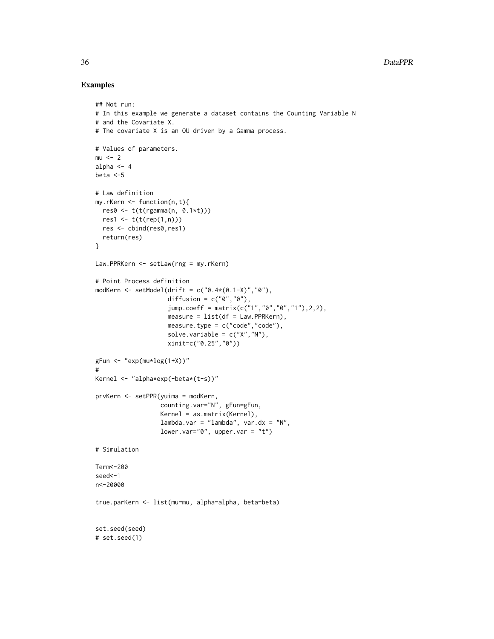```
## Not run:
# In this example we generate a dataset contains the Counting Variable N
# and the Covariate X.
# The covariate X is an OU driven by a Gamma process.
# Values of parameters.
mu < - 2alpha <-4beta <-5
# Law definition
my.rKern <- function(n,t){
 res0 <- t(t(rgamma(n, 0.1*t)))
 res1 \leq t(t(rep(1,n)))res <- cbind(res0,res1)
 return(res)
}
Law.PPRKern <- setLaw(rng = my.rKern)
# Point Process definition
modKern <- setModel(drift = c("0.4*(0.1-X)", "0"),diffusion = c("0", "0"),
                    jump.coeff = matrix(c("1","0","0","1"),2,2),
                    measure = list(df = Law.PPRKern),measure.type = c("code", "code"),
                    solve.variable = c("X", "N"),
                    xinit=c("0.25","0"))
gFun \leftarrow "exp(mu * log(1+X))"#
Kernel <- "alpha*exp(-beta*(t-s))"
prvKern <- setPPR(yuima = modKern,
                  counting.var="N", gFun=gFun,
                  Kernel = as.matrix(Kernel),
                  lambda.var = "lambda", var.dx = "N",
                  lower.var="0", upper.var = "t")
# Simulation
Term<-200
seed<-1
n<-20000
true.parKern <- list(mu=mu, alpha=alpha, beta=beta)
set.seed(seed)
# set.seed(1)
```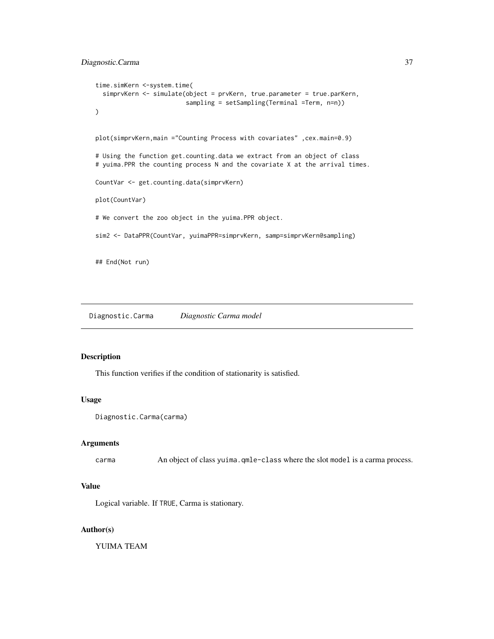```
time.simKern <-system.time(
 simprvKern <- simulate(object = prvKern, true.parameter = true.parKern,
                         sampling = setSampling(Terminal =Term, n=n))
\mathcal{L}plot(simprvKern,main ="Counting Process with covariates" ,cex.main=0.9)
# Using the function get.counting.data we extract from an object of class
# yuima.PPR the counting process N and the covariate X at the arrival times.
CountVar <- get.counting.data(simprvKern)
plot(CountVar)
# We convert the zoo object in the yuima.PPR object.
sim2 <- DataPPR(CountVar, yuimaPPR=simprvKern, samp=simprvKern@sampling)
## End(Not run)
```
Diagnostic.Carma *Diagnostic Carma model*

## Description

This function verifies if the condition of stationarity is satisfied.

## Usage

```
Diagnostic.Carma(carma)
```
#### Arguments

carma An object of class yuima.qmle-class where the slot model is a carma process.

# Value

Logical variable. If TRUE, Carma is stationary.

# Author(s)

YUIMA TEAM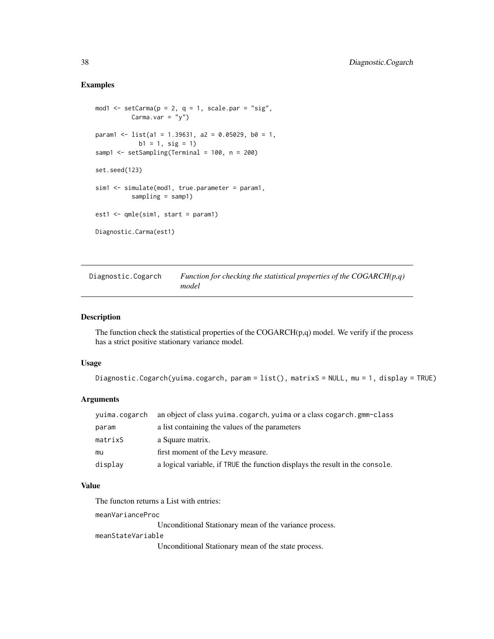## Examples

```
mod1 <- setCarma(p = 2, q = 1, scale.par = "sig",
          Carma.var = "y")
param1 <- list(a1 = 1.39631, a2 = 0.05029, b0 = 1,
            b1 = 1, sig = 1)
samp1 <- setSampling(Terminal = 100, n = 200)
set.seed(123)
sim1 <- simulate(mod1, true.parameter = param1,
          sampling = samp1)
est1 <- qmle(sim1, start = param1)
Diagnostic.Carma(est1)
```
Diagnostic.Cogarch *Function for checking the statistical properties of the COGARCH(p,q) model*

### Description

The function check the statistical properties of the  $COGARCH(p,q)$  model. We verify if the process has a strict positive stationary variance model.

## Usage

```
Diagnostic.Cogarch(yuima.cogarch, param = list(), matrixS = NULL, mu = 1, display = TRUE)
```
# Arguments

| yuima.cogarch | an object of class yuima.cogarch, yuima or a class cogarch.gmm-class         |
|---------------|------------------------------------------------------------------------------|
| param         | a list containing the values of the parameters                               |
| matrixS       | a Square matrix.                                                             |
| mu            | first moment of the Levy measure.                                            |
| displav       | a logical variable, if TRUE the function displays the result in the console. |

## Value

The functon returns a List with entries:

meanVarianceProc

Unconditional Stationary mean of the variance process.

#### meanStateVariable

Unconditional Stationary mean of the state process.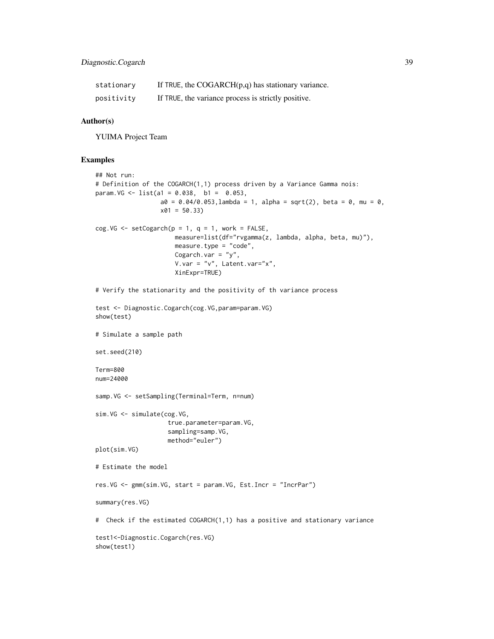| stationary | If TRUE, the COGARCH $(p,q)$ has stationary variance. |
|------------|-------------------------------------------------------|
| positivity | If TRUE, the variance process is strictly positive.   |

## Author(s)

YUIMA Project Team

## Examples

```
## Not run:
# Definition of the COGARCH(1,1) process driven by a Variance Gamma nois:
param.VG <- list(a1 = 0.038, b1 = 0.053,
                 a0 = 0.04/0.053, lambda = 1, alpha = sqrt(2), beta = 0, mu = 0,
                  x01 = 50.33cog.VG \leq setCogarch(p = 1, q = 1, word = FALSE,measure=list(df="rvgamma(z, lambda, alpha, beta, mu)"),
                      measure.type = "code",
                      Cogarch.var = "y",V.var = "v", Latent.var = "x",XinExpr=TRUE)
# Verify the stationarity and the positivity of th variance process
test <- Diagnostic.Cogarch(cog.VG,param=param.VG)
show(test)
# Simulate a sample path
set.seed(210)
Term=800
num=24000
samp.VG <- setSampling(Terminal=Term, n=num)
sim.VG <- simulate(cog.VG,
                    true.parameter=param.VG,
                    sampling=samp.VG,
                    method="euler")
plot(sim.VG)
# Estimate the model
res.VG <- gmm(sim.VG, start = param.VG, Est.Incr = "IncrPar")
summary(res.VG)
# Check if the estimated COGARCH(1,1) has a positive and stationary variance
test1<-Diagnostic.Cogarch(res.VG)
show(test1)
```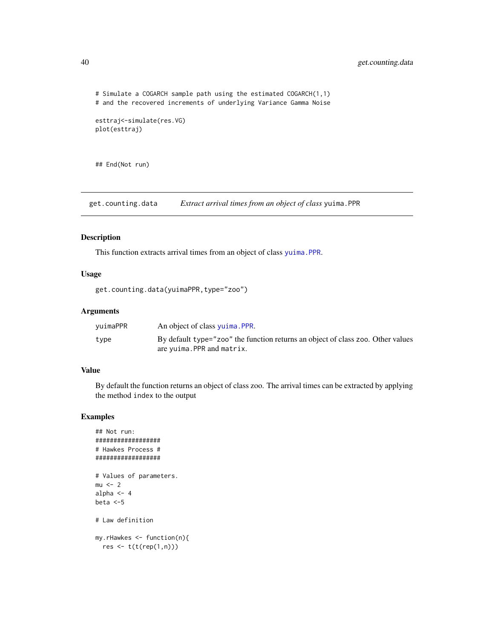```
# Simulate a COGARCH sample path using the estimated COGARCH(1,1)
# and the recovered increments of underlying Variance Gamma Noise
esttraj<-simulate(res.VG)
plot(esttraj)
```
## End(Not run)

get.counting.data *Extract arrival times from an object of class* yuima.PPR

#### Description

This function extracts arrival times from an object of class [yuima.PPR](#page-157-0).

## Usage

```
get.counting.data(yuimaPPR,type="zoo")
```
# Arguments

| vuimaPPR | An object of class yuima. PPR.                                                                                |
|----------|---------------------------------------------------------------------------------------------------------------|
| type     | By default type="zoo" the function returns an object of class zoo. Other values<br>are yuima. PPR and matrix. |

## Value

By default the function returns an object of class zoo. The arrival times can be extracted by applying the method index to the output

# Examples

```
## Not run:
##################
# Hawkes Process #
##################
# Values of parameters.
mu < - 2alpha <-4beta <-5
# Law definition
my.rHawkes <- function(n){
  res lt- t(t(rep(1,n)))
```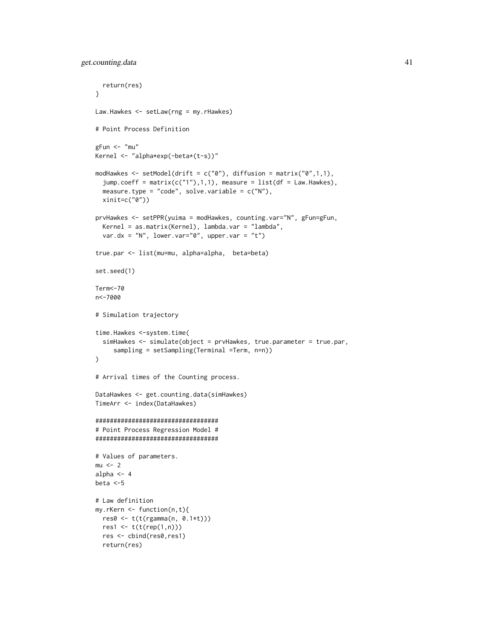```
return(res)
}
Law.Hawkes <- setLaw(rng = my.rHawkes)
# Point Process Definition
gFun < - "mu"
Kernel <- "alpha*exp(-beta*(t-s))"
modHawkes \leq setModel(drift = c("0"), diffusion = matrix("0",1,1),
  jump.coeff = matrix(c("1"), 1, 1), measure = list(df = Law.Hawkes),measure.type = "code", solve.variable = c("N"),
  xinit=c("0"))
prvHawkes <- setPPR(yuima = modHawkes, counting.var="N", gFun=gFun,
  Kernel = as.matrix(Kernel), lambda.var = "lambda",
  var.dx = "N", lower.var="0", upper.var = "t")
true.par <- list(mu=mu, alpha=alpha, beta=beta)
set.seed(1)
Term<-70
n<-7000
# Simulation trajectory
time.Hawkes <-system.time(
  simHawkes <- simulate(object = prvHawkes, true.parameter = true.par,
     sampling = setSampling(Terminal =Term, n=n))
)
# Arrival times of the Counting process.
DataHawkes <- get.counting.data(simHawkes)
TimeArr <- index(DataHawkes)
##################################
# Point Process Regression Model #
##################################
# Values of parameters.
mu < - 2alpha <-4beta <-5
# Law definition
my.rKern <- function(n,t){
  res0 <- t(t(rgamma(n, 0.1*t)))
  res1 <- t(t(rep(1,n)))
  res <- cbind(res0,res1)
  return(res)
```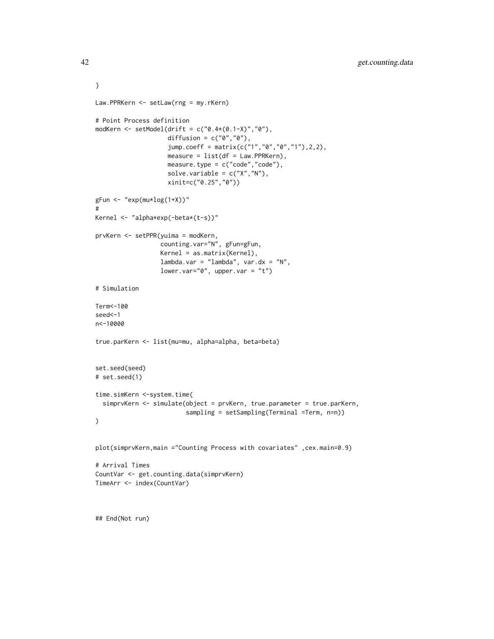```
}
Law.PPRKern <- setLaw(rng = my.rKern)
# Point Process definition
modKern <- setModel(drift = c("0.4*(0.1-X)",0"),
                    diffusion = c("0", "0"),
                    jump.coeff = matrix(c("1","0","0","1"),2,2),
                    measure = list(df = Law.PPRKern),
                    measure.type = c("code","code"),
                    solve.variable = c("X","N"),
                    xinit=c("0.25","0"))
gFun \leftarrow "exp(mu * log(1+X))"#
Kernel <- "alpha*exp(-beta*(t-s))"
prvKern <- setPPR(yuima = modKern,
                  counting.var="N", gFun=gFun,
                  Kernel = as.matrix(Kernel),
                  lambda.var = "lambda", var.dx = "N",
                  lower.var="0", upper.var = "t")
# Simulation
Term<-100
seed<-1
n<-10000
true.parKern <- list(mu=mu, alpha=alpha, beta=beta)
set.seed(seed)
# set.seed(1)
time.simKern <-system.time(
  simprvKern <- simulate(object = prvKern, true.parameter = true.parKern,
                         sampling = setSampling(Terminal =Term, n=n))
)
plot(simprvKern,main ="Counting Process with covariates" ,cex.main=0.9)
# Arrival Times
CountVar <- get.counting.data(simprvKern)
TimeArr <- index(CountVar)
## End(Not run)
```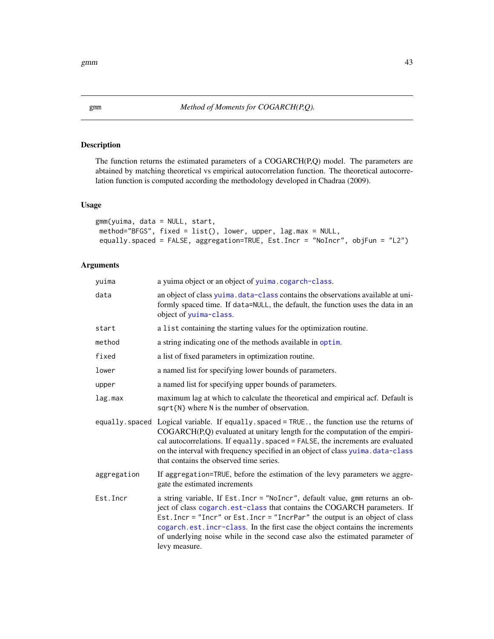# Description

The function returns the estimated parameters of a  $COGARCH(P,Q)$  model. The parameters are abtained by matching theoretical vs empirical autocorrelation function. The theoretical autocorrelation function is computed according the methodology developed in Chadraa (2009).

## Usage

```
gmm(yuima, data = NULL, start,
method="BFGS", fixed = list(), lower, upper, lag.max = NULL,
equally.spaced = FALSE, aggregation=TRUE, Est.Incr = "NoIncr", objFun = "L2")
```
# Arguments

| yuima       | a yuima object or an object of yuima.cogarch-class.                                                                                                                                                                                                                                                                                                                                                                        |
|-------------|----------------------------------------------------------------------------------------------------------------------------------------------------------------------------------------------------------------------------------------------------------------------------------------------------------------------------------------------------------------------------------------------------------------------------|
| data        | an object of class yuima. data-class contains the observations available at uni-<br>formly spaced time. If data=NULL, the default, the function uses the data in an<br>object of yuima-class.                                                                                                                                                                                                                              |
| start       | a list containing the starting values for the optimization routine.                                                                                                                                                                                                                                                                                                                                                        |
| method      | a string indicating one of the methods available in optim.                                                                                                                                                                                                                                                                                                                                                                 |
| fixed       | a list of fixed parameters in optimization routine.                                                                                                                                                                                                                                                                                                                                                                        |
| lower       | a named list for specifying lower bounds of parameters.                                                                                                                                                                                                                                                                                                                                                                    |
| upper       | a named list for specifying upper bounds of parameters.                                                                                                                                                                                                                                                                                                                                                                    |
| lag.max     | maximum lag at which to calculate the theoretical and empirical acf. Default is<br>$sqrt(N)$ where N is the number of observation.                                                                                                                                                                                                                                                                                         |
|             | equally spaced Logical variable. If equally spaced = TRUE, the function use the returns of<br>COGARCH(P,Q) evaluated at unitary length for the computation of the empiri-<br>cal autocorrelations. If equally. spaced = FALSE, the increments are evaluated<br>on the interval with frequency specified in an object of class yuima.data-class<br>that contains the observed time series.                                  |
| aggregation | If aggregation=TRUE, before the estimation of the levy parameters we aggre-<br>gate the estimated increments                                                                                                                                                                                                                                                                                                               |
| Est.Incr    | a string variable, If Est. Incr = "NoIncr", default value, gmm returns an ob-<br>ject of class cogarch.est-class that contains the COGARCH parameters. If<br>Est. Incr = "Incr" or Est. Incr = "IncrPar" the output is an object of class<br>cogarch.est.incr-class. In the first case the object contains the increments<br>of underlying noise while in the second case also the estimated parameter of<br>levy measure. |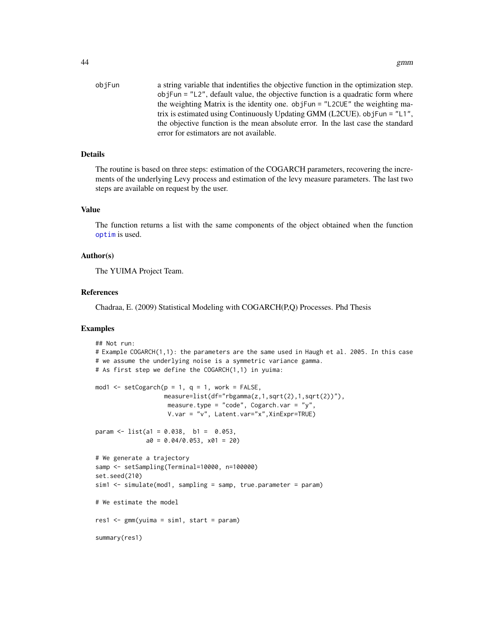objFun a string variable that indentifies the objective function in the optimization step. objFun = "L2", default value, the objective function is a quadratic form where the weighting Matrix is the identity one. objFun = "L2CUE" the weighting matrix is estimated using Continuously Updating GMM (L2CUE). objFun = "L1", the objective function is the mean absolute error. In the last case the standard error for estimators are not available.

## **Details**

The routine is based on three steps: estimation of the COGARCH parameters, recovering the increments of the underlying Levy process and estimation of the levy measure parameters. The last two steps are available on request by the user.

## Value

The function returns a list with the same components of the object obtained when the function [optim](#page-0-0) is used.

## Author(s)

The YUIMA Project Team.

# References

Chadraa, E. (2009) Statistical Modeling with COGARCH(P,Q) Processes. Phd Thesis

# Examples

```
## Not run:
# Example COGARCH(1,1): the parameters are the same used in Haugh et al. 2005. In this case
# we assume the underlying noise is a symmetric variance gamma.
# As first step we define the COGARCH(1,1) in yuima:
mod1 \le setCogarch(p = 1, q = 1, work = FALSE,
                   measure=list(df="rbgamma(z,1,sqrt(2),1,sqrt(2))"),
                    measure.type = "code", Cogarch.var = "y",
                    V.var = "v", Latent.var="x",XinExpr=TRUE)
param \le list(a1 = 0.038, b1 = 0.053,
              a0 = 0.04/0.053, x01 = 20# We generate a trajectory
samp <- setSampling(Terminal=10000, n=100000)
set.seed(210)
sim1 <- simulate(mod1, sampling = samp, true.parameter = param)
# We estimate the model
res1 < - gmm(yuima = sim1, start = param)
summary(res1)
```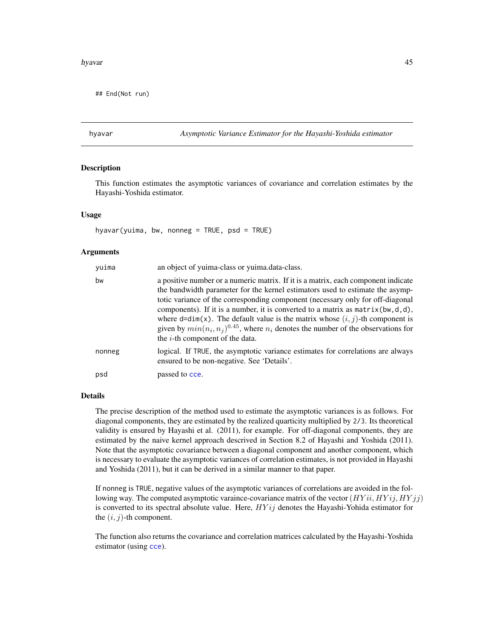#### hyavar 45

## End(Not run)

<span id="page-44-0"></span>hyavar *Asymptotic Variance Estimator for the Hayashi-Yoshida estimator*

## Description

This function estimates the asymptotic variances of covariance and correlation estimates by the Hayashi-Yoshida estimator.

## Usage

hyavar(yuima, bw, nonneg = TRUE, psd = TRUE)

# Arguments

| yuima  | an object of yuima-class or yuima.data-class.                                                                                                                                                                                                                                                                                                                                                                                                                                                                                                                                                  |
|--------|------------------------------------------------------------------------------------------------------------------------------------------------------------------------------------------------------------------------------------------------------------------------------------------------------------------------------------------------------------------------------------------------------------------------------------------------------------------------------------------------------------------------------------------------------------------------------------------------|
| bw     | a positive number or a numeric matrix. If it is a matrix, each component indicate<br>the bandwidth parameter for the kernel estimators used to estimate the asymp-<br>totic variance of the corresponding component (necessary only for off-diagonal<br>components). If it is a number, it is converted to a matrix as $matrix(\mathbf{bw}, \mathbf{d}, \mathbf{d})$ ,<br>where $d=dim(x)$ . The default value is the matrix whose $(i, j)$ -th component is<br>given by $min(n_i, n_i)^{0.45}$ , where $n_i$ denotes the number of the observations for<br>the $i$ -th component of the data. |
| nonneg | logical. If TRUE, the asymptotic variance estimates for correlations are always<br>ensured to be non-negative. See 'Details'.                                                                                                                                                                                                                                                                                                                                                                                                                                                                  |
| psd    | passed to cce.                                                                                                                                                                                                                                                                                                                                                                                                                                                                                                                                                                                 |

#### Details

The precise description of the method used to estimate the asymptotic variances is as follows. For diagonal components, they are estimated by the realized quarticity multiplied by 2/3. Its theoretical validity is ensured by Hayashi et al. (2011), for example. For off-diagonal components, they are estimated by the naive kernel approach descrived in Section 8.2 of Hayashi and Yoshida (2011). Note that the asymptotic covariance between a diagonal component and another component, which is necessary to evaluate the asymptotic variances of correlation estimates, is not provided in Hayashi and Yoshida (2011), but it can be derived in a similar manner to that paper.

If nonneg is TRUE, negative values of the asymptotic variances of correlations are avoided in the following way. The computed asymptotic varaince-covariance matrix of the vector  $(HYii, HYii, HYj)$ is converted to its spectral absolute value. Here,  $HYij$  denotes the Hayashi-Yohida estimator for the  $(i, j)$ -th component.

The function also returns the covariance and correlation matrices calculated by the Hayashi-Yoshida estimator (using [cce](#page-12-0)).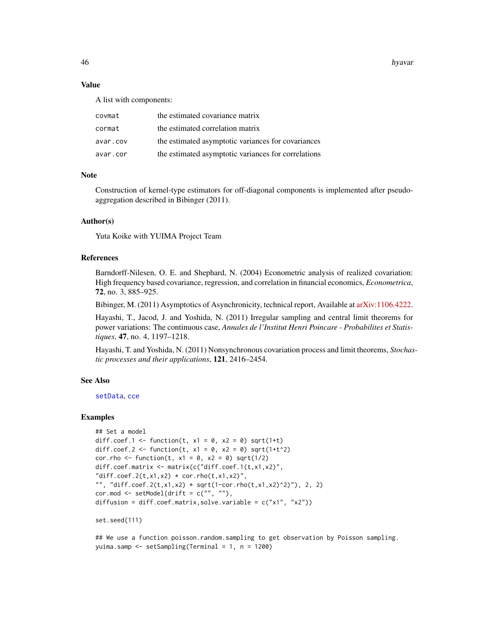46 hyavar her best and the set of the set of the set of the set of the set of the set of the set of the set of the set of the set of the set of the set of the set of the set of the set of the set of the set of the set of t

## Value

A list with components:

| covmat   | the estimated covariance matrix                     |
|----------|-----------------------------------------------------|
| cormat   | the estimated correlation matrix                    |
| avar.cov | the estimated asymptotic variances for covariances  |
| avar.cor | the estimated asymptotic variances for correlations |

## Note

Construction of kernel-type estimators for off-diagonal components is implemented after pseudoaggregation described in Bibinger (2011).

#### Author(s)

Yuta Koike with YUIMA Project Team

# References

Barndorff-Nilesen, O. E. and Shephard, N. (2004) Econometric analysis of realized covariation: High frequency based covariance, regression, and correlation in financial economics, *Econometrica*, 72, no. 3, 885–925.

Bibinger, M. (2011) Asymptotics of Asynchronicity, technical report, Available at [arXiv:1106.4222.](https://arxiv.org/abs/1106.4222)

Hayashi, T., Jacod, J. and Yoshida, N. (2011) Irregular sampling and central limit theorems for power variations: The continuous case, *Annales de l'Institut Henri Poincare - Probabilites et Statistiques*, 47, no. 4, 1197–1218.

Hayashi, T. and Yoshida, N. (2011) Nonsynchronous covariation process and limit theorems, *Stochastic processes and their applications*, 121, 2416–2454.

#### See Also

[setData](#page-105-0), [cce](#page-12-0)

## Examples

```
## Set a model
diff.coef.1 <- function(t, x1 = 0, x2 = 0) sqrt(1+t)
diff.coef.2 <- function(t, x1 = 0, x2 = 0) sqrt(1+t^2)
cor.rho \le function(t, x1 = 0, x2 = 0) sqrt(1/2)
diff.coef.matrix <- matrix(c("diff.coef.1(t,x1,x2)",
"diff.coef.2(t,x1,x2) * cor.rho(t,x1,x2)",
"", "diff.coef.2(t,x1,x2) * sqrt(1-cor.rho(t,x1,x2)^2)"), 2, 2)
cor.mod \leq - setModel(drift = c("", ""),
diffusion = diff.coef.matrix,solve.variable = c("x1", "x2"))
```

```
set.seed(111)
```
## We use a function poisson.random.sampling to get observation by Poisson sampling. yuima.samp <- setSampling(Terminal = 1, n = 1200)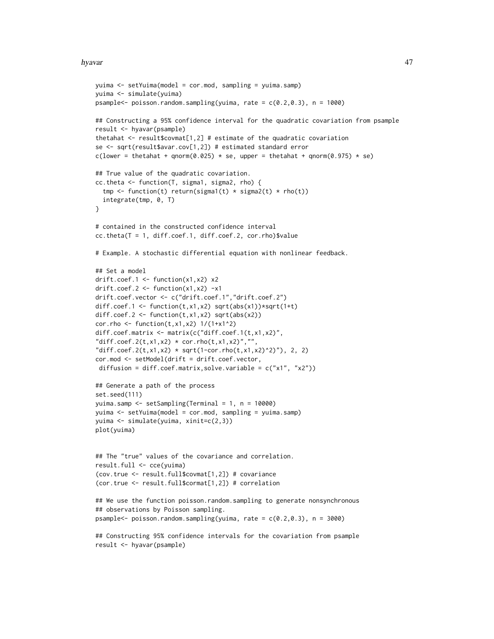#### hyavar 47

```
yuima <- setYuima(model = cor.mod, sampling = yuima.samp)
yuima <- simulate(yuima)
psample<- poisson.random.sampling(yuima, rate = c(0.2,0.3), n = 1000)
## Constructing a 95% confidence interval for the quadratic covariation from psample
result <- hyavar(psample)
thetahat \leq result$covmat[1,2] # estimate of the quadratic covariation
se <- sqrt(result$avar.cov[1,2]) # estimated standard error
c(lower = thetahat + qnorm(0.025) * se, upper = thetahat + qnorm(0.975) * se)
## True value of the quadratic covariation.
cc.theta <- function(T, sigma1, sigma2, rho) {
  tmp <- function(t) return(sigma1(t) * sigma2(t) * rho(t))
  integrate(tmp, 0, T)
}
# contained in the constructed confidence interval
cc.theta(T = 1, diff.coef.1, diff.coef.2, cor.rho)$value
# Example. A stochastic differential equation with nonlinear feedback.
## Set a model
drift.coef.1 <- function(x1,x2) x2
drift.coef.2 <- function(x1, x2) -x1drift.coef.vector <- c("drift.coef.1","drift.coef.2")
diff.coef.1 <- function(t,x1,x2) sqrt(abs(x1))*sqrt(1+t)
diff.coef.2 <- function(t, x1, x2) sqrt(abs(x2))
cor.rho <- function(t, x1, x2) 1/(1+x1^2)
diff.coef.matrix <- matrix(c("diff.coef.1(t,x1,x2)",
"diff.coef.2(t, x1, x2) * cor.rho(t, x1, x2)", "","diff.coef.2(t,x1,x2) * sqrt(1-cor.rho(t,x1,x2)^2)"), 2, 2)
cor.mod <- setModel(drift = drift.coef.vector,
diffusion = diff.coef.matrix,solve.variable = c("x1", "x2"))## Generate a path of the process
set.seed(111)
yuima.samp <- setSampling(Terminal = 1, n = 10000)
yuima <- setYuima(model = cor.mod, sampling = yuima.samp)
yuima <- simulate(yuima, xinit=c(2,3))
plot(yuima)
## The "true" values of the covariance and correlation.
result.full <- cce(yuima)
(cov.true <- result.full$covmat[1,2]) # covariance
(cor.true <- result.full$cormat[1,2]) # correlation
## We use the function poisson.random.sampling to generate nonsynchronous
## observations by Poisson sampling.
psample<- poisson.random.sampling(yuima, rate = c(0.2, 0.3), n = 3000)
## Constructing 95% confidence intervals for the covariation from psample
result <- hyavar(psample)
```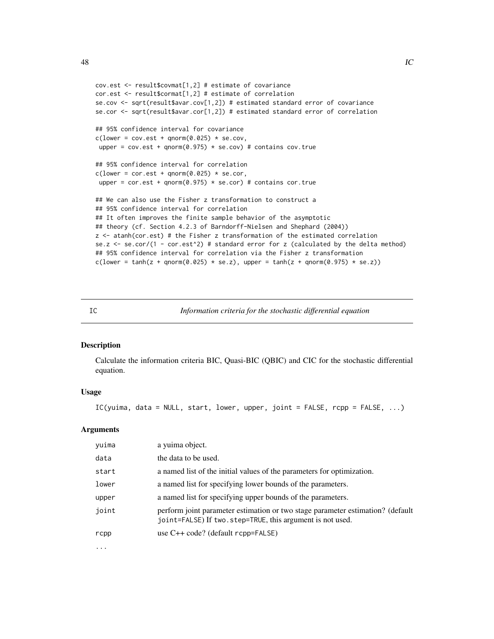```
cov.est <- result$covmat[1,2] # estimate of covariance
cor.est <- result$cormat[1,2] # estimate of correlation
se.cov <- sqrt(result$avar.cov[1,2]) # estimated standard error of covariance
se.cor <- sqrt(result$avar.cor[1,2]) # estimated standard error of correlation
## 95% confidence interval for covariance
c(lower = cov.est + qnorm(0.025) * se.cov,upper = cov.est + qnorm(0.975) * se.cov) # contains cov.true
## 95% confidence interval for correlation
c(lower = cor.est + qnorm(0.025) * se.cor,upper = cor.est + qnorm(0.975) * se.cor) # contains cor.true
## We can also use the Fisher z transformation to construct a
## 95% confidence interval for correlation
## It often improves the finite sample behavior of the asymptotic
## theory (cf. Section 4.2.3 of Barndorff-Nielsen and Shephard (2004))
z <- atanh(cor.est) # the Fisher z transformation of the estimated correlation
se.z \le se.cor/(1 - cor.est^2) # standard error for z (calculated by the delta method)
## 95% confidence interval for correlation via the Fisher z transformation
c(lower = tanh(z + qnorm(0.025) * se.z), upper = tanh(z + qnorm(0.975) * se.z))
```
IC *Information criteria for the stochastic differential equation*

# Description

Calculate the information criteria BIC, Quasi-BIC (QBIC) and CIC for the stochastic differential equation.

# Usage

IC(yuima, data = NULL, start, lower, upper, joint = FALSE, rcpp = FALSE, ...)

## Arguments

| yuima    | a yuima object.                                                                                                                             |
|----------|---------------------------------------------------------------------------------------------------------------------------------------------|
| data     | the data to be used.                                                                                                                        |
| start    | a named list of the initial values of the parameters for optimization.                                                                      |
| lower    | a named list for specifying lower bounds of the parameters.                                                                                 |
| upper    | a named list for specifying upper bounds of the parameters.                                                                                 |
| joint    | perform joint parameter estimation or two stage parameter estimation? (default<br>joint=FALSE) If two.step=TRUE, this argument is not used. |
| rcpp     | use $C++code$ ? (default rcpp=FALSE)                                                                                                        |
| $\cdots$ |                                                                                                                                             |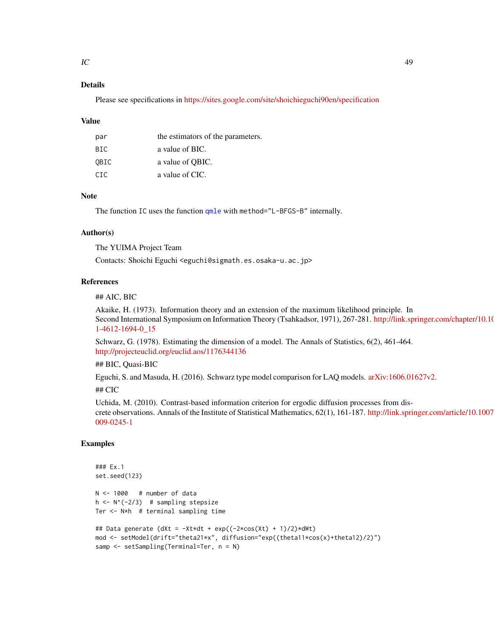# Details

Please see specifications in <https://sites.google.com/site/shoichieguchi90en/specification>

#### Value

| par  | the estimators of the parameters. |
|------|-----------------------------------|
| BIC. | a value of BIC.                   |
| OBIC | a value of QBIC.                  |
| CTC. | a value of CIC.                   |

## **Note**

The function IC uses the function [qmle](#page-82-0) with method="L-BFGS-B" internally.

## Author(s)

The YUIMA Project Team

Contacts: Shoichi Eguchi <eguchi@sigmath.es.osaka-u.ac.jp>

# References

# ## AIC, BIC

Akaike, H. (1973). Information theory and an extension of the maximum likelihood principle. In Second International Symposium on Information Theory (Tsahkadsor, 1971), 267-281. [http://link.sp](http://link.springer.com/chapter/10.1007/978-1-4612-1694-0_15)ringer.com/chapter/10.10 [1-4612-1694-0\\_15](http://link.springer.com/chapter/10.1007/978-1-4612-1694-0_15)

Schwarz, G. (1978). Estimating the dimension of a model. The Annals of Statistics, 6(2), 461-464. <http://projecteuclid.org/euclid.aos/1176344136>

## BIC, Quasi-BIC

Eguchi, S. and Masuda, H. (2016). Schwarz type model comparison for LAQ models. [arXiv:1606.01627v2.](https://arxiv.org/abs/1606.01627v2)

## CIC

Uchida, M. (2010). Contrast-based information criterion for ergodic diffusion processes from discrete observations. Annals of the Institute of Statistical Mathematics, 62(1), 161-187. [http://link.sprin](http://link.springer.com/article/10.1007/s10463-009-0245-1)ger.com/article/10.1007 [009-0245-1](http://link.springer.com/article/10.1007/s10463-009-0245-1)

# Examples

```
### Ex.1
set.seed(123)
N < -1000 # number of data
h \leftarrow N^(-2/3) # sampling stepsize
Ter <- N*h # terminal sampling time
## Data generate (dXt = -\text{Xt} * dt + \exp((-2 * \cos(\chi t) + 1)/2) * dWt)mod <- setModel(drift="theta21*x", diffusion="exp((theta11*cos(x)+theta12)/2)")
samp <- setSampling(Terminal=Ter, n = N)
```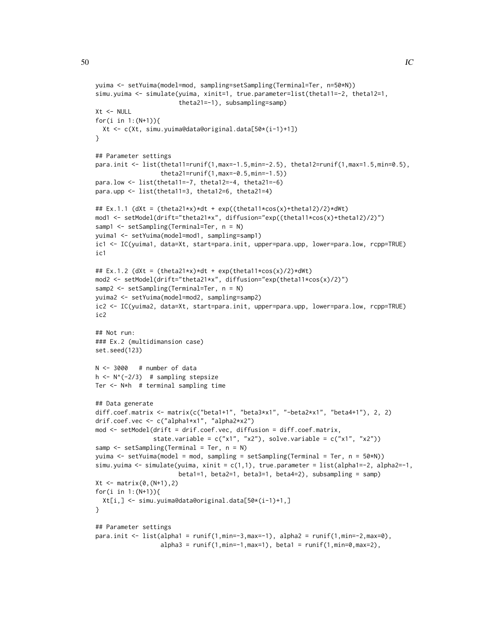```
yuima <- setYuima(model=mod, sampling=setSampling(Terminal=Ter, n=50*N))
simu.yuima <- simulate(yuima, xinit=1, true.parameter=list(theta11=-2, theta12=1,
                       theta21=-1), subsampling=samp)
Xt < - NULL
for(i in 1:(N+1)){
 Xt <- c(Xt, simu.yuima@data@original.data[50*(i-1)+1])
}
## Parameter settings
para.init <- list(theta11=runif(1,max=-1.5,min=-2.5), theta12=runif(1,max=1.5,min=0.5),
                  theta21=runif(1,max=-0.5,min=-1.5))
para.low <- list(theta11=-7, theta12=-4, theta21=-6)
para.upp <- list(theta11=3, theta12=6, theta21=4)
## Ex.1.1 (dXt = (theta21*x)*dt + exp((theta11*cos(x)+theta12)/2)*dWt)
mod1 <- setModel(drift="theta21*x", diffusion="exp((theta11*cos(x)+theta12)/2)")
samp1 <- setSampling(Terminal=Ter, n = N)
yuima1 <- setYuima(model=mod1, sampling=samp1)
ic1 <- IC(yuima1, data=Xt, start=para.init, upper=para.upp, lower=para.low, rcpp=TRUE)
ic1
## Ex.1.2 (dXt = (theta21*x)*dt + exp(theta11*cos(x)/2)*dWt)
mod2 <- setModel(drift="theta21*x", diffusion="exp(theta11*cos(x)/2)")
samp2 <- setSampling(Terminal=Ter, n = N)
yuima2 <- setYuima(model=mod2, sampling=samp2)
ic2 <- IC(yuima2, data=Xt, start=para.init, upper=para.upp, lower=para.low, rcpp=TRUE)
ic<sub>2</sub>
## Not run:
### Ex.2 (multidimansion case)
set.seed(123)
N < -3000 # number of data
h \leq N^{(2/3)} # sampling stepsize
Ter <- N*h # terminal sampling time
## Data generate
diff.coef.matrix <- matrix(c("beta1+1", "beta3*x1", "-beta2*x1", "beta4+1"), 2, 2)
drif.coef.vec <- c("alpha1*x1", "alpha2*x2")
mod <- setModel(drift = drif.coef.vec, diffusion = diff.coef.matrix,
                state.variable = c("x1", "x2"), solve.variable = c("x1", "x2"))
samp <- setSampling(Terminal = Ter, n = N)
yuima <- setYuima(model = mod, sampling = setSampling(Terminal = Ter, n = 50*N))
simu.yuima <- simulate(yuima, xinit = c(1,1), true.parameter = list(alpha1=-2, alpha2=-1,
                       beta1=1, beta2=1, beta3=1, beta4=2), subsampling = samp)
Xt <- matrix(0,(N+1),2)
for(i in 1:(N+1)){
  Xt[i,] <- simu.yuima@data@original.data[50*(i-1)+1,]
}
## Parameter settings
```

```
para.init <- list(alpha1 = runif(1,min=-3,max=-1), alpha2 = runif(1,min=-2,max=0),
                  alpha3 = runif(1, min=-1, max=1), beta1 = runif(1, min=0, max=2),
```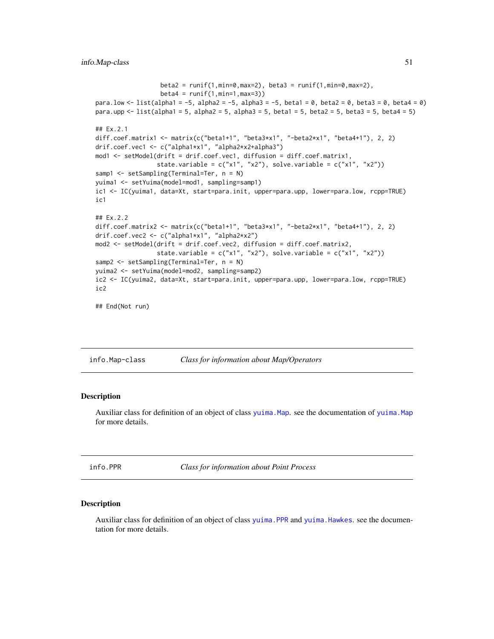```
beta2 = runif(1,min=0,max=2), beta3 = runif(1,min=0,max=2),
                  beta = runif(1, min=1, max=3))para.low <- list(alpha1 = -5, alpha2 = -5, alpha3 = -5, beta1 = 0, beta2 = 0, beta3 = 0, beta4 = 0)
para.upp \le list(alpha1 = 5, alpha2 = 5, alpha3 = 5, beta1 = 5, beta2 = 5, beta3 = 5, beta4 = 5)
## Ex.2.1
diff.coef.matrix1 <- matrix(c("beta1+1", "beta3*x1", "-beta2*x1", "beta4+1"), 2, 2)
drif.coef.vec1 <- c("alpha1*x1", "alpha2*x2+alpha3")
mod1 <- setModel(drift = drif.coef.vec1, diffusion = diff.coef.matrix1,
                 state.variable = c("x1", "x2"), solve.variable = c("x1", "x2"))samp1 <- setSampling(Terminal=Ter, n = N)
yuima1 <- setYuima(model=mod1, sampling=samp1)
ic1 <- IC(yuima1, data=Xt, start=para.init, upper=para.upp, lower=para.low, rcpp=TRUE)
ic1
## Ex.2.2
diff.coef.matrix2 <- matrix(c("beta1+1", "beta3*x1", "-beta2*x1", "beta4+1"), 2, 2)
drif.coef.vec2 <- c("alpha1*x1", "alpha2*x2")
mod2 <- setModel(drift = drif.coef.vec2, diffusion = diff.coef.matrix2,
                 state.variable = c("x1", "x2"), solve.variable = c("x1", "x2"))samp2 <- setSampling(Terminal=Ter, n = N)
yuima2 <- setYuima(model=mod2, sampling=samp2)
ic2 <- IC(yuima2, data=Xt, start=para.init, upper=para.upp, lower=para.low, rcpp=TRUE)
ic2
## End(Not run)
```
info.Map-class *Class for information about Map/Operators*

### Description

Auxiliar class for definition of an object of class [yuima.Map](#page-151-0). see the documentation of [yuima.Map](#page-151-0) for more details.

info.PPR *Class for information about Point Process*

#### Description

Auxiliar class for definition of an object of class [yuima.PPR](#page-157-0) and [yuima.Hawkes](#page-148-0). see the documentation for more details.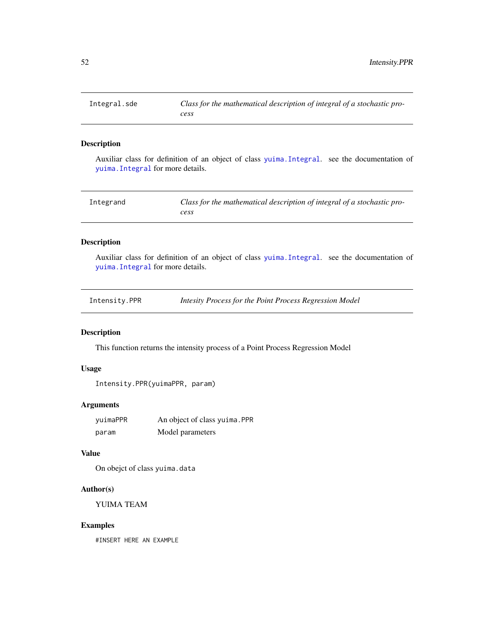## Description

Auxiliar class for definition of an object of class [yuima.Integral](#page-149-0). see the documentation of [yuima.Integral](#page-149-0) for more details.

| Integrand | Class for the mathematical description of integral of a stochastic pro- |
|-----------|-------------------------------------------------------------------------|
|           | cess                                                                    |

# Description

Auxiliar class for definition of an object of class [yuima.Integral](#page-149-0). see the documentation of [yuima.Integral](#page-149-0) for more details.

| Intensity.PPR | Intesity Process for the Point Process Regression Model |
|---------------|---------------------------------------------------------|
|---------------|---------------------------------------------------------|

# Description

This function returns the intensity process of a Point Process Regression Model

# Usage

```
Intensity.PPR(yuimaPPR, param)
```
# Arguments

| yuimaPPR | An object of class yuima. PPR |
|----------|-------------------------------|
| param    | Model parameters              |

# Value

On obejct of class yuima.data

## Author(s)

YUIMA TEAM

## Examples

#INSERT HERE AN EXAMPLE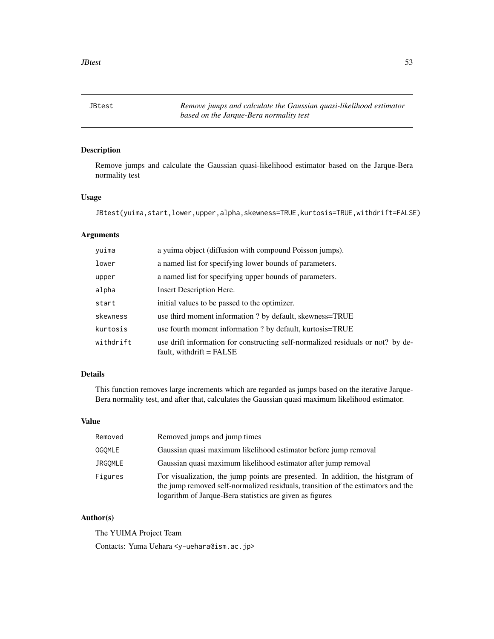JBtest *Remove jumps and calculate the Gaussian quasi-likelihood estimator based on the Jarque-Bera normality test*

# Description

Remove jumps and calculate the Gaussian quasi-likelihood estimator based on the Jarque-Bera normality test

# Usage

JBtest(yuima,start,lower,upper,alpha,skewness=TRUE,kurtosis=TRUE,withdrift=FALSE)

# Arguments

| yuima     | a yuima object (diffusion with compound Poisson jumps).                                                       |
|-----------|---------------------------------------------------------------------------------------------------------------|
| lower     | a named list for specifying lower bounds of parameters.                                                       |
| upper     | a named list for specifying upper bounds of parameters.                                                       |
| alpha     | <b>Insert Description Here.</b>                                                                               |
| start     | initial values to be passed to the optimizer.                                                                 |
| skewness  | use third moment information ? by default, skewness=TRUE                                                      |
| kurtosis  | use fourth moment information ? by default, kurtosis=TRUE                                                     |
| withdrift | use drift information for constructing self-normalized residuals or not? by de-<br>fault, withdrift $=$ FALSE |

# Details

This function removes large increments which are regarded as jumps based on the iterative Jarque-Bera normality test, and after that, calculates the Gaussian quasi maximum likelihood estimator.

# Value

| Removed       | Removed jumps and jump times                                                                                                                                                                                                   |
|---------------|--------------------------------------------------------------------------------------------------------------------------------------------------------------------------------------------------------------------------------|
| <b>OGOMLE</b> | Gaussian quasi maximum likelihood estimator before jump removal                                                                                                                                                                |
| JRGOMLE       | Gaussian quasi maximum likelihood estimator after jump removal                                                                                                                                                                 |
| Figures       | For visualization, the jump points are presented. In addition, the histgram of<br>the jump removed self-normalized residuals, transition of the estimators and the<br>logarithm of Jarque-Bera statistics are given as figures |

# Author(s)

The YUIMA Project Team

Contacts: Yuma Uehara <y-uehara@ism.ac.jp>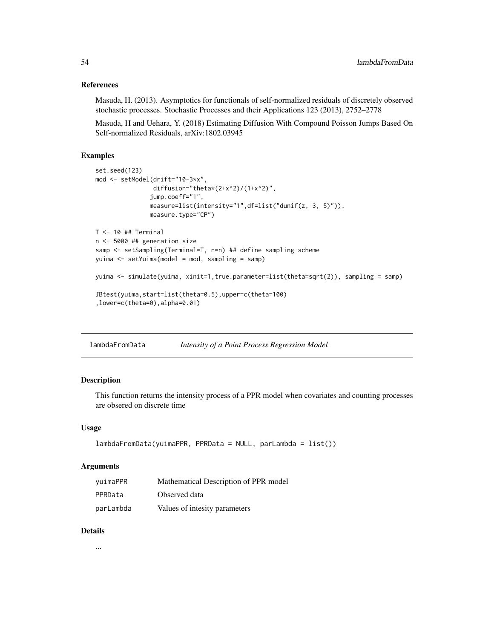## References

Masuda, H. (2013). Asymptotics for functionals of self-normalized residuals of discretely observed stochastic processes. Stochastic Processes and their Applications 123 (2013), 2752–2778

Masuda, H and Uehara, Y. (2018) Estimating Diffusion With Compound Poisson Jumps Based On Self-normalized Residuals, arXiv:1802.03945

## Examples

```
set.seed(123)
mod <- setModel(drift="10-3*x",
                diffusion="theta*(2+x^2)/(1+x^2)",
               jump.coeff="1",
               measure=list(intensity="1",df=list("dunif(z, 3, 5)")),
               measure.type="CP")
T < -10 ## Terminal
n <- 5000 ## generation size
samp <- setSampling(Terminal=T, n=n) ## define sampling scheme
yuima <- setYuima(model = mod, sampling = samp)
yuima <- simulate(yuima, xinit=1,true.parameter=list(theta=sqrt(2)), sampling = samp)
JBtest(yuima,start=list(theta=0.5),upper=c(theta=100)
,lower=c(theta=0),alpha=0.01)
```
lambdaFromData *Intensity of a Point Process Regression Model*

## Description

This function returns the intensity process of a PPR model when covariates and counting processes are obsered on discrete time

## Usage

```
lambdaFromData(yuimaPPR, PPRData = NULL, parLambda = list())
```
## Arguments

| yuimaPPR  | Mathematical Description of PPR model |
|-----------|---------------------------------------|
| PPRData   | Observed data                         |
| parLambda | Values of intesity parameters         |

## Details

...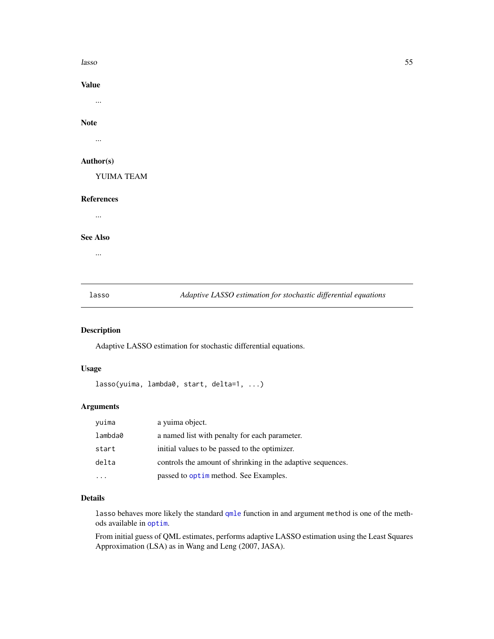lasso 55

Value

...

# Note

...

## Author(s)

YUIMA TEAM

## References

...

# See Also

...

lasso *Adaptive LASSO estimation for stochastic differential equations*

# Description

Adaptive LASSO estimation for stochastic differential equations.

# Usage

```
lasso(yuima, lambda0, start, delta=1, ...)
```
# Arguments

| yuima   | a yuima object.                                             |
|---------|-------------------------------------------------------------|
| lambda0 | a named list with penalty for each parameter.               |
| start   | initial values to be passed to the optimizer.               |
| delta   | controls the amount of shrinking in the adaptive sequences. |
|         | passed to optime method. See Examples.                      |

## Details

lasso behaves more likely the standard [qmle](#page-82-0) function in and argument method is one of the methods available in [optim](#page-0-0).

From initial guess of QML estimates, performs adaptive LASSO estimation using the Least Squares Approximation (LSA) as in Wang and Leng (2007, JASA).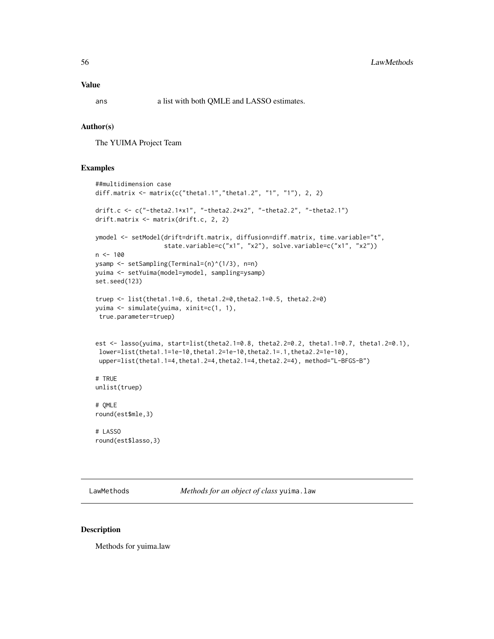# Value

ans a list with both QMLE and LASSO estimates.

#### Author(s)

The YUIMA Project Team

# Examples

```
##multidimension case
diff.matrix <- matrix(c("theta1.1","theta1.2", "1", "1"), 2, 2)
drift.c <- c("-theta2.1*x1", "-theta2.2*x2", "-theta2.2", "-theta2.1")
drift.matrix <- matrix(drift.c, 2, 2)
ymodel <- setModel(drift=drift.matrix, diffusion=diff.matrix, time.variable="t",
                   state.variable=c("x1", "x2"), solve.variable=c("x1", "x2"))
n < -100ysamp <- setSampling(Terminal=(n)^(1/3), n=n)
yuima <- setYuima(model=ymodel, sampling=ysamp)
set.seed(123)
truep <- list(theta1.1=0.6, theta1.2=0,theta2.1=0.5, theta2.2=0)
yuima <- simulate(yuima, xinit=c(1, 1),
true.parameter=truep)
est \leq lasso(yuima, start=list(theta2.1=0.8, theta2.2=0.2, theta1.1=0.7, theta1.2=0.1),
 lower=list(theta1.1=1e-10,theta1.2=1e-10,theta2.1=.1,theta2.2=1e-10),
 upper=list(theta1.1=4,theta1.2=4,theta2.1=4,theta2.2=4), method="L-BFGS-B")
# TRUE
unlist(truep)
# QMLE
round(est$mle,3)
# LASSO
round(est$lasso,3)
```
LawMethods *Methods for an object of class* yuima.law

#### Description

Methods for yuima.law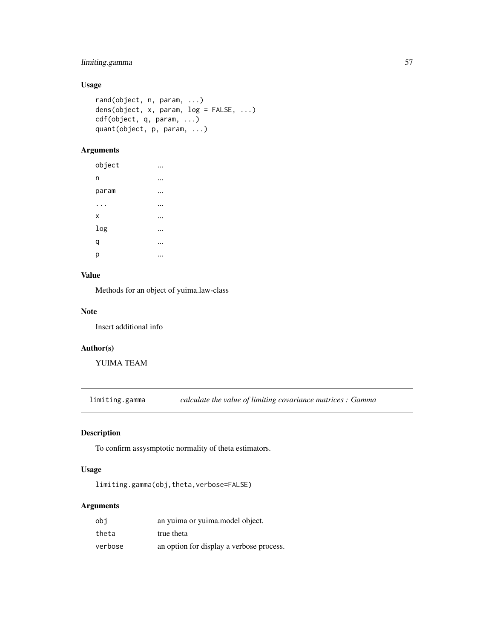# limiting.gamma 57

# Usage

```
rand(object, n, param, ...)
dens(object, x, param, log = FALSE, ...)
cdf(object, q, param, ...)
quant(object, p, param, ...)
```
# Arguments

| object |   |
|--------|---|
| n      | . |
| param  |   |
|        |   |
| X      |   |
| log    | . |
| q      |   |
| р      |   |

# Value

Methods for an object of yuima.law-class

# Note

Insert additional info

## Author(s)

YUIMA TEAM

limiting.gamma *calculate the value of limiting covariance matrices : Gamma*

# Description

To confirm assysmptotic normality of theta estimators.

# Usage

limiting.gamma(obj,theta,verbose=FALSE)

# Arguments

| obi     | an yuima or yuima. model object.         |
|---------|------------------------------------------|
| theta   | true theta                               |
| verbose | an option for display a verbose process. |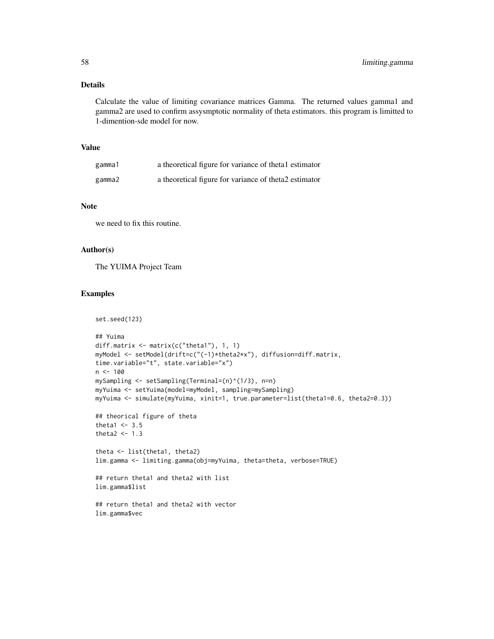# Details

Calculate the value of limiting covariance matrices Gamma. The returned values gamma1 and gamma2 are used to confirm assysmptotic normality of theta estimators. this program is limitted to 1-dimention-sde model for now.

# Value

| gamma1 | a theoretical figure for variance of thetal estimator |
|--------|-------------------------------------------------------|
| gamma2 | a theoretical figure for variance of theta2 estimator |

## Note

we need to fix this routine.

# Author(s)

The YUIMA Project Team

## Examples

```
set.seed(123)
## Yuima
diff.matrix <- matrix(c("theta1"), 1, 1)
myModel <- setModel(drift=c("(-1)*theta2*x"), diffusion=diff.matrix,
time.variable="t", state.variable="x")
n < - 100mySampling <- setSampling(Terminal=(n)^(1/3), n=n)
myYuima <- setYuima(model=myModel, sampling=mySampling)
myYuima <- simulate(myYuima, xinit=1, true.parameter=list(theta1=0.6, theta2=0.3))
## theorical figure of theta
theta1 <-3.5theta2 <-1.3theta <- list(theta1, theta2)
lim.gamma <- limiting.gamma(obj=myYuima, theta=theta, verbose=TRUE)
## return theta1 and theta2 with list
lim.gamma$list
## return theta1 and theta2 with vector
lim.gamma$vec
```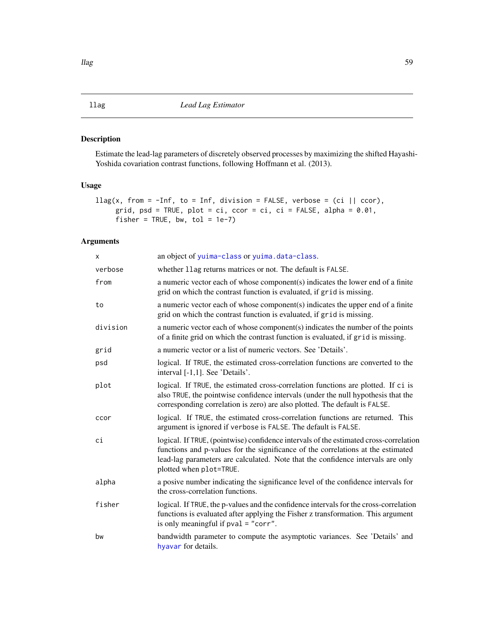# <span id="page-58-0"></span>Description

Estimate the lead-lag parameters of discretely observed processes by maximizing the shifted Hayashi-Yoshida covariation contrast functions, following Hoffmann et al. (2013).

# Usage

```
\text{llag}(x, \text{ from } = -\text{Inf}, \text{ to } = \text{Inf}, \text{ division } = \text{FALSE}, \text{ verbose } = (\text{ci } || \text{ ccor}),grid, psd = TRUE, plot = ci, ccor = ci, ci = FALSE, alpha = 0.01,
       fisher = TRUE, bw, tol = 1e-7)
```
# Arguments

| X        | an object of yuima-class or yuima.data-class.                                                                                                                                                                                                                                           |
|----------|-----------------------------------------------------------------------------------------------------------------------------------------------------------------------------------------------------------------------------------------------------------------------------------------|
| verbose  | whether 11ag returns matrices or not. The default is FALSE.                                                                                                                                                                                                                             |
| from     | a numeric vector each of whose component(s) indicates the lower end of a finite<br>grid on which the contrast function is evaluated, if grid is missing.                                                                                                                                |
| to       | a numeric vector each of whose component(s) indicates the upper end of a finite<br>grid on which the contrast function is evaluated, if grid is missing.                                                                                                                                |
| division | a numeric vector each of whose component(s) indicates the number of the points<br>of a finite grid on which the contrast function is evaluated, if grid is missing.                                                                                                                     |
| grid     | a numeric vector or a list of numeric vectors. See 'Details'.                                                                                                                                                                                                                           |
| psd      | logical. If TRUE, the estimated cross-correlation functions are converted to the<br>interval [-1,1]. See 'Details'.                                                                                                                                                                     |
| plot     | logical. If TRUE, the estimated cross-correlation functions are plotted. If ci is<br>also TRUE, the pointwise confidence intervals (under the null hypothesis that the<br>corresponding correlation is zero) are also plotted. The default is FALSE.                                    |
| ccor     | logical. If TRUE, the estimated cross-correlation functions are returned. This<br>argument is ignored if verbose is FALSE. The default is FALSE.                                                                                                                                        |
| сi       | logical. If TRUE, (pointwise) confidence intervals of the estimated cross-correlation<br>functions and p-values for the significance of the correlations at the estimated<br>lead-lag parameters are calculated. Note that the confidence intervals are only<br>plotted when plot=TRUE. |
| alpha    | a posive number indicating the significance level of the confidence intervals for<br>the cross-correlation functions.                                                                                                                                                                   |
| fisher   | logical. If TRUE, the p-values and the confidence intervals for the cross-correlation<br>functions is evaluated after applying the Fisher z transformation. This argument<br>is only meaningful if $pval = "corr".$                                                                     |
| bw       | bandwidth parameter to compute the asymptotic variances. See 'Details' and<br>hyavar for details.                                                                                                                                                                                       |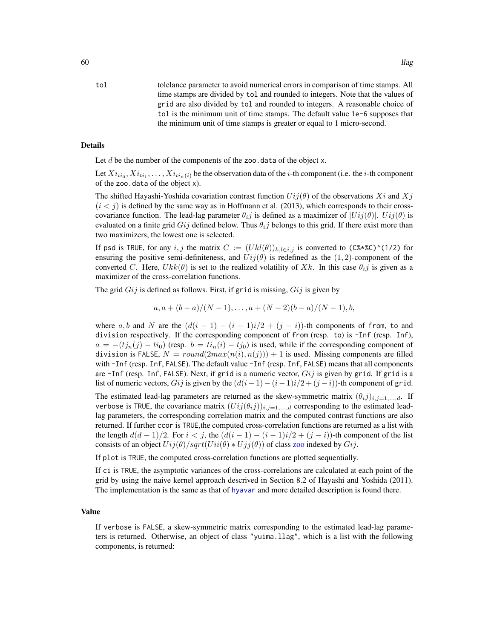## Details

Let  $d$  be the number of the components of the zoo.data of the object x.

Let  $Xi_{ti_0},Xi_{ti_1},\ldots,Xi_{ti_n(i)}$  be the observation data of the *i*-th component (i.e. the *i*-th component of the zoo.data of the object x).

The shifted Hayashi-Yoshida covariation contrast function  $Ui(i\theta)$  of the observations  $Xi$  and  $Xi$  $(i < j)$  is defined by the same way as in Hoffmann et al. (2013), which corresponds to their crosscovariance function. The lead-lag parameter  $\theta_{ij}$  is defined as a maximizer of  $|Uij(\theta)|$ .  $Uij(\theta)$  is evaluated on a finite grid  $Gij$  defined below. Thus  $\theta_{ij}$  belongs to this grid. If there exist more than two maximizers, the lowest one is selected.

If psd is TRUE, for any i, j the matrix  $C := (U k l(\theta))_{k,l \in i,j}$  is converted to (C%\*%C)^(1/2) for ensuring the positive semi-definiteness, and  $Uij(\theta)$  is redefined as the (1,2)-component of the converted C. Here,  $Ukk(\theta)$  is set to the realized volatility of Xk. In this case  $\theta_{i,j}$  is given as a maximizer of the cross-correlation functions.

The grid  $Gij$  is defined as follows. First, if grid is missing,  $Gij$  is given by

$$
a, a + (b - a)/(N - 1), \ldots, a + (N - 2)(b - a)/(N - 1), b,
$$

where a, b and N are the  $(d(i - 1) - (i - 1)i/2 + (j - i))$ -th components of from, to and division respectively. If the corresponding component of from (resp. to) is -Inf (resp. Inf),  $a = -(tj_n(j) - ti_0)$  (resp.  $b = ti_n(i) - tj_0$ ) is used, while if the corresponding component of division is FALSE,  $N = round(2max(n(i), n(j))) + 1$  is used. Missing components are filled with -Inf (resp. Inf, FALSE). The default value -Inf (resp. Inf, FALSE) means that all components are -Inf (resp. Inf, FALSE). Next, if grid is a numeric vector,  $Gij$  is given by grid. If grid is a list of numeric vectors, Gij is given by the  $(d(i - 1) - (i - 1)i/2 + (j - i))$ -th component of grid.

The estimated lead-lag parameters are returned as the skew-symmetric matrix  $(\theta_i j)_{i,j=1,\dots,d}$ . If verbose is TRUE, the covariance matrix  $(U_{ij}(\theta_{ij}))_{i,j=1,\dots,d}$  corresponding to the estimated leadlag parameters, the corresponding correlation matrix and the computed contrast functions are also returned. If further ccor is TRUE, the computed cross-correlation functions are returned as a list with the length  $d(d-1)/2$ . For  $i < j$ , the  $(d(i-1) - (i-1)i/2 + (j-i))$ -th component of the list consists of an object  $U_{ij}(\theta)/sqrt(U_{ii}(\theta) * U_{jj}(\theta))$  of class [zoo](#page-0-0) indexed by  $G_{ij}$ .

If plot is TRUE, the computed cross-correlation functions are plotted sequentially.

If ci is TRUE, the asymptotic variances of the cross-correlations are calculated at each point of the grid by using the naive kernel approach descrived in Section 8.2 of Hayashi and Yoshida (2011). The implementation is the same as that of [hyavar](#page-44-0) and more detailed description is found there.

## Value

If verbose is FALSE, a skew-symmetric matrix corresponding to the estimated lead-lag parameters is returned. Otherwise, an object of class "yuima.llag", which is a list with the following components, is returned: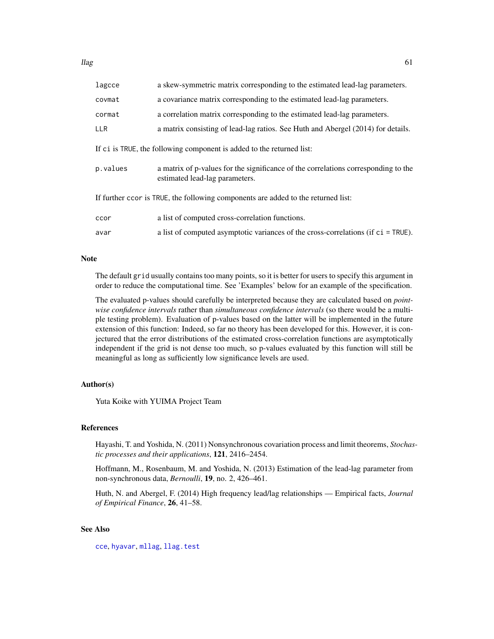| lagcce                                                                            | a skew-symmetric matrix corresponding to the estimated lead-lag parameters.                                          |  |
|-----------------------------------------------------------------------------------|----------------------------------------------------------------------------------------------------------------------|--|
| covmat                                                                            | a covariance matrix corresponding to the estimated lead-lag parameters.                                              |  |
| cormat                                                                            | a correlation matrix corresponding to the estimated lead-lag parameters.                                             |  |
| <b>LLR</b>                                                                        | a matrix consisting of lead-lag ratios. See Huth and Abergel (2014) for details.                                     |  |
| If ci is TRUE, the following component is added to the returned list:             |                                                                                                                      |  |
| p.values                                                                          | a matrix of p-values for the significance of the correlations corresponding to the<br>estimated lead-lag parameters. |  |
| If further ccor is TRUE, the following components are added to the returned list: |                                                                                                                      |  |
| ccor                                                                              | a list of computed cross-correlation functions.                                                                      |  |
| avar                                                                              | a list of computed asymptotic variances of the cross-correlations (if $ci = TRUE$ ).                                 |  |

#### Note

The default grid usually contains too many points, so it is better for users to specify this argument in order to reduce the computational time. See 'Examples' below for an example of the specification.

The evaluated p-values should carefully be interpreted because they are calculated based on *pointwise confidence intervals* rather than *simultaneous confidence intervals* (so there would be a multiple testing problem). Evaluation of p-values based on the latter will be implemented in the future extension of this function: Indeed, so far no theory has been developed for this. However, it is conjectured that the error distributions of the estimated cross-correlation functions are asymptotically independent if the grid is not dense too much, so p-values evaluated by this function will still be meaningful as long as sufficiently low significance levels are used.

# Author(s)

Yuta Koike with YUIMA Project Team

## References

Hayashi, T. and Yoshida, N. (2011) Nonsynchronous covariation process and limit theorems, *Stochastic processes and their applications*, 121, 2416–2454.

Hoffmann, M., Rosenbaum, M. and Yoshida, N. (2013) Estimation of the lead-lag parameter from non-synchronous data, *Bernoulli*, 19, no. 2, 426–461.

Huth, N. and Abergel, F. (2014) High frequency lead/lag relationships — Empirical facts, *Journal of Empirical Finance*, 26, 41–58.

# See Also

[cce](#page-12-0), [hyavar](#page-44-0), [mllag](#page-67-0), [llag.test](#page-62-0)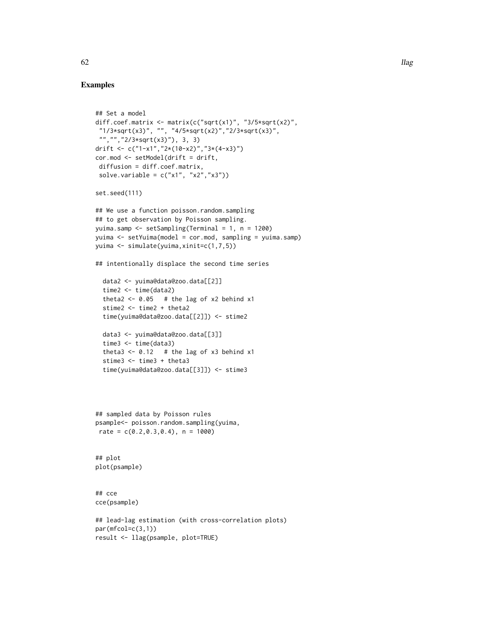## Examples

```
## Set a model
diff.coef.matrix <- matrix(c("sqrt(x1)", "3/5*sqrt(x2)",
 "1/3*sqrt(x3)", "", "4/5*sqrt(x2)","2/3*sqrt(x3)",
 "","","2/3*sqrt(x3)"), 3, 3)
drift <- c("1-x1","2*(10-x2)","3*(4-x3)")
cor.mod <- setModel(drift = drift,
 diffusion = diff.coef.matrix,
 solve.variable = c("x1", "x2", "x3"))set.seed(111)
## We use a function poisson.random.sampling
## to get observation by Poisson sampling.
yuima.samp <- setSampling(Terminal = 1, n = 1200)
yuima <- setYuima(model = cor.mod, sampling = yuima.samp)
yuima <- simulate(yuima,xinit=c(1,7,5))
## intentionally displace the second time series
  data2 <- yuima@data@zoo.data[[2]]
  time2 <- time(data2)
  theta2 <- 0.05 # the lag of x2 behind x1
  stime2 <- time2 + theta2
  time(yuima@data@zoo.data[[2]]) <- stime2
  data3 <- yuima@data@zoo.data[[3]]
  time3 <- time(data3)
  theta3 <- 0.12 # the lag of x3 behind x1
  stime3 <- time3 + theta3
  time(yuima@data@zoo.data[[3]]) <- stime3
## sampled data by Poisson rules
psample<- poisson.random.sampling(yuima,
rate = c(0.2, 0.3, 0.4), n = 1000)
## plot
plot(psample)
## cce
cce(psample)
## lead-lag estimation (with cross-correlation plots)
par(mfcol=c(3,1))
result <- llag(psample, plot=TRUE)
```
 $62$  llag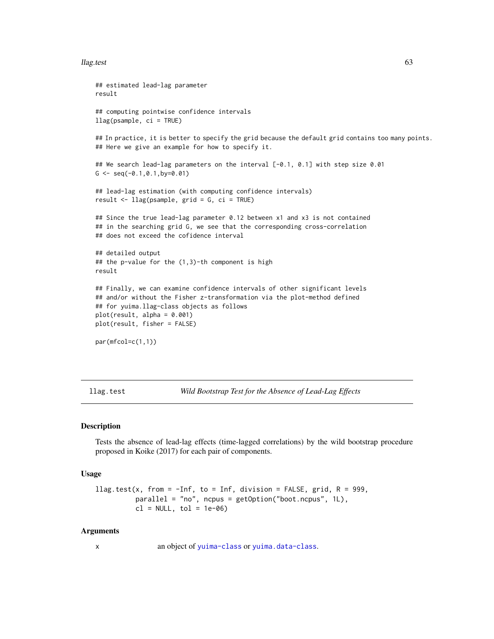#### llag.test 63

```
## estimated lead-lag parameter
result
## computing pointwise confidence intervals
llag(psample, ci = TRUE)
## In practice, it is better to specify the grid because the default grid contains too many points.
## Here we give an example for how to specify it.
## We search lead-lag parameters on the interval [-0.1, 0.1] with step size 0.01
G \leftarrow \text{seq}(-0.1, 0.1, \text{by=0.01})## lead-lag estimation (with computing confidence intervals)
result <- llag(psample, grid = G, ci = TRUE)
## Since the true lead-lag parameter 0.12 between x1 and x3 is not contained
## in the searching grid G, we see that the corresponding cross-correlation
## does not exceed the cofidence interval
## detailed output
## the p-value for the (1,3)-th component is high
result
## Finally, we can examine confidence intervals of other significant levels
## and/or without the Fisher z-transformation via the plot-method defined
## for yuima.llag-class objects as follows
plot(result, alpha = 0.001)plot(result, fisher = FALSE)
par(mfcol=c(1,1))
```
<span id="page-62-0"></span>llag.test *Wild Bootstrap Test for the Absence of Lead-Lag Effects*

# **Description**

Tests the absence of lead-lag effects (time-lagged correlations) by the wild bootstrap procedure proposed in Koike (2017) for each pair of components.

#### Usage

```
llag.test(x, from = -Inf, to = Inf, division = FALSE, grid, R = 999,
          parallel = "no", ncpus = getOption("boot.ncpus", 1L),
          cl = NULL, tol = 1e-06)
```
#### Arguments

x an object of [yuima-class](#page-141-0) or [yuima.data-class](#page-147-0).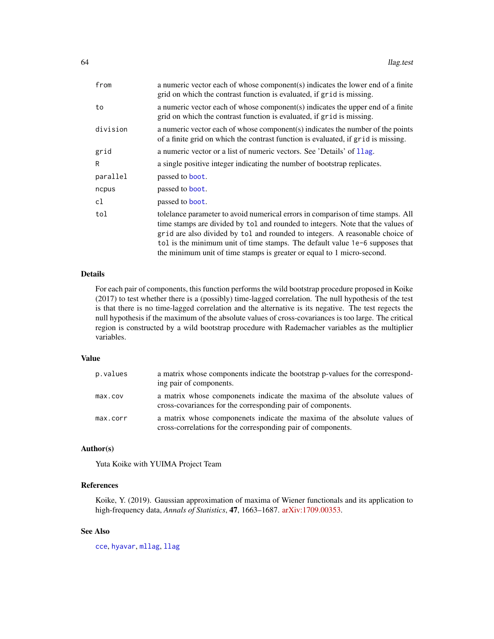| from     | a numeric vector each of whose component(s) indicates the lower end of a finite<br>grid on which the contrast function is evaluated, if grid is missing.                                                                                                                                                                                                                                                     |
|----------|--------------------------------------------------------------------------------------------------------------------------------------------------------------------------------------------------------------------------------------------------------------------------------------------------------------------------------------------------------------------------------------------------------------|
| to       | a numeric vector each of whose component(s) indicates the upper end of a finite<br>grid on which the contrast function is evaluated, if grid is missing.                                                                                                                                                                                                                                                     |
| division | a numeric vector each of whose component(s) indicates the number of the points<br>of a finite grid on which the contrast function is evaluated, if grid is missing.                                                                                                                                                                                                                                          |
| grid     | a numeric vector or a list of numeric vectors. See 'Details' of 11ag.                                                                                                                                                                                                                                                                                                                                        |
| R        | a single positive integer indicating the number of bootstrap replicates.                                                                                                                                                                                                                                                                                                                                     |
| parallel | passed to boot.                                                                                                                                                                                                                                                                                                                                                                                              |
| ncpus    | passed to <b>boot</b> .                                                                                                                                                                                                                                                                                                                                                                                      |
| cl       | passed to <b>boot</b> .                                                                                                                                                                                                                                                                                                                                                                                      |
| tol      | tolelance parameter to avoid numerical errors in comparison of time stamps. All<br>time stamps are divided by tol and rounded to integers. Note that the values of<br>grid are also divided by tol and rounded to integers. A reasonable choice of<br>tol is the minimum unit of time stamps. The default value 1e-6 supposes that<br>the minimum unit of time stamps is greater or equal to 1 micro-second. |

# Details

For each pair of components, this function performs the wild bootstrap procedure proposed in Koike (2017) to test whether there is a (possibly) time-lagged correlation. The null hypothesis of the test is that there is no time-lagged correlation and the alternative is its negative. The test regects the null hypothesis if the maximum of the absolute values of cross-covariances is too large. The critical region is constructed by a wild bootstrap procedure with Rademacher variables as the multiplier variables.

# Value

| p.values | a matrix whose components indicate the bootstrap p-values for the correspond-<br>ing pair of components.                                 |
|----------|------------------------------------------------------------------------------------------------------------------------------------------|
| max.cov  | a matrix whose componenets indicate the maxima of the absolute values of<br>cross-covariances for the corresponding pair of components.  |
| max.corr | a matrix whose componenets indicate the maxima of the absolute values of<br>cross-correlations for the corresponding pair of components. |

# Author(s)

Yuta Koike with YUIMA Project Team

# References

Koike, Y. (2019). Gaussian approximation of maxima of Wiener functionals and its application to high-frequency data, *Annals of Statistics*, 47, 1663–1687. [arXiv:1709.00353.](https://arxiv.org/abs/1709.00353)

# See Also

[cce](#page-12-0), [hyavar](#page-44-0), [mllag](#page-67-0), [llag](#page-58-0)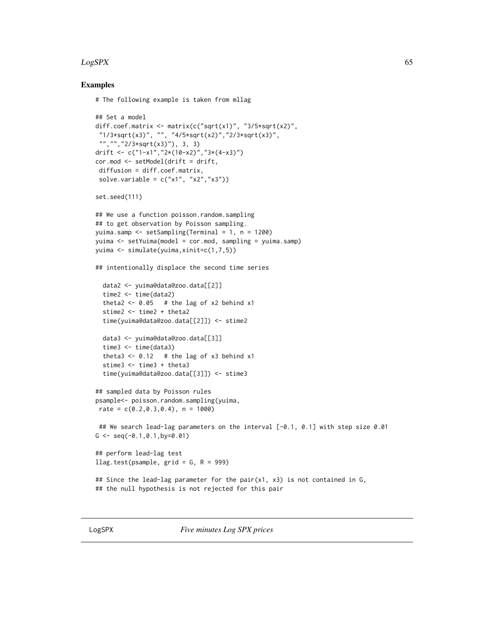## $LogSPX$  65

# Examples

## Set a model

```
# The following example is taken from mllag
```

```
diff.coef.matrix <- matrix(c("sqrt(x1)", "3/5*sqrt(x2)",
 "1/3*sqrt(x3)", "", "4/5*sqrt(x2)","2/3*sqrt(x3)",
 "","","2/3*sqrt(x3)"), 3, 3)
drift <- c("1-x1","2*(10-x2)","3*(4-x3)")
cor.mod <- setModel(drift = drift,
 diffusion = diff.coef.matrix,
 solve.variable = c("x1", "x2", "x3"))set.seed(111)
## We use a function poisson.random.sampling
## to get observation by Poisson sampling.
yuima.samp <- setSampling(Terminal = 1, n = 1200)
yuima <- setYuima(model = cor.mod, sampling = yuima.samp)
yuima <- simulate(yuima,xinit=c(1,7,5))
## intentionally displace the second time series
  data2 <- yuima@data@zoo.data[[2]]
  time2 <- time(data2)
  theta2 <- 0.05 # the lag of x2 behind x1
  stime2 <- time2 + theta2
  time(yuima@data@zoo.data[[2]]) <- stime2
  data3 <- yuima@data@zoo.data[[3]]
  time3 <- time(data3)
  theta3 <- 0.12 # the lag of x3 behind x1
  stime3 <- time3 + theta3
  time(yuima@data@zoo.data[[3]]) <- stime3
## sampled data by Poisson rules
psample<- poisson.random.sampling(yuima,
rate = c(0.2, 0.3, 0.4), n = 1000)
 ## We search lead-lag parameters on the interval [-0.1, 0.1] with step size 0.01
G \leq -\text{seq}(-0.1, 0.1, \text{by} = 0.01)## perform lead-lag test
llag.test(psample, grid = G, R = 999)
## Since the lead-lag parameter for the pair(x1, x3) is not contained in G,
## the null hypothesis is not rejected for this pair
```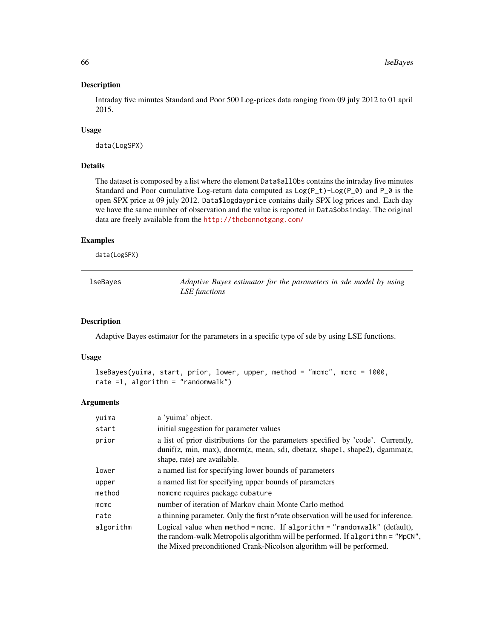## Description

Intraday five minutes Standard and Poor 500 Log-prices data ranging from 09 july 2012 to 01 april 2015.

## Usage

data(LogSPX)

## Details

The dataset is composed by a list where the element Data\$allObs contains the intraday five minutes Standard and Poor cumulative Log-return data computed as Log(P\_t)-Log(P\_0) and P\_0 is the open SPX price at 09 july 2012. Data\$logdayprice contains daily SPX log prices and. Each day we have the same number of observation and the value is reported in Data\$obsinday. The original data are freely available from the <http://thebonnotgang.com/>

#### Examples

data(LogSPX)

| lseBayes | Adaptive Bayes estimator for the parameters in sde model by using<br>LSE functions |
|----------|------------------------------------------------------------------------------------|
|          |                                                                                    |

#### Description

Adaptive Bayes estimator for the parameters in a specific type of sde by using LSE functions.

#### Usage

```
lseBayes(yuima, start, prior, lower, upper, method = "mcmc", mcmc = 1000,
rate =1, algorithm = "randomwalk")
```
#### Arguments

| yuima     | a 'yuima' object.                                                                                                                                                                                                                  |
|-----------|------------------------------------------------------------------------------------------------------------------------------------------------------------------------------------------------------------------------------------|
| start     | initial suggestion for parameter values                                                                                                                                                                                            |
| prior     | a list of prior distributions for the parameters specified by 'code'. Currently,<br>dunif(z, min, max), dnorm(z, mean, sd), dbeta(z, shape1, shape2), dgamma(z,<br>shape, rate) are available.                                     |
| lower     | a named list for specifying lower bounds of parameters                                                                                                                                                                             |
| upper     | a named list for specifying upper bounds of parameters                                                                                                                                                                             |
| method    | nomeme requires package cubature                                                                                                                                                                                                   |
| $m$ cmc   | number of iteration of Markov chain Monte Carlo method                                                                                                                                                                             |
| rate      | a thinning parameter. Only the first n^rate observation will be used for inference.                                                                                                                                                |
| algorithm | Logical value when method = mcmc. If algorithm = "randomwalk" (default),<br>the random-walk Metropolis algorithm will be performed. If algorithm = "MpCN",<br>the Mixed preconditioned Crank-Nicolson algorithm will be performed. |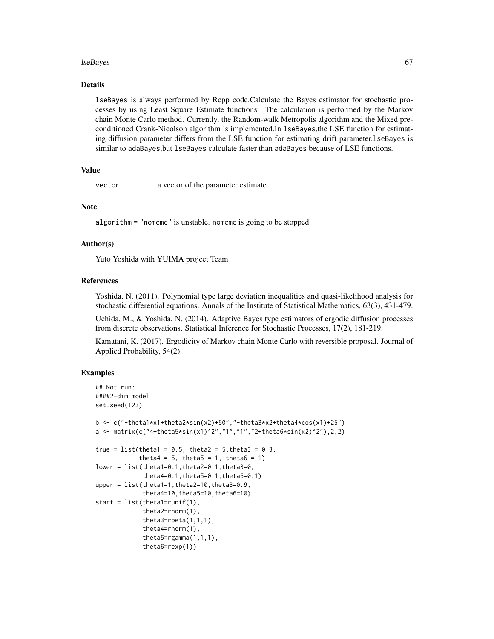#### lseBayes 67 and the set of the set of the set of the set of the set of the set of the set of the set of the set of the set of the set of the set of the set of the set of the set of the set of the set of the set of the set

# Details

lseBayes is always performed by Rcpp code.Calculate the Bayes estimator for stochastic processes by using Least Square Estimate functions. The calculation is performed by the Markov chain Monte Carlo method. Currently, the Random-walk Metropolis algorithm and the Mixed preconditioned Crank-Nicolson algorithm is implemented.In lseBayes,the LSE function for estimating diffusion parameter differs from the LSE function for estimating drift parameter.lseBayes is similar to adaBayes,but lseBayes calculate faster than adaBayes because of LSE functions.

## Value

vector a vector of the parameter estimate

## **Note**

algorithm = "nomcmc" is unstable. nomcmc is going to be stopped.

## Author(s)

Yuto Yoshida with YUIMA project Team

# References

Yoshida, N. (2011). Polynomial type large deviation inequalities and quasi-likelihood analysis for stochastic differential equations. Annals of the Institute of Statistical Mathematics, 63(3), 431-479.

Uchida, M., & Yoshida, N. (2014). Adaptive Bayes type estimators of ergodic diffusion processes from discrete observations. Statistical Inference for Stochastic Processes, 17(2), 181-219.

Kamatani, K. (2017). Ergodicity of Markov chain Monte Carlo with reversible proposal. Journal of Applied Probability, 54(2).

# Examples

```
## Not run:
####2-dim model
set.seed(123)
b <- c("-theta1*x1+theta2*sin(x2)+50","-theta3*x2+theta4*cos(x1)+25")
a <- matrix(c("4+theta5*sin(x1)^2","1","1","2+theta6*sin(x2)^2"),2,2)
true = list(theta1 = 0.5, theta2 = 5, theta3 = 0.3,
            theta4 = 5, theta5 = 1, theta6 = 1)
lower = list(theta1=0.1,theta2=0.1,theta3=0,
             theta4=0.1,theta5=0.1,theta6=0.1)
upper = list(thetal=1,theta2=10,theta3=0.9,theta4=10,theta5=10,theta6=10)
start = list(theta1=runif(1),
             theta2=rnorm(1),
             theta3=rbeta(1,1,1),
             theta4=rnorm(1),
             theta5=rgamma(1,1,1),
             theta6=rexp(1))
```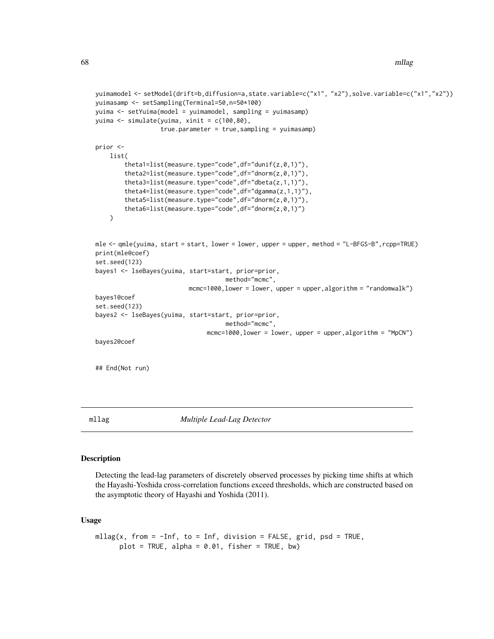```
yuimamodel <- setModel(drift=b,diffusion=a,state.variable=c("x1", "x2"),solve.variable=c("x1","x2"))
yuimasamp <- setSampling(Terminal=50,n=50*100)
yuima <- setYuima(model = yuimamodel, sampling = yuimasamp)
yuima <- simulate(yuima, xinit = c(100,80),
                  true.parameter = true,sampling = yuimasamp)
prior <-
   list(
        theta1=list(measure.type="code",df="dunif(z,0,1)"),
        theta2=list(measure.type="code",df="dnorm(z,0,1)"),
        theta3=list(measure.type="code",df="dbeta(z,1,1)"),
        theta4=list(measure.type="code",df="dgamma(z,1,1)"),
        theta5=list(measure.type="code",df="dnorm(z,0,1)"),
        theta6=list(measure.type="code",df="dnorm(z,0,1)")
    )
mle <- qmle(yuima, start = start, lower = lower, upper = upper, method = "L-BFGS-B",rcpp=TRUE)
print(mle@coef)
set.seed(123)
bayes1 <- lseBayes(yuima, start=start, prior=prior,
                                    method="mcmc",
                          mcmc=1000,lower = lower, upper = upper,algorithm = "randomwalk")
bayes1@coef
set.seed(123)
bayes2 <- lseBayes(yuima, start=start, prior=prior,
                                    method="mcmc",
                               mcmc=1000,lower = lower, upper = upper,algorithm = "MpCN")
bayes2@coef
## End(Not run)
```
<span id="page-67-0"></span>mllag *Multiple Lead-Lag Detector*

## Description

Detecting the lead-lag parameters of discretely observed processes by picking time shifts at which the Hayashi-Yoshida cross-correlation functions exceed thresholds, which are constructed based on the asymptotic theory of Hayashi and Yoshida (2011).

## Usage

```
mllag(x, from = -Inf, to = Inf, division = FALSE, grid, psd = TRUE,plot = TRUE, alpha = 0.01, fisher = TRUE, bw)
```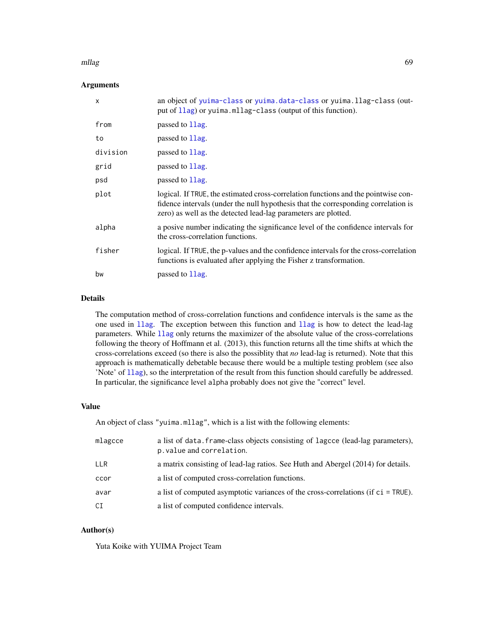#### mllag 69

# Arguments

| $\mathsf{x}$ | an object of yuima-class or yuima.data-class or yuima.llag-class (out-<br>put of 11ag) or yuima.mllag-class (output of this function).                                                                                                     |  |
|--------------|--------------------------------------------------------------------------------------------------------------------------------------------------------------------------------------------------------------------------------------------|--|
| from         | passed to 1 lag.                                                                                                                                                                                                                           |  |
| to           | passed to 1 lag.                                                                                                                                                                                                                           |  |
| division     | passed to 1 lag.                                                                                                                                                                                                                           |  |
| grid         | passed to 1 lag.                                                                                                                                                                                                                           |  |
| psd          | passed to 1 lag.                                                                                                                                                                                                                           |  |
| plot         | logical. If TRUE, the estimated cross-correlation functions and the pointwise con-<br>fidence intervals (under the null hypothesis that the corresponding correlation is<br>zero) as well as the detected lead-lag parameters are plotted. |  |
| alpha        | a posive number indicating the significance level of the confidence intervals for<br>the cross-correlation functions.                                                                                                                      |  |
| fisher       | logical. If TRUE, the p-values and the confidence intervals for the cross-correlation<br>functions is evaluated after applying the Fisher z transformation.                                                                                |  |
| bw           | passed to 1 lag.                                                                                                                                                                                                                           |  |

# Details

The computation method of cross-correlation functions and confidence intervals is the same as the one used in [llag](#page-58-0). The exception between this function and [llag](#page-58-0) is how to detect the lead-lag parameters. While [llag](#page-58-0) only returns the maximizer of the absolute value of the cross-correlations following the theory of Hoffmann et al. (2013), this function returns all the time shifts at which the cross-correlations exceed (so there is also the possiblity that *no* lead-lag is returned). Note that this approach is mathematically debetable because there would be a multiple testing problem (see also 'Note' of [llag](#page-58-0)), so the interpretation of the result from this function should carefully be addressed. In particular, the significance level alpha probably does not give the "correct" level.

#### Value

An object of class "yuima.mllag", which is a list with the following elements:

| mlagcce | a list of data. frame-class objects consisting of lagcce (lead-lag parameters),<br>p. value and correlation. |
|---------|--------------------------------------------------------------------------------------------------------------|
| LLR     | a matrix consisting of lead-lag ratios. See Huth and Abergel (2014) for details.                             |
| ccor    | a list of computed cross-correlation functions.                                                              |
| avar    | a list of computed asymptotic variances of the cross-correlations (if $ci = TRUE$ ).                         |
| СI      | a list of computed confidence intervals.                                                                     |

## Author(s)

Yuta Koike with YUIMA Project Team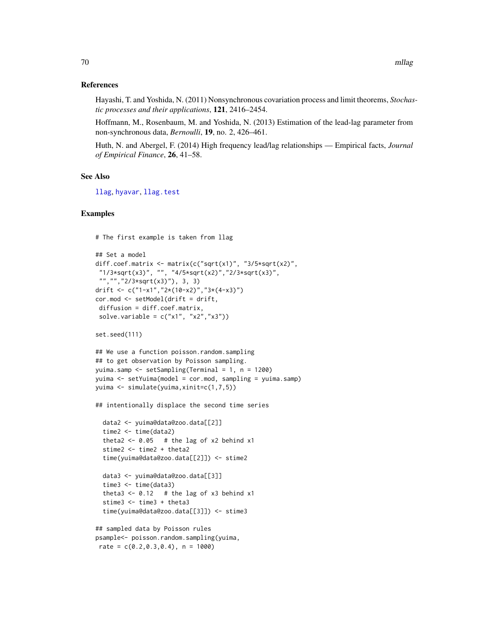#### References

Hayashi, T. and Yoshida, N. (2011) Nonsynchronous covariation process and limit theorems, *Stochastic processes and their applications*, 121, 2416–2454.

Hoffmann, M., Rosenbaum, M. and Yoshida, N. (2013) Estimation of the lead-lag parameter from non-synchronous data, *Bernoulli*, 19, no. 2, 426–461.

Huth, N. and Abergel, F. (2014) High frequency lead/lag relationships — Empirical facts, *Journal of Empirical Finance*, 26, 41–58.

## See Also

[llag](#page-58-0), [hyavar](#page-44-0), [llag.test](#page-62-0)

## Examples

# The first example is taken from llag

```
## Set a model
diff.coef.matrix <- matrix(c("sqrt(x1)", "3/5*sqrt(x2)",
"1/3*sqrt(x3)", "", "4/5*sqrt(x2)","2/3*sqrt(x3)",
"","","2/3*sqrt(x3)"), 3, 3)
drift <- c("1-x1","2*(10-x2)","3*(4-x3)")
cor.mod <- setModel(drift = drift,
diffusion = diff.coef.matrix,
solve.variable = c("x1", "x2", "x3"))set.seed(111)
## We use a function poisson.random.sampling
```

```
## to get observation by Poisson sampling.
yuima.samp <- setSampling(Terminal = 1, n = 1200)
yuima <- setYuima(model = cor.mod, sampling = yuima.samp)
yuima <- simulate(yuima,xinit=c(1,7,5))
```
## intentionally displace the second time series

```
data2 <- yuima@data@zoo.data[[2]]
time2 <- time(data2)
theta2 <- 0.05 # the lag of x2 behind x1
stime2 <- time2 + theta2
time(yuima@data@zoo.data[[2]]) <- stime2
```

```
data3 <- yuima@data@zoo.data[[3]]
time3 <- time(data3)
theta3 <- 0.12 # the lag of x3 behind x1
stime3 <- time3 + theta3
time(yuima@data@zoo.data[[3]]) <- stime3
```

```
## sampled data by Poisson rules
psample<- poisson.random.sampling(yuima,
rate = c(0.2, 0.3, 0.4), n = 1000)
```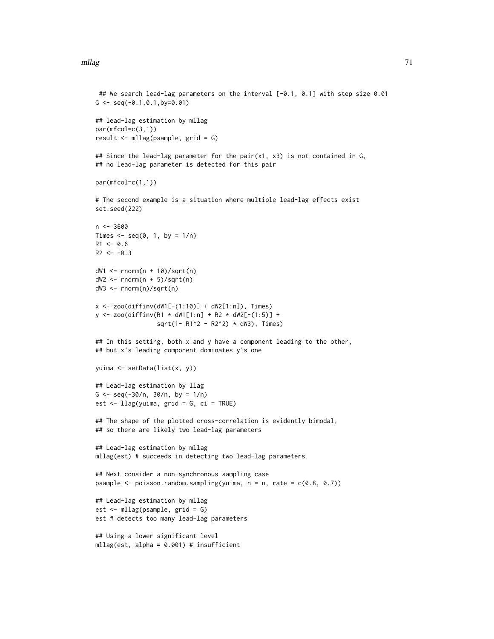#### mllag 2008 and 2009 and 2009 and 2009 and 2009 and 2009 and 2009 and 2009 and 2009 and 2009 and 2009 and 2009

```
## We search lead-lag parameters on the interval [-0.1, 0.1] with step size 0.01
G \leq -\text{seq}(-0.1, 0.1, \text{by} = 0.01)## lead-lag estimation by mllag
par(mfcol=c(3,1))
result <- mllag(psample, grid = G)
## Since the lead-lag parameter for the pair(x1, x3) is not contained in G,
## no lead-lag parameter is detected for this pair
par(mfcol=c(1,1))
# The second example is a situation where multiple lead-lag effects exist
set.seed(222)
n < -3600Times \leq seq(0, 1, by = 1/n)
R1 < -0.6R2 < -0.3dW1 \leq rnorm(n + 10)/sqrt(n)
dW2 \leq -rnorm(n + 5)/sqrt(n)dW3 <- rnorm(n)/sqrt(n)
x \le - zoo(diffinv(dW1[-(1:10)] + dW2[1:n]), Times)
y \le - zoo(diffinv(R1 \star dW1[1:n] + R2 \star dW2[-(1:5)] +
                 sqrt(1- R1^2 - R2^2) * dW3), Times)
## In this setting, both x and y have a component leading to the other,
## but x's leading component dominates y's one
yuima <- setData(list(x, y))
## Lead-lag estimation by llag
G \leq -\text{seq}(-30/n, 30/n, \text{ by } = 1/n)est \le llag(yuima, grid = G, ci = TRUE)
## The shape of the plotted cross-correlation is evidently bimodal,
## so there are likely two lead-lag parameters
## Lead-lag estimation by mllag
mllag(est) # succeeds in detecting two lead-lag parameters
## Next consider a non-synchronous sampling case
psample \leq poisson.random.sampling(yuima, n = n, rate = c(0.8, 0.7))
## Lead-lag estimation by mllag
est <- mllag(psample, grid = G)
est # detects too many lead-lag parameters
## Using a lower significant level
mllag(est, alpha = 0.001) # insufficient
```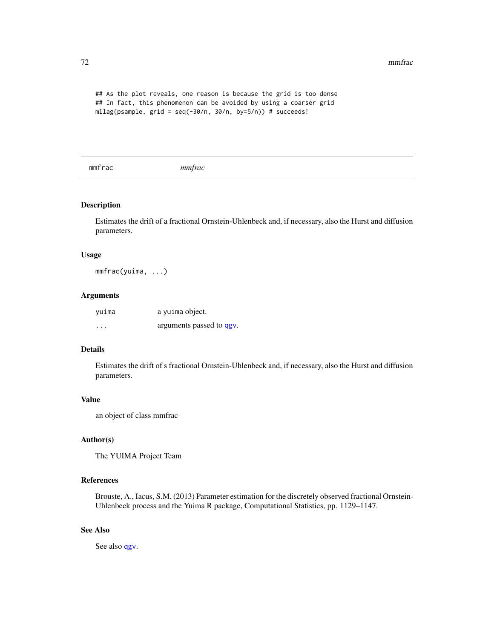## As the plot reveals, one reason is because the grid is too dense ## In fact, this phenomenon can be avoided by using a coarser grid mllag(psample, grid = seq(-30/n, 30/n, by=5/n)) # succeeds!

mmfrac *mmfrac*

# Description

Estimates the drift of a fractional Ornstein-Uhlenbeck and, if necessary, also the Hurst and diffusion parameters.

#### Usage

mmfrac(yuima, ...)

## Arguments

| yuima    | a yuima object.          |
|----------|--------------------------|
| $\cdots$ | arguments passed to qgv. |

## Details

Estimates the drift of s fractional Ornstein-Uhlenbeck and, if necessary, also the Hurst and diffusion parameters.

## Value

an object of class mmfrac

## Author(s)

The YUIMA Project Team

# References

Brouste, A., Iacus, S.M. (2013) Parameter estimation for the discretely observed fractional Ornstein-Uhlenbeck process and the Yuima R package, Computational Statistics, pp. 1129–1147.

# See Also

See also [qgv](#page-81-0).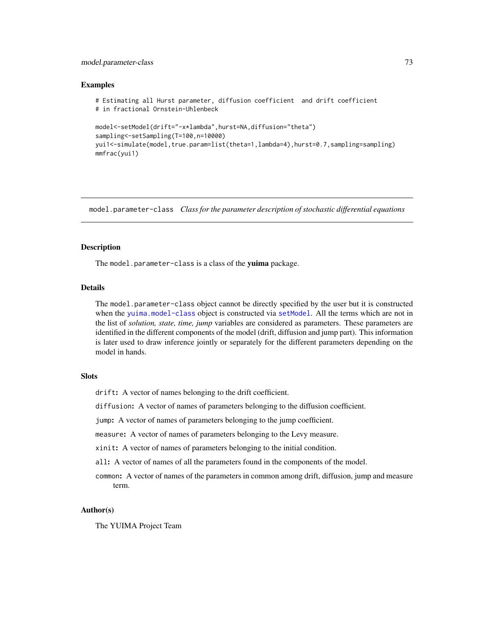# model.parameter-class 73

## Examples

```
# Estimating all Hurst parameter, diffusion coefficient and drift coefficient
# in fractional Ornstein-Uhlenbeck
model<-setModel(drift="-x*lambda",hurst=NA,diffusion="theta")
sampling<-setSampling(T=100,n=10000)
yui1<-simulate(model,true.param=list(theta=1,lambda=4),hurst=0.7,sampling=sampling)
mmfrac(yui1)
```
model.parameter-class *Class for the parameter description of stochastic differential equations*

# Description

The model.parameter-class is a class of the yuima package.

# Details

The model.parameter-class object cannot be directly specified by the user but it is constructed when the [yuima.model-class](#page-152-0) object is constructed via [setModel](#page-113-0). All the terms which are not in the list of *solution, state, time, jump* variables are considered as parameters. These parameters are identified in the different components of the model (drift, diffusion and jump part). This information is later used to draw inference jointly or separately for the different parameters depending on the model in hands.

## **Slots**

drift: A vector of names belonging to the drift coefficient.

diffusion: A vector of names of parameters belonging to the diffusion coefficient.

jump: A vector of names of parameters belonging to the jump coefficient.

measure: A vector of names of parameters belonging to the Levy measure.

xinit: A vector of names of parameters belonging to the initial condition.

all: A vector of names of all the parameters found in the components of the model.

common: A vector of names of the parameters in common among drift, diffusion, jump and measure term.

# Author(s)

The YUIMA Project Team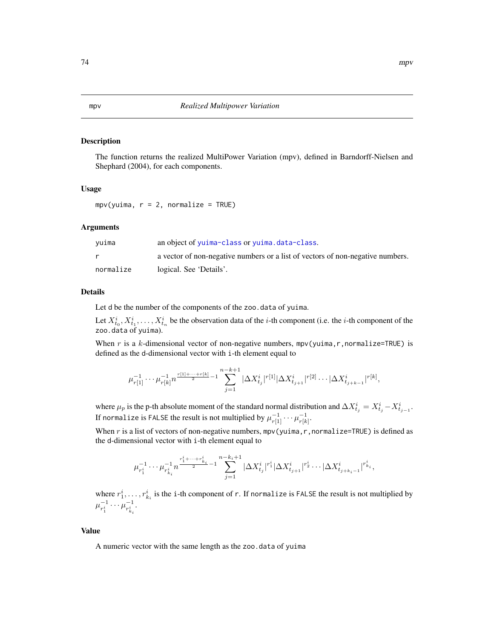# Description

The function returns the realized MultiPower Variation (mpv), defined in Barndorff-Nielsen and Shephard (2004), for each components.

#### Usage

 $mpv(yuima, r = 2, normalize = TRUE)$ 

## Arguments

| vuima     | an object of yuima-class or yuima.data-class.                                  |
|-----------|--------------------------------------------------------------------------------|
|           | a vector of non-negative numbers or a list of vectors of non-negative numbers. |
| normalize | logical. See 'Details'.                                                        |

## Details

Let d be the number of the components of the zoo.data of yuima.

Let  $X_{t_0}^i, X_{t_1}^i, \ldots, X_{t_n}^i$  be the observation data of the *i*-th component (i.e. the *i*-th component of the zoo.data of yuima).

When r is a k-dimensional vector of non-negative numbers,  $mpv(yuima, r, normalize=TRUE)$  is defined as the d-dimensional vector with i-th element equal to

$$
\mu_{r[1]}^{-1}\cdots \mu_{r[k]}^{-1}n^{\frac{r[1]+\cdots+r[k]}{2}-1}\sum_{j=1}^{n-k+1}|\Delta X^i_{t_j}|^{r[1]}|\Delta X^i_{t_{j+1}}|^{r[2]}\cdots |\Delta X^i_{t_{j+k-1}}|^{r[k]},
$$

where  $\mu_p$  is the p-th absolute moment of the standard normal distribution and  $\Delta X^i_{t_j} = X^i_{t_j} - X^i_{t_{j-1}}$ . If normalize is <code>FALSE</code> the result is not multiplied by  $\mu_{r[1]}^{-1} \cdots \mu_{r[k]}^{-1}.$ 

When r is a list of vectors of non-negative numbers,  $mpv$  (yuima, r, normalize=TRUE) is defined as the d-dimensional vector with i-th element equal to

$$
\mu_{r_1^i}^{-1} \cdots \mu_{r_{k_i}^i}^{-1} n^{\frac{r_1^i + \cdots + r_{k_i}^i}{2} - 1} \sum_{j=1}^{n-k_i+1} |\Delta X^i_{t_j}|^{r_1^i} |\Delta X^i_{t_{j+1}}|^{r_2^i} \cdots |\Delta X^i_{t_{j+k_i-1}}|^{r_{k_i}^i},
$$

where  $r_1^i, \ldots, r_{k_i}^i$  is the i-th component of r. If normalize is FALSE the result is not multiplied by  $\mu_{n^i}^{-1}$  $r_1^{-1} \cdots \mu_{r_{k_i}}^{-1}$  $\frac{-1}{r_{k_i}^i}$ .

#### Value

A numeric vector with the same length as the zoo.data of yuima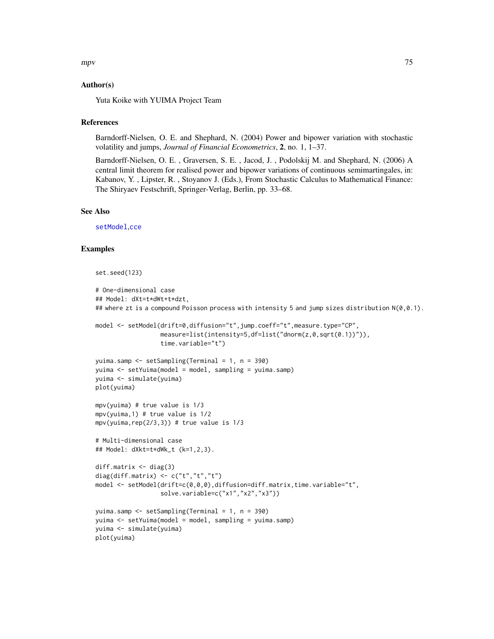$mpv$  and the contract of the contract of the contract of the contract of the contract of the contract of the contract of the contract of the contract of the contract of the contract of the contract of the contract of the

# Author(s)

Yuta Koike with YUIMA Project Team

# **References**

Barndorff-Nielsen, O. E. and Shephard, N. (2004) Power and bipower variation with stochastic volatility and jumps, *Journal of Financial Econometrics*, 2, no. 1, 1–37.

Barndorff-Nielsen, O. E. , Graversen, S. E. , Jacod, J. , Podolskij M. and Shephard, N. (2006) A central limit theorem for realised power and bipower variations of continuous semimartingales, in: Kabanov, Y. , Lipster, R. , Stoyanov J. (Eds.), From Stochastic Calculus to Mathematical Finance: The Shiryaev Festschrift, Springer-Verlag, Berlin, pp. 33–68.

# See Also

[setModel](#page-113-0),[cce](#page-12-0)

```
set.seed(123)
# One-dimensional case
## Model: dXt=t*dWt+t*dzt,
## where zt is a compound Poisson process with intensity 5 and jump sizes distribution N(\emptyset, 0.1).
model <- setModel(drift=0,diffusion="t",jump.coeff="t",measure.type="CP",
                  measure=list(intensity=5,df=list("dnorm(z,0,sqrt(0.1))")),
                  time.variable="t")
yuima.samp <- setSampling(Terminal = 1, n = 390)
yuima <- setYuima(model = model, sampling = yuima.samp)
yuima <- simulate(yuima)
plot(yuima)
mpv(yuima) # true value is 1/3
mpv(yuima,1) # true value is 1/2
mpv(yuima, rep(2/3,3)) # true value is 1/3# Multi-dimensional case
## Model: dXkt=t*dWk_t (k=1,2,3).
diff.matrix <- diag(3)
diag(diff.matrix) <- c("t","t","t")
model <- setModel(drift=c(0,0,0),diffusion=diff.matrix,time.variable="t",
                  solve.variable=c("x1","x2","x3"))
yuima.samp <- setSampling(Terminal = 1, n = 390)
yuima <- setYuima(model = model, sampling = yuima.samp)
yuima <- simulate(yuima)
plot(yuima)
```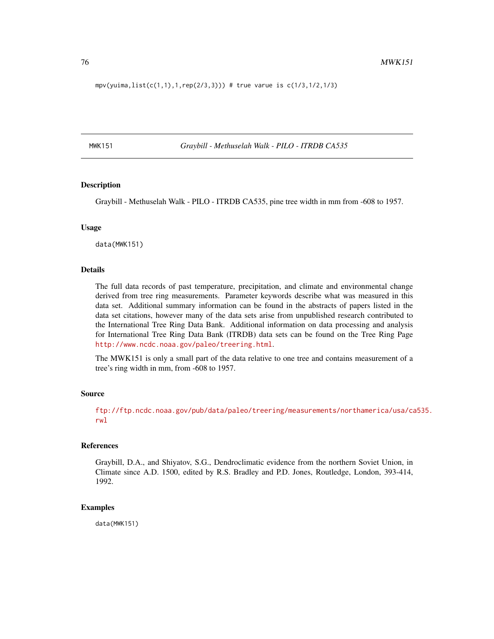$mpv(yuima,list(c(1,1),1,rep(2/3,3)))$  # true varue is  $c(1/3,1/2,1/3)$ 

MWK151 *Graybill - Methuselah Walk - PILO - ITRDB CA535*

#### Description

Graybill - Methuselah Walk - PILO - ITRDB CA535, pine tree width in mm from -608 to 1957.

#### Usage

data(MWK151)

## Details

The full data records of past temperature, precipitation, and climate and environmental change derived from tree ring measurements. Parameter keywords describe what was measured in this data set. Additional summary information can be found in the abstracts of papers listed in the data set citations, however many of the data sets arise from unpublished research contributed to the International Tree Ring Data Bank. Additional information on data processing and analysis for International Tree Ring Data Bank (ITRDB) data sets can be found on the Tree Ring Page <http://www.ncdc.noaa.gov/paleo/treering.html>.

The MWK151 is only a small part of the data relative to one tree and contains measurement of a tree's ring width in mm, from -608 to 1957.

## Source

[ftp://ftp.ncdc.noaa.gov/pub/data/paleo/treering/measurements/northamerica/usa/ca](ftp://ftp.ncdc.noaa.gov/pub/data/paleo/treering/measurements/northamerica/usa/ca535.rwl)535. [rwl](ftp://ftp.ncdc.noaa.gov/pub/data/paleo/treering/measurements/northamerica/usa/ca535.rwl)

#### References

Graybill, D.A., and Shiyatov, S.G., Dendroclimatic evidence from the northern Soviet Union, in Climate since A.D. 1500, edited by R.S. Bradley and P.D. Jones, Routledge, London, 393-414, 1992.

#### Examples

data(MWK151)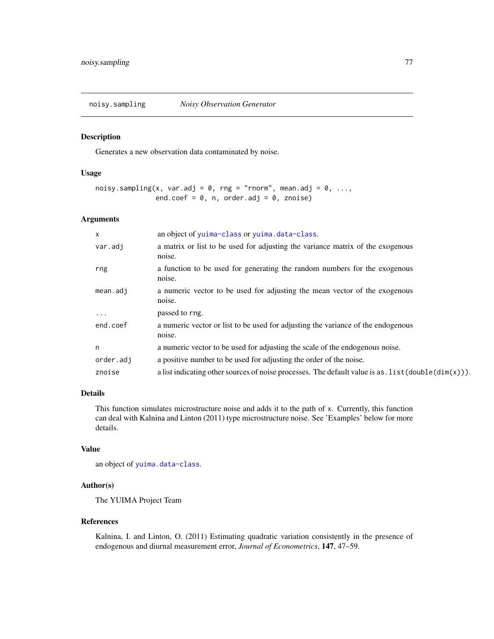noisy.sampling *Noisy Observation Generator*

## Description

Generates a new observation data contaminated by noise.

# Usage

```
noisy.sampling(x, var.adj = 0, rng = "rnorm", mean.adj = 0, ...,
               end.coef = 0, n, order.adj = 0, znoise)
```
# Arguments

| X         | an object of yuima-class or yuima.data-class.                                                          |
|-----------|--------------------------------------------------------------------------------------------------------|
| var.adj   | a matrix or list to be used for adjusting the variance matrix of the exogenous<br>noise.               |
| rng       | a function to be used for generating the random numbers for the exogenous<br>noise.                    |
| mean.add  | a numeric vector to be used for adjusting the mean vector of the exogenous<br>noise.                   |
| $\cdots$  | passed to rng.                                                                                         |
| end.coef  | a numeric vector or list to be used for adjusting the variance of the endogenous<br>noise.             |
| n         | a numeric vector to be used for adjusting the scale of the endogenous noise.                           |
| order.adj | a positive number to be used for adjusting the order of the noise.                                     |
| znoise    | a list indicating other sources of noise processes. The default value is as $.$ list (double(dim(x))). |

# Details

This function simulates microstructure noise and adds it to the path of x. Currently, this function can deal with Kalnina and Linton (2011) type microstructure noise. See 'Examples' below for more details.

# Value

an object of [yuima.data-class](#page-147-0).

## Author(s)

The YUIMA Project Team

## References

Kalnina, I. and Linton, O. (2011) Estimating quadratic variation consistently in the presence of endogenous and diurnal measurement error, *Journal of Econometrics*, 147, 47–59.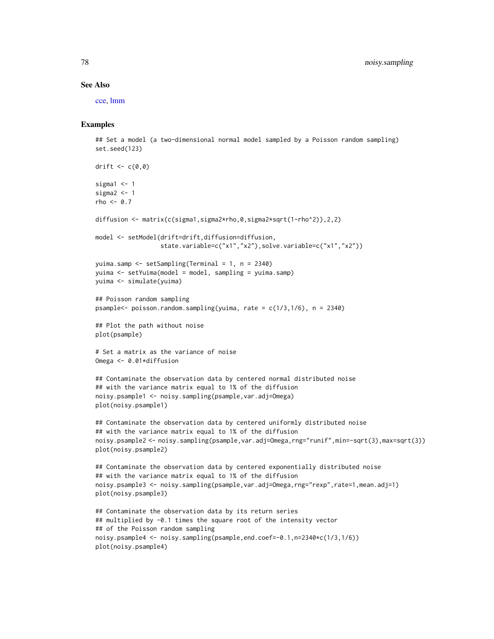#### See Also

[cce,](#page-12-0) [lmm](#page-133-0)

```
## Set a model (a two-dimensional normal model sampled by a Poisson random sampling)
set.seed(123)
```

```
drift \leq c(0,0)sigma1 < -1sigma2 < -1rho <- 0.7
diffusion <- matrix(c(sigma1,sigma2*rho,0,sigma2*sqrt(1-rho^2)),2,2)
model <- setModel(drift=drift,diffusion=diffusion,
                  state.variable=c("x1","x2"),solve.variable=c("x1","x2"))
yuima.samp <- setSampling(Terminal = 1, n = 2340)
yuima <- setYuima(model = model, sampling = yuima.samp)
yuima <- simulate(yuima)
## Poisson random sampling
psample<- poisson.random.sampling(yuima, rate = c(1/3,1/6), n = 2340)
## Plot the path without noise
plot(psample)
# Set a matrix as the variance of noise
Omega <- 0.01*diffusion
## Contaminate the observation data by centered normal distributed noise
## with the variance matrix equal to 1% of the diffusion
noisy.psample1 <- noisy.sampling(psample,var.adj=Omega)
plot(noisy.psample1)
## Contaminate the observation data by centered uniformly distributed noise
## with the variance matrix equal to 1% of the diffusion
noisy.psample2 <- noisy.sampling(psample,var.adj=Omega,rng="runif",min=-sqrt(3),max=sqrt(3))
plot(noisy.psample2)
## Contaminate the observation data by centered exponentially distributed noise
## with the variance matrix equal to 1% of the diffusion
noisy.psample3 <- noisy.sampling(psample,var.adj=Omega,rng="rexp",rate=1,mean.adj=1)
plot(noisy.psample3)
## Contaminate the observation data by its return series
## multiplied by -0.1 times the square root of the intensity vector
## of the Poisson random sampling
noisy.psample4 <- noisy.sampling(psample,end.coef=-0.1,n=2340*c(1/3,1/6))
plot(noisy.psample4)
```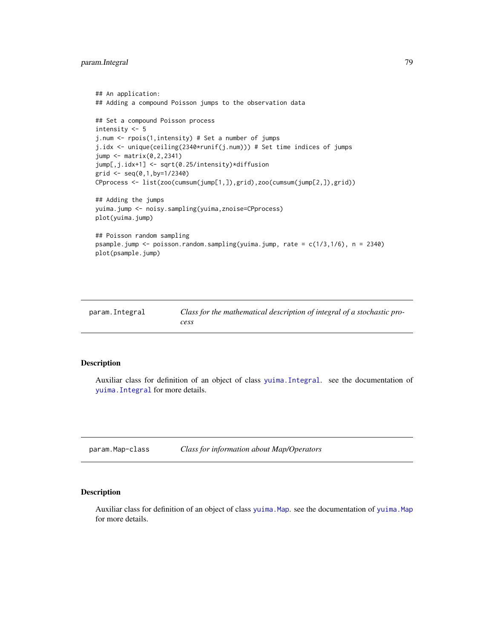# param.Integral 79

```
## An application:
## Adding a compound Poisson jumps to the observation data
## Set a compound Poisson process
intensity <- 5
j.num <- rpois(1,intensity) # Set a number of jumps
j.idx <- unique(ceiling(2340*runif(j.num))) # Set time indices of jumps
jump <- matrix(0,2,2341)
jump[,j.idx+1] <- sqrt(0.25/intensity)*diffusion
grid \leq seq(0,1,by=1/2340)CPprocess <- list(zoo(cumsum(jump[1,]),grid),zoo(cumsum(jump[2,]),grid))
## Adding the jumps
yuima.jump <- noisy.sampling(yuima,znoise=CPprocess)
plot(yuima.jump)
## Poisson random sampling
psample.jump <- poisson.random.sampling(yuima.jump, rate = c(1/3,1/6), n = 2340)
plot(psample.jump)
```

| param.Integral | Class for the mathematical description of integral of a stochastic pro- |
|----------------|-------------------------------------------------------------------------|
|                | cess                                                                    |

# Description

Auxiliar class for definition of an object of class [yuima.Integral](#page-149-0). see the documentation of [yuima.Integral](#page-149-0) for more details.

param.Map-class *Class for information about Map/Operators*

# Description

Auxiliar class for definition of an object of class [yuima.Map](#page-151-0). see the documentation of [yuima.Map](#page-151-0) for more details.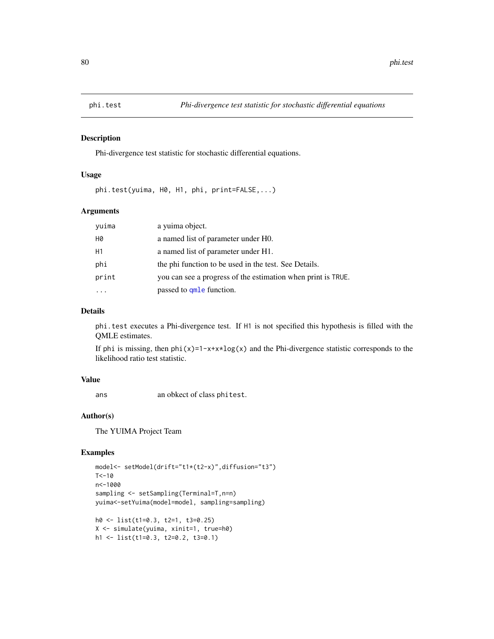## Description

Phi-divergence test statistic for stochastic differential equations.

## Usage

phi.test(yuima, H0, H1, phi, print=FALSE,...)

## Arguments

| yuima | a vuima object.                                              |
|-------|--------------------------------------------------------------|
| Н0    | a named list of parameter under H0.                          |
| H1    | a named list of parameter under H1.                          |
| phi   | the phi function to be used in the test. See Details.        |
| print | you can see a progress of the estimation when print is TRUE. |
|       | passed to qmle function.                                     |

# Details

phi.test executes a Phi-divergence test. If H1 is not specified this hypothesis is filled with the QMLE estimates.

If phi is missing, then  $phi(x)=1-x+x\times log(x)$  and the Phi-divergence statistic corresponds to the likelihood ratio test statistic.

# Value

ans an obkect of class phitest.

## Author(s)

The YUIMA Project Team

```
model<- setModel(drift="t1*(t2-x)",diffusion="t3")
T < -10n<-1000
sampling <- setSampling(Terminal=T,n=n)
yuima<-setYuima(model=model, sampling=sampling)
h0 <- list(t1=0.3, t2=1, t3=0.25)
X <- simulate(yuima, xinit=1, true=h0)
```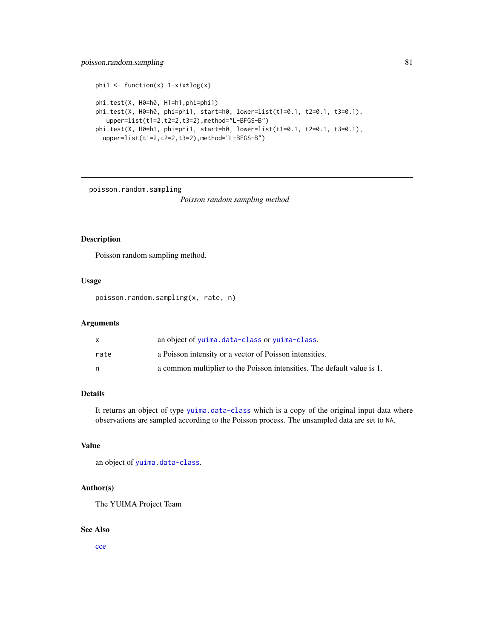# poisson.random.sampling 81

```
phi1 \leftarrow function(x) 1-x+x*log(x)phi.test(X, H0=h0, H1=h1,phi=phi1)
phi.test(X, H0=h0, phi=phi1, start=h0, lower=list(t1=0.1, t2=0.1, t3=0.1),
  upper=list(t1=2,t2=2,t3=2),method="L-BFGS-B")
phi.test(X, H0=h1, phi=phi1, start=h0, lower=list(t1=0.1, t2=0.1, t3=0.1),
  upper=list(t1=2,t2=2,t3=2),method="L-BFGS-B")
```
poisson.random.sampling

*Poisson random sampling method*

# Description

Poisson random sampling method.

## Usage

poisson.random.sampling(x, rate, n)

# Arguments

|      | an object of yuima.data-class or yuima-class.                           |
|------|-------------------------------------------------------------------------|
| rate | a Poisson intensity or a vector of Poisson intensities.                 |
| n    | a common multiplier to the Poisson intensities. The default value is 1. |

# Details

It returns an object of type [yuima.data-class](#page-147-0) which is a copy of the original input data where observations are sampled according to the Poisson process. The unsampled data are set to NA.

# Value

an object of [yuima.data-class](#page-147-0).

## Author(s)

The YUIMA Project Team

#### See Also

[cce](#page-12-0)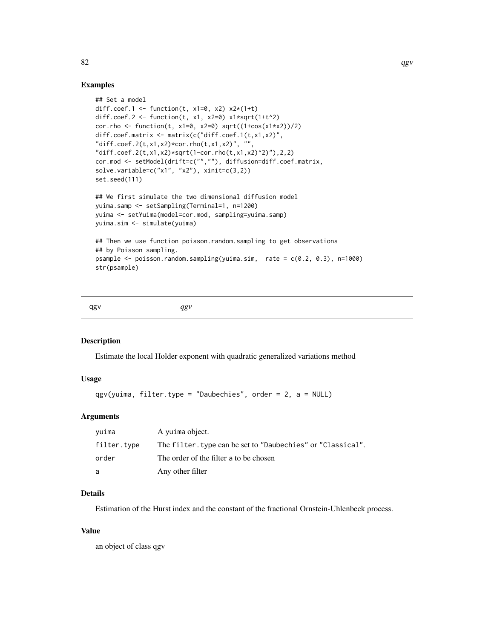## Examples

```
## Set a model
diff.coef.1 <- function(t, x1=0, x2) x2*(1+t)diff.coef.2 <- function(t, x1, x2=0) x1*sqrt(1+t^2)cor.rho <- function(t, x1=0, x2=0) sqrt((1+cos(x1+x2))/2)diff.coef.matrix <- matrix(c("diff.coef.1(t,x1,x2)",
"diff.coef.2(t,x1,x2)*cor.rho(t,x1,x2)", ""
"diff.coef.2(t,x1,x2)*sqrt(1-cor.rho(t,x1,x2)^2)"),2,2)
cor.mod <- setModel(drift=c("",""), diffusion=diff.coef.matrix,
solve.variable=c("x1", "x2"), xinit=c(3,2))
set.seed(111)
## We first simulate the two dimensional diffusion model
yuima.samp <- setSampling(Terminal=1, n=1200)
yuima <- setYuima(model=cor.mod, sampling=yuima.samp)
yuima.sim <- simulate(yuima)
## Then we use function poisson.random.sampling to get observations
## by Poisson sampling.
psample <- poisson.random.sampling(yuima.sim, rate = c(0.2, 0.3), n=1000)
str(psample)
```
qgv *qgv*

# Description

Estimate the local Holder exponent with quadratic generalized variations method

## Usage

```
qgv(yuima, filter.type = "Daubechies", order = 2, a = NULL)
```
## Arguments

| vuima       | A yuima object.                                            |
|-------------|------------------------------------------------------------|
| filter.type | The filter.type can be set to "Daubechies" or "Classical". |
| order       | The order of the filter a to be chosen                     |
| a           | Any other filter                                           |

# Details

Estimation of the Hurst index and the constant of the fractional Ornstein-Uhlenbeck process.

# Value

an object of class qgv

 $82$  and  $9$  quantity  $9$  quantity  $9$  quantity  $9$  quantity  $9$  quantity  $9$  quantity  $9$  quantity  $9$  quantity  $9$  quantity  $9$  quantity  $9$  quantity  $9$  quantity  $9$  quantity  $9$  quantity  $9$  quantity  $9$  quantity  $9$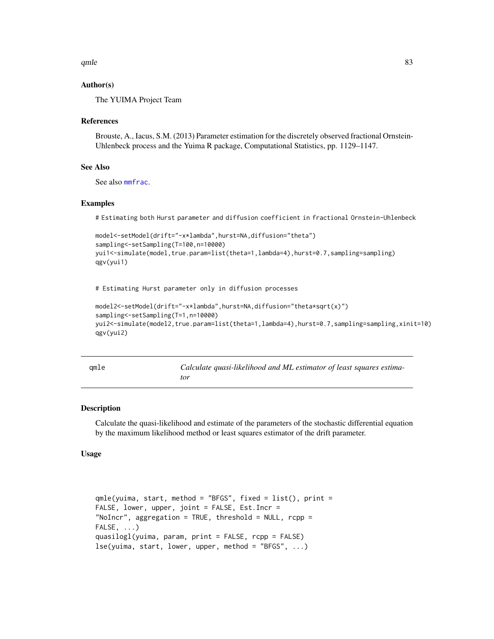$q$ mle  $\sim$  83

# Author(s)

The YUIMA Project Team

## References

Brouste, A., Iacus, S.M. (2013) Parameter estimation for the discretely observed fractional Ornstein-Uhlenbeck process and the Yuima R package, Computational Statistics, pp. 1129–1147.

## See Also

See also [mmfrac](#page-71-0).

# Examples

# Estimating both Hurst parameter and diffusion coefficient in fractional Ornstein-Uhlenbeck

```
model<-setModel(drift="-x*lambda",hurst=NA,diffusion="theta")
sampling<-setSampling(T=100,n=10000)
yui1<-simulate(model,true.param=list(theta=1,lambda=4),hurst=0.7,sampling=sampling)
qgv(yui1)
```
# Estimating Hurst parameter only in diffusion processes

```
model2<-setModel(drift="-x*lambda",hurst=NA,diffusion="theta*sqrt(x)")
sampling<-setSampling(T=1,n=10000)
yui2<-simulate(model2,true.param=list(theta=1,lambda=4),hurst=0.7,sampling=sampling,xinit=10)
qgv(yui2)
```
<span id="page-82-0"></span>

|  | × |
|--|---|

Calculate quasi-likelihood and ML estimator of least squares estima*tor*

## Description

Calculate the quasi-likelihood and estimate of the parameters of the stochastic differential equation by the maximum likelihood method or least squares estimator of the drift parameter.

# Usage

```
qmle(yuima, start, method = "BFGS", fixed = list(), print =
FALSE, lower, upper, joint = FALSE, Est.Incr =
"NoIncr", aggregation = TRUE, threshold = NULL, rcpp =FALSE, ...)
quasilogl(yuima, param, print = FALSE, rcpp = FALSE)
lse(yuima, start, lower, upper, method = "BFGS", ...)
```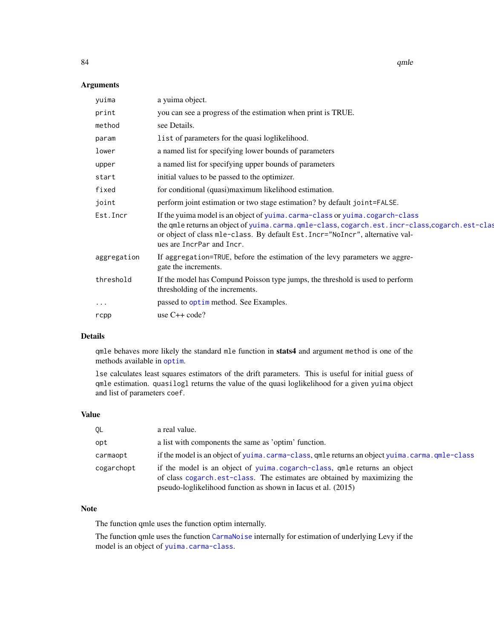84 qmle

# Arguments

| a yuima object.                                                                                                                                                                                                                                                                             |
|---------------------------------------------------------------------------------------------------------------------------------------------------------------------------------------------------------------------------------------------------------------------------------------------|
| you can see a progress of the estimation when print is TRUE.                                                                                                                                                                                                                                |
| see Details.                                                                                                                                                                                                                                                                                |
| list of parameters for the quasi loglikelihood.                                                                                                                                                                                                                                             |
| a named list for specifying lower bounds of parameters                                                                                                                                                                                                                                      |
| a named list for specifying upper bounds of parameters                                                                                                                                                                                                                                      |
| initial values to be passed to the optimizer.                                                                                                                                                                                                                                               |
| for conditional (quasi)maximum likelihood estimation.                                                                                                                                                                                                                                       |
| perform joint estimation or two stage estimation? by default joint=FALSE.                                                                                                                                                                                                                   |
| If the yuima model is an object of yuima.carma-class or yuima.cogarch-class<br>the qmle returns an object of yuima.carma.qmle-class, cogarch.est.incr-class, cogarch.est-clas<br>or object of class mle-class. By default Est. Incr="NoIncr", alternative val-<br>ues are IncrPar and Incr. |
| If aggregation=TRUE, before the estimation of the levy parameters we aggre-<br>gate the increments.                                                                                                                                                                                         |
| If the model has Compund Poisson type jumps, the threshold is used to perform<br>thresholding of the increments.                                                                                                                                                                            |
| passed to optimes method. See Examples.                                                                                                                                                                                                                                                     |
| use $C++code$ ?                                                                                                                                                                                                                                                                             |
|                                                                                                                                                                                                                                                                                             |

#### Details

qmle behaves more likely the standard mle function in stats4 and argument method is one of the methods available in [optim](#page-0-0).

lse calculates least squares estimators of the drift parameters. This is useful for initial guess of qmle estimation. quasilogl returns the value of the quasi loglikelihood for a given yuima object and list of parameters coef.

# Value

| QL         | a real value.                                                                                                                                                                                                         |
|------------|-----------------------------------------------------------------------------------------------------------------------------------------------------------------------------------------------------------------------|
| opt        | a list with components the same as 'optim' function.                                                                                                                                                                  |
| carmaopt   | if the model is an object of yuima.carma-class, qmle returns an object yuima.carma.qmle-class                                                                                                                         |
| cogarchopt | if the model is an object of yuima.cogarch-class, qmle returns an object<br>of class cogarch.est-class. The estimates are obtained by maximizing the<br>pseudo-loglikelihood function as shown in Iacus et al. (2015) |

# Note

The function qmle uses the function optim internally.

The function qmle uses the function [CarmaNoise](#page-9-0) internally for estimation of underlying Levy if the model is an object of [yuima.carma-class](#page-142-0).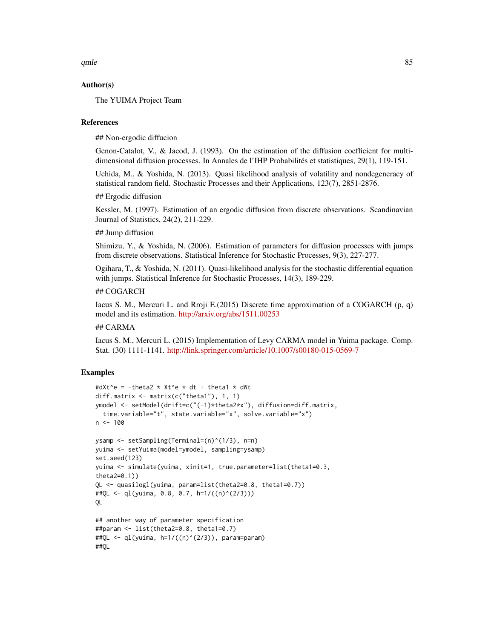$q$ mle  $\sim$  85

## Author(s)

The YUIMA Project Team

#### References

## Non-ergodic diffucion

Genon-Catalot, V., & Jacod, J. (1993). On the estimation of the diffusion coefficient for multidimensional diffusion processes. In Annales de l'IHP Probabilités et statistiques, 29(1), 119-151.

Uchida, M., & Yoshida, N. (2013). Quasi likelihood analysis of volatility and nondegeneracy of statistical random field. Stochastic Processes and their Applications, 123(7), 2851-2876.

## Ergodic diffusion

Kessler, M. (1997). Estimation of an ergodic diffusion from discrete observations. Scandinavian Journal of Statistics, 24(2), 211-229.

## ## Jump diffusion

Shimizu, Y., & Yoshida, N. (2006). Estimation of parameters for diffusion processes with jumps from discrete observations. Statistical Inference for Stochastic Processes, 9(3), 227-277.

Ogihara, T., & Yoshida, N. (2011). Quasi-likelihood analysis for the stochastic differential equation with jumps. Statistical Inference for Stochastic Processes, 14(3), 189-229.

## ## COGARCH

Iacus S. M., Mercuri L. and Rroji E.(2015) Discrete time approximation of a COGARCH (p, q) model and its estimation. <http://arxiv.org/abs/1511.00253>

# ## CARMA

Iacus S. M., Mercuri L. (2015) Implementation of Levy CARMA model in Yuima package. Comp. Stat. (30) 1111-1141. <http://link.springer.com/article/10.1007/s00180-015-0569-7>

```
#dXt^e = -theta2 * Xt^e * dt + theta1 * dWt
diff.matrix <- matrix(c("theta1"), 1, 1)
ymodel <- setModel(drift=c("(-1)*theta2*x"), diffusion=diff.matrix,
  time.variable="t", state.variable="x", solve.variable="x")
n < - 100ysamp <- setSampling(Terminal=(n)^(1/3), n=n)
yuima <- setYuima(model=ymodel, sampling=ysamp)
set.seed(123)
yuima <- simulate(yuima, xinit=1, true.parameter=list(theta1=0.3,
theta2=0.1))
QL <- quasilogl(yuima, param=list(theta2=0.8, theta1=0.7))
##QL <- ql(yuima, 0.8, 0.7, h=1/((n)^(2/3)))
QL
## another way of parameter specification
##param <- list(theta2=0.8, theta1=0.7)
##QL <- ql(yuima, h=1/((n)^(2/3)), param=param)
##QL
```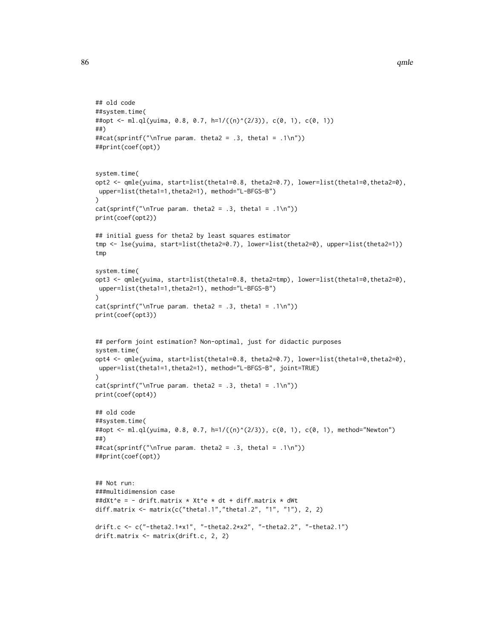```
## old code
##system.time(
##opt <- ml.ql(yuima, 0.8, 0.7, h=1/((n)^(2/3)), c(0, 1), c(0, 1))
##)
##cat(sprintf("\nTrue param. theta2 = .3, theta1 = .1\n"))
##print(coef(opt))
system.time(
opt2 <- qmle(yuima, start=list(theta1=0.8, theta2=0.7), lower=list(theta1=0,theta2=0),
upper=list(theta1=1,theta2=1), method="L-BFGS-B")
)
cat(sprintf("nTrue param. theta2 = .3, theta1 = .1\n")print(coef(opt2))
## initial guess for theta2 by least squares estimator
tmp <- lse(yuima, start=list(theta2=0.7), lower=list(theta2=0), upper=list(theta2=1))
tmp
system.time(
opt3 <- qmle(yuima, start=list(theta1=0.8, theta2=tmp), lower=list(theta1=0,theta2=0),
upper=list(theta1=1,theta2=1), method="L-BFGS-B")
\lambdacat(sprintf("nTrue param. theta2 = .3, theta1 = .1\n")print(coef(opt3))
## perform joint estimation? Non-optimal, just for didactic purposes
system.time(
opt4 <- qmle(yuima, start=list(theta1=0.8, theta2=0.7), lower=list(theta1=0,theta2=0),
upper=list(theta1=1,theta2=1), method="L-BFGS-B", joint=TRUE)
\mathcal{L}cat(sprintf("nTrue param. theta2 = .3, theta1 = .1\n")print(coef(opt4))
## old code
##system.time(
##opt <- ml.ql(yuima, 0.8, 0.7, h=1/((n)^(2/3)), c(0, 1), c(0, 1), method="Newton")
##)
##cat(sprintf("\nTrue param. theta2 = .3, theta1 = .1\n"))
##print(coef(opt))
## Not run:
###multidimension case
##dXt^e = - drift.matrix * Xt^e * dt + diff.matrix * dWt
diff.matrix <- matrix(c("theta1.1","theta1.2", "1", "1"), 2, 2)
drift.c <- c("-theta2.1*x1", "-theta2.2*x2", "-theta2.2", "-theta2.1")
drift.matrix <- matrix(drift.c, 2, 2)
```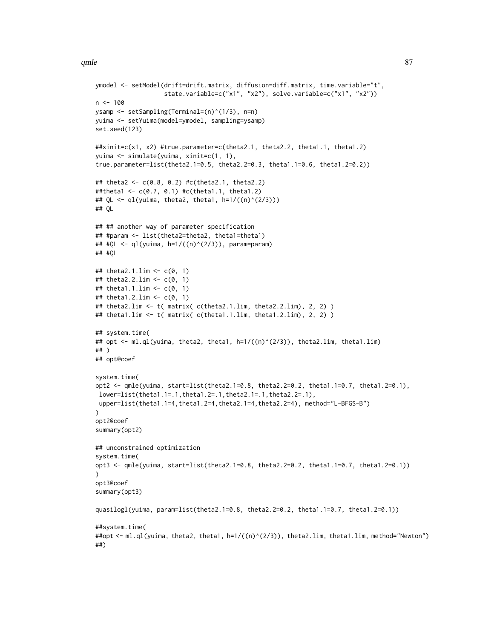```
ymodel <- setModel(drift=drift.matrix, diffusion=diff.matrix, time.variable="t",
                   state.variable=c("x1", "x2"), solve.variable=c("x1", "x2"))
n < -100ysamp <- setSampling(Terminal=(n)^(1/3), n=n)
yuima <- setYuima(model=ymodel, sampling=ysamp)
set.seed(123)
##xinit=c(x1, x2) #true.parameter=c(theta2.1, theta2.2, theta1.1, theta1.2)
yuima <- simulate(yuima, xinit=c(1, 1),
true.parameter=list(theta2.1=0.5, theta2.2=0.3, theta1.1=0.6, theta1.2=0.2))
## theta2 <- c(0.8, 0.2) #c(theta2.1, theta2.2)
##theta1 <- c(0.7, 0.1) #c(theta1.1, theta1.2)
## QL <- ql(yuima, theta2, theta1, h=1/((n)^(2/3)))
## QL
## ## another way of parameter specification
## #param <- list(theta2=theta2, theta1=theta1)
## #QL <- ql(yuima, h=1/((n)^(2/3)), param=param)
## #QL
## theta2.1.lim <- c(0, 1)
## theta2.2.lim <- c(0, 1)
## theta1.1.lim <- c(0, 1)
## theta1.2.lim <- c(0, 1)
## theta2.lim <- t( matrix( c(theta2.1.lim, theta2.2.lim), 2, 2) )
## theta1.lim <- t( matrix( c(theta1.1.lim, theta1.2.lim), 2, 2) )
## system.time(
## opt <- ml.ql(yuima, theta2, theta1, h=1/((n)^(2/3)), theta2.lim, theta1.lim)
## )
## opt@coef
system.time(
opt2 <- qmle(yuima, start=list(theta2.1=0.8, theta2.2=0.2, theta1.1=0.7, theta1.2=0.1),
lower=list(theta1.1=.1,theta1.2=.1,theta2.1=.1,theta2.2=.1),
 upper=list(theta1.1=4,theta1.2=4,theta2.1=4,theta2.2=4), method="L-BFGS-B")
\lambdaopt2@coef
summary(opt2)
## unconstrained optimization
system.time(
opt3 <- qmle(yuima, start=list(theta2.1=0.8, theta2.2=0.2, theta1.1=0.7, theta1.2=0.1))
\mathcal{L}opt3@coef
summary(opt3)
quasilogl(yuima, param=list(theta2.1=0.8, theta2.2=0.2, theta1.1=0.7, theta1.2=0.1))
##system.time(
##opt <- ml.ql(yuima, theta2, theta1, h=1/((n)^(2/3)), theta2.lim, theta1.lim, method="Newton")
##)
```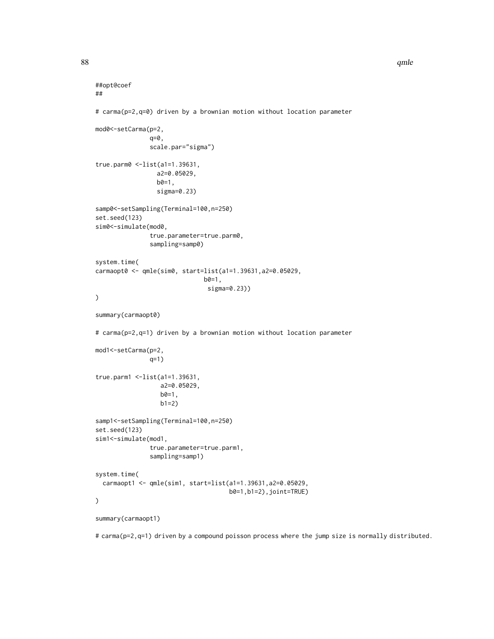```
##opt@coef
##
# carma(p=2,q=0) driven by a brownian motion without location parameter
mod0<-setCarma(p=2,
               q=0,
               scale.par="sigma")
true.parm0 <-list(a1=1.39631,
                 a2=0.05029,
                 b0=1,
                 sigma=0.23)
samp0<-setSampling(Terminal=100,n=250)
set.seed(123)
sim0 <- simulate(mod0,
               true.parameter=true.parm0,
               sampling=samp0)
system.time(
carmaopt0 <- qmle(sim0, start=list(a1=1.39631,a2=0.05029,
                               b0=1,
                                sigma=0.23))
\mathcal{L}summary(carmaopt0)
# carma(p=2,q=1) driven by a brownian motion without location parameter
mod1<-setCarma(p=2,
               q=1)
true.parm1 <-list(a1=1.39631,
                  a2=0.05029,
                  b0=1,
                  b1=2)samp1<-setSampling(Terminal=100,n=250)
set.seed(123)
sim1<-simulate(mod1,
               true.parameter=true.parm1,
               sampling=samp1)
system.time(
  carmaopt1 <- qmle(sim1, start=list(a1=1.39631,a2=0.05029,
                                      b0=1,b1=2),joint=TRUE)
\mathcal{L}summary(carmaopt1)
```
# carma(p=2,q=1) driven by a compound poisson process where the jump size is normally distributed.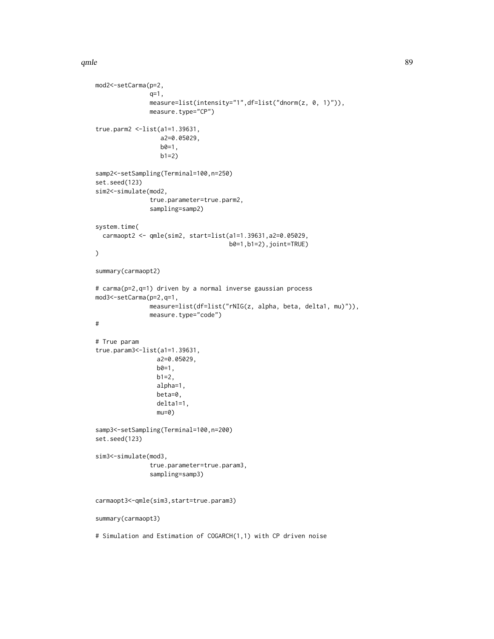#### $q$ mle  $\sim$  89

```
mod2<-setCarma(p=2,
               q=1,
               measure=list(intensity="1",df=list("dnorm(z, 0, 1)")),
               measure.type="CP")
true.parm2 <-list(a1=1.39631,
                  a2=0.05029,
                  b0=1,
                  b1=2samp2<-setSampling(Terminal=100,n=250)
set.seed(123)
sim2<-simulate(mod2,
               true.parameter=true.parm2,
               sampling=samp2)
system.time(
  carmaopt2 <- qmle(sim2, start=list(a1=1.39631,a2=0.05029,
                                     b0=1,b1=2),joint=TRUE)
)
summary(carmaopt2)
# carma(p=2,q=1) driven by a normal inverse gaussian process
mod3<-setCarma(p=2,q=1,
               measure=list(df=list("rNIG(z, alpha, beta, delta1, mu)")),
               measure.type="code")
#
# True param
true.param3<-list(a1=1.39631,
                 a2=0.05029,
                 b0=1,b1=2,
                 alpha=1,
                 beta=0,
                 delta1=1,
                 mu=0)samp3<-setSampling(Terminal=100,n=200)
set.seed(123)
sim3<-simulate(mod3,
               true.parameter=true.param3,
               sampling=samp3)
carmaopt3<-qmle(sim3,start=true.param3)
summary(carmaopt3)
# Simulation and Estimation of COGARCH(1,1) with CP driven noise
```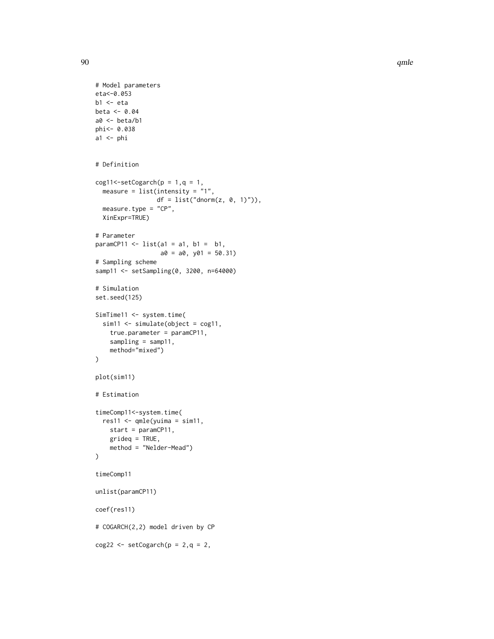```
# Model parameters
eta<-0.053
b1 < -etabeta <- 0.04
a0 <- beta/b1
phi<- 0.038
a1 \leftarrow phi# Definition
cog11 < - setCogarch(p = 1, q = 1,
  measure = list(intensity = "1",df = list("dnorm(z, 0, 1)")),
  measure.type = "CP",
  XinExpr=TRUE)
# Parameter
paramCP11 \le- list(a1 = a1, b1 = b1,
                   a0 = a0, y01 = 50.31# Sampling scheme
samp11 <- setSampling(0, 3200, n=64000)
# Simulation
set.seed(125)
SimTime11 <- system.time(
  sim11 \le simulate(object = cog11,
    true.parameter = paramCP11,
    sampling = samp11,
    method="mixed")
\mathcal{L}plot(sim11)
# Estimation
timeComp11<-system.time(
  res11 \leq - qmle(yuima = sim11,
    start = paramCP11,
    grideq = TRUE,
    method = "Nelder-Mead")
\mathcal{L}timeComp11
unlist(paramCP11)
coef(res11)
# COGARCH(2,2) model driven by CP
cog22 \le -\operatorname{setCogarch}(p = 2, q = 2,
```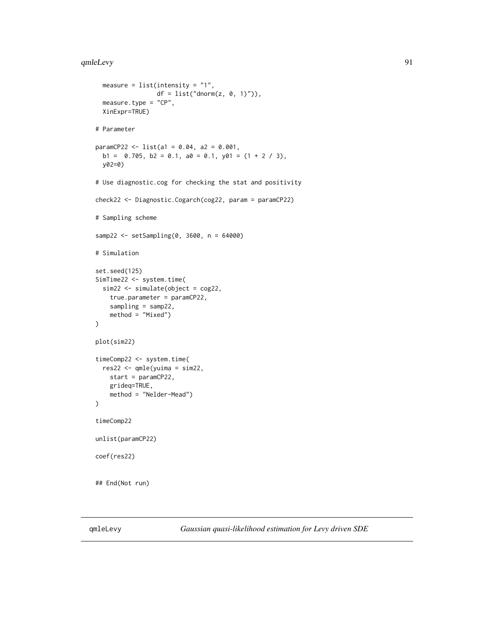#### qmleLevy 91

```
measure = list(intensity = "1",df = list("dnorm(z, 0, 1)")),
  measure.type = "CP",
  XinExpr=TRUE)
# Parameter
paramCP22 <- list(a1 = 0.04, a2 = 0.001,
  b1 = 0.705, b2 = 0.1, a0 = 0.1, y01 = (1 + 2 / 3),
  y02=0)
# Use diagnostic.cog for checking the stat and positivity
check22 <- Diagnostic.Cogarch(cog22, param = paramCP22)
# Sampling scheme
samp22 <- setSampling(0, 3600, n = 64000)
# Simulation
set.seed(125)
SimTime22 <- system.time(
  sim22 <- simulate(object = cog22,
    true.parameter = paramCP22,
    sampling = samp22,
    method = "Mixed")
\mathcal{L}plot(sim22)
timeComp22 <- system.time(
 res22 \leq \text{qmle}(\text{yuima} = \text{sim22},start = paramCP22,
    grideq=TRUE,
    method = "Nelder-Mead")
\lambdatimeComp22
unlist(paramCP22)
coef(res22)
## End(Not run)
```
qmleLevy *Gaussian quasi-likelihood estimation for Levy driven SDE*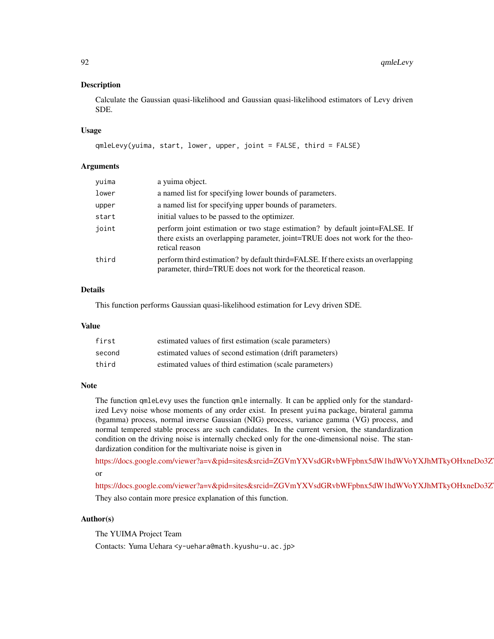## Description

Calculate the Gaussian quasi-likelihood and Gaussian quasi-likelihood estimators of Levy driven SDE.

#### Usage

```
qmleLevy(yuima, start, lower, upper, joint = FALSE, third = FALSE)
```
## **Arguments**

| yuima | a yuima object.                                                                                                                                                                 |
|-------|---------------------------------------------------------------------------------------------------------------------------------------------------------------------------------|
| lower | a named list for specifying lower bounds of parameters.                                                                                                                         |
| upper | a named list for specifying upper bounds of parameters.                                                                                                                         |
| start | initial values to be passed to the optimizer.                                                                                                                                   |
| joint | perform joint estimation or two stage estimation? by default joint=FALSE. If<br>there exists an overlapping parameter, joint=TRUE does not work for the theo-<br>retical reason |
| third | perform third estimation? by default third=FALSE. If there exists an overlapping<br>parameter, third=TRUE does not work for the theoretical reason.                             |

# Details

This function performs Gaussian quasi-likelihood estimation for Levy driven SDE.

#### Value

| first  | estimated values of first estimation (scale parameters)  |
|--------|----------------------------------------------------------|
| second | estimated values of second estimation (drift parameters) |
| third  | estimated values of third estimation (scale parameters)  |

#### **Note**

The function qmleLevy uses the function qmle internally. It can be applied only for the standardized Levy noise whose moments of any order exist. In present yuima package, birateral gamma (bgamma) process, normal inverse Gaussian (NIG) process, variance gamma (VG) process, and normal tempered stable process are such candidates. In the current version, the standardization condition on the driving noise is internally checked only for the one-dimensional noise. The standardization condition for the multivariate noise is given in

https://docs.google.com/viewer?a=v&pid=sites&srcid=ZGVmYXVsdGRvbWFpbnx5dW1hdWVoYXJhMTkyOHxneDo3Z or

https://docs.google.com/viewer?a=v&pid=sites&srcid=ZGVmYXVsdGRvbWFpbnx5dW1hdWVoYXJhMTkyOHxneDo3Z They also contain more presice explanation of this function.

# Author(s)

The YUIMA Project Team

Contacts: Yuma Uehara <y-uehara@math.kyushu-u.ac.jp>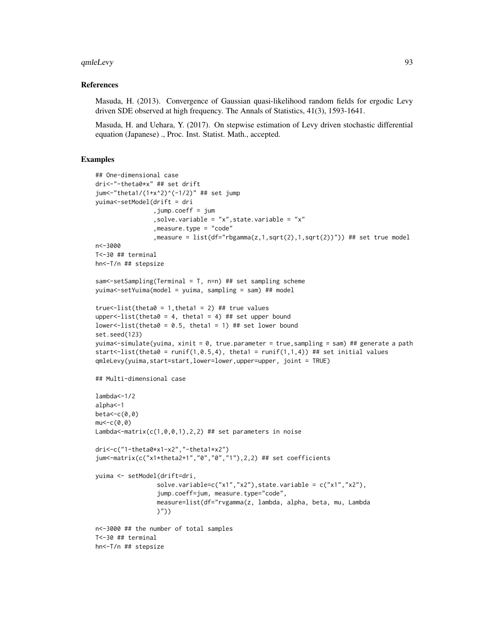#### qmleLevy 93

#### References

Masuda, H. (2013). Convergence of Gaussian quasi-likelihood random fields for ergodic Levy driven SDE observed at high frequency. The Annals of Statistics, 41(3), 1593-1641.

Masuda, H. and Uehara, Y. (2017). On stepwise estimation of Levy driven stochastic differential equation (Japanese) ., Proc. Inst. Statist. Math., accepted.

```
## One-dimensional case
dri<-"-theta0*x" ## set drift
jum<-"theta1/(1+x^2)^(-1/2)" ## set jump
yuima<-setModel(drift = dri
                ,jump.coeff = jum
                ,solve.variable = "x",state.variable = "x"
                ,measure.type = "code"
                ,measure = list(df="rbgamma(z,1,sqrt(2),1,sqrt(2))")) ## set true model
n<-3000
T<-30 ## terminal
hn<-T/n ## stepsize
sam<-setSampling(Terminal = T, n=n) ## set sampling scheme
yuima<-setYuima(model = yuima, sampling = sam) ## model
true \text{-}list(\text{theta} = 1, \text{theta1} = 2) ## true values
upper<-list(theta0 = 4, theta1 = 4) ## set upper bound
lower<-list(theta0 = 0.5, theta1 = 1) ## set lower bound
set.seed(123)
yuima<-simulate(yuima, xinit = 0, true.parameter = true,sampling = sam) ## generate a path
start <- list(theta0 = runif(1, 0.5, 4), theta1 = runif(1,1,4)) ## set initial values
qmleLevy(yuima,start=start,lower=lower,upper=upper, joint = TRUE)
## Multi-dimensional case
lambda<-1/2
alpha<-1
beta < -c(0, 0)mu < -c(0, 0)Lambda<-matrix(c(1,0,0,1),2,2) ## set parameters in noise
dri<-c("1-theta0*x1-x2","-theta1*x2")
jum<-matrix(c("x1*theta2+1","0","0","1"),2,2) ## set coefficients
yuima <- setModel(drift=dri,
                 solve.variable=c("x1","x2"),state.variable = c("x1","x2"),
                 jump.coeff=jum, measure.type="code",
                 measure=list(df="rvgamma(z, lambda, alpha, beta, mu, Lambda
                 )"))
n<-3000 ## the number of total samples
T<-30 ## terminal
hn<-T/n ## stepsize
```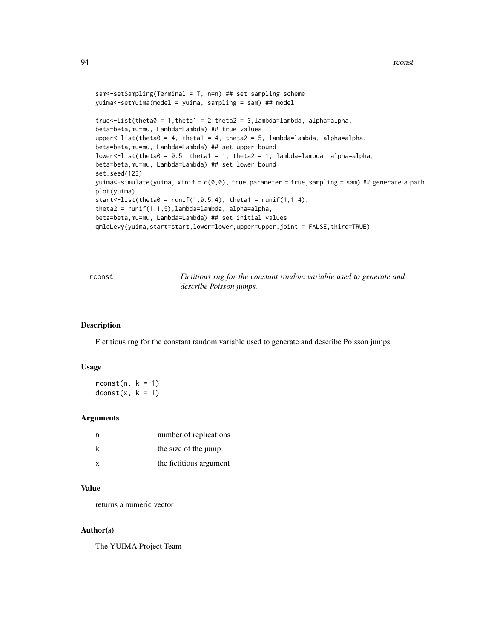```
sam<-setSampling(Terminal = T, n=n) ## set sampling scheme
yuima<-setYuima(model = yuima, sampling = sam) ## model
true\le-list(theta\theta = 1, theta1 = 2, theta2 = 3, lambda=lambda, alpha=alpha,
beta=beta,mu=mu, Lambda=Lambda) ## true values
upper \le-list(theta\theta = 4, theta1 = 4, theta2 = 5, lambda=lambda, alpha=alpha,
beta=beta,mu=mu, Lambda=Lambda) ## set upper bound
lower<-list(theta0 = 0.5, theta1 = 1, theta2 = 1, lambda=lambda, alpha=alpha,
beta=beta,mu=mu, Lambda=Lambda) ## set lower bound
set.seed(123)
yuima<-simulate(yuima, xinit = c(0,0), true.parameter = true,sampling = sam) ## generate a path
plot(yuima)
start <- list(theta0 = runif(1, 0.5, 4), theta1 = runif(1,1,4),
theta2 = runif(1,1,5), lambda=lambda, alpha=alpha,
beta=beta,mu=mu, Lambda=Lambda) ## set initial values
qmleLevy(yuima,start=start,lower=lower,upper=upper,joint = FALSE,third=TRUE)
```
rconst *Fictitious rng for the constant random variable used to generate and describe Poisson jumps.*

#### Description

Fictitious rng for the constant random variable used to generate and describe Poisson jumps.

#### Usage

 $rconst(n, k = 1)$  $dconst(x, k = 1)$ 

# **Arguments**

|              | number of replications  |
|--------------|-------------------------|
| k            | the size of the jump    |
| $\mathsf{x}$ | the fictitious argument |

# Value

returns a numeric vector

#### Author(s)

The YUIMA Project Team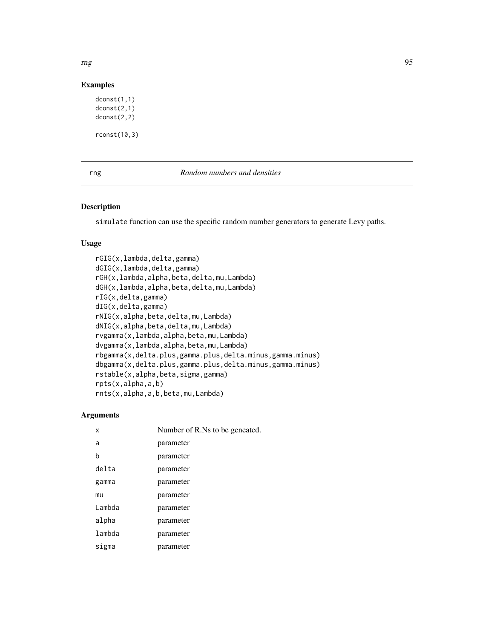rng 1955 - 1966 - 1972 - 1986 - 1987 - 1988 - 1989 - 1989 - 1989 - 1989 - 1989 - 1989 - 1989 - 1989 - 1989 - 1

# Examples

```
dconst(1,1)
dconst(2,1)
dconst(2,2)
rconst(10,3)
```
# rng *Random numbers and densities*

### Description

simulate function can use the specific random number generators to generate Levy paths.

## Usage

```
rGIG(x,lambda,delta,gamma)
dGIG(x,lambda,delta,gamma)
rGH(x,lambda,alpha,beta,delta,mu,Lambda)
dGH(x,lambda,alpha,beta,delta,mu,Lambda)
rIG(x,delta,gamma)
dIG(x,delta,gamma)
rNIG(x,alpha,beta,delta,mu,Lambda)
dNIG(x,alpha,beta,delta,mu,Lambda)
rvgamma(x,lambda,alpha,beta,mu,Lambda)
dvgamma(x,lambda,alpha,beta,mu,Lambda)
rbgamma(x,delta.plus,gamma.plus,delta.minus,gamma.minus)
dbgamma(x,delta.plus,gamma.plus,delta.minus,gamma.minus)
rstable(x,alpha,beta,sigma,gamma)
rpts(x,alpha,a,b)
rnts(x,alpha,a,b,beta,mu,Lambda)
```
#### Arguments

| x      | Number of R.Ns to be geneated. |  |
|--------|--------------------------------|--|
| a      | parameter                      |  |
| b      | parameter                      |  |
| delta  | parameter                      |  |
| gamma  | parameter                      |  |
| mu     | parameter                      |  |
| Lambda | parameter                      |  |
| alpha  | parameter                      |  |
| lambda | parameter                      |  |
| sigma  | parameter                      |  |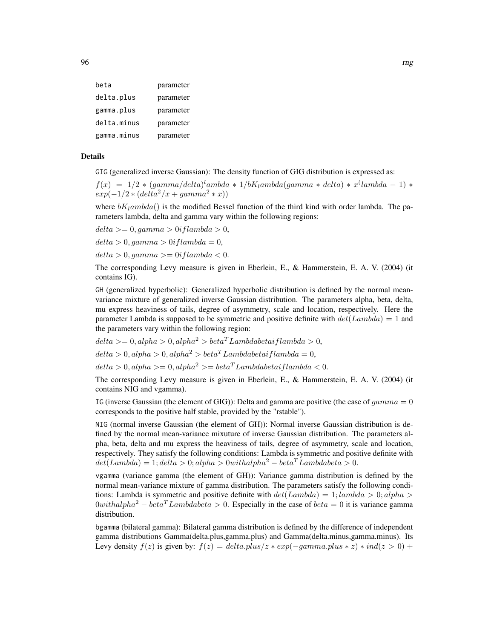| beta        | parameter |
|-------------|-----------|
| delta.plus  | parameter |
| gamma.plus  | parameter |
| delta.minus | parameter |
| gamma.minus | parameter |

# Details

GIG (generalized inverse Gaussian): The density function of GIG distribution is expressed as:

 $f(x) = 1/2 * (gamma/delta)^lambda * 1/bK_lambda(gamma * delta) * x^{(lambda - 1) *}$  $exp(-1/2 * (delta^2/x + gamma^2 * x))$ 

where  $bK_lambda()$  is the modified Bessel function of the third kind with order lambda. The parameters lambda, delta and gamma vary within the following regions:

 $delta >= 0, qamma > 0$ i flambda > 0,

 $delta > 0$ , gamma  $> 0$ i flambda = 0,

 $delta > 0$ , gamma  $\geq 0$ i flambda  $\lt 0$ .

The corresponding Levy measure is given in Eberlein, E., & Hammerstein, E. A. V. (2004) (it contains IG).

GH (generalized hyperbolic): Generalized hyperbolic distribution is defined by the normal meanvariance mixture of generalized inverse Gaussian distribution. The parameters alpha, beta, delta, mu express heaviness of tails, degree of asymmetry, scale and location, respectively. Here the parameter Lambda is supposed to be symmetric and positive definite with  $det(Lambda) = 1$  and the parameters vary within the following region:

 $delta > = 0$ ,  $alpha > 0$ ,  $alpha^2 > beta^T Lambdabetai flambda > 0$ ,  $delta > 0$ , alpha  $> 0$ , alpha<sup>2</sup> $> beta<sup>T</sup>$  Lambdabetai flambda = 0,  $delta > 0$ , alpha $\geq 0$ , alpha<sup>2</sup> $\geq 6$ eta<sup>T</sup> Lambdabetai flambda < 0.

The corresponding Levy measure is given in Eberlein, E., & Hammerstein, E. A. V. (2004) (it contains NIG and vgamma).

IG (inverse Gaussian (the element of GIG)): Delta and gamma are positive (the case of  $gamma = 0$ corresponds to the positive half stable, provided by the "rstable").

NIG (normal inverse Gaussian (the element of GH)): Normal inverse Gaussian distribution is defined by the normal mean-variance mixuture of inverse Gaussian distribution. The parameters alpha, beta, delta and mu express the heaviness of tails, degree of asymmetry, scale and location, respectively. They satisfy the following conditions: Lambda is symmetric and positive definite with  $det(Lambda) = 1; delta > 0; alpha > 0 with alpha<sup>2</sup> – beta<sup>T</sup>Lambdabeta > 0.$ 

vgamma (variance gamma (the element of GH)): Variance gamma distribution is defined by the normal mean-variance mixture of gamma distribution. The parameters satisfy the following conditions: Lambda is symmetric and positive definite with  $det(Lambda) = 1; lambda > 0; alpha > 0$ 0withalpha<sup>2</sup> – beta<sup>T</sup> Lambdabeta > 0. Especially in the case of beta = 0 it is variance gamma distribution.

bgamma (bilateral gamma): Bilateral gamma distribution is defined by the difference of independent gamma distributions Gamma(delta.plus,gamma.plus) and Gamma(delta.minus,gamma.minus). Its Levy density  $f(z)$  is given by:  $f(z) = delta. plus/z * exp(-gamma. plus * z) * ind(z > 0) +$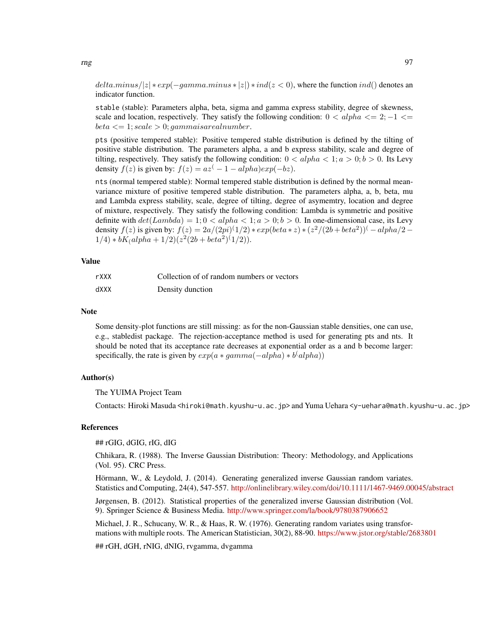$delta.minus/|z| * exp(-gamma.minus * |z|) * ind(z < 0)$ , where the function  $ind()$  denotes an indicator function.

stable (stable): Parameters alpha, beta, sigma and gamma express stability, degree of skewness, scale and location, respectively. They satisfy the following condition:  $0 < alpha \leq 2$ ;  $-1 \leq 1$  $beta \leq 1$ ; scale  $> 0$ ; gammaisarealnumber.

pts (positive tempered stable): Positive tempered stable distribution is defined by the tilting of positive stable distribution. The parameters alpha, a and b express stability, scale and degree of tilting, respectively. They satisfy the following condition:  $0 < alpha < 1$ ;  $a > 0$ ;  $b > 0$ . Its Levy density  $f(z)$  is given by:  $f(z) = az^{(-1 - \alpha lph\alpha)exp(-bz)}$ .

nts (normal tempered stable): Normal tempered stable distribution is defined by the normal meanvariance mixture of positive tempered stable distribution. The parameters alpha, a, b, beta, mu and Lambda express stability, scale, degree of tilting, degree of asymemtry, location and degree of mixture, respectively. They satisfy the following condition: Lambda is symmetric and positive definite with  $det(Lambda) = 1; 0 < alpha < 1; a > 0; b > 0$ . In one-dimensional case, its Levy density  $f(z)$  is given by:  $f(z) = 2a/(2pi)^{(1/2)} * exp(beta * z) * (z^2/(2b + beta^2))^{(-\alpha)}$  $1/4) * bK_ (alpha + 1/2) (z^2 (2b + beta^2) (1/2)).$ 

#### Value

| rXXX | Collection of of random numbers or vectors |
|------|--------------------------------------------|
| dXXX | Density dunction                           |

## **Note**

Some density-plot functions are still missing: as for the non-Gaussian stable densities, one can use, e.g., stabledist package. The rejection-acceptance method is used for generating pts and nts. It should be noted that its acceptance rate decreases at exponential order as a and b become larger: specifically, the rate is given by  $exp(a * gamma(-alpha) * b^(alpha))$ 

# Author(s)

The YUIMA Project Team

Contacts: Hiroki Masuda <hiroki@math.kyushu-u.ac.jp> and Yuma Uehara <y-uehara@math.kyushu-u.ac.jp>

#### References

## rGIG, dGIG, rIG, dIG

Chhikara, R. (1988). The Inverse Gaussian Distribution: Theory: Methodology, and Applications (Vol. 95). CRC Press.

Hörmann, W., & Leydold, J. (2014). Generating generalized inverse Gaussian random variates. Statistics and Computing, 24(4), 547-557. <http://onlinelibrary.wiley.com/doi/10.1111/1467-9469.00045/abstract>

Jørgensen, B. (2012). Statistical properties of the generalized inverse Gaussian distribution (Vol. 9). Springer Science & Business Media. <http://www.springer.com/la/book/9780387906652>

Michael, J. R., Schucany, W. R., & Haas, R. W. (1976). Generating random variates using transformations with multiple roots. The American Statistician, 30(2), 88-90. <https://www.jstor.org/stable/2683801> ## rGH, dGH, rNIG, dNIG, rvgamma, dvgamma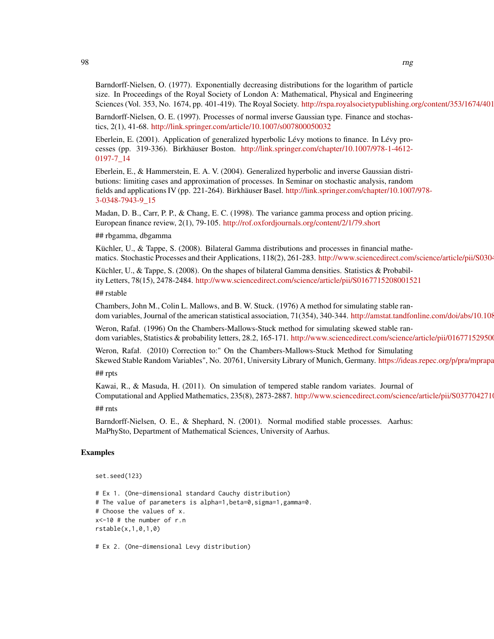Barndorff-Nielsen, O. (1977). Exponentially decreasing distributions for the logarithm of particle size. In Proceedings of the Royal Society of London A: Mathematical, Physical and Engineering Sciences (Vol. 353, No. 1674, pp. 401-419). The Royal Society. <http://rspa.royalsocietypublishing.org/content/353/1674/401>

Barndorff-Nielsen, O. E. (1997). Processes of normal inverse Gaussian type. Finance and stochastics, 2(1), 41-68. <http://link.springer.com/article/10.1007/s007800050032>

Eberlein, E. (2001). Application of generalized hyperbolic Lévy motions to finance. In Lévy processes (pp. 319-336). Birkhäuser Boston. [http://link.springer.com/chapter/10.1007/978-1-4612-](http://link.springer.com/chapter/10.1007/978-1-4612-0197-7_14) [0197-7\\_14](http://link.springer.com/chapter/10.1007/978-1-4612-0197-7_14)

Eberlein, E., & Hammerstein, E. A. V. (2004). Generalized hyperbolic and inverse Gaussian distributions: limiting cases and approximation of processes. In Seminar on stochastic analysis, random fields and applications IV (pp. 221-264). Birkhäuser Basel. [http://link.springer.com/chapter/10.1007](http://link.springer.com/chapter/10.1007/978-3-0348-7943-9_15)/978- [3-0348-7943-9\\_15](http://link.springer.com/chapter/10.1007/978-3-0348-7943-9_15)

Madan, D. B., Carr, P. P., & Chang, E. C. (1998). The variance gamma process and option pricing. European finance review, 2(1), 79-105. <http://rof.oxfordjournals.org/content/2/1/79.short>

#### ## rbgamma, dbgamma

Küchler, U., & Tappe, S. (2008). Bilateral Gamma distributions and processes in financial mathematics. Stochastic Processes and their Applications, 118(2), 261-283. http://www.sciencedirect.com/science/article/pii/S0304

Küchler, U., & Tappe, S. (2008). On the shapes of bilateral Gamma densities. Statistics & Probability Letters, 78(15), 2478-2484. <http://www.sciencedirect.com/science/article/pii/S0167715208001521>

## rstable

Chambers, John M., Colin L. Mallows, and B. W. Stuck. (1976) A method for simulating stable random variables, Journal of the american statistical association, 71(354), 340-344. http://amstat.tandfonline.com/doi/abs/10.108

Weron, Rafał. (1996) On the Chambers-Mallows-Stuck method for simulating skewed stable random variables, Statistics & probability letters, 28.2, 165-171. http://www.sciencedirect.com/science/article/pii/016771529500

Weron, Rafał. (2010) Correction to:" On the Chambers-Mallows-Stuck Method for Simulating Skewed Stable Random Variables", No. 20761, University Library of Munich, Germany. https://ideas.repec.org/p/pra/mprapa

## rpts

Kawai, R., & Masuda, H. (2011). On simulation of tempered stable random variates. Journal of Computational and Applied Mathematics, 235(8), 2873-2887. http://www.sciencedirect.com/science/article/pii/S0377042710

## rnts

Barndorff-Nielsen, O. E., & Shephard, N. (2001). Normal modified stable processes. Aarhus: MaPhySto, Department of Mathematical Sciences, University of Aarhus.

## Examples

```
set.seed(123)
```

```
# Ex 1. (One-dimensional standard Cauchy distribution)
# The value of parameters is alpha=1,beta=0,sigma=1,gamma=0.
# Choose the values of x.
x<-10 # the number of r.n
rstable(x,1,0,1,0)
```
# Ex 2. (One-dimensional Levy distribution)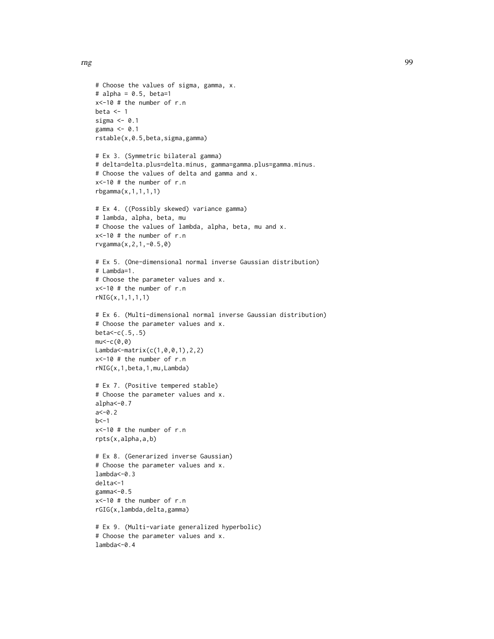rng terms of the state of the state of the state of the state of the state of the state of the state of the state of the state of the state of the state of the state of the state of the state of the state of the state of t

```
# Choose the values of sigma, gamma, x.
# alpha = 0.5, beta=1
x<-10 # the number of r.n
beta \leq -1sigma <-0.1gamma <- 0.1
rstable(x,0.5,beta,sigma,gamma)
# Ex 3. (Symmetric bilateral gamma)
# delta=delta.plus=delta.minus, gamma=gamma.plus=gamma.minus.
# Choose the values of delta and gamma and x.
x<-10 # the number of r.n
rbgamma(x,1,1,1,1)
# Ex 4. ((Possibly skewed) variance gamma)
# lambda, alpha, beta, mu
# Choose the values of lambda, alpha, beta, mu and x.
x<-10 # the number of r.n
rvgamma(x,2,1,-0.5,0)
# Ex 5. (One-dimensional normal inverse Gaussian distribution)
# Lambda=1.
# Choose the parameter values and x.
x<-10 # the number of r.n
rNIG(x,1,1,1,1)
# Ex 6. (Multi-dimensional normal inverse Gaussian distribution)
# Choose the parameter values and x.
beta<-c(.5,.5)
mu < -c(0, 0)Lambda<-matrix(c(1,0,0,1),2,2)
x<-10 # the number of r.n
rNIG(x,1,beta,1,mu,Lambda)
# Ex 7. (Positive tempered stable)
# Choose the parameter values and x.
alpha <- 0.7
a < -0.2h < -1x<-10 # the number of r.n
rpts(x,alpha,a,b)
# Ex 8. (Generarized inverse Gaussian)
# Choose the parameter values and x.
lambda < -0.3delta<-1
gamma <- 0.5
x<-10 # the number of r.n
rGIG(x,lambda,delta,gamma)
# Ex 9. (Multi-variate generalized hyperbolic)
# Choose the parameter values and x.
lambda<-0.4
```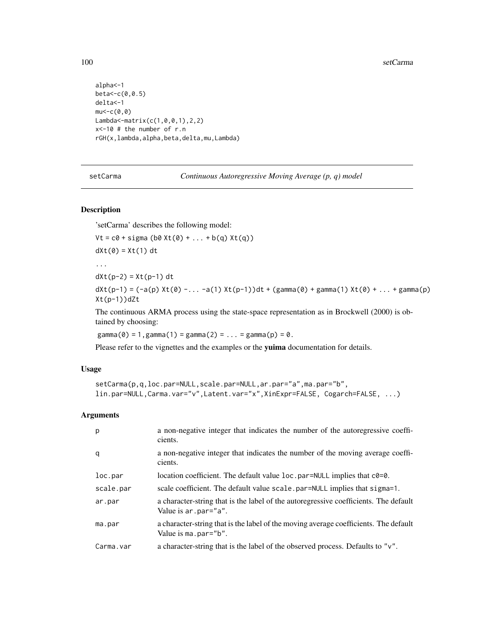```
alpha<-1
beta<-c(0,0.5)
delta<-1
mu < -c(0, 0)Lambda<-matrix(c(1,0,0,1),2,2)
x<-10 # the number of r.n
rGH(x,lambda,alpha,beta,delta,mu,Lambda)
```
setCarma *Continuous Autoregressive Moving Average (p, q) model*

## Description

...

'setCarma' describes the following model:

```
Vt = c0 + sigma (b0 Xt(0) + ... + b(q) Xt(q))
```

```
dXt(0) = Xt(1) dt
```

```
dXt(p-2) = Xt(p-1) dt
```
dXt(p-1) = (-a(p) Xt(0) -... -a(1) Xt(p-1))dt + (gamma(0) + gamma(1) Xt(0) + ... + gamma(p) Xt(p-1))dZt

The continuous ARMA process using the state-space representation as in Brockwell (2000) is obtained by choosing:

 $gamma(0) = 1$ ,  $gamma(1) = gamma(2) = ... = gamma(p) = 0$ .

Please refer to the vignettes and the examples or the yuima documentation for details.

## Usage

```
setCarma(p,q,loc.par=NULL,scale.par=NULL,ar.par="a",ma.par="b",
lin.par=NULL,Carma.var="v",Latent.var="x",XinExpr=FALSE, Cogarch=FALSE, ...)
```
## Arguments

| p         | a non-negative integer that indicates the number of the autoregressive coeffi-<br>cients.                     |
|-----------|---------------------------------------------------------------------------------------------------------------|
| q         | a non-negative integer that indicates the number of the moving average coeffi-<br>cients.                     |
| loc.par   | location coefficient. The default value $loc.$ par=NULL implies that $c0=0$ .                                 |
| scale.par | scale coefficient. The default value scale.par=NULL implies that sigma=1.                                     |
| ar.par    | a character-string that is the label of the autoregressive coefficients. The default<br>Value is ar. par="a". |
| ma.par    | a character-string that is the label of the moving average coefficients. The default<br>Value is ma.par="b".  |
| Carma.var | a character-string that is the label of the observed process. Defaults to "v".                                |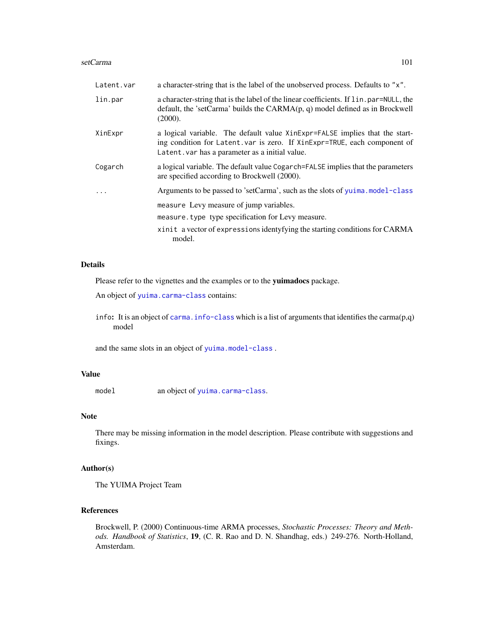#### setCarma 101

| Latent.var              | a character-string that is the label of the unobserved process. Defaults to "x".                                                                                                                            |
|-------------------------|-------------------------------------------------------------------------------------------------------------------------------------------------------------------------------------------------------------|
| lin.par                 | a character-string that is the label of the linear coefficients. If lin.par=NULL, the<br>default, the 'setCarma' builds the $CARMA(p, q)$ model defined as in Brockwell<br>(2000).                          |
| XinExpr                 | a logical variable. The default value XinExpr=FALSE implies that the start-<br>ing condition for Latent. var is zero. If XinExpr=TRUE, each component of<br>Latent. var has a parameter as a initial value. |
| Cogarch                 | a logical variable. The default value Cogarch=FALSE implies that the parameters<br>are specified according to Brockwell (2000).                                                                             |
| $\cdot$ $\cdot$ $\cdot$ | Arguments to be passed to 'setCarma', such as the slots of yuima.model-class                                                                                                                                |
|                         | measure Levy measure of jump variables.                                                                                                                                                                     |
|                         | measure. type type specification for Levy measure.                                                                                                                                                          |
|                         | xinit a vector of expressions identyfying the starting conditions for CARMA<br>model.                                                                                                                       |

# Details

Please refer to the vignettes and the examples or to the yuimadocs package.

An object of [yuima.carma-class](#page-142-0) contains:

info: It is an object of carma. info-class which is a list of arguments that identifies the carma $(p,q)$ model

and the same slots in an object of [yuima.model-class](#page-152-0) .

## Value

model an object of [yuima.carma-class](#page-142-0).

# Note

There may be missing information in the model description. Please contribute with suggestions and fixings.

# Author(s)

The YUIMA Project Team

# References

Brockwell, P. (2000) Continuous-time ARMA processes, *Stochastic Processes: Theory and Methods. Handbook of Statistics*, 19, (C. R. Rao and D. N. Shandhag, eds.) 249-276. North-Holland, Amsterdam.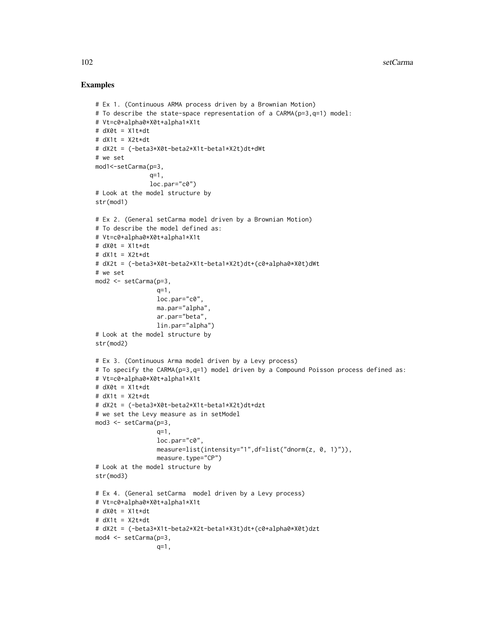```
# Ex 1. (Continuous ARMA process driven by a Brownian Motion)
# To describe the state-space representation of a CARMA(p=3,q=1) model:
# Vt=c0+alpha0*X0t+alpha1*X1t
# dX0t = X1t*dt
# dX1t = X2t*dt
# dX2t = (-beta3*X0t-beta2*X1t-beta1*X2t)dt+dWt
# we set
mod1<-setCarma(p=3,
               q=1.
               loc.par="c0")
# Look at the model structure by
str(mod1)
# Ex 2. (General setCarma model driven by a Brownian Motion)
# To describe the model defined as:
# Vt=c0+alpha0*X0t+alpha1*X1t
# dX0t = X1t*dt# dX1t = X2t*dt
# dX2t = (-beta3*X0t-beta2*X1t-beta1*X2t)dt+(c0+alpha0*X0t)dWt
# we set
mod2 <- setCarma(p=3,
                 q=1,
                 loc.par="c0",
                 ma.par="alpha",
                 ar.par="beta",
                 lin.par="alpha")
# Look at the model structure by
str(mod2)
# Ex 3. (Continuous Arma model driven by a Levy process)
# To specify the CARMA(p=3,q=1) model driven by a Compound Poisson process defined as:
# Vt=c0+alpha0*X0t+alpha1*X1t
# dX0t = X1t*dt
# dX1t = X2t*dt
# dX2t = (-beta3*X0t-beta2*X1t-beta1*X2t)dt+dzt
# we set the Levy measure as in setModel
mod3 <- setCarma(p=3,
                 q=1,
                 loc.par="c0",
                 measure=list(intensity="1",df=list("dnorm(z, 0, 1)")),
                 measure.type="CP")
# Look at the model structure by
str(mod3)
# Ex 4. (General setCarma model driven by a Levy process)
# Vt=c0+alpha0*X0t+alpha1*X1t
# dX0t = X1t*dt
# dX1t = X2t*dt
# dX2t = (-beta3*X1t-beta2*X2t-beta1*X3t)dt+(c0+alpha0*X0t)dzt
mod4 <- setCarma(p=3,
                 q=1,
```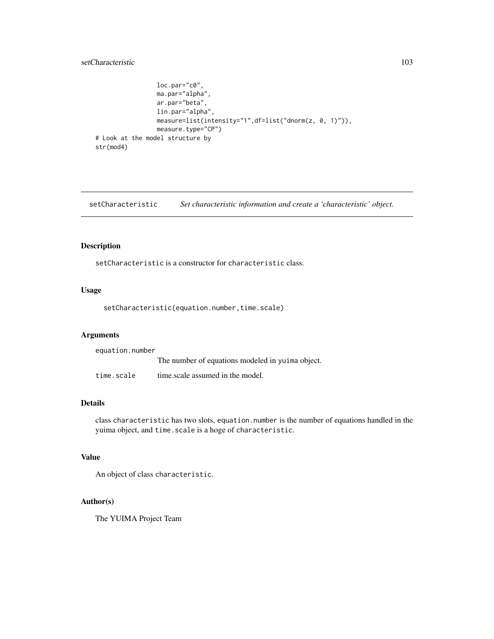# setCharacteristic 103

```
loc.par="c0",
                 ma.par="alpha",
                 ar.par="beta",
                 lin.par="alpha",
                 measure=list(intensity="1",df=list("dnorm(z, 0, 1)")),
                 measure.type="CP")
# Look at the model structure by
str(mod4)
```
setCharacteristic *Set characteristic information and create a 'characteristic' object.*

# Description

setCharacteristic is a constructor for characteristic class.

# Usage

setCharacteristic(equation.number,time.scale)

## Arguments

| equation.number |                                                  |
|-----------------|--------------------------------------------------|
|                 | The number of equations modeled in yuima object. |
| time.scale      | time.scale assumed in the model.                 |

#### Details

class characteristic has two slots, equation.number is the number of equations handled in the yuima object, and time.scale is a hoge of characteristic.

# Value

An object of class characteristic.

# Author(s)

The YUIMA Project Team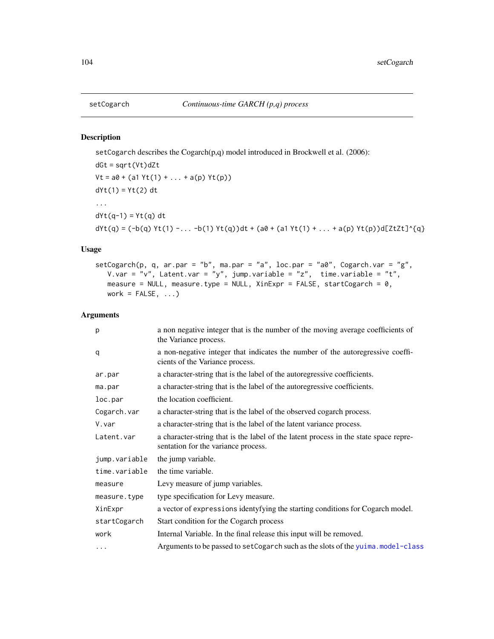# Description

setCogarch describes the Cogarch(p,q) model introduced in Brockwell et al. (2006):

dGt = sqrt(Vt)dZt  $Vt = a0 + (a1 Yt(1) + ... + a(p) Yt(p))$ dYt(1) = Yt(2) dt ...  $dYt(q-1) = Yt(q) dt$ dYt(q) =  $(-b(q) Yt(1) - ... -b(1) Yt(q))dt + (a0 + (a1 Yt(1) + ... + a(p) Yt(p))d[ZtZt]^{\dagger}{}_{q}$ 

# Usage

```
setCogarch(p, q, ar.par = "b", ma.par = "a", loc.par = "a0", Cogarch.var = "g",
  V.var = "v", Latent.var = "y", jump.variable = "z", time.variable = "t",
  measure = NULL, measure.type = NULL, XinExpr = FALSE, startCogarch = 0,
  work = FALSE, ...)
```
# Arguments

| p             | a non negative integer that is the number of the moving average coefficients of<br>the Variance process.                    |
|---------------|-----------------------------------------------------------------------------------------------------------------------------|
| q             | a non-negative integer that indicates the number of the autoregressive coeffi-<br>cients of the Variance process.           |
| ar.par        | a character-string that is the label of the autoregressive coefficients.                                                    |
| ma.par        | a character-string that is the label of the autoregressive coefficients.                                                    |
| loc.par       | the location coefficient.                                                                                                   |
| Cogarch.var   | a character-string that is the label of the observed cogarch process.                                                       |
| V.var         | a character-string that is the label of the latent variance process.                                                        |
| Latent.var    | a character-string that is the label of the latent process in the state space repre-<br>sentation for the variance process. |
| jump.variable | the jump variable.                                                                                                          |
| time.variable | the time variable.                                                                                                          |
| measure       | Levy measure of jump variables.                                                                                             |
| measure.type  | type specification for Levy measure.                                                                                        |
| XinExpr       | a vector of expressions identyfying the starting conditions for Cogarch model.                                              |
| startCogarch  | Start condition for the Cogarch process                                                                                     |
| work          | Internal Variable. In the final release this input will be removed.                                                         |
| $\cdots$      | Arguments to be passed to setCogarch such as the slots of the yuima.model-class                                             |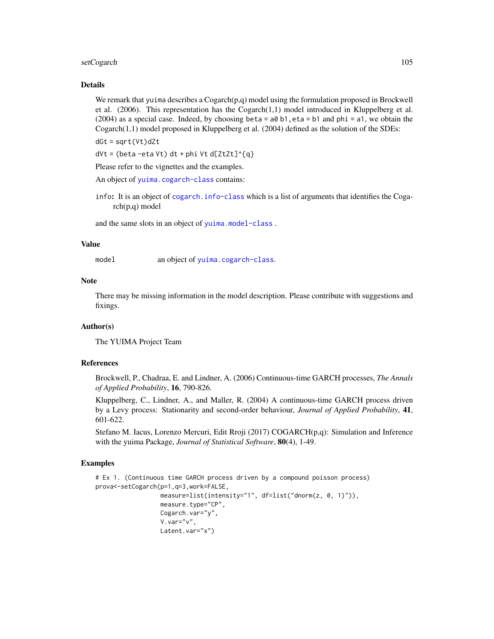# setCogarch 105

# Details

We remark that yuima describes a  $Co\{garch(p,q) \text{ model using the formulation proposed in Brockwell}$ et al.  $(2006)$ . This representation has the Cogarch $(1,1)$  model introduced in Kluppelberg et al.  $(2004)$  as a special case. Indeed, by choosing beta = a0 b1, eta = b1 and phi = a1, we obtain the Cogarch(1,1) model proposed in Kluppelberg et al. (2004) defined as the solution of the SDEs:

dGt = sqrt(Vt)dZt

 $dVt = (beta -eta Vt) dt + phi Vt d[ZtZt]^{\alpha}$ 

Please refer to the vignettes and the examples.

An object of [yuima.cogarch-class](#page-145-0) contains:

info: It is an object of [cogarch.info-class](#page-29-0) which is a list of arguments that identifies the Cogarch(p,q) model

and the same slots in an object of [yuima.model-class](#page-152-0) .

# Value

model an object of [yuima.cogarch-class](#page-145-0).

# Note

There may be missing information in the model description. Please contribute with suggestions and fixings.

# Author(s)

The YUIMA Project Team

## References

Brockwell, P., Chadraa, E. and Lindner, A. (2006) Continuous-time GARCH processes, *The Annals of Applied Probability*, 16, 790-826.

Kluppelberg, C., Lindner, A., and Maller, R. (2004) A continuous-time GARCH process driven by a Levy process: Stationarity and second-order behaviour, *Journal of Applied Probability*, 41, 601-622.

Stefano M. Iacus, Lorenzo Mercuri, Edit Rroji (2017) COGARCH(p,q): Simulation and Inference with the yuima Package, *Journal of Statistical Software*, 80(4), 1-49.

```
# Ex 1. (Continuous time GARCH process driven by a compound poisson process)
prova<-setCogarch(p=1,q=3,work=FALSE,
                 measure=list(intensity="1", df=list("dnorm(z, 0, 1)")),
                  measure.type="CP",
                  Cogarch.var="y",
                  V.var="v",
                  Latent.var="x")
```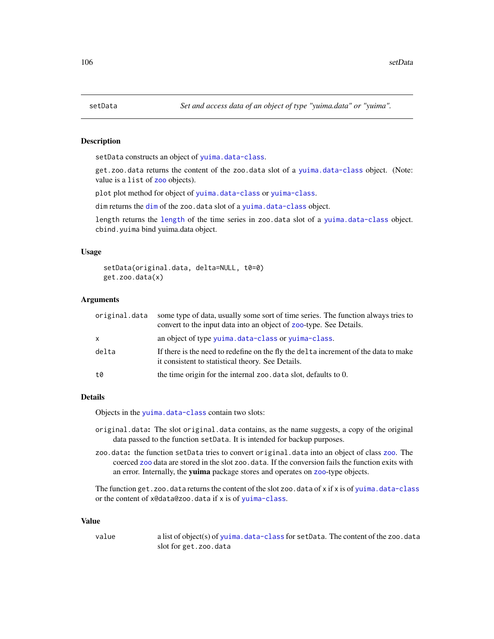# <span id="page-105-0"></span>**Description**

setData constructs an object of [yuima.data-class](#page-147-0).

get.zoo.data returns the content of the zoo.data slot of a [yuima.data-class](#page-147-0) object. (Note: value is a list of [zoo](#page-0-0) objects).

plot plot method for object of [yuima.data-class](#page-147-0) or [yuima-class](#page-141-0).

[dim](#page-105-0) returns the dim of the zoo.data slot of a [yuima.data-class](#page-147-0) object.

length returns the [length](#page-105-0) of the time series in zoo.data slot of a [yuima.data-class](#page-147-0) object. cbind.yuima bind yuima.data object.

# Usage

```
setData(original.data, delta=NULL, t0=0)
get.zoo.data(x)
```
#### Arguments

| original.data | some type of data, usually some sort of time series. The function always tries to<br>convert to the input data into an object of zoo-type. See Details. |
|---------------|---------------------------------------------------------------------------------------------------------------------------------------------------------|
| x.            | an object of type yuima.data-class or yuima-class.                                                                                                      |
| delta         | If there is the need to redefine on the fly the delta increment of the data to make<br>it consistent to statistical theory. See Details.                |
| t0            | the time origin for the internal zoo data slot, defaults to 0.                                                                                          |
|               |                                                                                                                                                         |

# Details

Objects in the [yuima.data-class](#page-147-0) contain two slots:

- original.data: The slot original.data contains, as the name suggests, a copy of the original data passed to the function setData. It is intended for backup purposes.
- zoo.data: the function setData tries to convert original.data into an object of class [zoo](#page-0-0). The coerced [zoo](#page-0-0) data are stored in the slot zoo.data. If the conversion fails the function exits with an error. Internally, the yuima package stores and operates on [zoo](#page-0-0)-type objects.

The function get.zoo.data returns the content of the slot zoo.data of x if x is of [yuima.data-class](#page-147-0) or the content of x@data@zoo.data if x is of [yuima-class](#page-141-0).

#### Value

value a list of object(s) of [yuima.data-class](#page-147-0) for setData. The content of the zoo.data slot for get.zoo.data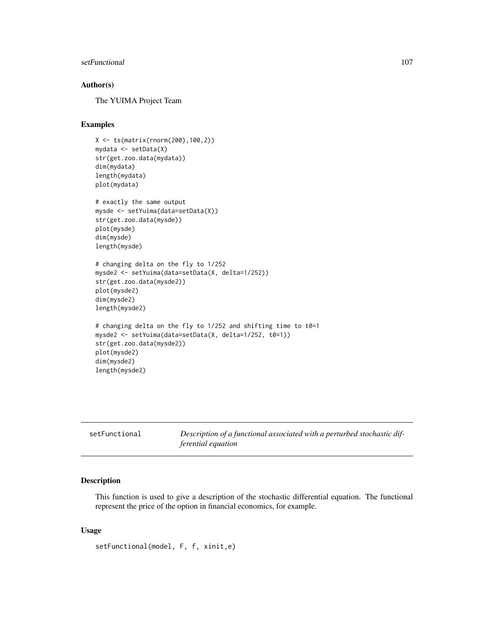#### setFunctional 107

# Author(s)

The YUIMA Project Team

# Examples

```
X <- ts(matrix(rnorm(200),100,2))
mydata <- setData(X)
str(get.zoo.data(mydata))
dim(mydata)
length(mydata)
plot(mydata)
# exactly the same output
mysde <- setYuima(data=setData(X))
str(get.zoo.data(mysde))
plot(mysde)
dim(mysde)
length(mysde)
# changing delta on the fly to 1/252
mysde2 <- setYuima(data=setData(X, delta=1/252))
str(get.zoo.data(mysde2))
plot(mysde2)
dim(mysde2)
length(mysde2)
# changing delta on the fly to 1/252 and shifting time to t0=1
mysde2 <- setYuima(data=setData(X, delta=1/252, t0=1))
str(get.zoo.data(mysde2))
plot(mysde2)
dim(mysde2)
length(mysde2)
```

|  | setFunctional |
|--|---------------|
|  |               |

Description of a functional associated with a perturbed stochastic dif*ferential equation*

# Description

This function is used to give a description of the stochastic differential equation. The functional represent the price of the option in financial economics, for example.

## Usage

setFunctional(model, F, f, xinit,e)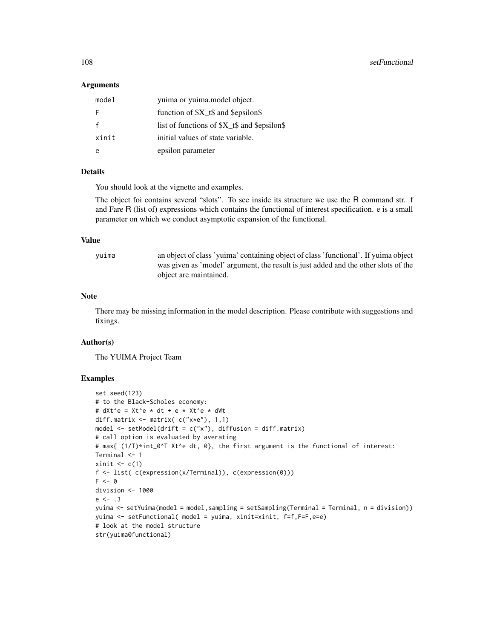## Arguments

| model | yuima or yuima.model object.             |  |
|-------|------------------------------------------|--|
| F     | function of $X_t$ \$ and \$epsilon\$     |  |
|       | list of functions of $X_t$ and Sepsilons |  |
| xinit | initial values of state variable.        |  |
|       | epsilon parameter                        |  |

#### Details

You should look at the vignette and examples.

The object foi contains several "slots". To see inside its structure we use the R command str. f and Fare R (list of) expressions which contains the functional of interest specification. e is a small parameter on which we conduct asymptotic expansion of the functional.

#### Value

yuima an object of class 'yuima' containing object of class 'functional'. If yuima object was given as 'model' argument, the result is just added and the other slots of the object are maintained.

#### Note

There may be missing information in the model description. Please contribute with suggestions and fixings.

# Author(s)

The YUIMA Project Team

```
set.seed(123)
# to the Black-Scholes economy:
# dXt^e = Xt^e * dt + e * Xt^e * dWt
diff.matrix \leq matrix( c("x*e"), 1,1)
model \le setModel(drift = c("x"), diffusion = diff.matrix)
# call option is evaluated by averating
# max{ (1/T)*int_0^T Xt^e dt, 0}, the first argument is the functional of interest:
Terminal <- 1
xinit \leq c(1)f <- list( c(expression(x/Terminal)), c(expression(0)))
F \leq -\emptysetdivision <- 1000
e \le -13yuima <- setYuima(model = model,sampling = setSampling(Terminal = Terminal, n = division))
yuima <- setFunctional( model = yuima, xinit=xinit, f=f,F=F,e=e)
# look at the model structure
str(yuima@functional)
```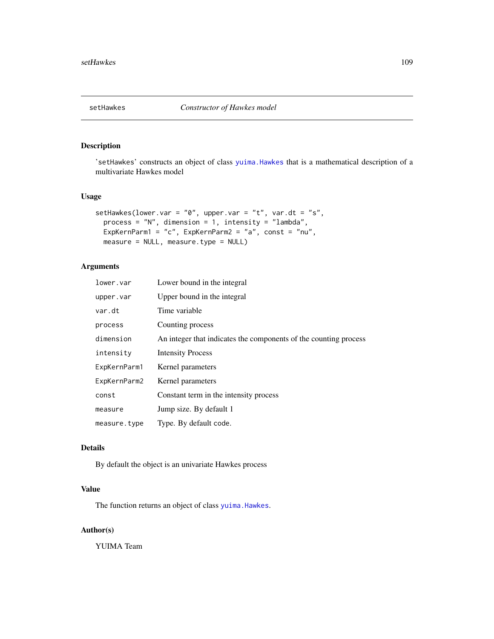# Description

'setHawkes' constructs an object of class [yuima.Hawkes](#page-148-0) that is a mathematical description of a multivariate Hawkes model

# Usage

```
setHawkes(lower.var = "0", upper.var = "t", var.dt = "s",
 process = "N", dimension = 1, intensity = "lambda",
 ExpKernParm1 = "c", ExpKernParm2 = "a", const = "nu",
 measure = NULL, measure.type = NULL)
```
# Arguments

| lower.var    | Lower bound in the integral                                      |
|--------------|------------------------------------------------------------------|
| upper.var    | Upper bound in the integral                                      |
| var.dt       | Time variable                                                    |
| process      | Counting process                                                 |
| dimension    | An integer that indicates the components of the counting process |
| intensity    | <b>Intensity Process</b>                                         |
| ExpKernParm1 | Kernel parameters                                                |
| ExpKernParm2 | Kernel parameters                                                |
| const        | Constant term in the intensity process                           |
| measure      | Jump size. By default 1                                          |
| measure.type | Type. By default code.                                           |

# Details

By default the object is an univariate Hawkes process

# Value

The function returns an object of class [yuima.Hawkes](#page-148-0).

# Author(s)

YUIMA Team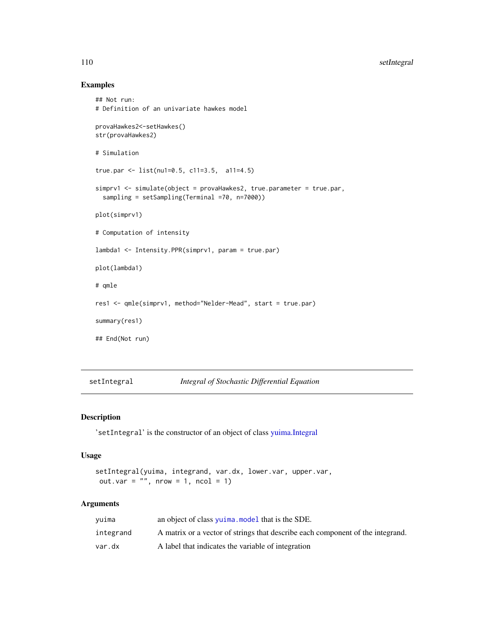# Examples

```
## Not run:
# Definition of an univariate hawkes model
provaHawkes2<-setHawkes()
str(provaHawkes2)
# Simulation
true.par <- list(nu1=0.5, c11=3.5, a11=4.5)
simprv1 <- simulate(object = provaHawkes2, true.parameter = true.par,
  sampling = setSampling(Terminal =70, n=7000))
plot(simprv1)
# Computation of intensity
lambda1 <- Intensity.PPR(simprv1, param = true.par)
plot(lambda1)
# qmle
res1 <- qmle(simprv1, method="Nelder-Mead", start = true.par)
summary(res1)
## End(Not run)
```

```
setIntegral Integral of Stochastic Differential Equation
```
# Description

'setIntegral' is the constructor of an object of class [yuima.Integral](#page-149-0)

## Usage

```
setIntegral(yuima, integrand, var.dx, lower.var, upper.var,
out.var = ", nrow = 1, ncol = 1)
```
# Arguments

| vuima     | an object of class yuima, model that is the SDE.                               |
|-----------|--------------------------------------------------------------------------------|
| integrand | A matrix or a vector of strings that describe each component of the integrand. |
| var.dx    | A label that indicates the variable of integration                             |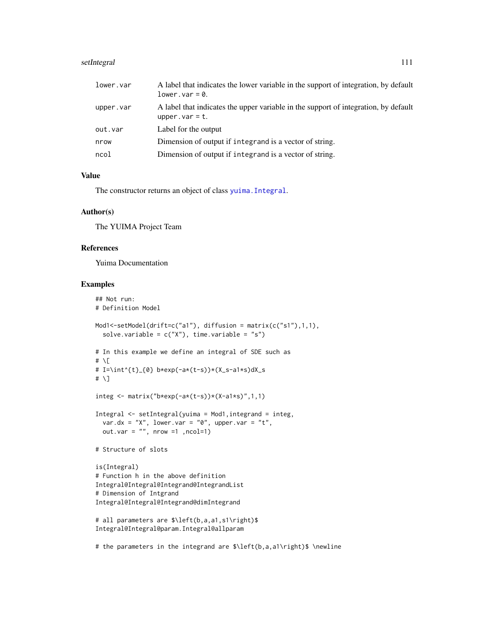# setIntegral 111

| lower.var | A label that indicates the lower variable in the support of integration, by default<br>$lower-var = 0.$   |
|-----------|-----------------------------------------------------------------------------------------------------------|
| upper.var | A label that indicates the upper variable in the support of integration, by default<br>upper. $var = t$ . |
| out.var   | Label for the output                                                                                      |
| nrow      | Dimension of output if integrand is a vector of string.                                                   |
| ncol      | Dimension of output if integrand is a vector of string.                                                   |

# Value

The constructor returns an object of class [yuima.Integral](#page-149-0).

## Author(s)

The YUIMA Project Team

# References

Yuima Documentation

```
## Not run:
# Definition Model
Mod1<-setModel(drift=c("a1"), diffusion = matrix(c("s1"),1,1),
  solve.variable = c("X"), time.variable = "s")
# In this example we define an integral of SDE such as
# \[
# I=\int^{t}_{0} b*exp(-a*(t-s))*(X_s-a1*s)dX_s
# \]
integ <- matrix("b*exp(-a*(t-s))*(X-a1*s)",1,1)
Integral <- setIntegral(yuima = Mod1,integrand = integ,
  var.dx = "X", lower.var = "0", upper.var = "t",
  out.var = "", nrow =1 ,ncol=1)
# Structure of slots
is(Integral)
# Function h in the above definition
Integral@Integral@Integrand@IntegrandList
# Dimension of Intgrand
Integral@Integral@Integrand@dimIntegrand
# all parameters are $\left(b,a,a1,s1\right)$
Integral@Integral@param.Integral@allparam
```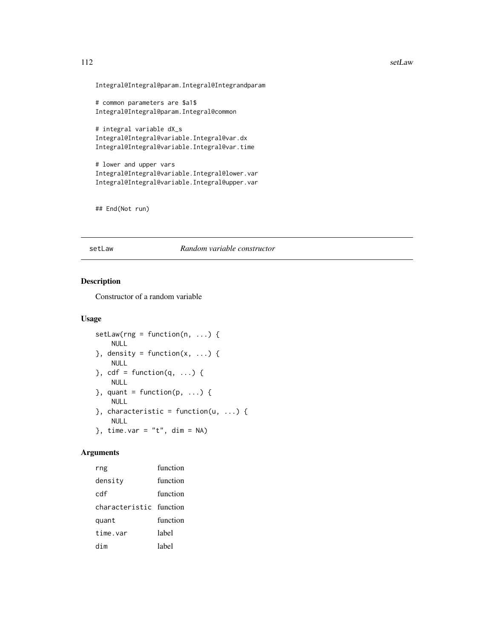#### 112 setLaw

Integral@Integral@param.Integral@Integrandparam

# common parameters are \$a1\$ Integral@Integral@param.Integral@common

# integral variable dX\_s Integral@Integral@variable.Integral@var.dx Integral@Integral@variable.Integral@var.time

# lower and upper vars Integral@Integral@variable.Integral@lower.var Integral@Integral@variable.Integral@upper.var

## End(Not run)

#### setLaw *Random variable constructor*

# Description

Constructor of a random variable

## Usage

```
setLaw(rng = function(n, ...) {
    NULL
}, density = function(x, ...) {
   NULL
\}, cdf = function(q, ...) {
   NULL
\}, quant = function(p, ...) {
   NULL
}, characteristic = function(u, ...) {
    NULL
}, time.var = "t", dim = NA)
```
# Arguments

rng function density function cdf function characteristic function quant function time.var label dim label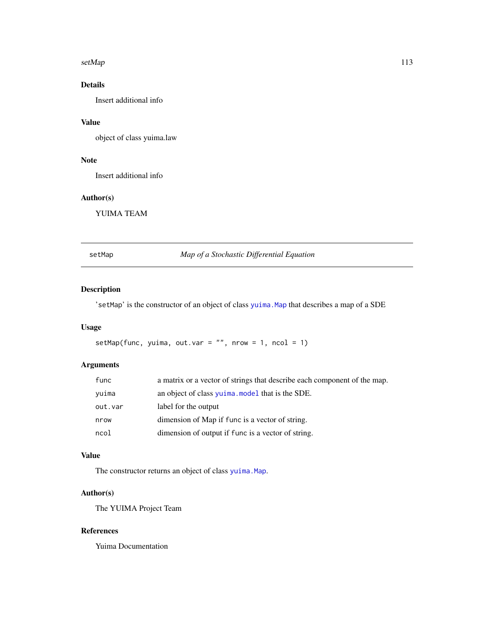#### setMap 2012 and 2013 and 2013 and 2013 and 2013 and 2013 and 2013 and 2013 and 2013 and 2013 and 2013 and 2013

# Details

Insert additional info

# Value

object of class yuima.law

# Note

Insert additional info

# Author(s)

YUIMA TEAM

setMap *Map of a Stochastic Differential Equation*

# Description

'setMap' is the constructor of an object of class [yuima.Map](#page-151-0) that describes a map of a SDE

# Usage

```
setMap(func, yuima, out.var = "", nrow = 1, ncol = 1)
```
# Arguments

| func    | a matrix or a vector of strings that describe each component of the map. |
|---------|--------------------------------------------------------------------------|
| vuima   | an object of class yuima, model that is the SDE.                         |
| out.var | label for the output                                                     |
| nrow    | dimension of Map if func is a vector of string.                          |
| ncol    | dimension of output if func is a vector of string.                       |

# Value

The constructor returns an object of class [yuima.Map](#page-151-0).

# Author(s)

The YUIMA Project Team

# References

Yuima Documentation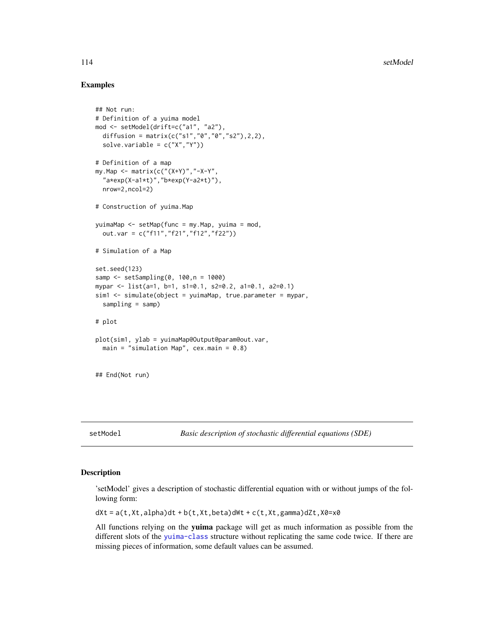# Examples

```
## Not run:
# Definition of a yuima model
mod <- setModel(drift=c("a1", "a2"),
  diffusion = matrix(c("s1","0","0","s2"),2,2),
  solve.variable = c("X", "Y")# Definition of a map
my.Map <- matrix(c("(X+Y)","-X-Y",
  "a*exp(X-a1*t)","b*exp(Y-a2*t)"),
  nrow=2,ncol=2)
# Construction of yuima.Map
yuimaMap <- setMap(func = my.Map, yuima = mod,
  out.var = c("f11","f21","f12","f22"))
# Simulation of a Map
set.seed(123)
samp <- setSampling(0, 100,n = 1000)
mypar <- list(a=1, b=1, s1=0.1, s2=0.2, a1=0.1, a2=0.1)
sim1 <- simulate(object = yuimaMap, true.parameter = mypar,
  sampling = samp)
# plot
plot(sim1, ylab = yuimaMap@Output@param@out.var,
  main = "simulation Map", cex.main = 0.8)
## End(Not run)
```
<span id="page-113-0"></span>

setModel *Basic description of stochastic differential equations (SDE)*

## Description

'setModel' gives a description of stochastic differential equation with or without jumps of the following form:

 $dXt = a(t, Xt, a1pha)dt + b(t, Xt, beta)dWt + c(t, Xt, gamma)dZt, X0=x0$ 

All functions relying on the yuima package will get as much information as possible from the different slots of the [yuima-class](#page-141-0) structure without replicating the same code twice. If there are missing pieces of information, some default values can be assumed.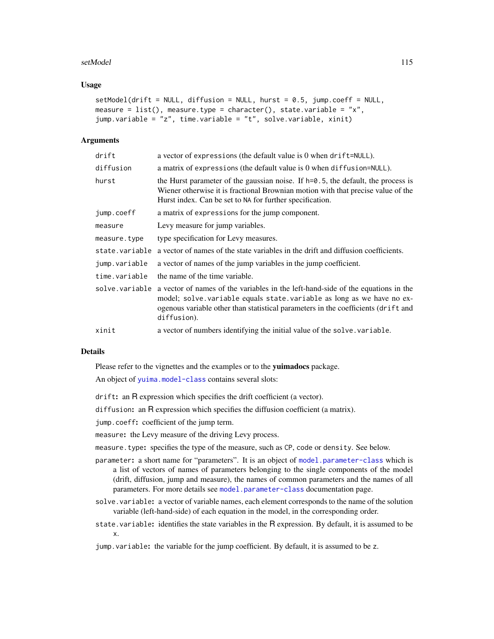#### setModel 115

## Usage

```
setModel(drift = NULL, diffusion = NULL, burst = 0.5, jump.coeff = NULL,measure = list(), measure.type = character(), state.variable = "x",
jump.variable = "z", time.variable = "t", solve.variable, xinit)
```
#### Arguments

| drift          | a vector of expressions (the default value is 0 when drift=NULL).                                                                                                                                                                                             |
|----------------|---------------------------------------------------------------------------------------------------------------------------------------------------------------------------------------------------------------------------------------------------------------|
| diffusion      | a matrix of expressions (the default value is $0$ when diffusion= $NULL$ ).                                                                                                                                                                                   |
| hurst          | the Hurst parameter of the gaussian noise. If $h=0.5$ , the default, the process is<br>Wiener otherwise it is fractional Brownian motion with that precise value of the<br>Hurst index. Can be set to NA for further specification.                           |
| jump.coeff     | a matrix of expressions for the jump component.                                                                                                                                                                                                               |
| measure        | Levy measure for jump variables.                                                                                                                                                                                                                              |
| measure.type   | type specification for Levy measures.                                                                                                                                                                                                                         |
| state.variable | a vector of names of the state variables in the drift and diffusion coefficients.                                                                                                                                                                             |
| jump.variable  | a vector of names of the jump variables in the jump coefficient.                                                                                                                                                                                              |
| time.variable  | the name of the time variable.                                                                                                                                                                                                                                |
| solve.variable | a vector of names of the variables in the left-hand-side of the equations in the<br>model; solve variable equals state variable as long as we have no ex-<br>ogenous variable other than statistical parameters in the coefficients (drift and<br>diffusion). |
| xinit          | a vector of numbers identifying the initial value of the solve variable.                                                                                                                                                                                      |

## Details

Please refer to the vignettes and the examples or to the yuimadocs package.

An object of [yuima.model-class](#page-152-1) contains several slots:

drift: an R expression which specifies the drift coefficient (a vector).

diffusion: an R expression which specifies the diffusion coefficient (a matrix).

jump.coeff: coefficient of the jump term.

measure: the Levy measure of the driving Levy process.

measure.type: specifies the type of the measure, such as CP, code or density. See below.

- parameter: a short name for "parameters". It is an object of [model.parameter-class](#page-72-0) which is a list of vectors of names of parameters belonging to the single components of the model (drift, diffusion, jump and measure), the names of common parameters and the names of all parameters. For more details see [model.parameter-class](#page-72-0) documentation page.
- solve.variable: a vector of variable names, each element corresponds to the name of the solution variable (left-hand-side) of each equation in the model, in the corresponding order.
- state.variable: identifies the state variables in the R expression. By default, it is assumed to be x.

jump.variable: the variable for the jump coefficient. By default, it is assumed to be z.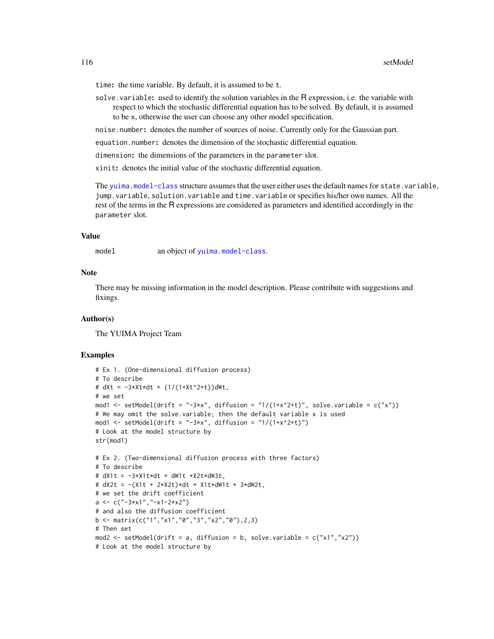time: the time variable. By default, it is assumed to be t.

solve. variable: used to identify the solution variables in the R expression, i.e. the variable with respect to which the stochastic differential equation has to be solved. By default, it is assumed to be x, otherwise the user can choose any other model specification.

noise.number: denotes the number of sources of noise. Currently only for the Gaussian part.

equation.number: denotes the dimension of the stochastic differential equation.

dimension: the dimensions of the parameters in the parameter slot.

xinit: denotes the initial value of the stochastic differential equation.

The [yuima.model-class](#page-152-1) structure assumes that the user either uses the default names for state.variable, jump.variable, solution.variable and time.variable or specifies his/her own names. All the rest of the terms in the R expressions are considered as parameters and identified accordingly in the parameter slot.

## Value

model an object of [yuima.model-class](#page-152-1).

## Note

There may be missing information in the model description. Please contribute with suggestions and fixings.

## Author(s)

The YUIMA Project Team

```
# Ex 1. (One-dimensional diffusion process)
# To describe
# dXt = -3*Xt*dt + (1/(1+Xt^2+t))dWt,
# we set
mod1 <- setModel(drift = "-3*x", diffusion = "1/(1+x^2+t)", solve.variable = c("x"))
# We may omit the solve.variable; then the default variable x is used
mod1 <- setModel(drift = "-3*x", diffusion = "1/(1+x^2+t)")
# Look at the model structure by
str(mod1)
# Ex 2. (Two-dimensional diffusion process with three factors)
# To describe
# dX1t = -3*X1t*dt + dW1t +X2t*dW3t,
# dX2t = -(X1t + 2*X2t)*dt + X1t*dW1t + 3*dW2t,
# we set the drift coefficient
a \leq c("-3*x1", "-x1-2*x2")# and also the diffusion coefficient
b \leq matrix(c("1","x1","0","3","x2","0"),2,3)
# Then set
mod2 <- setModel(drift = a, diffusion = b, solve.variable = c("x1", "x2"))# Look at the model structure by
```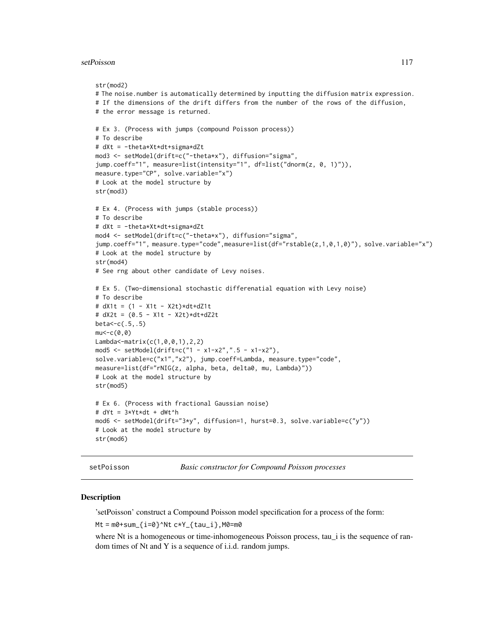#### setPoisson 117

```
str(mod2)
# The noise.number is automatically determined by inputting the diffusion matrix expression.
# If the dimensions of the drift differs from the number of the rows of the diffusion,
# the error message is returned.
# Ex 3. (Process with jumps (compound Poisson process))
# To describe
# dXt = -theta*Xt*dt+sigma*dZt
mod3 <- setModel(drift=c("-theta*x"), diffusion="sigma",
jump.coeff="1", measure=list(intensity="1", df=list("dnorm(z, 0, 1)")),
measure.type="CP", solve.variable="x")
# Look at the model structure by
str(mod3)
# Ex 4. (Process with jumps (stable process))
# To describe
# dXt = -theta*Xt*dt+sigma*dZt
mod4 <- setModel(drift=c("-theta*x"), diffusion="sigma",
jump.coeff="1", measure.type="code",measure=list(df="rstable(z,1,0,1,0)"), solve.variable="x")
# Look at the model structure by
str(mod4)
# See rng about other candidate of Levy noises.
# Ex 5. (Two-dimensional stochastic differenatial equation with Levy noise)
# To describe
# dX1t = (1 - X1t - X2t)*dt+dZ1t
# dX2t = (0.5 - X1t - X2t)*dt+dZ2tbeta<-c(.5,.5)mu < -c(0, 0)Lambda<-matrix(c(1,0,0,1),2,2)
mod5 <- setModel(drift=c("1 - x1-x2",".5 - x1-x2"),
solve.variable=c("x1","x2"), jump.coeff=Lambda, measure.type="code",
measure=list(df="rNIG(z, alpha, beta, delta0, mu, Lambda)"))
# Look at the model structure by
str(mod5)
# Ex 6. (Process with fractional Gaussian noise)
# dYt = 3*Yt*dt + dWt^h
mod6 <- setModel(drift="3*y", diffusion=1, hurst=0.3, solve.variable=c("y"))
# Look at the model structure by
str(mod6)
```
setPoisson *Basic constructor for Compound Poisson processes*

## **Description**

'setPoisson' construct a Compound Poisson model specification for a process of the form:

 $Mt = m0 + sum_{i=0}^s$  Nt  $c*Y_{i}$  tau\_i }, M0=m0

where Nt is a homogeneous or time-inhomogeneous Poisson process, tau\_i is the sequence of random times of Nt and Y is a sequence of i.i.d. random jumps.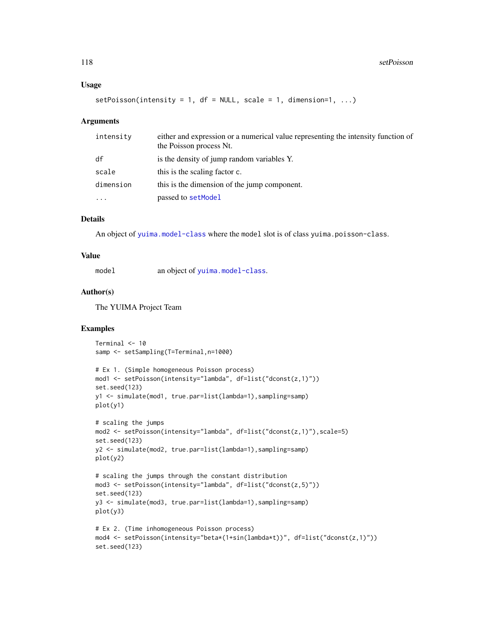```
setPoisson(intensity = 1, df = NULL, scale = 1, dimension=1, ...)
```
#### Arguments

| intensity | either and expression or a numerical value representing the intensity function of<br>the Poisson process Nt. |
|-----------|--------------------------------------------------------------------------------------------------------------|
| df        | is the density of jump random variables Y.                                                                   |
| scale     | this is the scaling factor c.                                                                                |
| dimension | this is the dimension of the jump component.                                                                 |
| $\ddotsc$ | passed to setModel                                                                                           |

# Details

An object of [yuima.model-class](#page-152-1) where the model slot is of class yuima.poisson-class.

#### Value

model an object of [yuima.model-class](#page-152-1).

# Author(s)

The YUIMA Project Team

```
Terminal <- 10
samp <- setSampling(T=Terminal,n=1000)
```

```
# Ex 1. (Simple homogeneous Poisson process)
mod1 <- setPoisson(intensity="lambda", df=list("dconst(z,1)"))
set.seed(123)
y1 <- simulate(mod1, true.par=list(lambda=1),sampling=samp)
plot(y1)
```

```
# scaling the jumps
mod2 <- setPoisson(intensity="lambda", df=list("dconst(z,1)"),scale=5)
set.seed(123)
y2 <- simulate(mod2, true.par=list(lambda=1),sampling=samp)
plot(y2)
```

```
# scaling the jumps through the constant distribution
mod3 <- setPoisson(intensity="lambda", df=list("dconst(z,5)"))
set.seed(123)
y3 <- simulate(mod3, true.par=list(lambda=1),sampling=samp)
plot(y3)
```

```
# Ex 2. (Time inhomogeneous Poisson process)
mod4 <- setPoisson(intensity="beta*(1+sin(lambda*t))", df=list("dconst(z,1)"))
set.seed(123)
```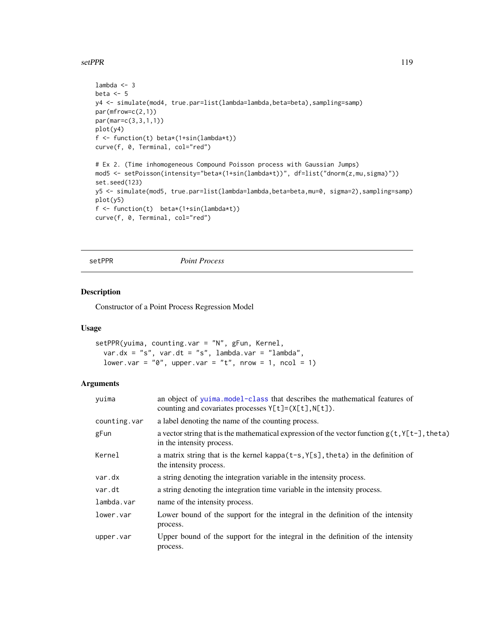#### setPPR and the set of the set of the set of the set of the set of the set of the set of the set of the set of the set of the set of the set of the set of the set of the set of the set of the set of the set of the set of th

```
lambda <- 3
beta <-5y4 <- simulate(mod4, true.par=list(lambda=lambda,beta=beta),sampling=samp)
par(mfrow=c(2,1))
par(mar=c(3,3,1,1))
plot(y4)
f <- function(t) beta*(1+sin(lambda*t))
curve(f, 0, Terminal, col="red")
# Ex 2. (Time inhomogeneous Compound Poisson process with Gaussian Jumps)
mod5 <- setPoisson(intensity="beta*(1+sin(lambda*t))", df=list("dnorm(z,mu,sigma)"))
set.seed(123)
y5 <- simulate(mod5, true.par=list(lambda=lambda,beta=beta,mu=0, sigma=2),sampling=samp)
plot(y5)
f <- function(t) beta*(1+sin(lambda*t))
curve(f, 0, Terminal, col="red")
```
setPPR *Point Process*

# Description

Constructor of a Point Process Regression Model

## Usage

```
setPPR(yuima, counting.var = "N", gFun, Kernel,
 var.dx = "s", var.dt = "s", lambda.var = "lambda",
 lower.var = "0", upper.var = "t", nrow = 1, ncol = 1)
```
#### Arguments

| vuima        | an object of yuima.model-class that describes the mathematical features of<br>counting and covariates processes $Y[t] = (X[t], N[t])$ . |  |
|--------------|-----------------------------------------------------------------------------------------------------------------------------------------|--|
| counting.var | a label denoting the name of the counting process.                                                                                      |  |
| gFun         | a vector string that is the mathematical expression of the vector function $g(t, Y[t-],theta)$<br>in the intensity process.             |  |
| Kernel       | a matrix string that is the kernel kappa $(t-s, Y[s], t)$ heta) in the definition of<br>the intensity process.                          |  |
| var.dx       | a string denoting the integration variable in the intensity process.                                                                    |  |
| var.dt       | a string denoting the integration time variable in the intensity process.                                                               |  |
| lambda.var   | name of the intensity process.                                                                                                          |  |
| lower.var    | Lower bound of the support for the integral in the definition of the intensity<br>process.                                              |  |
| upper.var    | Upper bound of the support for the integral in the definition of the intensity<br>process.                                              |  |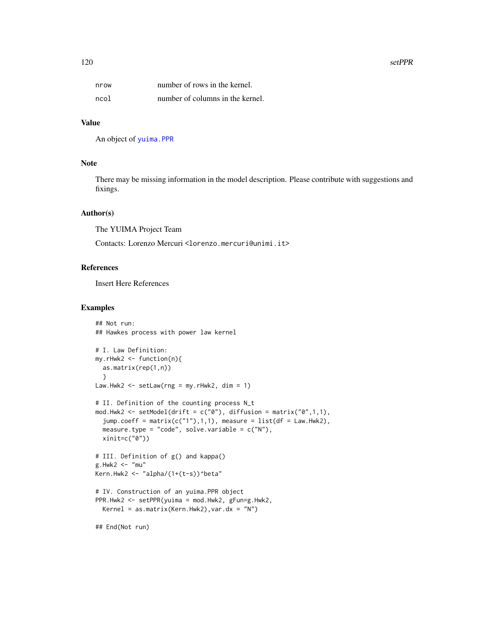#### 120 setPPR

| I<br>M.<br>۰. |  |
|---------------|--|

| nrow | number of rows in the kernel.    |
|------|----------------------------------|
| ncol | number of columns in the kernel. |

# Value

An object of [yuima.PPR](#page-157-0)

## Note

There may be missing information in the model description. Please contribute with suggestions and fixings.

# Author(s)

The YUIMA Project Team

Contacts: Lorenzo Mercuri <lorenzo.mercuri@unimi.it>

#### References

Insert Here References

```
## Not run:
## Hawkes process with power law kernel
# I. Law Definition:
my.rHwk2 <- function(n){
  as.matrix(rep(1,n))
  }
Law.Hwk2 <- setLaw(rng = my.rHwk2, dim = 1)
# II. Definition of the counting process N_t
mod.Hwk2 <- setModel(drift = c("0"), diffusion = matrix("0",1,1),
  jump.coeff = matrix(c("1"), 1, 1), measure = list(df = Law.Hwk2),measure.type = "code", solve.variable = c("N"),
  xinit=c("0"))
# III. Definition of g() and kappa()
g.Hwk2 < - "mu"
Kern.Hwk2 <- "alpha/(1+(t-s))^beta"
# IV. Construction of an yuima.PPR object
PPR.Hwk2 <- setPPR(yuima = mod.Hwk2, gFun=g.Hwk2,
  Kernel = as.matrix(Kern.Hwk2), var.dx = ''N'')
## End(Not run)
```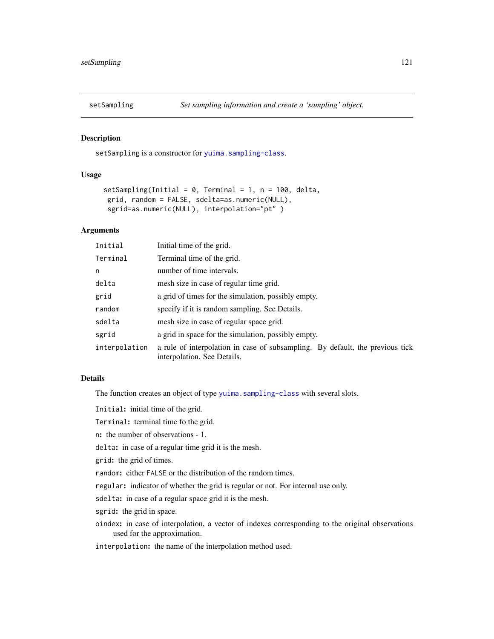<span id="page-120-0"></span>

## Description

setSampling is a constructor for [yuima.sampling-class](#page-158-0).

## Usage

```
setSampling(Initial = 0, Terminal = 1, n = 100, delta,
grid, random = FALSE, sdelta=as.numeric(NULL),
sgrid=as.numeric(NULL), interpolation="pt" )
```
# Arguments

| Initial       | Initial time of the grid.                                                                                    |  |
|---------------|--------------------------------------------------------------------------------------------------------------|--|
| Terminal      | Terminal time of the grid.                                                                                   |  |
| n             | number of time intervals.                                                                                    |  |
| delta         | mesh size in case of regular time grid.                                                                      |  |
| grid          | a grid of times for the simulation, possibly empty.                                                          |  |
| random        | specify if it is random sampling. See Details.                                                               |  |
| sdelta        | mesh size in case of regular space grid.                                                                     |  |
| sgrid         | a grid in space for the simulation, possibly empty.                                                          |  |
| interpolation | a rule of interpolation in case of subsampling. By default, the previous tick<br>interpolation. See Details. |  |

## Details

The function creates an object of type [yuima.sampling-class](#page-158-0) with several slots.

Initial: initial time of the grid.

Terminal: terminal time fo the grid.

n: the number of observations - 1.

delta: in case of a regular time grid it is the mesh.

grid: the grid of times.

random: either FALSE or the distribution of the random times.

regular: indicator of whether the grid is regular or not. For internal use only.

sdelta: in case of a regular space grid it is the mesh.

sgrid: the grid in space.

oindex: in case of interpolation, a vector of indexes corresponding to the original observations used for the approximation.

interpolation: the name of the interpolation method used.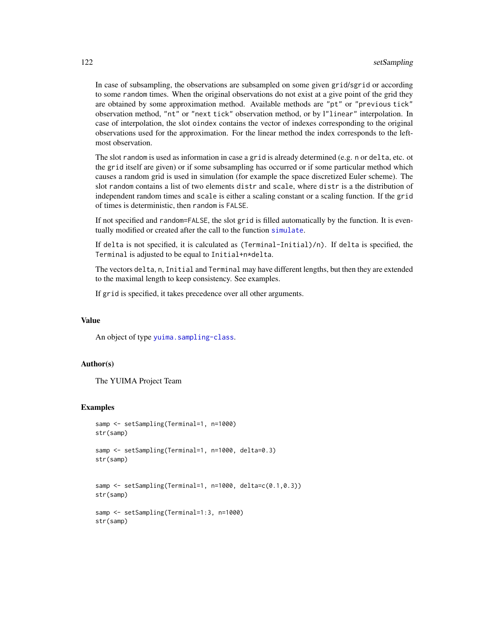In case of subsampling, the observations are subsampled on some given grid/sgrid or according to some random times. When the original observations do not exist at a give point of the grid they are obtained by some approximation method. Available methods are "pt" or "previous tick" observation method, "nt" or "next tick" observation method, or by l"linear" interpolation. In case of interpolation, the slot oindex contains the vector of indexes corresponding to the original observations used for the approximation. For the linear method the index corresponds to the leftmost observation.

The slot random is used as information in case a grid is already determined (e.g. n or delta, etc. ot the grid itself are given) or if some subsampling has occurred or if some particular method which causes a random grid is used in simulation (for example the space discretized Euler scheme). The slot random contains a list of two elements distr and scale, where distr is a the distribution of independent random times and scale is either a scaling constant or a scaling function. If the grid of times is deterministic, then random is FALSE.

If not specified and random=FALSE, the slot grid is filled automatically by the function. It is eventually modified or created after the call to the function [simulate](#page-124-0).

If delta is not specified, it is calculated as (Terminal-Initial)/n). If delta is specified, the Terminal is adjusted to be equal to Initial+n\*delta.

The vectors delta, n, Initial and Terminal may have different lengths, but then they are extended to the maximal length to keep consistency. See examples.

If grid is specified, it takes precedence over all other arguments.

# Value

An object of type [yuima.sampling-class](#page-158-0).

## Author(s)

The YUIMA Project Team

```
samp <- setSampling(Terminal=1, n=1000)
str(samp)
samp <- setSampling(Terminal=1, n=1000, delta=0.3)
str(samp)
```

```
samp <- setSampling(Terminal=1, n=1000, delta=c(0.1,0.3))
str(samp)
```

```
samp <- setSampling(Terminal=1:3, n=1000)
str(samp)
```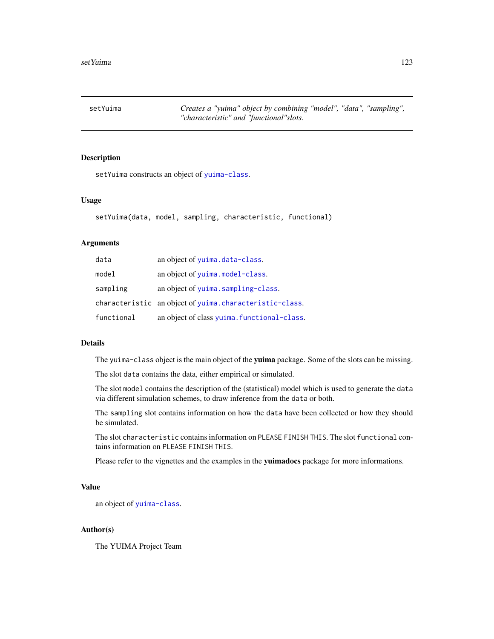setYuima *Creates a "yuima" object by combining "model", "data", "sampling", "characteristic" and "functional"slots.*

## Description

setYuima constructs an object of [yuima-class](#page-141-0).

#### Usage

```
setYuima(data, model, sampling, characteristic, functional)
```
## Arguments

| data       | an object of yuima.data-class.                          |
|------------|---------------------------------------------------------|
| model      | an object of yuima.model-class.                         |
| sampling   | an object of yuima.sampling-class.                      |
|            | characteristic an object of yuima.characteristic-class. |
| functional | an object of class yuima. functional-class.             |

## Details

The yuima-class object is the main object of the yuima package. Some of the slots can be missing.

The slot data contains the data, either empirical or simulated.

The slot model contains the description of the (statistical) model which is used to generate the data via different simulation schemes, to draw inference from the data or both.

The sampling slot contains information on how the data have been collected or how they should be simulated.

The slot characteristic contains information on PLEASE FINISH THIS. The slot functional contains information on PLEASE FINISH THIS.

Please refer to the vignettes and the examples in the yuimadocs package for more informations.

#### Value

an object of [yuima-class](#page-141-0).

#### Author(s)

The YUIMA Project Team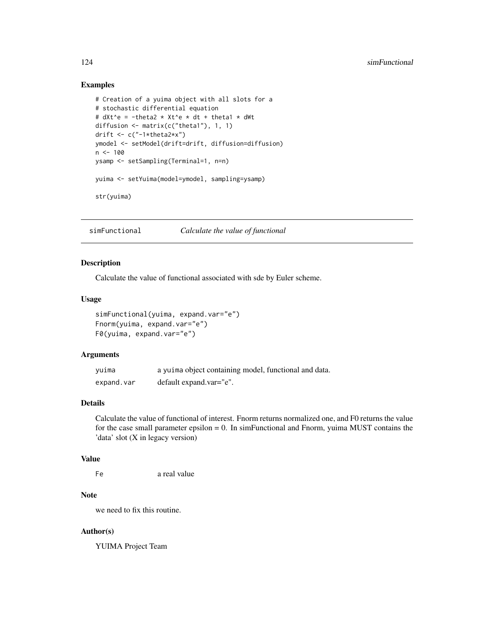## Examples

```
# Creation of a yuima object with all slots for a
# stochastic differential equation
# dXt^e = -theta2 * Xt^e * dt + theta1 * dWt
diffusion <- matrix(c("theta1"), 1, 1)
drift \leq c("-1*theta2*x")
ymodel <- setModel(drift=drift, diffusion=diffusion)
n <- 100
ysamp <- setSampling(Terminal=1, n=n)
yuima <- setYuima(model=ymodel, sampling=ysamp)
str(yuima)
```
simFunctional *Calculate the value of functional*

# Description

Calculate the value of functional associated with sde by Euler scheme.

## Usage

```
simFunctional(yuima, expand.var="e")
Fnorm(yuima, expand.var="e")
F0(yuima, expand.var="e")
```
# Arguments

| yuima      | a yuima object containing model, functional and data. |
|------------|-------------------------------------------------------|
| expand.var | default expand.var="e".                               |

# Details

Calculate the value of functional of interest. Fnorm returns normalized one, and F0 returns the value for the case small parameter epsilon  $= 0$ . In simFunctional and Fnorm, yuima MUST contains the 'data' slot (X in legacy version)

# Value

```
Fe a real value
```
## Note

we need to fix this routine.

# Author(s)

YUIMA Project Team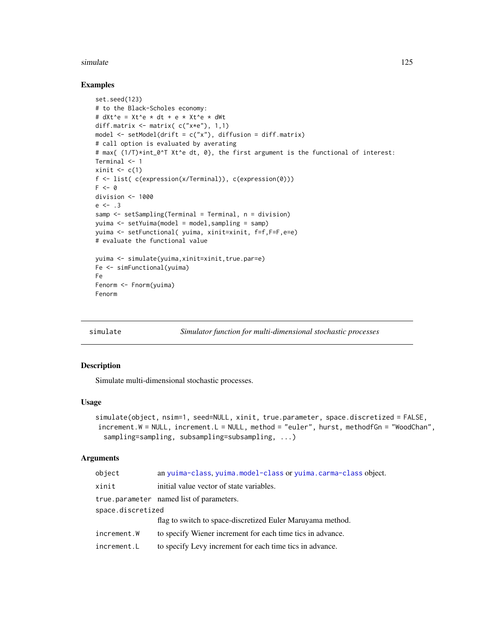#### simulate the contract of the contract of the contract of the contract of the contract of the contract of the contract of the contract of the contract of the contract of the contract of the contract of the contract of the c

## Examples

```
set.seed(123)
# to the Black-Scholes economy:
# dXt^e = Xt^e * dt + e * Xt^e * dWtdiff.matrix <- matrix( c("x*e"), 1,1)
model <- setModel(drift = c("x"), diffusion = diff.matrix)
# call option is evaluated by averating
# max{ (1/T)*int_0^T Xt^e dt, 0}, the first argument is the functional of interest:
Terminal <- 1
xinit \leftarrow c(1)
f <- list( c(expression(x/Terminal)), c(expression(0)))
F \leftarrow 0division <- 1000
e \le -13samp <- setSampling(Terminal = Terminal, n = division)
yuima <- setYuima(model = model,sampling = samp)
yuima <- setFunctional( yuima, xinit=xinit, f=f,F=F,e=e)
# evaluate the functional value
yuima <- simulate(yuima,xinit=xinit,true.par=e)
Fe <- simFunctional(yuima)
Fe
Fenorm <- Fnorm(yuima)
Fenorm
```
<span id="page-124-0"></span>

simulate *Simulator function for multi-dimensional stochastic processes*

## Description

Simulate multi-dimensional stochastic processes.

## Usage

```
simulate(object, nsim=1, seed=NULL, xinit, true.parameter, space.discretized = FALSE,
increment.W = NULL, increment.L = NULL, method = "euler", hurst, methodfGn = "WoodChan",
  sampling=sampling, subsampling=subsampling, ...)
```
#### Arguments

| object            | an yuima-class, yuima.model-class or yuima.carma-class object. |  |
|-------------------|----------------------------------------------------------------|--|
| xinit             | initial value vector of state variables.                       |  |
|                   | true parameter named list of parameters.                       |  |
| space.discretized |                                                                |  |
|                   | flag to switch to space-discretized Euler Maruyama method.     |  |
| increment.W       | to specify Wiener increment for each time tics in advance.     |  |
| increment.L       | to specify Levy increment for each time tics in advance.       |  |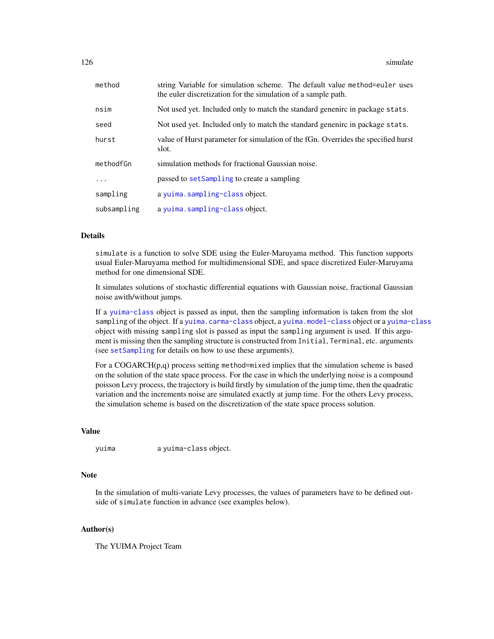| method      | string Variable for simulation scheme. The default value method=euler uses<br>the euler discretization for the simulation of a sample path. |
|-------------|---------------------------------------------------------------------------------------------------------------------------------------------|
| nsim        | Not used yet. Included only to match the standard genenirc in package stats.                                                                |
| seed        | Not used yet. Included only to match the standard genenirc in package stats.                                                                |
| hurst       | value of Hurst parameter for simulation of the fGn. Overrides the specified hurst<br>slot.                                                  |
| methodfGn   | simulation methods for fractional Gaussian noise.                                                                                           |
| .           | passed to setSampling to create a sampling                                                                                                  |
| sampling    | a yuima.sampling-class object.                                                                                                              |
| subsampling | a yuima.sampling-class object.                                                                                                              |

# Details

simulate is a function to solve SDE using the Euler-Maruyama method. This function supports usual Euler-Maruyama method for multidimensional SDE, and space discretized Euler-Maruyama method for one dimensional SDE.

It simulates solutions of stochastic differential equations with Gaussian noise, fractional Gaussian noise awith/without jumps.

If a [yuima-class](#page-141-0) object is passed as input, then the sampling information is taken from the slot sampling of the object. If a [yuima.carma-class](#page-142-0) object, a [yuima.model-class](#page-152-1) object or a [yuima-class](#page-141-0) object with missing sampling slot is passed as input the sampling argument is used. If this argument is missing then the sampling structure is constructed from Initial, Terminal, etc. arguments (see [setSampling](#page-120-0) for details on how to use these arguments).

For a COGARCH(p,q) process setting method=mixed implies that the simulation scheme is based on the solution of the state space process. For the case in which the underlying noise is a compound poisson Levy process, the trajectory is build firstly by simulation of the jump time, then the quadratic variation and the increments noise are simulated exactly at jump time. For the others Levy process, the simulation scheme is based on the discretization of the state space process solution.

# Value

yuima a yuima-class object.

# Note

In the simulation of multi-variate Levy processes, the values of parameters have to be defined outside of simulate function in advance (see examples below).

#### Author(s)

The YUIMA Project Team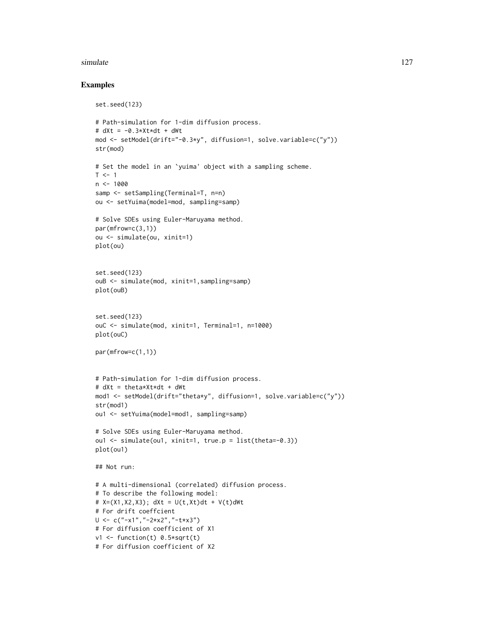#### simulate the contract of the contract of the contract of the contract of the contract of the contract of the contract of the contract of the contract of the contract of the contract of the contract of the contract of the c

```
set.seed(123)
# Path-simulation for 1-dim diffusion process.
# dXt = -0.3*Xt*dt + dWtmod <- setModel(drift="-0.3*y", diffusion=1, solve.variable=c("y"))
str(mod)
# Set the model in an `yuima' object with a sampling scheme.
T < -1n < -1000samp <- setSampling(Terminal=T, n=n)
ou <- setYuima(model=mod, sampling=samp)
# Solve SDEs using Euler-Maruyama method.
par(mfrow=c(3,1))
ou <- simulate(ou, xinit=1)
plot(ou)
set.seed(123)
ouB <- simulate(mod, xinit=1,sampling=samp)
plot(ouB)
set.seed(123)
ouC <- simulate(mod, xinit=1, Terminal=1, n=1000)
plot(ouC)
par(mfrow=c(1,1))
# Path-simulation for 1-dim diffusion process.
# dXt = theta*Xt*dt + dWt
mod1 <- setModel(drift="theta*y", diffusion=1, solve.variable=c("y"))
str(mod1)
ou1 <- setYuima(model=mod1, sampling=samp)
# Solve SDEs using Euler-Maruyama method.
ou1 <- simulate(ou1, xinit=1, true.p = list(theta=-0.3))
plot(ou1)
## Not run:
# A multi-dimensional (correlated) diffusion process.
# To describe the following model:
# X=(X1, X2, X3); dXt = U(t, Xt)dt + V(t) dWt# For drift coeffcient
U <- c("-x1","-2*x2","-t*x3")
# For diffusion coefficient of X1
v1 <- function(t) 0.5*sqrt(t)
# For diffusion coefficient of X2
```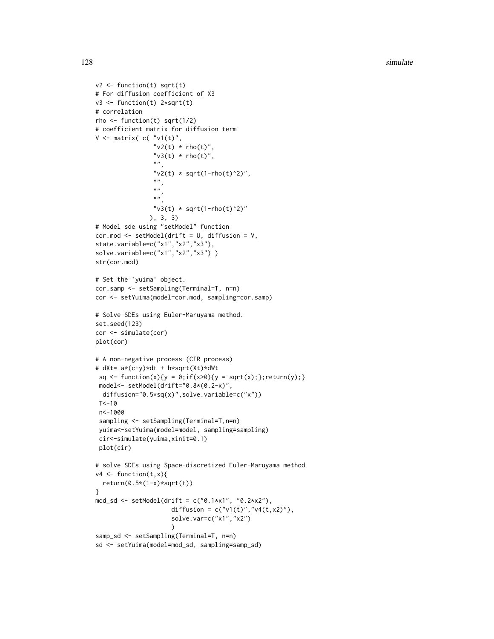```
v2 \leftarrow function(t) sqrt(t)
# For diffusion coefficient of X3
v3 <- function(t) 2*sqrt(t)
# correlation
rho \le function(t) sqrt(1/2)
# coefficient matrix for diffusion term
V \leq matrix( c( "v1(t)",
                "v2(t) * rho(t)","v3(t) * rho(t)",""v2(t) * sqrt(1-rho(t)^2)",
                ",
                "''"''"v3(t) * sqrt(1-rho(t)^2)"), 3, 3)
# Model sde using "setModel" function
cor.mod <- setModel(drift = U, diffusion = V,
state.variable=c("x1","x2","x3"),
solve.variable=c("x1","x2","x3"))
str(cor.mod)
# Set the `yuima' object.
cor.samp <- setSampling(Terminal=T, n=n)
cor <- setYuima(model=cor.mod, sampling=cor.samp)
# Solve SDEs using Euler-Maruyama method.
set.seed(123)
cor <- simulate(cor)
plot(cor)
# A non-negative process (CIR process)
# dXt= a*(c-y)*dt + b*sqrt(Xt)*dWt
 sq \leftarrow function(x){y = 0;if(x>0){y = sqrt(x);};return(y);}
 model<- setModel(drift="0.8*(0.2-x)",
 diffusion="0.5*sq(x)",solve.variable=c("x"))
 T < -10n<-1000
 sampling <- setSampling(Terminal=T,n=n)
 yuima<-setYuima(model=model, sampling=sampling)
 cir<-simulate(yuima,xinit=0.1)
 plot(cir)
# solve SDEs using Space-discretized Euler-Maruyama method
v4 \leftarrow function(t, x)return(0.5*(1-x)*sqrt(t))}
mod_sd <- setModel(drift = c("0.1*x1", "0.2*x2"),
                     diffusion = c("v1(t)", v4(t,x2)"),solve.var=c("x1","x2")
                     )
samp_sd <- setSampling(Terminal=T, n=n)
sd <- setYuima(model=mod_sd, sampling=samp_sd)
```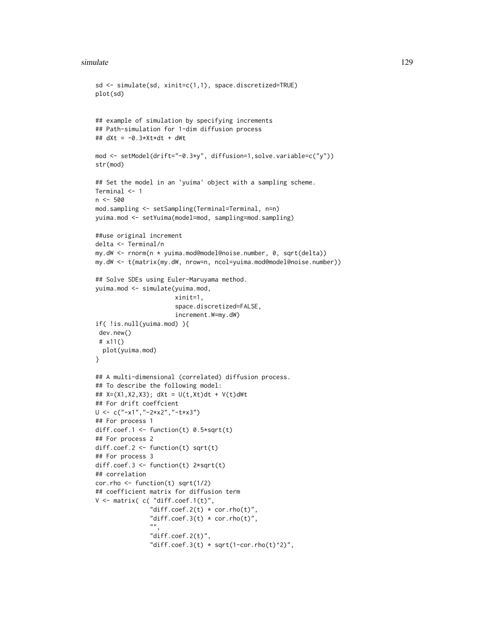#### simulate the contract of the contract of the contract of the contract of the contract of the contract of the contract of the contract of the contract of the contract of the contract of the contract of the contract of the c

```
sd <- simulate(sd, xinit=c(1,1), space.discretized=TRUE)
plot(sd)
## example of simulation by specifying increments
## Path-simulation for 1-dim diffusion process
## dXt = -0.3*Xt*dt + dWt
mod <- setModel(drift="-0.3*y", diffusion=1,solve.variable=c("y"))
str(mod)
## Set the model in an `yuima' object with a sampling scheme.
Terminal <- 1
n < -500mod.sampling <- setSampling(Terminal=Terminal, n=n)
yuima.mod <- setYuima(model=mod, sampling=mod.sampling)
##use original increment
delta <- Terminal/n
my.dW <- rnorm(n * yuima.mod@model@noise.number, 0, sqrt(delta))
my.dW <- t(matrix(my.dW, nrow=n, ncol=yuima.mod@model@noise.number))
## Solve SDEs using Euler-Maruyama method.
yuima.mod <- simulate(yuima.mod,
                      xinit=1,
                      space.discretized=FALSE,
                      increment.W=my.dW)
if( !is.null(yuima.mod) ){
 dev.new()
 # x11()
  plot(yuima.mod)
}
## A multi-dimensional (correlated) diffusion process.
## To describe the following model:
## X=(X1,X2,X3); dXt = U(t,Xt)dt + V(t)dWt
## For drift coeffcient
U <- c("-x1","-2*x2","-t*x3")
## For process 1
diff.coef.1 <- function(t) 0.5*sqrt(t)## For process 2
diff.coef.2 <- function(t) sqrt(t)
## For process 3
diff.coef.3 <- function(t) 2*sqrt(t)
## correlation
cor.rho \le function(t) sqrt(1/2)
## coefficient matrix for diffusion term
V \leq matrix( c( "diff.coef.1(t)",
               "diff.coef.2(t) * cor.rho(t)",
               "diff.coef.3(t) * cor.rho(t)",
               " ""diff.coef.2(t)",
               "diff.coef.3(t) * sqrt(1-cor.rho(t)^2)",
```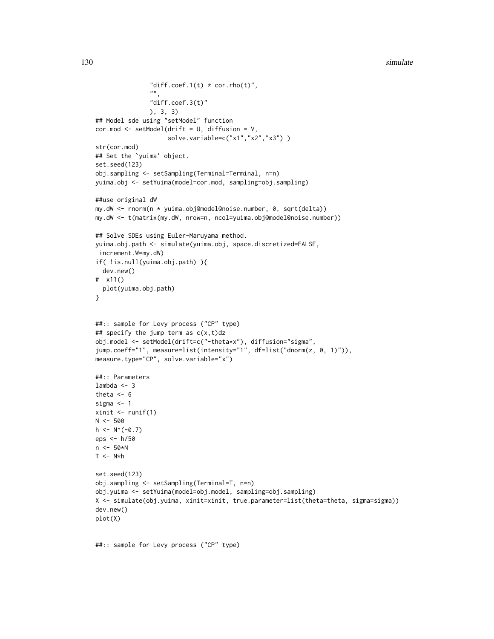```
"diff.coef.1(t) * cor.rho(t)",
               "",
               "diff.coef.3(t)"
               ), 3, 3)
## Model sde using "setModel" function
cor.mod <- setModel(drift = U, diffusion = V,
                    solve.variable=c("x1","x2","x3") )
str(cor.mod)
## Set the `yuima' object.
set.seed(123)
obj.sampling <- setSampling(Terminal=Terminal, n=n)
yuima.obj <- setYuima(model=cor.mod, sampling=obj.sampling)
##use original dW
my.dW <- rnorm(n * yuima.obj@model@noise.number, 0, sqrt(delta))
my.dW <- t(matrix(my.dW, nrow=n, ncol=yuima.obj@model@noise.number))
## Solve SDEs using Euler-Maruyama method.
yuima.obj.path <- simulate(yuima.obj, space.discretized=FALSE,
increment.W=my.dW)
if( !is.null(yuima.obj.path) ){
  dev.new()
# x11()
  plot(yuima.obj.path)
}
##:: sample for Levy process ("CP" type)
## specify the jump term as c(x,t)dzobj.model <- setModel(drift=c("-theta*x"), diffusion="sigma",
jump.coeff="1", measure=list(intensity="1", df=list("dnorm(z, 0, 1)")),
measure.type="CP", solve.variable="x")
##:: Parameters
lambda <-3theta <-6sigma <- 1
xinit \leftarrow runif(1)N < -500h \leq N^{(0)}(-0.7)eps <- h/50
n <- 50*N
T < -N*hset.seed(123)
obj.sampling <- setSampling(Terminal=T, n=n)
obj.yuima <- setYuima(model=obj.model, sampling=obj.sampling)
X <- simulate(obj.yuima, xinit=xinit, true.parameter=list(theta=theta, sigma=sigma))
dev.new()
plot(X)
```
##:: sample for Levy process ("CP" type)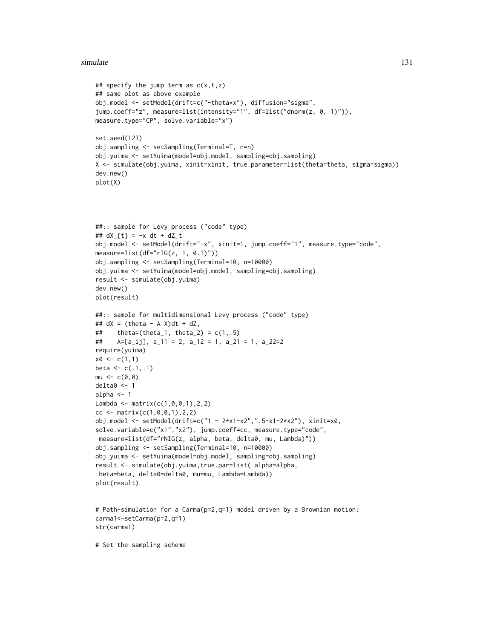#### simulate 131

```
## specify the jump term as c(x,t,z)## same plot as above example
obj.model <- setModel(drift=c("-theta*x"), diffusion="sigma",
jump.coeff="z", measure=list(intensity="1", df=list("dnorm(z, 0, 1)")),
measure.type="CP", solve.variable="x")
set.seed(123)
obj.sampling <- setSampling(Terminal=T, n=n)
obj.yuima <- setYuima(model=obj.model, sampling=obj.sampling)
X <- simulate(obj.yuima, xinit=xinit, true.parameter=list(theta=theta, sigma=sigma))
dev.new()
plot(X)
##:: sample for Levy process ("code" type)
## dX_{t} = -x dt + dZ_{t}obj.model <- setModel(drift="-x", xinit=1, jump.coeff="1", measure.type="code",
measure=list(df='rIG(z, 1, 0.1)"))
obj.sampling <- setSampling(Terminal=10, n=10000)
obj.yuima <- setYuima(model=obj.model, sampling=obj.sampling)
result <- simulate(obj.yuima)
dev.new()
plot(result)
##:: sample for multidimensional Levy process ("code" type)
## dX = (theta - A X)dt + dZ,## theta=(theta_1, theta_2) = c(1, .5)## A=[a_ij], a_11 = 2, a_12 = 1, a_21 = 1, a_22=2
require(yuima)
x0 \leq c(1,1)beta \leq c(.1, .1)mu < -c(0, 0)delta0 <- 1
alpha <-1Lambda <- matrix(c(1,0,0,1),2,2)
cc <- matrix(c(1, 0, 0, 1), 2, 2)obj.model <- setModel(drift=c("1 - 2*x1-x2",".5-x1-2*x2"), xinit=x0,
solve.variable=c("x1","x2"), jump.coeff=cc, measure.type="code",
measure=list(df="rNIG(z, alpha, beta, delta0, mu, Lambda)"))
obj.sampling <- setSampling(Terminal=10, n=10000)
obj.yuima <- setYuima(model=obj.model, sampling=obj.sampling)
result <- simulate(obj.yuima,true.par=list( alpha=alpha,
beta=beta, delta0=delta0, mu=mu, Lambda=Lambda))
plot(result)
# Path-simulation for a Carma(p=2,q=1) model driven by a Brownian motion:
carma1<-setCarma(p=2,q=1)
str(carma1)
```
# Set the sampling scheme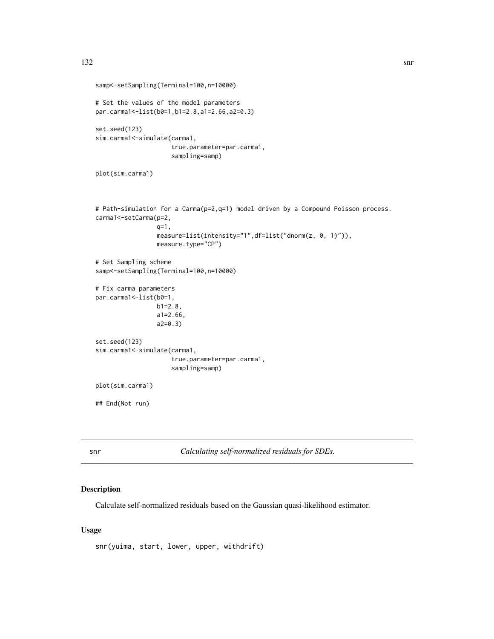```
samp<-setSampling(Terminal=100,n=10000)
# Set the values of the model parameters
par.carma1<-list(b0=1,b1=2.8,a1=2.66,a2=0.3)
set.seed(123)
sim.carma1<-simulate(carma1,
                     true.parameter=par.carma1,
                     sampling=samp)
plot(sim.carma1)
# Path-simulation for a Carma(p=2,q=1) model driven by a Compound Poisson process.
carma1<-setCarma(p=2,
                 q=1,
                 measure=list(intensity="1",df=list("dnorm(z, 0, 1)")),
                 measure.type="CP")
# Set Sampling scheme
samp<-setSampling(Terminal=100,n=10000)
# Fix carma parameters
par.carma1 <- list(b0=1,
                 b1=2.8,
                 a1=2.66,
                 a2=0.3)
set.seed(123)
sim.carma1<-simulate(carma1,
                     true.parameter=par.carma1,
                     sampling=samp)
plot(sim.carma1)
## End(Not run)
```
snr *Calculating self-normalized residuals for SDEs.*

# Description

Calculate self-normalized residuals based on the Gaussian quasi-likelihood estimator.

## Usage

snr(yuima, start, lower, upper, withdrift)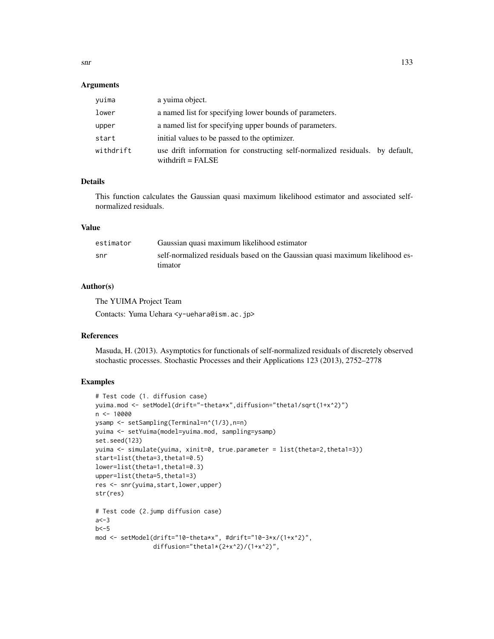## Arguments

| vuima     | a yuima object.                                                                                      |  |
|-----------|------------------------------------------------------------------------------------------------------|--|
| lower     | a named list for specifying lower bounds of parameters.                                              |  |
| upper     | a named list for specifying upper bounds of parameters.                                              |  |
| start     | initial values to be passed to the optimizer.                                                        |  |
| withdrift | use drift information for constructing self-normalized residuals. by default,<br>withdrift = $FALSE$ |  |

# Details

This function calculates the Gaussian quasi maximum likelihood estimator and associated selfnormalized residuals.

#### Value

| estimator | Gaussian quasi maximum likelihood estimator                                  |
|-----------|------------------------------------------------------------------------------|
| snr       | self-normalized residuals based on the Gaussian quasi maximum likelihood es- |
|           | <i>timator</i>                                                               |

## Author(s)

The YUIMA Project Team

Contacts: Yuma Uehara <y-uehara@ism.ac.jp>

#### References

Masuda, H. (2013). Asymptotics for functionals of self-normalized residuals of discretely observed stochastic processes. Stochastic Processes and their Applications 123 (2013), 2752–2778

```
# Test code (1. diffusion case)
yuima.mod <- setModel(drift="-theta*x",diffusion="theta1/sqrt(1+x^2)")
n <- 10000
ysamp <- setSampling(Terminal=n^(1/3),n=n)
yuima <- setYuima(model=yuima.mod, sampling=ysamp)
set.seed(123)
yuima <- simulate(yuima, xinit=0, true.parameter = list(theta=2,theta1=3))
start=list(theta=3,theta1=0.5)
lower=list(theta=1,theta1=0.3)
upper=list(theta=5,theta1=3)
res <- snr(yuima,start,lower,upper)
str(res)
# Test code (2.jump diffusion case)
a < -3b < -5mod <- setModel(drift="10-theta*x", #drift="10-3*x/(1+x^2)",
                diffusion="theta1*(2+x^2)/(1+x^2)",
```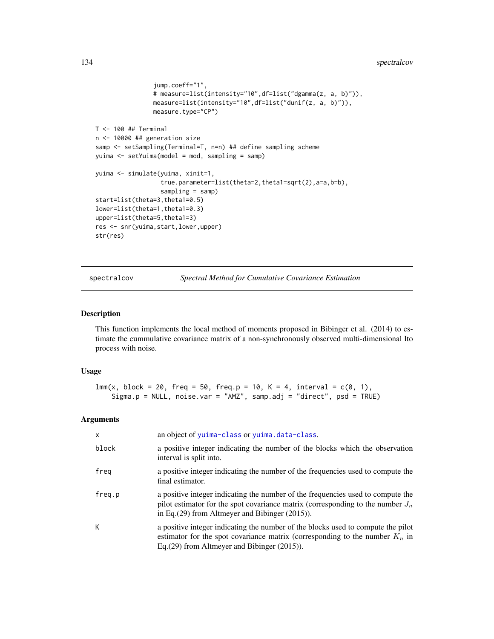# 134 spectralcov

```
jump.coeff="1",
                # measure=list(intensity="10",df=list("dgamma(z, a, b)")),
                measure=list(intensity="10",df=list("dunif(z, a, b)")),
                measure.type="CP")
T < - 100 ## Terminal
n <- 10000 ## generation size
samp <- setSampling(Terminal=T, n=n) ## define sampling scheme
yuima <- setYuima(model = mod, sampling = samp)
yuima <- simulate(yuima, xinit=1,
                  true.parameter=list(theta=2,theta1=sqrt(2),a=a,b=b),
                  sampling = samp)
start=list(theta=3,theta1=0.5)
lower=list(theta=1,theta1=0.3)
upper=list(theta=5,theta1=3)
res <- snr(yuima,start,lower,upper)
str(res)
```
spectralcov *Spectral Method for Cumulative Covariance Estimation*

### Description

This function implements the local method of moments proposed in Bibinger et al. (2014) to estimate the cummulative covariance matrix of a non-synchronously observed multi-dimensional Ito process with noise.

#### Usage

```
lmm(x, block = 20, freq = 50, freq.p = 10, K = 4, interval = c(0, 1),Sigma.p = NULL, noise.var = "AMZ", samp.adj = "direct", psd = TRUE)
```
# Arguments

| $\times$ | an object of yuima-class or yuima.data-class.                                                                                                                                                                                |
|----------|------------------------------------------------------------------------------------------------------------------------------------------------------------------------------------------------------------------------------|
| block    | a positive integer indicating the number of the blocks which the observation<br>interval is split into.                                                                                                                      |
| freg     | a positive integer indicating the number of the frequencies used to compute the<br>final estimator.                                                                                                                          |
| freg.p   | a positive integer indicating the number of the frequencies used to compute the<br>pilot estimator for the spot covariance matrix (corresponding to the number $J_n$<br>in Eq. $(29)$ from Altmeyer and Bibinger $(2015)$ ). |
| К        | a positive integer indicating the number of the blocks used to compute the pilot<br>estimator for the spot covariance matrix (corresponding to the number $K_n$ in<br>Eq. $(29)$ from Altmeyer and Bibinger $(2015)$ ).      |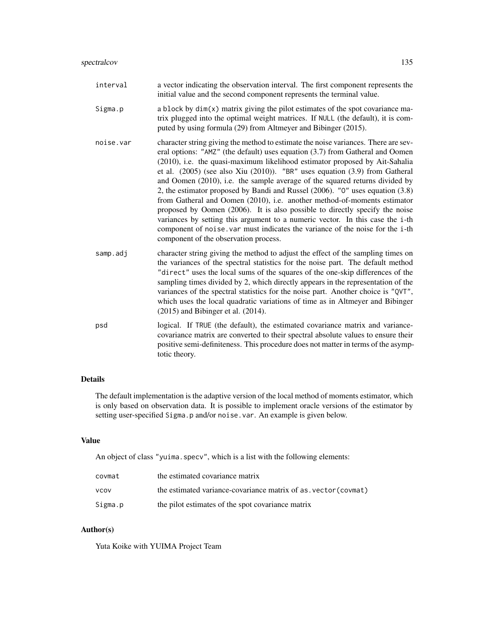| interval  | a vector indicating the observation interval. The first component represents the<br>initial value and the second component represents the terminal value.                                                                                                                                                                                                                                                                                                                                                                                                                                                                                                                                                                                                                                                                                                                      |
|-----------|--------------------------------------------------------------------------------------------------------------------------------------------------------------------------------------------------------------------------------------------------------------------------------------------------------------------------------------------------------------------------------------------------------------------------------------------------------------------------------------------------------------------------------------------------------------------------------------------------------------------------------------------------------------------------------------------------------------------------------------------------------------------------------------------------------------------------------------------------------------------------------|
| Sigma.p   | a block by dim(x) matrix giving the pilot estimates of the spot covariance ma-<br>trix plugged into the optimal weight matrices. If NULL (the default), it is com-<br>puted by using formula (29) from Altmeyer and Bibinger (2015).                                                                                                                                                                                                                                                                                                                                                                                                                                                                                                                                                                                                                                           |
| noise.var | character string giving the method to estimate the noise variances. There are sev-<br>eral options: "AMZ" (the default) uses equation (3.7) from Gatheral and Oomen<br>(2010), i.e. the quasi-maximum likelihood estimator proposed by Ait-Sahalia<br>et al. $(2005)$ (see also Xiu $(2010)$ ). "BR" uses equation $(3.9)$ from Gatheral<br>and Oomen (2010), i.e. the sample average of the squared returns divided by<br>2, the estimator proposed by Bandi and Russel (2006). "0" uses equation (3.8)<br>from Gatheral and Oomen (2010), i.e. another method-of-moments estimator<br>proposed by Oomen (2006). It is also possible to directly specify the noise<br>variances by setting this argument to a numeric vector. In this case the i-th<br>component of noise. var must indicates the variance of the noise for the i-th<br>component of the observation process. |
| samp.adj  | character string giving the method to adjust the effect of the sampling times on<br>the variances of the spectral statistics for the noise part. The default method<br>"direct" uses the local sums of the squares of the one-skip differences of the<br>sampling times divided by 2, which directly appears in the representation of the<br>variances of the spectral statistics for the noise part. Another choice is "QVT",<br>which uses the local quadratic variations of time as in Altmeyer and Bibinger<br>$(2015)$ and Bibinger et al. $(2014)$ .                                                                                                                                                                                                                                                                                                                     |
| psd       | logical. If TRUE (the default), the estimated covariance matrix and variance-<br>covariance matrix are converted to their spectral absolute values to ensure their<br>positive semi-definiteness. This procedure does not matter in terms of the asymp-<br>totic theory.                                                                                                                                                                                                                                                                                                                                                                                                                                                                                                                                                                                                       |

# Details

The default implementation is the adaptive version of the local method of moments estimator, which is only based on observation data. It is possible to implement oracle versions of the estimator by setting user-specified Sigma.p and/or noise.var. An example is given below.

# Value

An object of class "yuima.specv", which is a list with the following elements:

| covmat      | the estimated covariance matrix                                |
|-------------|----------------------------------------------------------------|
| <b>VCOV</b> | the estimated variance-covariance matrix of as vector (covmat) |
| Sigma.p     | the pilot estimates of the spot covariance matrix              |

# Author(s)

Yuta Koike with YUIMA Project Team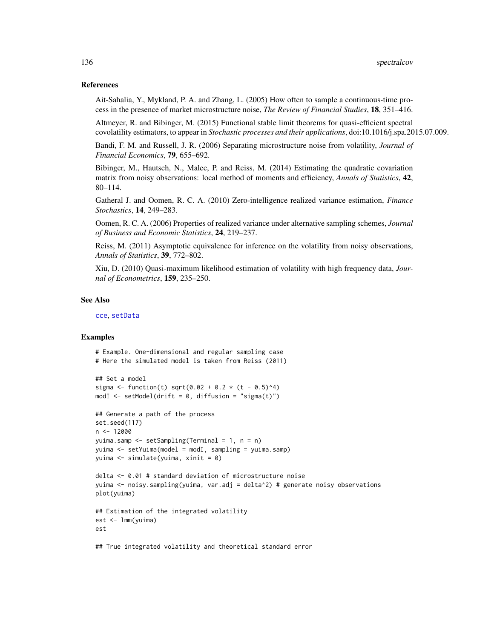## References

Ait-Sahalia, Y., Mykland, P. A. and Zhang, L. (2005) How often to sample a continuous-time process in the presence of market microstructure noise, *The Review of Financial Studies*, 18, 351–416.

Altmeyer, R. and Bibinger, M. (2015) Functional stable limit theorems for quasi-efficient spectral covolatility estimators, to appear in *Stochastic processes and their applications*, doi:10.1016/j.spa.2015.07.009.

Bandi, F. M. and Russell, J. R. (2006) Separating microstructure noise from volatility, *Journal of Financial Economics*, 79, 655–692.

Bibinger, M., Hautsch, N., Malec, P. and Reiss, M. (2014) Estimating the quadratic covariation matrix from noisy observations: local method of moments and efficiency, *Annals of Statistics*, 42, 80–114.

Gatheral J. and Oomen, R. C. A. (2010) Zero-intelligence realized variance estimation, *Finance Stochastics*, 14, 249–283.

Oomen, R. C. A. (2006) Properties of realized variance under alternative sampling schemes, *Journal of Business and Economic Statistics*, 24, 219–237.

Reiss, M. (2011) Asymptotic equivalence for inference on the volatility from noisy observations, *Annals of Statistics*, 39, 772–802.

Xiu, D. (2010) Quasi-maximum likelihood estimation of volatility with high frequency data, *Journal of Econometrics*, 159, 235–250.

#### See Also

[cce](#page-12-0), [setData](#page-105-0)

```
# Example. One-dimensional and regular sampling case
# Here the simulated model is taken from Reiss (2011)
## Set a model
sigma <- function(t) sqrt(0.02 + 0.2 * (t - 0.5)^4)
modI <- setModel(drift = 0, diffusion = "sigma(t)")
## Generate a path of the process
set.seed(117)
n < -12000yuima.samp <- setSampling(Terminal = 1, n = n)
yuima <- setYuima(model = modI, sampling = yuima.samp)
yuima <- simulate(yuima, xinit = 0)
delta <- 0.01 # standard deviation of microstructure noise
yuima <- noisy.sampling(yuima, var.adj = delta^2) # generate noisy observations
plot(yuima)
## Estimation of the integrated volatility
est <- lmm(yuima)
est
## True integrated volatility and theoretical standard error
```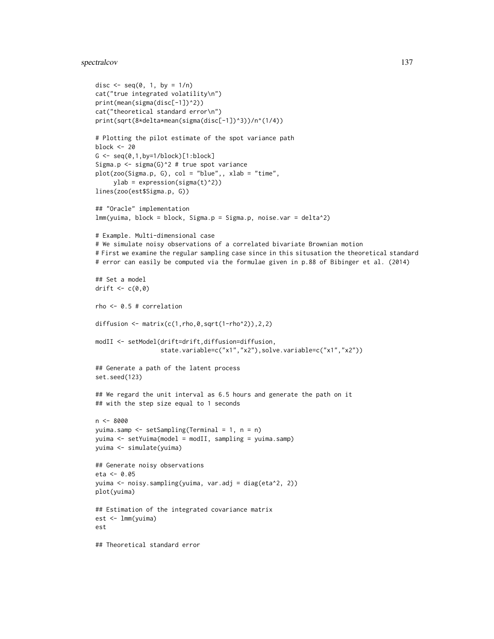# spectralcov 137

```
disc \leq seq(0, 1, by = 1/n)
cat("true integrated volatility\n")
print(mean(sigma(disc[-1])^2))
cat("theoretical standard error\n")
print(sqrt(8*delta*mean(sigma(disc[-1])^3))/n^(1/4))
# Plotting the pilot estimate of the spot variance path
block <- 20
G \leftarrow \text{seq}(0, 1, \text{by=1/block})[1:block]
Sigma.p <- sigma(G)^2 # true spot variance
plot(zoo(Sigma.p, G), col = "blue",, xlab = "time",
     ylab = expression(sigma(t)^2)lines(zoo(est$Sigma.p, G))
## "Oracle" implementation
lmm(yuima, block = block, Sigma.p = Sigma.p, noise.var = delta^2)
# Example. Multi-dimensional case
# We simulate noisy observations of a correlated bivariate Brownian motion
# First we examine the regular sampling case since in this situsation the theoretical standard
# error can easily be computed via the formulae given in p.88 of Bibinger et al. (2014)
## Set a model
drift \leq c(0,0)rho <- 0.5 # correlation
diffusion \leq matrix(c(1, rho, 0, sqrt(1-rho^2)), 2, 2)
modII <- setModel(drift=drift,diffusion=diffusion,
                  state.variable=c("x1","x2"),solve.variable=c("x1","x2"))
## Generate a path of the latent process
set.seed(123)
## We regard the unit interval as 6.5 hours and generate the path on it
## with the step size equal to 1 seconds
n <- 8000
yuima.samp <- setSampling(Terminal = 1, n = n)
yuima <- setYuima(model = modII, sampling = yuima.samp)
yuima <- simulate(yuima)
## Generate noisy observations
eta <- 0.05
yuima <- noisy.sampling(yuima, var.adj = diag(eta^2, 2))
plot(yuima)
## Estimation of the integrated covariance matrix
est <- lmm(yuima)
est
## Theoretical standard error
```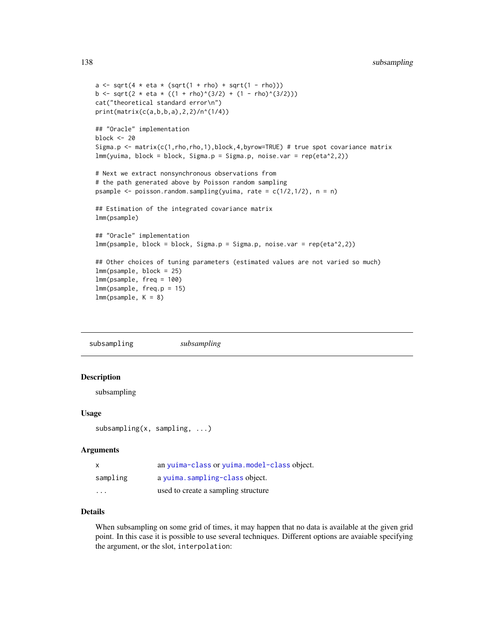```
a \leq \sqrt{4 \times 1} + eta \sqrt{2} (sqrt(1 + rho) + sqrt(1 - rho)))
b <- sqrt(2 * eta * ((1 + rho)^(3/2) + (1 - rho)^(3/2)))
cat("theoretical standard error\n")
print(matrix(c(a,b,b,a),2,2)/n^(1/4))
## "Oracle" implementation
block <- 20
Sigma.p <- matrix(c(1,rho,rho,1),block,4,byrow=TRUE) # true spot covariance matrix
lmm(yuima, block = block, Sigma.p = Sigma.p, noise.var = rep(eta^2,2))
# Next we extract nonsynchronous observations from
# the path generated above by Poisson random sampling
psample \leq poisson.random.sampling(yuima, rate = c(1/2,1/2), n = n)
## Estimation of the integrated covariance matrix
lmm(psample)
## "Oracle" implementation
lmm(psample, block = block, Sigma.p = Sigma.p, noise.var = rep(eta^2,2))
## Other choices of tuning parameters (estimated values are not varied so much)
lmm(psample, block = 25)
lmm(psample, freq = 100)
lmm(psample, freq.p = 15)
lmm(psample, K = 8)
```
subsampling *subsampling*

## Description

subsampling

## Usage

subsampling(x, sampling, ...)

## Arguments

| $\boldsymbol{\mathsf{x}}$ | an yuima-class or yuima.model-class object. |
|---------------------------|---------------------------------------------|
| sampling                  | a yuima.sampling-class object.              |
| $\cdot$                   | used to create a sampling structure         |

# Details

When subsampling on some grid of times, it may happen that no data is available at the given grid point. In this case it is possible to use several techniques. Different options are avaiable specifying the argument, or the slot, interpolation: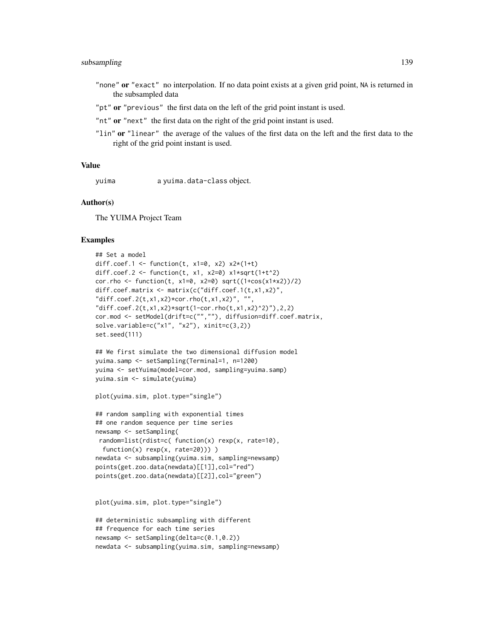# subsampling 139

- "none" or "exact" no interpolation. If no data point exists at a given grid point, NA is returned in the subsampled data
- "pt" or "previous" the first data on the left of the grid point instant is used.
- "nt" or "next" the first data on the right of the grid point instant is used.
- "lin" or "linear" the average of the values of the first data on the left and the first data to the right of the grid point instant is used.

#### Value

yuima a yuima.data-class object.

## Author(s)

The YUIMA Project Team

```
## Set a model
diff.coef.1 <- function(t, x1=0, x2) x2*(1+t)diff.coef.2 <- function(t, x1, x2=0) x1*sqrt(1+t^2)cor.rho <- function(t, x1=0, x2=0) sqrt((1+cos(x1+x2))/2)diff.coef.matrix <- matrix(c("diff.coef.1(t,x1,x2)",
"diff.coef.2(t,x1,x2)*cor.rho(t,x1,x2)", "",
"diff.coef.2(t,x1,x2)*sqrt(1-cor.rho(t,x1,x2)^2)"),2,2)
cor.mod <- setModel(drift=c("",""), diffusion=diff.coef.matrix,
solve.variable=c("x1", "x2"), xinit=c(3,2))
set.seed(111)
## We first simulate the two dimensional diffusion model
```

```
yuima.samp <- setSampling(Terminal=1, n=1200)
yuima <- setYuima(model=cor.mod, sampling=yuima.samp)
yuima.sim <- simulate(yuima)
```

```
plot(yuima.sim, plot.type="single")
```

```
## random sampling with exponential times
## one random sequence per time series
newsamp <- setSampling(
random=list(rdist=c( function(x) rexp(x, rate=10),
 function(x) rexp(x, rate=20)))
newdata <- subsampling(yuima.sim, sampling=newsamp)
points(get.zoo.data(newdata)[[1]],col="red")
points(get.zoo.data(newdata)[[2]],col="green")
```

```
plot(yuima.sim, plot.type="single")
```

```
## deterministic subsampling with different
## frequence for each time series
newsamp <- setSampling(delta=c(0.1,0.2))
newdata <- subsampling(yuima.sim, sampling=newsamp)
```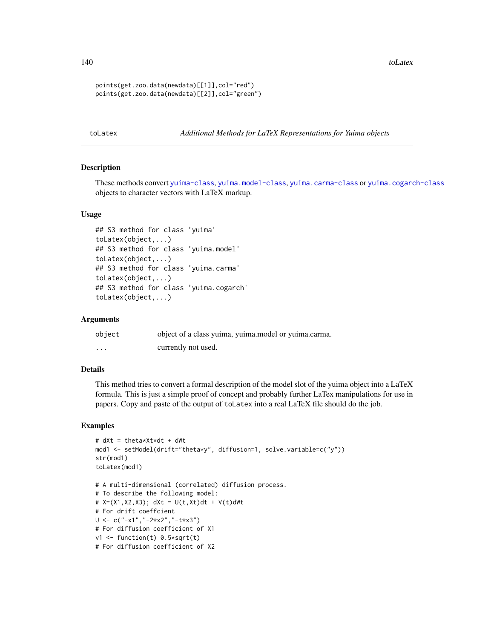140 toLatex the control of the control of the control of the control of the control of the control of the control of the control of the control of the control of the control of the control of the control of the control of

```
points(get.zoo.data(newdata)[[1]],col="red")
points(get.zoo.data(newdata)[[2]],col="green")
```
toLatex *Additional Methods for LaTeX Representations for Yuima objects*

## **Description**

These methods convert [yuima-class](#page-141-0), [yuima.model-class](#page-152-1), [yuima.carma-class](#page-142-0) or [yuima.cogarch-class](#page-145-1) objects to character vectors with LaTeX markup.

## Usage

```
## S3 method for class 'yuima'
toLatex(object,...)
## S3 method for class 'yuima.model'
toLatex(object,...)
## S3 method for class 'yuima.carma'
toLatex(object,...)
## S3 method for class 'yuima.cogarch'
toLatex(object,...)
```
# Arguments

| object   | object of a class yuima, yuima.model or yuima.carma. |
|----------|------------------------------------------------------|
| $\cdots$ | currently not used.                                  |

## Details

This method tries to convert a formal description of the model slot of the yuima object into a LaTeX formula. This is just a simple proof of concept and probably further LaTex manipulations for use in papers. Copy and paste of the output of toLatex into a real LaTeX file should do the job.

```
# dXt = theta*Xt*dt + dWt
mod1 <- setModel(drift="theta*y", diffusion=1, solve.variable=c("y"))
str(mod1)
toLatex(mod1)
# A multi-dimensional (correlated) diffusion process.
# To describe the following model:
# X=(X1, X2, X3); dXt = U(t, Xt)dt + V(t) dWt# For drift coeffcient
U <- c("-x1","-2*x2","-t*x3")
# For diffusion coefficient of X1
v1 <- function(t) 0.5*sqrt(t)
# For diffusion coefficient of X2
```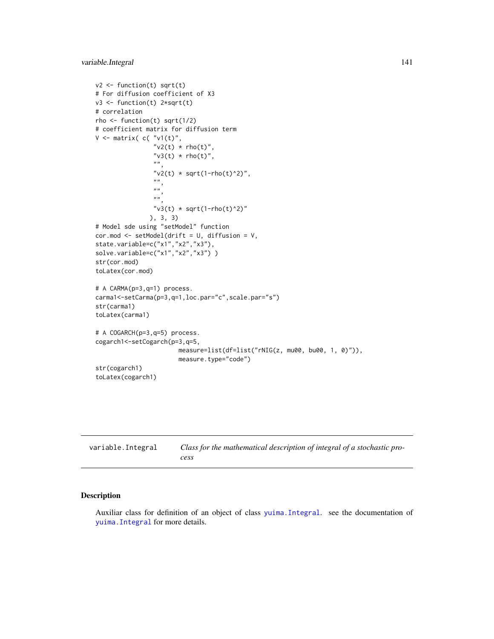```
v2 \leftarrow function(t) sqrt(t)
# For diffusion coefficient of X3
v3 <- function(t) 2*sqrt(t)
# correlation
rho \le function(t) sqrt(1/2)
# coefficient matrix for diffusion term
V \leq matrix( c( "v1(t)",
                 "v2(t) * rho(t)","v3(t) * rho(t)",".
                 "v2(t) * sqrt(1-rho(t)^2)",
                 ",
                 \hat{\bar{n}} \hat{\bar{n}}",
                 "v3(t) * sqrt(1-rho(t)^2)"), 3, 3)
# Model sde using "setModel" function
cor.mod <- setModel(drift = U, diffusion = V,
state.variable=c("x1","x2","x3"),
solve.variable=c("x1","x2","x3"))
str(cor.mod)
toLatex(cor.mod)
# A CARMA(p=3,q=1) process.
carma1<-setCarma(p=3,q=1,loc.par="c",scale.par="s")
str(carma1)
toLatex(carma1)
# A COGARCH(p=3,q=5) process.
cogarch1<-setCogarch(p=3,q=5,
                        measure=list(df=list("rNIG(z, mu00, bu00, 1, 0)")),
                        measure.type="code")
str(cogarch1)
toLatex(cogarch1)
```

| variable.Integral | Class for the mathematical description of integral of a stochastic pro- |
|-------------------|-------------------------------------------------------------------------|
|                   | cess                                                                    |

## Description

Auxiliar class for definition of an object of class [yuima.Integral](#page-149-0). see the documentation of [yuima.Integral](#page-149-0) for more details.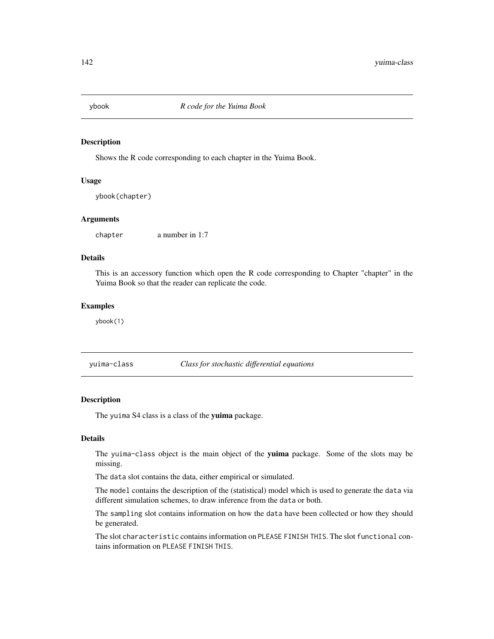# Description

Shows the R code corresponding to each chapter in the Yuima Book.

## Usage

ybook(chapter)

## Arguments

chapter a number in 1:7

# Details

This is an accessory function which open the R code corresponding to Chapter "chapter" in the Yuima Book so that the reader can replicate the code.

## Examples

ybook(1)

<span id="page-141-0"></span>yuima-class *Class for stochastic differential equations*

# Description

The yuima S4 class is a class of the yuima package.

# Details

The yuima-class object is the main object of the yuima package. Some of the slots may be missing.

The data slot contains the data, either empirical or simulated.

The model contains the description of the (statistical) model which is used to generate the data via different simulation schemes, to draw inference from the data or both.

The sampling slot contains information on how the data have been collected or how they should be generated.

The slot characteristic contains information on PLEASE FINISH THIS. The slot functional contains information on PLEASE FINISH THIS.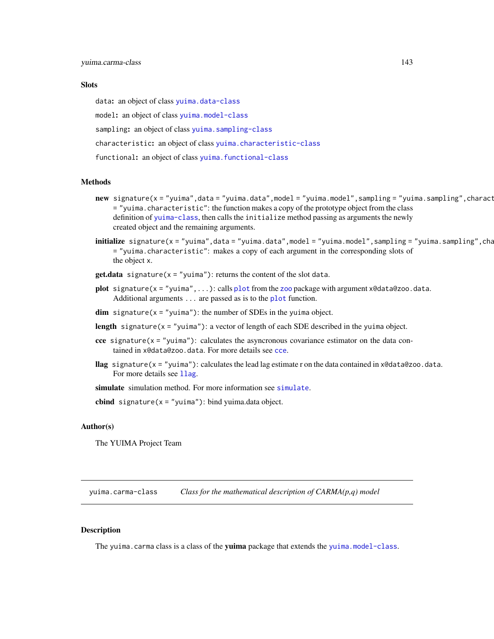## **Slots**

data: an object of class [yuima.data-class](#page-147-0)

model: an object of class [yuima.model-class](#page-152-1)

sampling: an object of class [yuima.sampling-class](#page-158-0)

characteristic: an object of class [yuima.characteristic-class](#page-145-0)

functional: an object of class [yuima.functional-class](#page-148-1)

# Methods

- new signature(x = "yuima",data = "yuima.data",model = "yuima.model",sampling = "yuima.sampling",charact = "yuima.characteristic": the function makes a copy of the prototype object from the class definition of [yuima-class](#page-141-0), then calls the initialize method passing as arguments the newly created object and the remaining arguments.
- $initialize$  signature(x = "yuima",data = "yuima.data",model = "yuima.model",sampling = "yuima.sampling",cha = "yuima.characteristic": makes a copy of each argument in the corresponding slots of the object x.
- **get.data** signature( $x = "yujma")$ : returns the content of the slot data.
- [plot](#page-0-0) signature( $x = "y$ uima",...): calls plot from the [zoo](#page-0-0) package with argument x@data@zoo.data. Additional arguments ... are passed as is to the [plot](#page-0-0) function.
- **dim** signature( $x =$ "yuima"): the number of SDEs in the yuima object.
- length signature( $x =$ "yuima"): a vector of length of each SDE described in the yuima object.
- cce signature( $x =$ "yuima"): calculates the asyncronous covariance estimator on the data contained in x@data@zoo.data. For more details see [cce](#page-12-0).
- llag signature(x = "yuima"): calculates the lead lag estimate r on the data contained in x@data@zoo.data. For more details see 11ag.

[simulate](#page-124-0) simulation method. For more information see simulate.

**cbind** signature( $x =$ "yuima"): bind yuima.data object.

#### Author(s)

The YUIMA Project Team

<span id="page-142-0"></span>yuima.carma-class *Class for the mathematical description of CARMA(p,q) model*

#### Description

The yuima.carma class is a class of the yuima package that extends the [yuima.model-class](#page-152-1).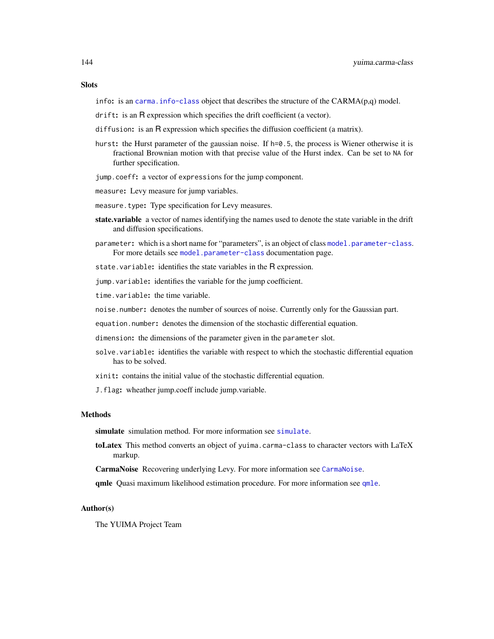# **Slots**

info: is an carma. info-class object that describes the structure of the  $CARMA(p,q)$  model.

- drift: is an R expression which specifies the drift coefficient (a vector).
- diffusion: is an R expression which specifies the diffusion coefficient (a matrix).
- hurst: the Hurst parameter of the gaussian noise. If h=0.5, the process is Wiener otherwise it is fractional Brownian motion with that precise value of the Hurst index. Can be set to NA for further specification.
- jump.coeff: a vector of expressions for the jump component.
- measure: Levy measure for jump variables.
- measure.type: Type specification for Levy measures.
- state.variable a vector of names identifying the names used to denote the state variable in the drift and diffusion specifications.
- parameter: which is a short name for "parameters", is an object of class [model.parameter-class](#page-72-0). For more details see [model.parameter-class](#page-72-0) documentation page.

state.variable: identifies the state variables in the R expression.

jump.variable: identifies the variable for the jump coefficient.

time.variable: the time variable.

noise.number: denotes the number of sources of noise. Currently only for the Gaussian part.

equation.number: denotes the dimension of the stochastic differential equation.

dimension: the dimensions of the parameter given in the parameter slot.

- solve.variable: identifies the variable with respect to which the stochastic differential equation has to be solved.
- xinit: contains the initial value of the stochastic differential equation.
- J.flag: wheather jump.coeff include jump.variable.

#### Methods

[simulate](#page-124-0) simulation method. For more information see simulate.

toLatex This method converts an object of yuima.carma-class to character vectors with LaTeX markup.

CarmaNoise Recovering underlying Levy. For more information see [CarmaNoise](#page-9-1).

[qmle](#page-82-0) Quasi maximum likelihood estimation procedure. For more information see qmle.

## Author(s)

The YUIMA Project Team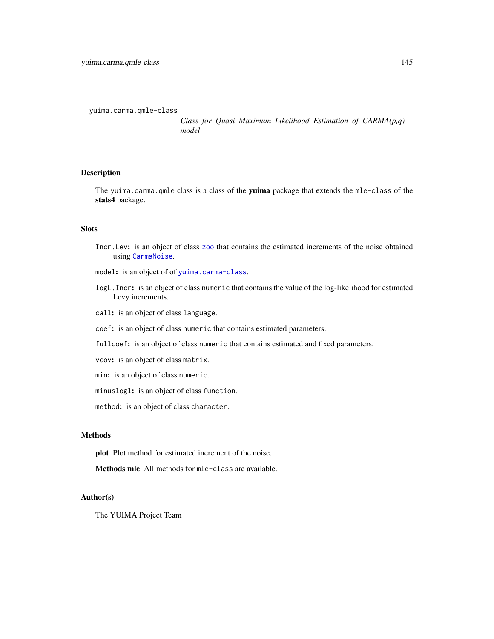<span id="page-144-0"></span>yuima.carma.qmle-class

*Class for Quasi Maximum Likelihood Estimation of CARMA(p,q) model*

# Description

The yuima.carma.qmle class is a class of the yuima package that extends the mle-class of the stats4 package.

# Slots

- Incr.Lev: is an object of class [zoo](#page-0-0) that contains the estimated increments of the noise obtained using [CarmaNoise](#page-9-0).
- model: is an object of of [yuima.carma-class](#page-142-0).
- logL.Incr: is an object of class numeric that contains the value of the log-likelihood for estimated Levy increments.
- call: is an object of class language.
- coef: is an object of class numeric that contains estimated parameters.
- fullcoef: is an object of class numeric that contains estimated and fixed parameters.
- vcov: is an object of class matrix.
- min: is an object of class numeric.
- minuslogl: is an object of class function.
- method: is an object of class character.

# Methods

plot Plot method for estimated increment of the noise.

Methods mle All methods for mle-class are available.

# Author(s)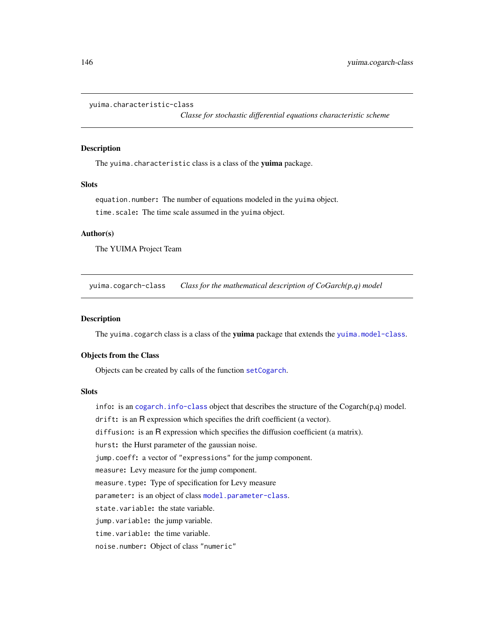```
yuima.characteristic-class
```
*Classe for stochastic differential equations characteristic scheme*

#### Description

The yuima.characteristic class is a class of the yuima package.

# **Slots**

equation.number: The number of equations modeled in the yuima object. time.scale: The time scale assumed in the yuima object.

#### Author(s)

The YUIMA Project Team

yuima.cogarch-class *Class for the mathematical description of CoGarch(p,q) model*

# Description

The yuima.cogarch class is a class of the yuima package that extends the [yuima.model-class](#page-152-0).

#### Objects from the Class

Objects can be created by calls of the function [setCogarch](#page-103-0).

#### Slots

info: is an cogarch. info-class object that describes the structure of the  $Cogarch(p,q)$  model. drift: is an R expression which specifies the drift coefficient (a vector). diffusion: is an R expression which specifies the diffusion coefficient (a matrix). hurst: the Hurst parameter of the gaussian noise. jump.coeff: a vector of "expressions" for the jump component. measure: Levy measure for the jump component. measure.type: Type of specification for Levy measure parameter: is an object of class [model.parameter-class](#page-72-0). state.variable: the state variable. jump.variable: the jump variable. time.variable: the time variable. noise.number: Object of class "numeric"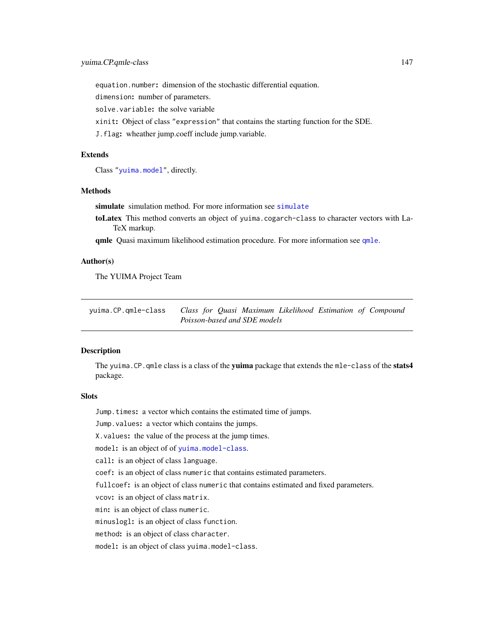<span id="page-146-0"></span>equation.number: dimension of the stochastic differential equation.

dimension: number of parameters.

solve.variable: the solve variable

xinit: Object of class "expression" that contains the starting function for the SDE.

J.flag: wheather jump.coeff include jump.variable.

# Extends

Class ["yuima.model"](#page-152-0), directly.

#### Methods

[simulate](#page-124-0) simulation method. For more information see simulate

toLatex This method converts an object of yuima.cogarch-class to character vectors with La-TeX markup.

[qmle](#page-82-0) Quasi maximum likelihood estimation procedure. For more information see qmle.

# Author(s)

The YUIMA Project Team

yuima.CP.qmle-class *Class for Quasi Maximum Likelihood Estimation of Compound Poisson-based and SDE models*

# **Description**

The yuima.CP.qmle class is a class of the yuima package that extends the mle-class of the stats4 package.

# **Slots**

Jump.times: a vector which contains the estimated time of jumps.

Jump. values: a vector which contains the jumps.

X.values: the value of the process at the jump times.

model: is an object of of [yuima.model-class](#page-152-0).

call: is an object of class language.

coef: is an object of class numeric that contains estimated parameters.

fullcoef: is an object of class numeric that contains estimated and fixed parameters.

vcov: is an object of class matrix.

min: is an object of class numeric.

minuslogl: is an object of class function.

method: is an object of class character.

model: is an object of class yuima.model-class.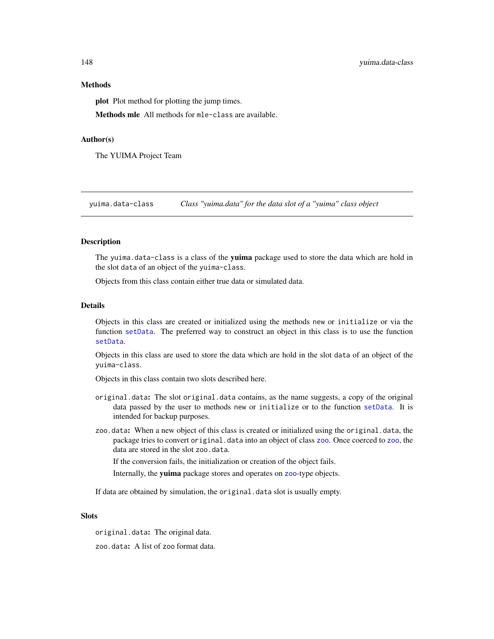## Methods

plot Plot method for plotting the jump times.

Methods mle All methods for mle-class are available.

#### Author(s)

The YUIMA Project Team

<span id="page-147-0"></span>yuima.data-class *Class "yuima.data" for the data slot of a "yuima" class object*

#### Description

The yuima.data-class is a class of the yuima package used to store the data which are hold in the slot data of an object of the yuima-class.

Objects from this class contain either true data or simulated data.

# Details

Objects in this class are created or initialized using the methods new or initialize or via the function [setData](#page-105-0). The preferred way to construct an object in this class is to use the function [setData](#page-105-0).

Objects in this class are used to store the data which are hold in the slot data of an object of the yuima-class.

Objects in this class contain two slots described here.

- original.data: The slot original.data contains, as the name suggests, a copy of the original data passed by the user to methods new or initialize or to the function [setData](#page-105-0). It is intended for backup purposes.
- zoo.data: When a new object of this class is created or initialized using the original.data, the package tries to convert original.data into an object of class [zoo](#page-0-0). Once coerced to zoo, the data are stored in the slot zoo.data.

If the conversion fails, the initialization or creation of the object fails.

Internally, the yuima package stores and operates on [zoo](#page-0-0)-type objects.

If data are obtained by simulation, the original.data slot is usually empty.

### **Slots**

original.data: The original data.

zoo.data: A list of zoo format data.

<span id="page-147-1"></span>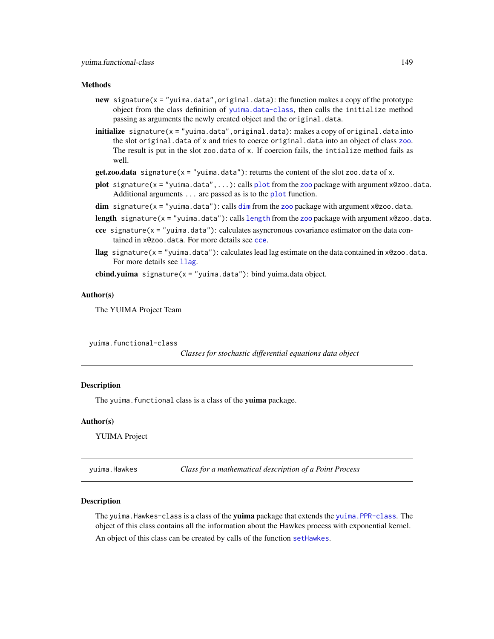#### <span id="page-148-1"></span>**Methods**

- new signature( $x =$ "yuima.data",original.data): the function makes a copy of the prototype object from the class definition of [yuima.data-class](#page-147-0), then calls the initialize method passing as arguments the newly created object and the original.data.
- initialize signature( $x = "y$ uima.data", original.data): makes a copy of original.data into the slot original.data of x and tries to coerce original.data into an object of class [zoo](#page-0-0). The result is put in the slot zoo.data of x. If coercion fails, the intialize method fails as well.
- $get.zoo.data$  signature( $x = "yuima.data"$ ): returns the content of the slot zoo.data of x.
- [plot](#page-0-0) signature( $x =$  "yuima.data",...): calls plot from the [zoo](#page-0-0) package with argument  $x@zoo$ .data. Additional arguments . . . are passed as is to the [plot](#page-0-0) function.
- $\dim$  $\dim$  signature(x = "yuima.data"): calls  $\dim$  from the [zoo](#page-0-0) package with argument x@zoo.data.

[length](#page-105-1) signature( $x =$  "yuima.data"): calls length from the [zoo](#page-0-0) package with argument  $x@zoo$ .data.

- cce signature( $x =$ "yuima.data"): calculates asyncronous covariance estimator on the data contained in x@zoo.data. For more details see [cce](#page-12-0).
- llag signature( $x =$ "yuima.data"): calculates lead lag estimate on the data contained in  $x@zoo$ .data. For more details see 11ag.

cbind.yuima signature( $x = "y$ uima.data"): bind yuima.data object.

#### Author(s)

The YUIMA Project Team

<span id="page-148-0"></span>yuima.functional-class

*Classes for stochastic differential equations data object*

#### **Description**

The yuima. functional class is a class of the yuima package.

#### Author(s)

YUIMA Project

yuima.Hawkes *Class for a mathematical description of a Point Process*

#### Description

The yuima. Hawkes-class is a class of the yuima package that extends the yuima. PPR-class. The object of this class contains all the information about the Hawkes process with exponential kernel. An object of this class can be created by calls of the function [setHawkes](#page-108-0).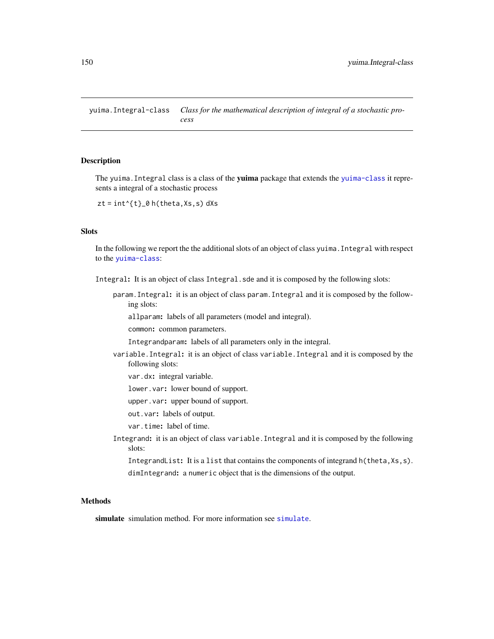<span id="page-149-0"></span>yuima.Integral-class *Class for the mathematical description of integral of a stochastic process*

# Description

The yuima. Integral class is a class of the **yuima** package that extends the [yuima-class](#page-141-0) it represents a integral of a stochastic process

 $zt = int^{(t)}_0 h(theta,Xs,s) dXs$ 

# Slots

In the following we report the the additional slots of an object of class yuima.Integral with respect to the [yuima-class](#page-141-0):

Integral: It is an object of class Integral.sde and it is composed by the following slots:

param.Integral: it is an object of class param.Integral and it is composed by the following slots:

allparam: labels of all parameters (model and integral).

common: common parameters.

Integrandparam: labels of all parameters only in the integral.

variable.Integral: it is an object of class variable.Integral and it is composed by the following slots:

var.dx: integral variable.

lower.var: lower bound of support.

upper.var: upper bound of support.

out.var: labels of output.

var.time: label of time.

Integrand: it is an object of class variable.Integral and it is composed by the following slots:

```
IntegrandList: It is a list that contains the components of integrand h(theta, Xs, s).
dimIntegrand: a numeric object that is the dimensions of the output.
```
# **Methods**

[simulate](#page-124-0) simulation method. For more information see simulate.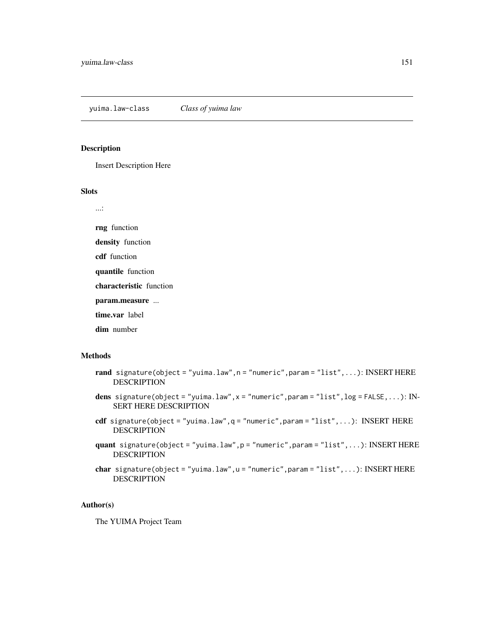# <span id="page-150-0"></span>Description

Insert Description Here

# Slots

...:

rng function

density function

cdf function

quantile function

characteristic function

param.measure ...

time.var label

dim number

# Methods

- rand signature(object = "yuima.law", n = "numeric", param = "list", ...): INSERT HERE DESCRIPTION
- dens signature(object = "yuima.law", $x =$  "numeric", param = "list",  $log =$  FALSE,...): IN-SERT HERE DESCRIPTION
- cdf signature(object = "yuima.law",q = "numeric",param = "list",...): INSERT HERE DESCRIPTION
- quant signature(object = "yuima.law",p = "numeric",param = "list",...): INSERT HERE DESCRIPTION
- char signature(object = "yuima.law", u = "numeric", param = "list", ...): INSERT HERE DESCRIPTION

# Author(s)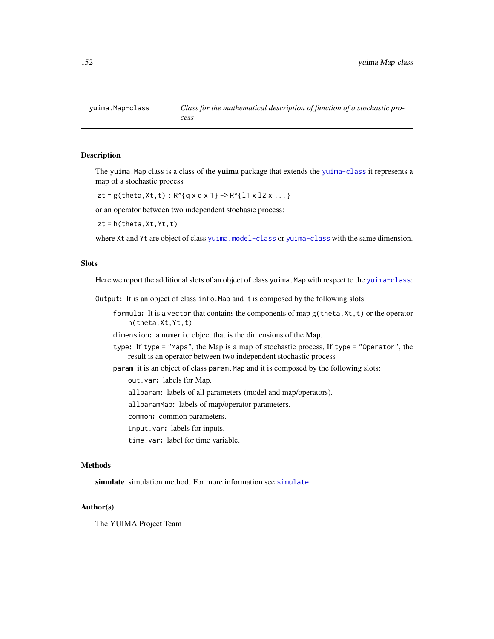<span id="page-151-0"></span>

#### Description

The yuima. Map class is a class of the yuima package that extends the [yuima-class](#page-141-0) it represents a map of a stochastic process

 $zt = g(theta, Xt, t) : R^{(q x d x 1)} \rightarrow R^{(11 x 12 x ...)}$ 

or an operator between two independent stochasic process:

 $zt = h(theta,Xt,Yt,t)$ 

where Xt and Yt are object of class [yuima.model-class](#page-152-0) or [yuima-class](#page-141-0) with the same dimension.

# **Slots**

Here we report the additional slots of an object of class yuima. Map with respect to the [yuima-class](#page-141-0):

Output: It is an object of class info.Map and it is composed by the following slots:

formula: It is a vector that contains the components of map  $g$ (theta,  $Xt, t$ ) or the operator h(theta,Xt,Yt,t)

dimension: a numeric object that is the dimensions of the Map.

- type: If type = "Maps", the Map is a map of stochastic process, If type = "Operator", the result is an operator between two independent stochastic process
- param it is an object of class param.Map and it is composed by the following slots:

out.var: labels for Map.

allparam: labels of all parameters (model and map/operators).

allparamMap: labels of map/operator parameters.

common: common parameters.

Input.var: labels for inputs.

time.var: label for time variable.

# Methods

[simulate](#page-124-0) simulation method. For more information see simulate.

#### Author(s)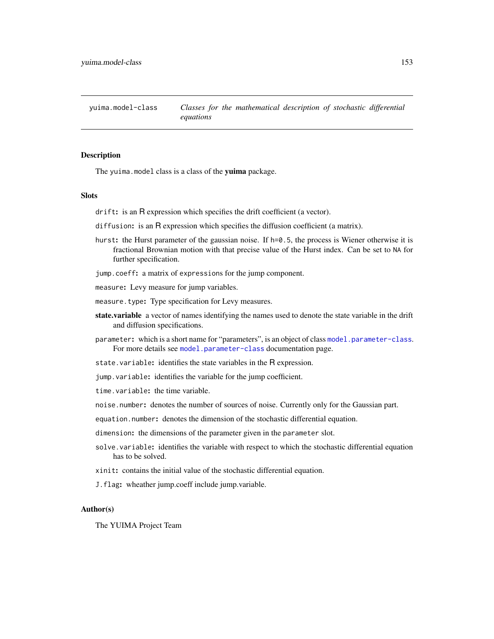<span id="page-152-1"></span><span id="page-152-0"></span>yuima.model-class *Classes for the mathematical description of stochastic differential equations*

#### Description

The yuima.model class is a class of the yuima package.

#### Slots

drift: is an R expression which specifies the drift coefficient (a vector).

- diffusion: is an R expression which specifies the diffusion coefficient (a matrix).
- hurst: the Hurst parameter of the gaussian noise. If h=0.5, the process is Wiener otherwise it is fractional Brownian motion with that precise value of the Hurst index. Can be set to NA for further specification.
- jump.coeff: a matrix of expressions for the jump component.

measure: Levy measure for jump variables.

measure.type: Type specification for Levy measures.

- state.variable a vector of names identifying the names used to denote the state variable in the drift and diffusion specifications.
- parameter: which is a short name for "parameters", is an object of class [model.parameter-class](#page-72-0). For more details see [model.parameter-class](#page-72-0) documentation page.
- state.variable: identifies the state variables in the R expression.
- jump.variable: identifies the variable for the jump coefficient.

time.variable: the time variable.

noise.number: denotes the number of sources of noise. Currently only for the Gaussian part.

equation.number: denotes the dimension of the stochastic differential equation.

- dimension: the dimensions of the parameter given in the parameter slot.
- solve.variable: identifies the variable with respect to which the stochastic differential equation has to be solved.
- xinit: contains the initial value of the stochastic differential equation.
- J.flag: wheather jump.coeff include jump.variable.

# Author(s)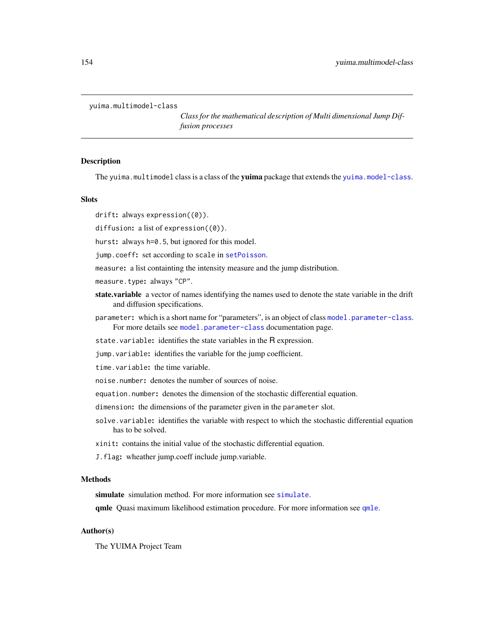```
yuima.multimodel-class
```
*Class for the mathematical description of Multi dimensional Jump Diffusion processes*

#### **Description**

The yuima.multimodel class is a class of the yuima package that extends the [yuima.model-class](#page-152-0).

# **Slots**

drift: always expression( $(0)$ ).

diffusion: a list of expression((0)).

hurst: always h=0.5, but ignored for this model.

jump.coeff: set according to scale in [setPoisson](#page-116-0).

measure: a list containting the intensity measure and the jump distribution.

measure.type: always "CP".

- state.variable a vector of names identifying the names used to denote the state variable in the drift and diffusion specifications.
- parameter: which is a short name for "parameters", is an object of class [model.parameter-class](#page-72-0). For more details see [model.parameter-class](#page-72-0) documentation page.

state.variable: identifies the state variables in the R expression.

jump.variable: identifies the variable for the jump coefficient.

time.variable: the time variable.

noise.number: denotes the number of sources of noise.

equation.number: denotes the dimension of the stochastic differential equation.

dimension: the dimensions of the parameter given in the parameter slot.

solve.variable: identifies the variable with respect to which the stochastic differential equation has to be solved.

xinit: contains the initial value of the stochastic differential equation.

J.flag: wheather jump.coeff include jump.variable.

#### Methods

[simulate](#page-124-0) simulation method. For more information see simulate.

[qmle](#page-82-0) Quasi maximum likelihood estimation procedure. For more information see qmle.

# Author(s)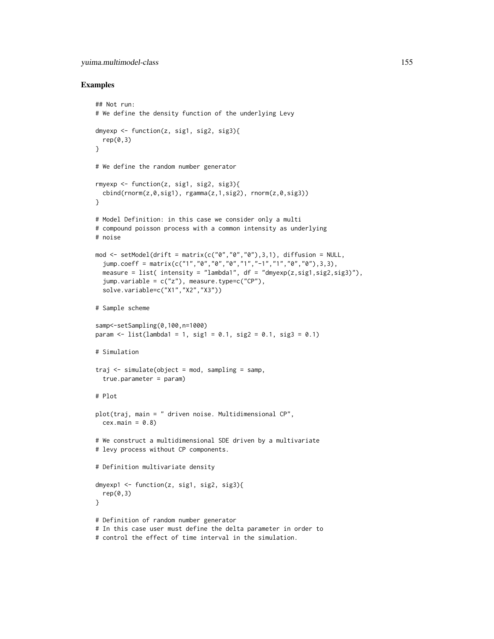# yuima.multimodel-class 155

#### Examples

```
## Not run:
# We define the density function of the underlying Levy
dmyexp \leq function(z, sig1, sig2, sig3){
  rep(0,3)
}
# We define the random number generator
rmyexp <- function(z, sig1, sig2, sig3){
  cbind(rnorm(z,0,sig1), rgamma(z,1,sig2), rnorm(z,0,sig3))
}
# Model Definition: in this case we consider only a multi
# compound poisson process with a common intensity as underlying
# noise
mod <- setModel(drift = matrix(c("0","0","0"),3,1), diffusion = NULL,
  jump.coeff = matrix(c("1","0","0","0","1","-1","1","0","0"),3,3),
  measure = list( intensity = "lambda1", df = "dmyexp(z,sig1,sig2,sig3)"),
  jump.variable = c("z"), measure.type=c("CP"),
  solve.variable=c("X1","X2","X3"))
# Sample scheme
samp<-setSampling(0,100,n=1000)
param \le list(lambda1 = 1, sig1 = 0.1, sig2 = 0.1, sig3 = 0.1)
# Simulation
traj \leq simulate(object = mod, sampling = samp,true.parameter = param)
# Plot
plot(traj, main = " driven noise. Multidimensional CP",
  cex.mainloop = 0.8# We construct a multidimensional SDE driven by a multivariate
# levy process without CP components.
# Definition multivariate density
dmyexp1 <- function(z, sig1, sig2, sig3){
  rep(0,3)
}
# Definition of random number generator
# In this case user must define the delta parameter in order to
# control the effect of time interval in the simulation.
```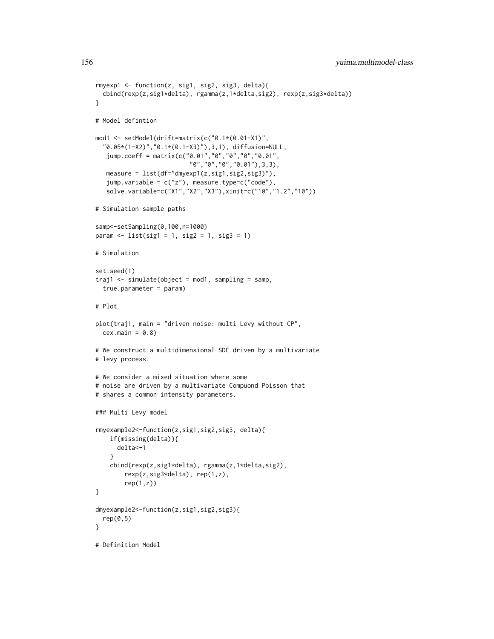```
rmyexp1 <- function(z, sig1, sig2, sig3, delta){
  cbind(rexp(z,sig1*delta), rgamma(z,1*delta,sig2), rexp(z,sig3*delta))
}
# Model defintion
mod1 <- setModel(drift=matrix(c("0.1*(0.01-X1)",
  "0.05*(1-X2)","0.1*(0.1-X3)"),3,1), diffusion=NULL,
   jump.coeff = matrix(c("0.01","0","0","0","0.01",
                          "0","0","0","0.01"),3,3),
   measure = list(df="dmyexp1(z,sig1,sig2,sig3)"),
   jump.variable = c("z"), measure.type=c("code"),
   solve.variable=c("X1","X2","X3"),xinit=c("10","1.2","10"))
# Simulation sample paths
samp<-setSampling(0,100,n=1000)
param < - list(sign = 1, sig2 = 1, sig3 = 1)# Simulation
set.seed(1)
traj1 <- simulate(object = mod1, sampling = samp,
  true.parameter = param)
# Plot
plot(traj1, main = "driven noise: multi Levy without CP",
  cex.mainloop = 0.8)# We construct a multidimensional SDE driven by a multivariate
# levy process.
# We consider a mixed situation where some
# noise are driven by a multivariate Compuond Poisson that
# shares a common intensity parameters.
### Multi Levy model
rmyexample2<-function(z,sig1,sig2,sig3, delta){
    if(missing(delta)){
      delta<-1
    }
    cbind(rexp(z,sig1*delta), rgamma(z,1*delta,sig2),
        rexp(z,sig3*delta), rep(1,z),
        rep(1,z)}
dmyexample2<-function(z,sig1,sig2,sig3){
  rep(0,5)}
# Definition Model
```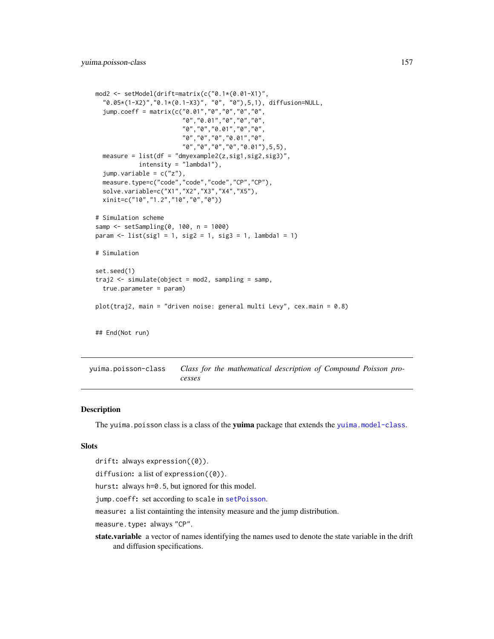```
mod2 <- setModel(drift=matrix(c("0.1*(0.01-X1)",
  "0.05*(1-X2)","0.1*(0.1-X3)", "0", "0"),5,1), diffusion=NULL,
  jump.coeff = matrix(c("0.01","0","0","0","0",
                        "0","0.01","0","0","0",
                        "0","0","0.01","0","0",
                        "0","0","0","0.01","0",
                        "0","0","0","0","0.01"),5,5),
  measure = list(df = "dmyexample2(z,sig1,sig2,sig3)",
            intensity = "lambda1"),
  jump.variable = c("z"),
  measure.type=c("code","code","code","CP","CP"),
  solve.variable=c("X1","X2","X3","X4","X5"),
  xinit=c("10","1.2","10","0","0"))
# Simulation scheme
samp <- setSampling(0, 100, n = 1000)
param <- list(sig1 = 1, sig2 = 1, sig3 = 1, lambda1 = 1)
# Simulation
set.seed(1)
traj2 <- simulate(object = mod2, sampling = samp,
  true.parameter = param)
plot(traj2, main = "driven noise: general multi Levy", cex.main = 0.8)
## End(Not run)
```
yuima.poisson-class *Class for the mathematical description of Compound Poisson processes*

# **Description**

The yuima.poisson class is a class of the yuima package that extends the [yuima.model-class](#page-152-0).

#### **Slots**

```
drift: always expression((0)).
```
diffusion: a list of expression( $(0)$ ).

hurst: always h=0.5, but ignored for this model.

jump.coeff: set according to scale in [setPoisson](#page-116-0).

measure: a list containting the intensity measure and the jump distribution.

measure.type: always "CP".

state.variable a vector of names identifying the names used to denote the state variable in the drift and diffusion specifications.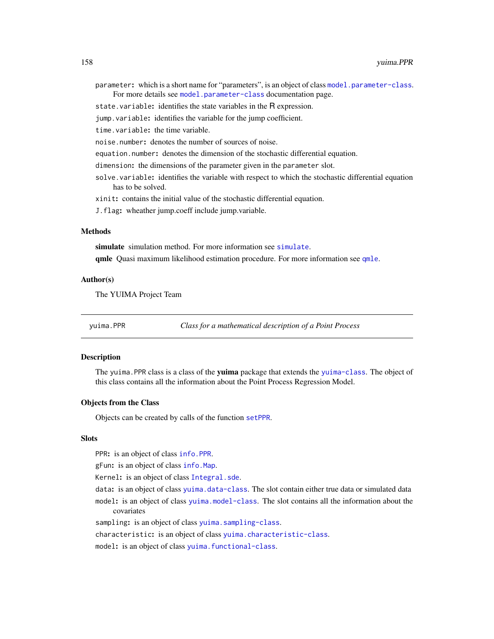- <span id="page-157-1"></span>parameter: which is a short name for "parameters", is an object of class [model.parameter-class](#page-72-0). For more details see [model.parameter-class](#page-72-0) documentation page.
- state.variable: identifies the state variables in the R expression.
- jump.variable: identifies the variable for the jump coefficient.

time.variable: the time variable.

- noise.number: denotes the number of sources of noise.
- equation.number: denotes the dimension of the stochastic differential equation.
- dimension: the dimensions of the parameter given in the parameter slot.
- solve.variable: identifies the variable with respect to which the stochastic differential equation has to be solved.

xinit: contains the initial value of the stochastic differential equation.

J.flag: wheather jump.coeff include jump.variable.

# Methods

[simulate](#page-124-0) simulation method. For more information see simulate.

[qmle](#page-82-0) Quasi maximum likelihood estimation procedure. For more information see qmle.

# Author(s)

The YUIMA Project Team

yuima.PPR *Class for a mathematical description of a Point Process*

#### <span id="page-157-0"></span>Description

The yuima. PPR class is a class of the yuima package that extends the [yuima-class](#page-141-0). The object of this class contains all the information about the Point Process Regression Model.

#### Objects from the Class

Objects can be created by calls of the function [setPPR](#page-118-0).

#### **Slots**

PPR: is an object of class [info.PPR](#page-50-0).

gFun: is an object of class [info.Map](#page-50-1).

Kernel: is an object of class [Integral.sde](#page-51-0).

data: is an object of class [yuima.data-class](#page-147-0). The slot contain either true data or simulated data model: is an object of class [yuima.model-class](#page-152-0). The slot contains all the information about the covariates

sampling: is an object of class [yuima.sampling-class](#page-158-0).

characteristic: is an object of class [yuima.characteristic-class](#page-145-0).

model: is an object of class [yuima.functional-class](#page-148-0).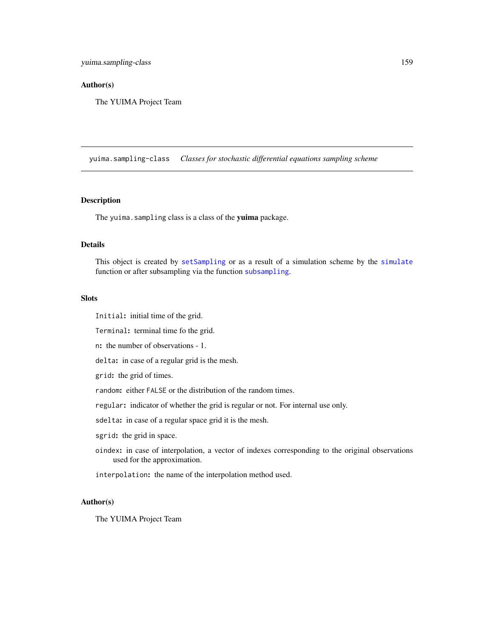#### <span id="page-158-1"></span>Author(s)

The YUIMA Project Team

<span id="page-158-0"></span>yuima.sampling-class *Classes for stochastic differential equations sampling scheme*

# Description

The yuima.sampling class is a class of the yuima package.

# Details

This object is created by [setSampling](#page-120-0) or as a result of a simulation scheme by the [simulate](#page-124-0) function or after subsampling via the function [subsampling](#page-137-0).

# Slots

Initial: initial time of the grid.

Terminal: terminal time fo the grid.

n: the number of observations - 1.

delta: in case of a regular grid is the mesh.

grid: the grid of times.

random: either FALSE or the distribution of the random times.

regular: indicator of whether the grid is regular or not. For internal use only.

sdelta: in case of a regular space grid it is the mesh.

sgrid: the grid in space.

oindex: in case of interpolation, a vector of indexes corresponding to the original observations used for the approximation.

interpolation: the name of the interpolation method used.

#### Author(s)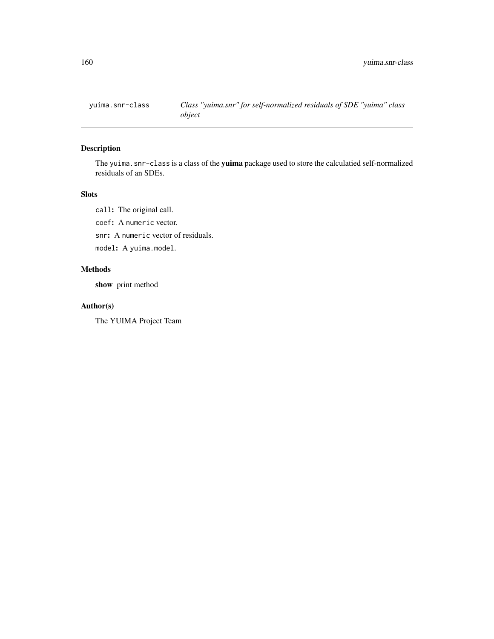<span id="page-159-0"></span>

# Description

The yuima.snr-class is a class of the yuima package used to store the calculatied self-normalized residuals of an SDEs.

# Slots

call: The original call.

coef: A numeric vector.

snr: A numeric vector of residuals.

model: A yuima.model.

# Methods

show print method

# Author(s)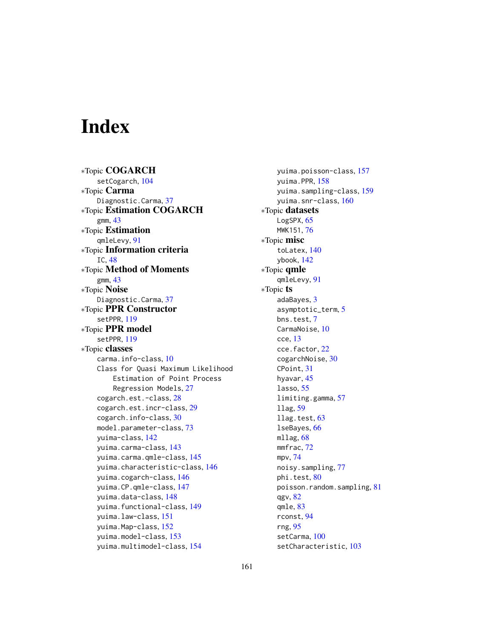# **Index**

∗Topic COGARCH setCogarch, [104](#page-103-1) ∗Topic Carma Diagnostic.Carma, [37](#page-36-0) ∗Topic Estimation COGARCH gmm, [43](#page-42-0) ∗Topic Estimation qmleLevy, [91](#page-90-0) ∗Topic Information criteria IC, [48](#page-47-0) ∗Topic Method of Moments gmm, [43](#page-42-0) ∗Topic Noise Diagnostic.Carma, [37](#page-36-0) ∗Topic PPR Constructor setPPR, [119](#page-118-1) ∗Topic PPR model setPPR, [119](#page-118-1) ∗Topic classes carma.info-class, [10](#page-9-1) Class for Quasi Maximum Likelihood Estimation of Point Process Regression Models, [27](#page-26-0) cogarch.est.-class, [28](#page-27-0) cogarch.est.incr-class, [29](#page-28-0) cogarch.info-class, [30](#page-29-1) model.parameter-class, [73](#page-72-1) yuima-class, [142](#page-141-1) yuima.carma-class, [143](#page-142-1) yuima.carma.qmle-class, [145](#page-144-0) yuima.characteristic-class, [146](#page-145-1) yuima.cogarch-class, [146](#page-145-1) yuima.CP.qmle-class, [147](#page-146-0) yuima.data-class, [148](#page-147-1) yuima.functional-class, [149](#page-148-1) yuima.law-class, [151](#page-150-0) yuima.Map-class, [152](#page-151-0) yuima.model-class, [153](#page-152-1) yuima.multimodel-class, [154](#page-153-0)

yuima.poisson-class, [157](#page-156-0) yuima.PPR, [158](#page-157-1) yuima.sampling-class, [159](#page-158-1) yuima.snr-class, [160](#page-159-0) ∗Topic datasets LogSPX, [65](#page-64-0) MWK151, [76](#page-75-0) ∗Topic misc toLatex, [140](#page-139-0) ybook, [142](#page-141-1) ∗Topic qmle qmleLevy, [91](#page-90-0) ∗Topic ts adaBayes, [3](#page-2-0) asymptotic\_term, [5](#page-4-0) bns.test, [7](#page-6-0) CarmaNoise, [10](#page-9-1) cce, [13](#page-12-1) cce.factor, [22](#page-21-0) cogarchNoise, [30](#page-29-1) CPoint, [31](#page-30-0) hyavar, [45](#page-44-0) lasso, [55](#page-54-0) limiting.gamma, [57](#page-56-0) llag, [59](#page-58-1) llag.test, [63](#page-62-0) lseBayes, [66](#page-65-0) mllag, [68](#page-67-0) mmfrac, [72](#page-71-0) mpv, [74](#page-73-0) noisy.sampling, [77](#page-76-0) phi.test, [80](#page-79-0) poisson.random.sampling, [81](#page-80-0) qgv, [82](#page-81-0) qmle, [83](#page-82-1) rconst, [94](#page-93-0) rng, [95](#page-94-0) setCarma, [100](#page-99-0) setCharacteristic, [103](#page-102-0)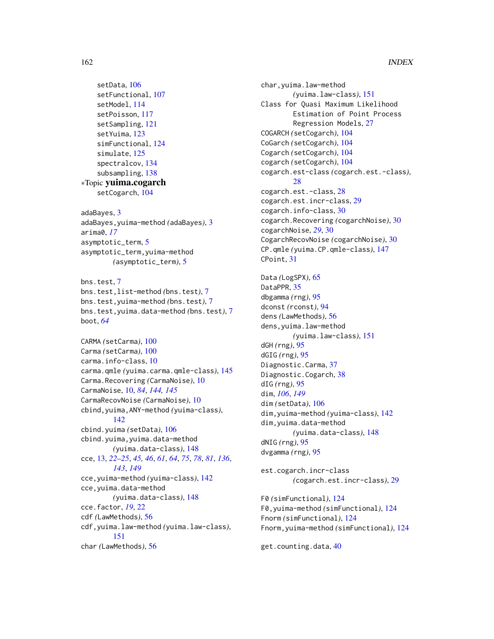```
setData, 106
    setFunctional, 107
    setModel, 114
    setPoisson, 117
    setSampling, 121
    setYuima, 123
    simFunctional, 124
    simulate, 125
    spectralcov, 134
    subsampling, 138
∗Topic yuima.cogarch
    setCogarch, 104
adaBayes, 3
adaBayes,yuima-method (adaBayes), 3
arima0, 17
asymptotic_term, 5
asymptotic_term,yuima-method
        (asymptotic_term), 5
bns.test, 7
bns.test,list-method (bns.test), 7
bns.test,yuima-method (bns.test), 7
bns.test,yuima.data-method (bns.test), 7
boot, 64
CARMA (setCarma), 100
Carma (setCarma), 100
carma.info-class, 10
carma.qmle (yuima.carma.qmle-class), 145
Carma.Recovering (CarmaNoise), 10
CarmaNoise, 10, 84, 144, 145
CarmaRecovNoise (CarmaNoise), 10
cbind,yuima,ANY-method (yuima-class),
        142
cbind.yuima (setData), 106
cbind.yuima,yuima.data-method
        (yuima.data-class), 148
cce, 13, 22–25, 45, 46, 61, 64, 75, 78, 81, 136,
        143, 149
cce,yuima-method (yuima-class), 142
cce,yuima.data-method
        (yuima.data-class), 148
cce.factor, 19, 22
cdf (LawMethods), 56
cdf,yuima.law-method (yuima.law-class),
        151
char (LawMethods), 56
```
char,yuima.law-method *(*yuima.law-class*)*, [151](#page-150-0) Class for Quasi Maximum Likelihood Estimation of Point Process Regression Models, [27](#page-26-0) COGARCH *(*setCogarch*)*, [104](#page-103-1) CoGarch *(*setCogarch*)*, [104](#page-103-1) Cogarch *(*setCogarch*)*, [104](#page-103-1) cogarch *(*setCogarch*)*, [104](#page-103-1) cogarch.est-class *(*cogarch.est.-class*)*, [28](#page-27-0) cogarch.est.-class, [28](#page-27-0) cogarch.est.incr-class, [29](#page-28-0) cogarch.info-class, [30](#page-29-1) cogarch.Recovering *(*cogarchNoise*)*, [30](#page-29-1) cogarchNoise, *[29](#page-28-0)*, [30](#page-29-1) CogarchRecovNoise *(*cogarchNoise*)*, [30](#page-29-1) CP.qmle *(*yuima.CP.qmle-class*)*, [147](#page-146-0) CPoint, [31](#page-30-0)

Data *(*LogSPX*)*, [65](#page-64-0) DataPPR, [35](#page-34-0) dbgamma *(*rng*)*, [95](#page-94-0) dconst *(*rconst*)*, [94](#page-93-0) dens *(*LawMethods*)*, [56](#page-55-0) dens,yuima.law-method *(*yuima.law-class*)*, [151](#page-150-0) dGH *(*rng*)*, [95](#page-94-0) dGIG *(*rng*)*, [95](#page-94-0) Diagnostic.Carma, [37](#page-36-0) Diagnostic.Cogarch, [38](#page-37-0) dIG *(*rng*)*, [95](#page-94-0) dim, *[106](#page-105-2)*, *[149](#page-148-1)* dim *(*setData*)*, [106](#page-105-2) dim,yuima-method *(*yuima-class*)*, [142](#page-141-1) dim,yuima.data-method *(*yuima.data-class*)*, [148](#page-147-1) dNIG *(*rng*)*, [95](#page-94-0) dvgamma *(*rng*)*, [95](#page-94-0)

est.cogarch.incr-class *(*cogarch.est.incr-class*)*, [29](#page-28-0)

F0 *(*simFunctional*)*, [124](#page-123-0) F0,yuima-method *(*simFunctional*)*, [124](#page-123-0) Fnorm *(*simFunctional*)*, [124](#page-123-0) Fnorm,yuima-method *(*simFunctional*)*, [124](#page-123-0)

get.counting.data, [40](#page-39-0)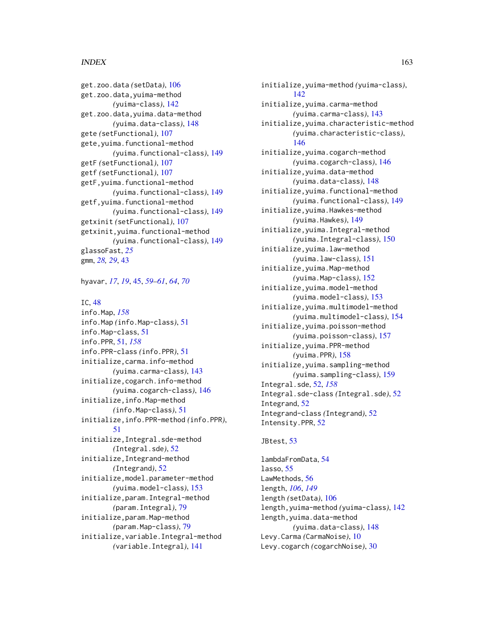#### $I\Lambda$  is a set of  $I\Lambda$  is a set of  $I\Lambda$  is a set of  $I\Lambda$  is a set of  $I\Lambda$  is a set of  $I\Lambda$

get.zoo.data *(*setData*)*, [106](#page-105-2) get.zoo.data,yuima-method *(*yuima-class*)*, [142](#page-141-1) get.zoo.data,yuima.data-method *(*yuima.data-class*)*, [148](#page-147-1) gete *(*setFunctional*)*, [107](#page-106-0) gete,yuima.functional-method *(*yuima.functional-class*)*, [149](#page-148-1) getF *(*setFunctional*)*, [107](#page-106-0) getf *(*setFunctional*)*, [107](#page-106-0) getF,yuima.functional-method *(*yuima.functional-class*)*, [149](#page-148-1) getf,yuima.functional-method *(*yuima.functional-class*)*, [149](#page-148-1) getxinit *(*setFunctional*)*, [107](#page-106-0) getxinit,yuima.functional-method *(*yuima.functional-class*)*, [149](#page-148-1) glassoFast, *[25](#page-24-0)* gmm, *[28,](#page-27-0) [29](#page-28-0)*, [43](#page-42-0)

hyavar, *[17](#page-16-0)*, *[19](#page-18-0)*, [45,](#page-44-0) *[59](#page-58-1)[–61](#page-60-0)*, *[64](#page-63-0)*, *[70](#page-69-0)*

#### IC, [48](#page-47-0)

info.Map, *[158](#page-157-1)* info.Map *(*info.Map-class*)*, [51](#page-50-2) info.Map-class, [51](#page-50-2) info.PPR, [51,](#page-50-2) *[158](#page-157-1)* info.PPR-class *(*info.PPR*)*, [51](#page-50-2) initialize,carma.info-method *(*yuima.carma-class*)*, [143](#page-142-1) initialize,cogarch.info-method *(*yuima.cogarch-class*)*, [146](#page-145-1) initialize,info.Map-method *(*info.Map-class*)*, [51](#page-50-2) initialize,info.PPR-method *(*info.PPR*)*, [51](#page-50-2) initialize,Integral.sde-method *(*Integral.sde*)*, [52](#page-51-1) initialize,Integrand-method *(*Integrand*)*, [52](#page-51-1) initialize,model.parameter-method *(*yuima.model-class*)*, [153](#page-152-1) initialize,param.Integral-method *(*param.Integral*)*, [79](#page-78-0) initialize,param.Map-method *(*param.Map-class*)*, [79](#page-78-0) initialize,variable.Integral-method *(*variable.Integral*)*, [141](#page-140-0)

initialize,yuima-method *(*yuima-class*)*,  $142$ initialize,yuima.carma-method *(*yuima.carma-class*)*, [143](#page-142-1) initialize,yuima.characteristic-method *(*yuima.characteristic-class*)*, [146](#page-145-1) initialize,yuima.cogarch-method *(*yuima.cogarch-class*)*, [146](#page-145-1) initialize,yuima.data-method *(*yuima.data-class*)*, [148](#page-147-1) initialize,yuima.functional-method *(*yuima.functional-class*)*, [149](#page-148-1) initialize,yuima.Hawkes-method *(*yuima.Hawkes*)*, [149](#page-148-1) initialize,yuima.Integral-method *(*yuima.Integral-class*)*, [150](#page-149-0) initialize,yuima.law-method *(*yuima.law-class*)*, [151](#page-150-0) initialize,yuima.Map-method *(*yuima.Map-class*)*, [152](#page-151-0) initialize,yuima.model-method *(*yuima.model-class*)*, [153](#page-152-1) initialize,yuima.multimodel-method *(*yuima.multimodel-class*)*, [154](#page-153-0) initialize,yuima.poisson-method *(*yuima.poisson-class*)*, [157](#page-156-0) initialize,yuima.PPR-method *(*yuima.PPR*)*, [158](#page-157-1) initialize,yuima.sampling-method *(*yuima.sampling-class*)*, [159](#page-158-1) Integral.sde, [52,](#page-51-1) *[158](#page-157-1)* Integral.sde-class *(*Integral.sde*)*, [52](#page-51-1) Integrand, [52](#page-51-1) Integrand-class *(*Integrand*)*, [52](#page-51-1) Intensity.PPR, [52](#page-51-1)

#### JBtest, [53](#page-52-0)

lambdaFromData, [54](#page-53-0) lasso, [55](#page-54-0) LawMethods, [56](#page-55-0) length, *[106](#page-105-2)*, *[149](#page-148-1)* length *(*setData*)*, [106](#page-105-2) length,yuima-method *(*yuima-class*)*, [142](#page-141-1) length,yuima.data-method *(*yuima.data-class*)*, [148](#page-147-1) Levy.Carma *(*CarmaNoise*)*, [10](#page-9-1) Levy.cogarch *(*cogarchNoise*)*, [30](#page-29-1)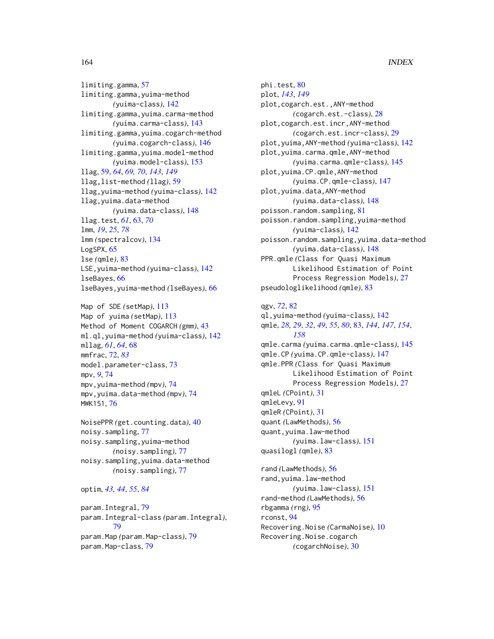limiting.gamma, [57](#page-56-0) limiting.gamma,yuima-method *(*yuima-class*)*, [142](#page-141-1) limiting.gamma,yuima.carma-method *(*yuima.carma-class*)*, [143](#page-142-1) limiting.gamma,yuima.cogarch-method *(*yuima.cogarch-class*)*, [146](#page-145-1) limiting.gamma,yuima.model-method *(*yuima.model-class*)*, [153](#page-152-1) llag, [59,](#page-58-1) *[64](#page-63-0)*, *[69,](#page-68-0) [70](#page-69-0)*, *[143](#page-142-1)*, *[149](#page-148-1)* llag,list-method *(*llag*)*, [59](#page-58-1) llag,yuima-method *(*yuima-class*)*, [142](#page-141-1) llag,yuima.data-method *(*yuima.data-class*)*, [148](#page-147-1) llag.test, *[61](#page-60-0)*, [63,](#page-62-0) *[70](#page-69-0)* lmm, *[19](#page-18-0)*, *[25](#page-24-0)*, *[78](#page-77-0)* lmm *(*spectralcov*)*, [134](#page-133-0) LogSPX, [65](#page-64-0) lse *(*qmle*)*, [83](#page-82-1) LSE,yuima-method *(*yuima-class*)*, [142](#page-141-1) lseBayes, [66](#page-65-0) lseBayes,yuima-method *(*lseBayes*)*, [66](#page-65-0)

Map of SDE *(*setMap*)*, [113](#page-112-0) Map of yuima *(*setMap*)*, [113](#page-112-0) Method of Moment COGARCH *(*gmm*)*, [43](#page-42-0) ml.ql,yuima-method *(*yuima-class*)*, [142](#page-141-1) mllag, *[61](#page-60-0)*, *[64](#page-63-0)*, [68](#page-67-0) mmfrac, [72,](#page-71-0) *[83](#page-82-1)* model.parameter-class, [73](#page-72-1) mpv, *[9](#page-8-0)*, [74](#page-73-0) mpv,yuima-method *(*mpv*)*, [74](#page-73-0) mpv,yuima.data-method *(*mpv*)*, [74](#page-73-0) MWK151, [76](#page-75-0)

NoisePPR *(*get.counting.data*)*, [40](#page-39-0) noisy.sampling, [77](#page-76-0) noisy.sampling,yuima-method *(*noisy.sampling*)*, [77](#page-76-0) noisy.sampling,yuima.data-method *(*noisy.sampling*)*, [77](#page-76-0)

```
optim, 43, 44, 55, 84
```
param.Integral, [79](#page-78-0) param.Integral-class *(*param.Integral*)*, [79](#page-78-0) param.Map *(*param.Map-class*)*, [79](#page-78-0) param.Map-class, [79](#page-78-0)

phi.test, [80](#page-79-0) plot, *[143](#page-142-1)*, *[149](#page-148-1)* plot,cogarch.est.,ANY-method *(*cogarch.est.-class*)*, [28](#page-27-0) plot,cogarch.est.incr,ANY-method *(*cogarch.est.incr-class*)*, [29](#page-28-0) plot,yuima,ANY-method *(*yuima-class*)*, [142](#page-141-1) plot,yuima.carma.qmle,ANY-method *(*yuima.carma.qmle-class*)*, [145](#page-144-0) plot,yuima.CP.qmle,ANY-method *(*yuima.CP.qmle-class*)*, [147](#page-146-0) plot,yuima.data,ANY-method *(*yuima.data-class*)*, [148](#page-147-1) poisson.random.sampling, [81](#page-80-0) poisson.random.sampling,yuima-method *(*yuima-class*)*, [142](#page-141-1) poisson.random.sampling,yuima.data-method *(*yuima.data-class*)*, [148](#page-147-1) PPR.qmle *(*Class for Quasi Maximum Likelihood Estimation of Point Process Regression Models*)*, [27](#page-26-0) pseudologlikelihood *(*qmle*)*, [83](#page-82-1)

# qgv, *[72](#page-71-0)*, [82](#page-81-0)

ql,yuima-method *(*yuima-class*)*, [142](#page-141-1) qmle, *[28,](#page-27-0) [29](#page-28-0)*, *[32](#page-31-0)*, *[49](#page-48-0)*, *[55](#page-54-0)*, *[80](#page-79-0)*, [83,](#page-82-1) *[144](#page-143-0)*, *[147](#page-146-0)*, *[154](#page-153-0)*, *[158](#page-157-1)* qmle.carma *(*yuima.carma.qmle-class*)*, [145](#page-144-0) qmle.CP *(*yuima.CP.qmle-class*)*, [147](#page-146-0) qmle.PPR *(*Class for Quasi Maximum Likelihood Estimation of Point Process Regression Models*)*, [27](#page-26-0) qmleL *(*CPoint*)*, [31](#page-30-0) qmleLevy, [91](#page-90-0) qmleR *(*CPoint*)*, [31](#page-30-0) quant *(*LawMethods*)*, [56](#page-55-0) quant,yuima.law-method *(*yuima.law-class*)*, [151](#page-150-0) quasilogl *(*qmle*)*, [83](#page-82-1) rand *(*LawMethods*)*, [56](#page-55-0) rand,yuima.law-method *(*yuima.law-class*)*, [151](#page-150-0) rand-method *(*LawMethods*)*, [56](#page-55-0) rbgamma *(*rng*)*, [95](#page-94-0) rconst, [94](#page-93-0)

Recovering.Noise *(*CarmaNoise*)*, [10](#page-9-1) Recovering.Noise.cogarch *(*cogarchNoise*)*, [30](#page-29-1)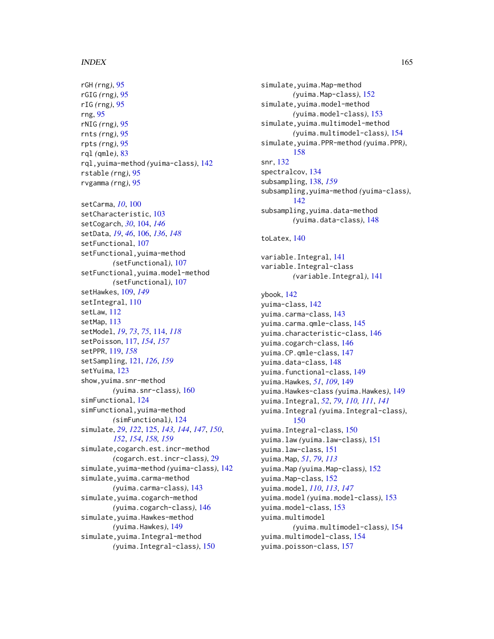rGH *(*rng*)*, [95](#page-94-0) rGIG *(*rng*)*, [95](#page-94-0) rIG *(*rng*)*, [95](#page-94-0) rng, [95](#page-94-0) rNIG *(*rng*)*, [95](#page-94-0) rnts *(*rng*)*, [95](#page-94-0) rpts *(*rng*)*, [95](#page-94-0) rql *(*qmle*)*, [83](#page-82-1) rql,yuima-method *(*yuima-class*)*, [142](#page-141-1) rstable *(*rng*)*, [95](#page-94-0) rvgamma *(*rng*)*, [95](#page-94-0) setCarma, *[10](#page-9-1)*, [100](#page-99-0) setCharacteristic, [103](#page-102-0) setCogarch, *[30](#page-29-1)*, [104,](#page-103-1) *[146](#page-145-1)* setData, *[19](#page-18-0)*, *[46](#page-45-0)*, [106,](#page-105-2) *[136](#page-135-0)*, *[148](#page-147-1)* setFunctional, [107](#page-106-0) setFunctional,yuima-method *(*setFunctional*)*, [107](#page-106-0) setFunctional,yuima.model-method *(*setFunctional*)*, [107](#page-106-0) setHawkes, [109,](#page-108-1) *[149](#page-148-1)* setIntegral, [110](#page-109-0) setLaw, [112](#page-111-0) setMap, [113](#page-112-0) setModel, *[19](#page-18-0)*, *[73](#page-72-1)*, *[75](#page-74-0)*, [114,](#page-113-0) *[118](#page-117-0)* setPoisson, [117,](#page-116-1) *[154](#page-153-0)*, *[157](#page-156-0)* setPPR, [119,](#page-118-1) *[158](#page-157-1)* setSampling, [121,](#page-120-1) *[126](#page-125-0)*, *[159](#page-158-1)* setYuima, [123](#page-122-0) show,yuima.snr-method *(*yuima.snr-class*)*, [160](#page-159-0) simFunctional, [124](#page-123-0) simFunctional,yuima-method *(*simFunctional*)*, [124](#page-123-0) simulate, *[29](#page-28-0)*, *[122](#page-121-0)*, [125,](#page-124-1) *[143,](#page-142-1) [144](#page-143-0)*, *[147](#page-146-0)*, *[150](#page-149-0)*, *[152](#page-151-0)*, *[154](#page-153-0)*, *[158,](#page-157-1) [159](#page-158-1)* simulate,cogarch.est.incr-method *(*cogarch.est.incr-class*)*, [29](#page-28-0) simulate,yuima-method *(*yuima-class*)*, [142](#page-141-1) simulate,yuima.carma-method *(*yuima.carma-class*)*, [143](#page-142-1) simulate,yuima.cogarch-method *(*yuima.cogarch-class*)*, [146](#page-145-1) simulate,yuima.Hawkes-method *(*yuima.Hawkes*)*, [149](#page-148-1) simulate,yuima.Integral-method *(*yuima.Integral-class*)*, [150](#page-149-0)

simulate,yuima.Map-method *(*yuima.Map-class*)*, [152](#page-151-0) simulate,yuima.model-method *(*yuima.model-class*)*, [153](#page-152-1) simulate,yuima.multimodel-method *(*yuima.multimodel-class*)*, [154](#page-153-0) simulate,yuima.PPR-method *(*yuima.PPR*)*, [158](#page-157-1) snr, [132](#page-131-0) spectralcov, [134](#page-133-0) subsampling, [138,](#page-137-1) *[159](#page-158-1)* subsampling,yuima-method *(*yuima-class*)*, [142](#page-141-1) subsampling,yuima.data-method *(*yuima.data-class*)*, [148](#page-147-1) toLatex, [140](#page-139-0)

variable.Integral, [141](#page-140-0) variable.Integral-class *(*variable.Integral*)*, [141](#page-140-0)

ybook, [142](#page-141-1) yuima-class, [142](#page-141-1) yuima.carma-class, [143](#page-142-1) yuima.carma.qmle-class, [145](#page-144-0) yuima.characteristic-class, [146](#page-145-1) yuima.cogarch-class, [146](#page-145-1) yuima.CP.qmle-class, [147](#page-146-0) yuima.data-class, [148](#page-147-1) yuima.functional-class, [149](#page-148-1) yuima.Hawkes, *[51](#page-50-2)*, *[109](#page-108-1)*, [149](#page-148-1) yuima.Hawkes-class *(*yuima.Hawkes*)*, [149](#page-148-1) yuima.Integral, *[52](#page-51-1)*, *[79](#page-78-0)*, *[110,](#page-109-0) [111](#page-110-0)*, *[141](#page-140-0)* yuima.Integral *(*yuima.Integral-class*)*, [150](#page-149-0) yuima.Integral-class, [150](#page-149-0) yuima.law *(*yuima.law-class*)*, [151](#page-150-0) yuima.law-class, [151](#page-150-0) yuima.Map, *[51](#page-50-2)*, *[79](#page-78-0)*, *[113](#page-112-0)* yuima.Map *(*yuima.Map-class*)*, [152](#page-151-0) yuima.Map-class, [152](#page-151-0) yuima.model, *[110](#page-109-0)*, *[113](#page-112-0)*, *[147](#page-146-0)* yuima.model *(*yuima.model-class*)*, [153](#page-152-1) yuima.model-class, [153](#page-152-1) yuima.multimodel *(*yuima.multimodel-class*)*, [154](#page-153-0) yuima.multimodel-class, [154](#page-153-0) yuima.poisson-class, [157](#page-156-0)